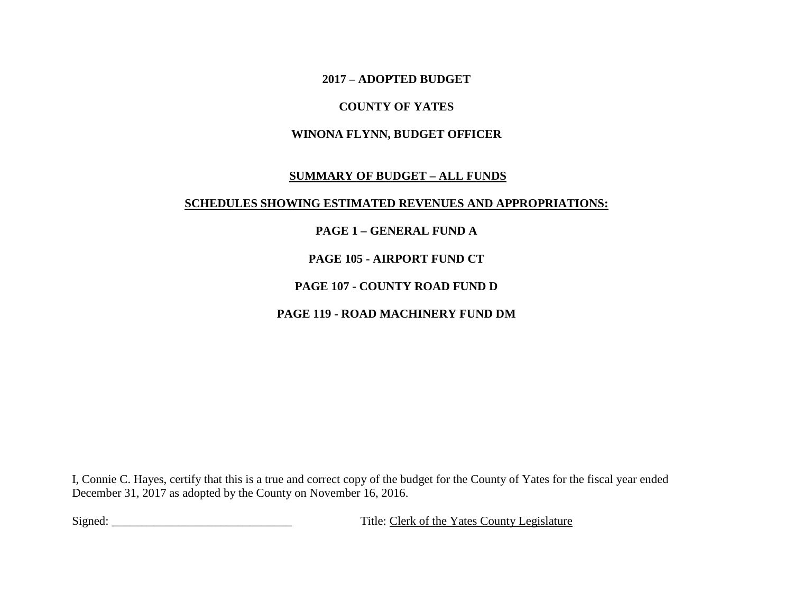**2017 – ADOPTED BUDGET** 

## **COUNTY OF YATES**

## **WINONA FLYNN, BUDGET OFFICER**

### **SUMMARY OF BUDGET – ALL FUNDS**

### **SCHEDULES SHOWING ESTIMATED REVENUES AND APPROPRIATIONS:**

# **PAGE 1 – GENERAL FUND A**

# **PAGE 105 - AIRPORT FUND CT**

# **PAGE 107 - COUNTY ROAD FUND D**

# **PAGE 119 - ROAD MACHINERY FUND DM**

I, Connie C. Hayes, certify that this is a true and correct copy of the budget for the County of Yates for the fiscal year ended December 31, 2017 as adopted by the County on November 16, 2016.

Signed: \_\_\_\_\_\_\_\_\_\_\_\_\_\_\_\_\_\_\_\_\_\_\_\_\_\_\_\_\_\_ Title: Clerk of the Yates County Legislature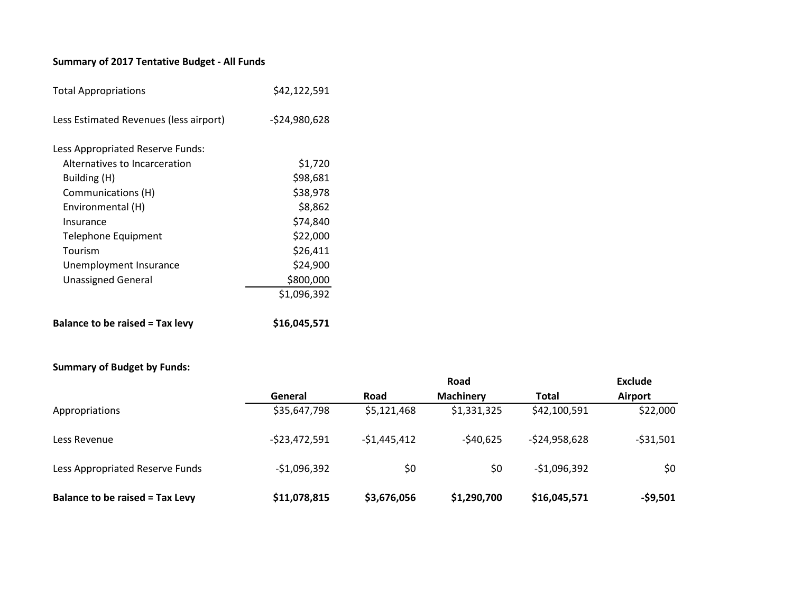# **Summary of 2017 Tentative Budget - All Funds**

| <b>Total Appropriations</b>            | \$42,122,591   |
|----------------------------------------|----------------|
| Less Estimated Revenues (less airport) | $-524,980,628$ |
| Less Appropriated Reserve Funds:       |                |
| Alternatives to Incarceration          | \$1,720        |
| Building (H)                           | \$98,681       |
| Communications (H)                     | \$38,978       |
| Environmental (H)                      | \$8,862        |
| Insurance                              | \$74,840       |
| Telephone Equipment                    | \$22,000       |
| Tourism                                | \$26,411       |
| Unemployment Insurance                 | \$24,900       |
| <b>Unassigned General</b>              | \$800,000      |
|                                        | \$1,096,392    |
| <b>Balance to be raised = Tax levy</b> | \$16,045,571   |

### **Summary of Budget by Funds:**

| $3411111141$ , $91244721$ , $911433$   |                |               |                  |                |                |
|----------------------------------------|----------------|---------------|------------------|----------------|----------------|
|                                        |                |               | Road             |                | Exclude        |
|                                        | General        | Road          | <b>Machinery</b> | <b>Total</b>   | <b>Airport</b> |
| Appropriations                         | \$35,647,798   | \$5,121,468   | \$1,331,325      | \$42,100,591   | \$22,000       |
| Less Revenue                           | $-523,472,591$ | $-$1,445,412$ | $-540,625$       | $-524,958,628$ | $-531,501$     |
| Less Appropriated Reserve Funds        | $-$1,096,392$  | \$0           | \$0              | $-$1,096,392$  | \$0            |
| <b>Balance to be raised = Tax Levy</b> | \$11,078,815   | \$3,676,056   | \$1,290,700      | \$16,045,571   | $-59,501$      |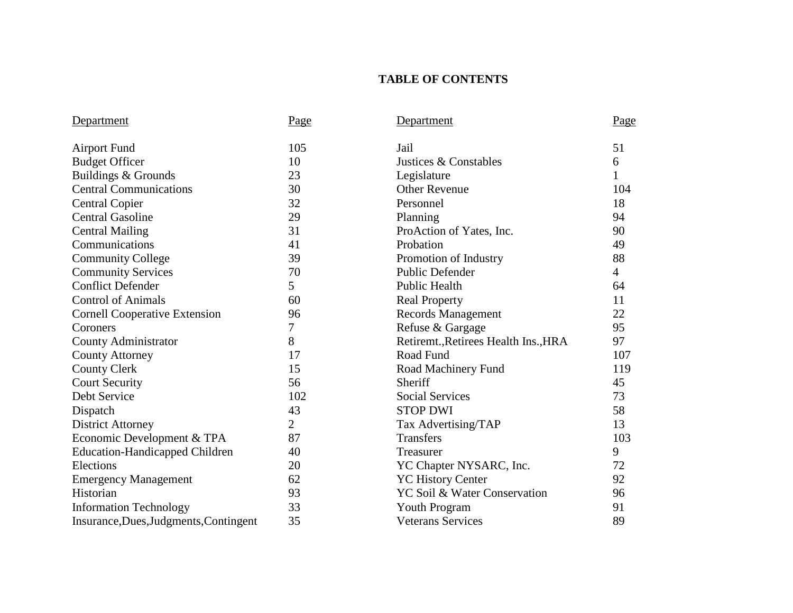# **TABLE OF CONTENTS**

| Department                             | Page           | Department                           | Page           |
|----------------------------------------|----------------|--------------------------------------|----------------|
| <b>Airport Fund</b>                    | 105            | Jail                                 | 51             |
| <b>Budget Officer</b>                  | 10             | Justices & Constables                | 6              |
| Buildings & Grounds                    | 23             | Legislature                          | $\mathbf{1}$   |
| <b>Central Communications</b>          | 30             | <b>Other Revenue</b>                 | 104            |
| <b>Central Copier</b>                  | 32             | Personnel                            | 18             |
| <b>Central Gasoline</b>                | 29             | Planning                             | 94             |
| <b>Central Mailing</b>                 | 31             | ProAction of Yates, Inc.             | 90             |
| Communications                         | 41             | Probation                            | 49             |
| <b>Community College</b>               | 39             | Promotion of Industry                | 88             |
| <b>Community Services</b>              | 70             | <b>Public Defender</b>               | $\overline{4}$ |
| <b>Conflict Defender</b>               | 5              | <b>Public Health</b>                 | 64             |
| <b>Control of Animals</b>              | 60             | <b>Real Property</b>                 | 11             |
| <b>Cornell Cooperative Extension</b>   | 96             | <b>Records Management</b>            | 22             |
| Coroners                               | 7              | Refuse & Gargage                     | 95             |
| County Administrator                   | 8              | Retiremt., Retirees Health Ins., HRA | 97             |
| <b>County Attorney</b>                 | 17             | Road Fund                            | 107            |
| <b>County Clerk</b>                    | 15             | Road Machinery Fund                  | 119            |
| <b>Court Security</b>                  | 56             | Sheriff                              | 45             |
| Debt Service                           | 102            | <b>Social Services</b>               | 73             |
| Dispatch                               | 43             | <b>STOP DWI</b>                      | 58             |
| <b>District Attorney</b>               | $\overline{2}$ | Tax Advertising/TAP                  | 13             |
| Economic Development & TPA             | 87             | <b>Transfers</b>                     | 103            |
| <b>Education-Handicapped Children</b>  | 40             | Treasurer                            | 9              |
| Elections                              | 20             | YC Chapter NYSARC, Inc.              | 72             |
| <b>Emergency Management</b>            | 62             | <b>YC History Center</b>             | 92             |
| Historian                              | 93             | YC Soil & Water Conservation         | 96             |
| <b>Information Technology</b>          | 33             | Youth Program                        | 91             |
| Insurance, Dues, Judgments, Contingent | 35             | <b>Veterans Services</b>             | 89             |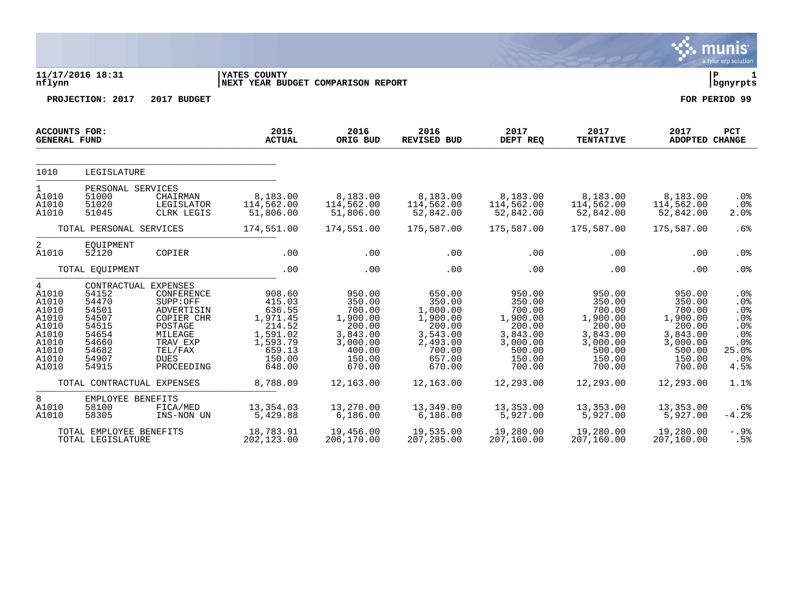|                                                                                             |                                                                                                                |                                                                                                                              |                                                                                                        |                                                                                                        |                                                                                                          |                                                                                                        |                                                                                                        |                                                                                                        | munis<br>a tyler erp solution                                            |
|---------------------------------------------------------------------------------------------|----------------------------------------------------------------------------------------------------------------|------------------------------------------------------------------------------------------------------------------------------|--------------------------------------------------------------------------------------------------------|--------------------------------------------------------------------------------------------------------|----------------------------------------------------------------------------------------------------------|--------------------------------------------------------------------------------------------------------|--------------------------------------------------------------------------------------------------------|--------------------------------------------------------------------------------------------------------|--------------------------------------------------------------------------|
| nflynn                                                                                      | 11/17/2016 18:31                                                                                               |                                                                                                                              | YATES COUNTY<br>NEXT YEAR BUDGET COMPARISON REPORT                                                     |                                                                                                        |                                                                                                          |                                                                                                        |                                                                                                        |                                                                                                        | l P<br>  bgnyrpts                                                        |
|                                                                                             | PROJECTION: 2017                                                                                               | 2017 BUDGET                                                                                                                  |                                                                                                        |                                                                                                        |                                                                                                          |                                                                                                        |                                                                                                        |                                                                                                        | FOR PERIOD 99                                                            |
| <b>ACCOUNTS FOR:</b><br><b>GENERAL FUND</b>                                                 |                                                                                                                |                                                                                                                              | 2015<br><b>ACTUAL</b>                                                                                  | 2016<br>ORIG BUD                                                                                       | 2016<br><b>REVISED BUD</b>                                                                               | 2017<br>DEPT REQ                                                                                       | 2017<br><b>TENTATIVE</b>                                                                               | 2017<br>ADOPTED CHANGE                                                                                 | <b>PCT</b>                                                               |
| 1010                                                                                        | LEGISLATURE                                                                                                    |                                                                                                                              |                                                                                                        |                                                                                                        |                                                                                                          |                                                                                                        |                                                                                                        |                                                                                                        |                                                                          |
| $\mathbf{1}$<br>A1010<br>A1010<br>A1010                                                     | PERSONAL SERVICES<br>51000<br>51020<br>51045                                                                   | CHAIRMAN<br>LEGISLATOR<br>CLRK LEGIS                                                                                         | 8,183.00<br>114,562.00<br>51,806.00                                                                    | 8,183.00<br>114,562.00<br>51,806.00                                                                    | 8,183.00<br>114,562.00<br>52,842.00                                                                      | 8,183.00<br>114,562.00<br>52,842.00                                                                    | 8,183.00<br>114,562.00<br>52,842.00                                                                    | 8,183.00<br>114,562.00<br>52,842.00                                                                    | .0%<br>.0%<br>2.0%                                                       |
|                                                                                             | TOTAL PERSONAL SERVICES                                                                                        |                                                                                                                              | 174,551.00                                                                                             | 174,551.00                                                                                             | 175,587.00                                                                                               | 175,587.00                                                                                             | 175,587.00                                                                                             | 175,587.00                                                                                             | .6%                                                                      |
| 2<br>A1010                                                                                  | EQUIPMENT<br>52120                                                                                             | COPIER                                                                                                                       | .00                                                                                                    | .00                                                                                                    | .00                                                                                                      | .00                                                                                                    | .00                                                                                                    | .00                                                                                                    | .0%                                                                      |
|                                                                                             | TOTAL EQUIPMENT                                                                                                |                                                                                                                              | .00                                                                                                    | .00                                                                                                    | .00                                                                                                      | .00                                                                                                    | .00                                                                                                    | .00                                                                                                    | .0%                                                                      |
| 4<br>A1010<br>A1010<br>A1010<br>A1010<br>A1010<br>A1010<br>A1010<br>A1010<br>A1010<br>A1010 | CONTRACTUAL EXPENSES<br>54152<br>54470<br>54501<br>54507<br>54515<br>54654<br>54660<br>54682<br>54907<br>54915 | CONFERENCE<br>SUPP:OFF<br>ADVERTISIN<br>COPIER CHR<br>POSTAGE<br>MILEAGE<br>TRAV EXP<br>TEL/FAX<br><b>DUES</b><br>PROCEEDING | 908.60<br>415.03<br>636.55<br>1,971.45<br>214.52<br>1,591.02<br>1,593.79<br>659.13<br>150.00<br>648.00 | 950.00<br>350.00<br>700.00<br>1,900.00<br>200.00<br>3,843.00<br>3,000.00<br>400.00<br>150.00<br>670.00 | 650.00<br>350.00<br>1,000.00<br>1,900.00<br>200.00<br>3,543.00<br>2,493.00<br>700.00<br>657.00<br>670.00 | 950.00<br>350.00<br>700.00<br>1,900.00<br>200.00<br>3,843.00<br>3,000.00<br>500.00<br>150.00<br>700.00 | 950.00<br>350.00<br>700.00<br>1,900.00<br>200.00<br>3,843.00<br>3,000.00<br>500.00<br>150.00<br>700.00 | 950.00<br>350.00<br>700.00<br>1,900.00<br>200.00<br>3,843.00<br>3,000.00<br>500.00<br>150.00<br>700.00 | $.0\%$<br>.0%<br>.0%<br>.0%<br>.0%<br>.0%<br>.0%<br>25.0%<br>.0%<br>4.5% |
|                                                                                             | TOTAL CONTRACTUAL EXPENSES                                                                                     |                                                                                                                              | 8,788.09                                                                                               | 12,163.00                                                                                              | 12,163.00                                                                                                | 12,293.00                                                                                              | 12,293.00                                                                                              | 12,293.00                                                                                              | 1.1%                                                                     |
| 8<br>A1010<br>A1010                                                                         | EMPLOYEE BENEFITS<br>58100<br>58305                                                                            | FICA/MED<br>INS-NON UN                                                                                                       | 13,354.03<br>5,429.88                                                                                  | 13,270.00<br>6,186.00                                                                                  | 13,349.00<br>6, 186.00                                                                                   | 13,353.00<br>5,927.00                                                                                  | 13,353.00<br>5,927.00                                                                                  | 13,353.00<br>5,927.00                                                                                  | .6%<br>$-4.2%$                                                           |
|                                                                                             | TOTAL EMPLOYEE BENEFITS<br>TOTAL LEGISLATURE                                                                   |                                                                                                                              | 18,783.91<br>202,123.00                                                                                | 19,456.00<br>206,170.00                                                                                | 19,535.00<br>207,285.00                                                                                  | 19,280.00<br>207,160.00                                                                                | 19,280.00<br>207,160.00                                                                                | 19,280.00<br>207,160.00                                                                                | $-.9%$<br>.5%                                                            |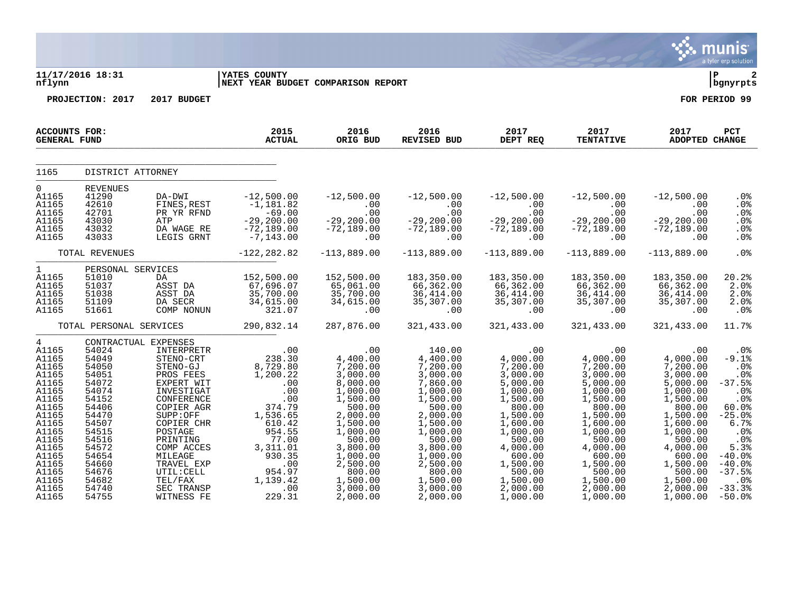|                                                                                                                                                                                           |                                                                                                                                                                         |                                                                                                         |                                                                                                                                                                                                                                                                                                                                                                                                                                                                                                                            |                                                                                                        |                                                                                                                                                                                                |                                                                                                                                                                                                                                                                                                                                                                                                             |                                                                                                                                                                            |                                                                                                                                                                                                                     | ्. munis $\sim$<br>a tyler erp solution                                                                                                                                            |
|-------------------------------------------------------------------------------------------------------------------------------------------------------------------------------------------|-------------------------------------------------------------------------------------------------------------------------------------------------------------------------|---------------------------------------------------------------------------------------------------------|----------------------------------------------------------------------------------------------------------------------------------------------------------------------------------------------------------------------------------------------------------------------------------------------------------------------------------------------------------------------------------------------------------------------------------------------------------------------------------------------------------------------------|--------------------------------------------------------------------------------------------------------|------------------------------------------------------------------------------------------------------------------------------------------------------------------------------------------------|-------------------------------------------------------------------------------------------------------------------------------------------------------------------------------------------------------------------------------------------------------------------------------------------------------------------------------------------------------------------------------------------------------------|----------------------------------------------------------------------------------------------------------------------------------------------------------------------------|---------------------------------------------------------------------------------------------------------------------------------------------------------------------------------------------------------------------|------------------------------------------------------------------------------------------------------------------------------------------------------------------------------------|
| nflynn                                                                                                                                                                                    | 11/17/2016 18:31                                                                                                                                                        |                                                                                                         | <b>IYATES COUNTY</b><br>NEXT YEAR BUDGET COMPARISON REPORT                                                                                                                                                                                                                                                                                                                                                                                                                                                                 |                                                                                                        |                                                                                                                                                                                                |                                                                                                                                                                                                                                                                                                                                                                                                             |                                                                                                                                                                            |                                                                                                                                                                                                                     | l P<br>2<br>bgnyrpts                                                                                                                                                               |
|                                                                                                                                                                                           | PROJECTION: 2017                                                                                                                                                        | 2017 BUDGET                                                                                             |                                                                                                                                                                                                                                                                                                                                                                                                                                                                                                                            |                                                                                                        |                                                                                                                                                                                                |                                                                                                                                                                                                                                                                                                                                                                                                             |                                                                                                                                                                            |                                                                                                                                                                                                                     | FOR PERIOD 99                                                                                                                                                                      |
| ACCOUNTS FOR:<br><b>GENERAL FUND</b>                                                                                                                                                      |                                                                                                                                                                         |                                                                                                         | 2015<br><b>ACTUAL</b>                                                                                                                                                                                                                                                                                                                                                                                                                                                                                                      | 2016<br>ORIG BUD                                                                                       | 2016<br>REVISED BUD                                                                                                                                                                            | 2017<br>2017<br>DEPT REQ                                                                                                                                                                                                                                                                                                                                                                                    | 2017<br><b>TENTATIVE</b>                                                                                                                                                   | 2017<br>ADOPTED CHANGE                                                                                                                                                                                              | <b>PCT</b>                                                                                                                                                                         |
| 1165                                                                                                                                                                                      | DISTRICT ATTORNEY                                                                                                                                                       |                                                                                                         |                                                                                                                                                                                                                                                                                                                                                                                                                                                                                                                            |                                                                                                        |                                                                                                                                                                                                |                                                                                                                                                                                                                                                                                                                                                                                                             |                                                                                                                                                                            |                                                                                                                                                                                                                     |                                                                                                                                                                                    |
| $\Omega$<br>A1165<br>A1165<br>A1165<br>A1165<br>A1165<br>A1165                                                                                                                            | REVENUES<br>41290<br>42610<br>42701<br>43030<br>43032<br>43033                                                                                                          | DA-DWI<br>DA-DWI<br>FINES,REST<br>————————————————————<br>PR YR RFND<br>ATP<br>DA WAGE RE<br>LEGIS GRNT | $-12,500.00$<br>$-1,181.82$<br>$-69.00$<br>-29,200.00<br>$-72,189.00$<br>$-7,143.00$                                                                                                                                                                                                                                                                                                                                                                                                                                       | $-29,200.00$<br>00.00<br>$-72,189.00$<br>$\overline{00}$ .                                             | $-12,500.00$ $-12,500.00$                                                                                                                                                                      | $\begin{array}{cccc} -12\, ,500\, .\, 00 & -12\, ,500\, .\, 00 & -12\, ,500\, .\, 00 & 0 & 0 \\ .\, 00 & .\, 00 & .\, 00 & .\, 00 & .\, 00 \\ .\, 00 & .\, 00 & .\, 00 & .\, 00 & 0 \\ -29\, ,\, 200\, .\, 00 & -29\, ,\, 200\, .\, 00 & -29\, ,\, 200\, .\, 00 & -72\, ,\, 189\, .\, 00 \\ .\,$                                                                                                            |                                                                                                                                                                            |                                                                                                                                                                                                                     | .0 <sub>8</sub><br>.0%<br>.0%<br>.0%<br>.0%<br>.0%                                                                                                                                 |
|                                                                                                                                                                                           | TOTAL REVENUES                                                                                                                                                          |                                                                                                         | $-122, 282.82$                                                                                                                                                                                                                                                                                                                                                                                                                                                                                                             | $-113,889.00$                                                                                          | $-113.889.00$                                                                                                                                                                                  | $-113.889.00$                                                                                                                                                                                                                                                                                                                                                                                               | $-113,889.00$                                                                                                                                                              | $-113,889.00$                                                                                                                                                                                                       | .0%                                                                                                                                                                                |
| $1 \quad \blacksquare$<br>A1165<br>A1165<br>A1165<br>A1165<br>A1165                                                                                                                       | 51037<br>51038<br>51109<br>51661                                                                                                                                        |                                                                                                         | DA 152,500.00<br>DA 152,500.00<br>ASST DA 67,696.07<br>ASST DA 35,700.00<br>DA SECR 34,615.00<br>COMP NONUN 321.07                                                                                                                                                                                                                                                                                                                                                                                                         | 152,500.00<br>65,061.00<br>35,700.00<br>34,615.00<br>00.                                               | 183,350.00<br>$66,362.00$<br>$36,414.00$<br>$35,307.00$<br>$00$                                                                                                                                | 183,350.00<br>66,362.00<br>36,414.00<br>35,307.00<br>.00                                                                                                                                                                                                                                                                                                                                                    | 183,350.00<br>66,362.00<br>36,414.00<br>35,307.00<br>00.                                                                                                                   | 183,350.00<br>66,362.00<br>36,414.00<br>35,30,20                                                                                                                                                                    | 20.2%<br>2.0%<br>2.0%<br>2.0%<br>$.0\%$                                                                                                                                            |
|                                                                                                                                                                                           |                                                                                                                                                                         |                                                                                                         | TOTAL PERSONAL SERVICES 290,832.14                                                                                                                                                                                                                                                                                                                                                                                                                                                                                         | 287,876.00                                                                                             | 321,433.00                                                                                                                                                                                     | 321,433.00                                                                                                                                                                                                                                                                                                                                                                                                  | 321,433.00                                                                                                                                                                 | 321,433.00                                                                                                                                                                                                          | 11.7%                                                                                                                                                                              |
| $\overline{4}$<br>A1165<br>A1165<br>A1165<br>A1165<br>A1165<br>A1165<br>A1165<br>A1165<br>A1165<br>A1165<br>A1165<br>A1165<br>A1165<br>A1165<br>A1165<br>A1165<br>A1165<br>A1165<br>A1165 | 54024<br>54049<br>54050<br>54051<br>54072<br>54074<br>54152<br>54406<br>54470<br>54507<br>54515<br>54516<br>54572<br>54654<br>54660<br>54676<br>54682<br>54740<br>54755 | CONTRACTUAL EXPENSES<br>POSTAGE<br>PRINTING<br>COMP ACCES<br>MILEAGE<br>TRAVEL EXP                      | $\begin{tabular}{lcccc} \texttt{EXPENSES} & .00 & .00 \\ \texttt{STEND-CRT} & 238.30 & 4,400.00 \\ \texttt{STEND-CRT} & 238.30 & 7,200.00 \\ \texttt{STEND-CUT} & 8,729.80 & 7,200.00 \\ \texttt{PROS} & .00 & 3,000.00 \\ \texttt{EXPERT WITH} & .00 & 8,000.00 \\ \texttt{INVESTIGAT} & .00 & 1,000.00 \\ \texttt{CONFERENCE} & 374.79 & 500.00 \\ \texttt{SOPIER AGR} & 3$<br>954.55<br>77.00<br>$3,311.01$<br>$0.20.25$<br>930.35<br>TRAVEL EXP<br>TRAVEL EXP<br>TEL/FAX<br>TEL/FAX<br>SEC TRANSP<br>MITNESS FE 229.31 | 1,000.00<br>500.00<br>3,800.00<br>$1,000.00$<br>2,500.00<br>800.00<br>1,500.00<br>3,000.00<br>2,000.00 | 1,000.00<br>1,500.00<br>500.00<br>2,000.00<br>1,500.00<br>1,000.00<br>500.00<br>$\begin{array}{r} 3,800.00\ 1,000.00\ 2,500.00\ 800.00\ 1,500.00\ 3,000.00\ 2,000.00\ \end{array}$<br>2,000.00 | $140.00$<br>$4,400.00$<br>$7,200.00$<br>$3,000.00$<br>$7,860.00$<br>$7,860.00$<br>$7,860.00$<br>$7,960.00$<br>$7,960.00$<br>$5,000.00$<br>$5,000.00$<br>$5,000.00$<br>$5,000.00$<br>$5,000.00$<br>$1,000.00$<br>$1,500.00$<br>800.00<br>1,500.00<br>1,600.00<br>1,000.00<br>500.00<br>4,000.00<br>600.00<br>1,500.00<br>$\begin{array}{r} 500.00 \\ 500.00 \\ 1,500.00 \end{array}$<br>2,000.00<br>1,000.00 | 1,000.00<br>1,500.00<br>800.00<br>$1,500.00$<br>$1,600.00$<br>1,000.00<br>500.00<br>4,000.00<br>600.00<br>$1,500.00$<br>$1,500.00$<br>$1,500.00$<br>$2,000.00$<br>1,000.00 | .00<br>4,000.00<br>7,200.00<br>3,000.00<br>5,000.00<br>1,000.00<br>1,500.00<br>800.00<br>1,500.00<br>1,600.00<br>1,000.00<br>500.00<br>4,000.00<br>600.00<br>1,500.00<br>500.00<br>1,500.00<br>2,000.00<br>1,000.00 | $.0\%$<br>$-9.1%$<br>.0%<br>.0%<br>$-37.5%$<br>.0%<br>.0%<br>60.0%<br>$-25.0%$<br>6.7%<br>.0%<br>.0%<br>5.3%<br>$-40.0%$<br>$-40.0%$<br>$-37.5%$<br>$.0\%$<br>$-33.3%$<br>$-50.0%$ |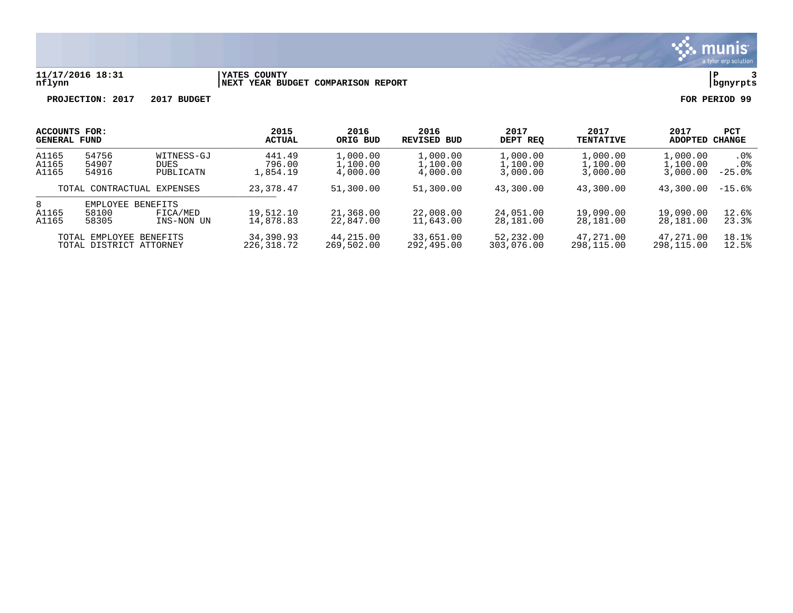

### **11/17/2016 18:31 |YATES COUNTY |P 3 nflynn |NEXT YEAR BUDGET COMPARISON REPORT |bgnyrpts**

| <b>ACCOUNTS FOR:</b>                                                                    |                         |                        | 2015                   | 2016                   | 2016                   | 2017                   | 2017                   | 2017           | PCT             |
|-----------------------------------------------------------------------------------------|-------------------------|------------------------|------------------------|------------------------|------------------------|------------------------|------------------------|----------------|-----------------|
| <b>GENERAL FUND</b>                                                                     |                         |                        | <b>ACTUAL</b>          | ORIG BUD               | REVISED BUD            | DEPT REO               | <b>TENTATIVE</b>       | <b>ADOPTED</b> | CHANGE          |
| A1165                                                                                   | 54756                   | WITNESS-GJ             | 441.49                 | 1,000.00               | 1,000.00               | 1,000.00               | 1,000.00               | 1,000.00       | .0 <sup>8</sup> |
| A1165                                                                                   | 54907                   | DUES                   | 796.00                 | 1,100.00               | 1,100.00               | 1,100.00               | 1,100.00               | 1,100.00       | . 0%            |
| A1165                                                                                   | 54916                   | PUBLICATN              | 1,854.19               | 4,000.00               | 4,000.00               | 3,000.00               | 3,000.00               | 3,000.00       | $-25.0%$        |
| TOTAL CONTRACTUAL EXPENSES                                                              |                         | 23, 378. 47            | 51,300.00              | 51,300.00              | 43,300.00              | 43,300.00              | 43,300.00              | $-15.6%$       |                 |
| 8<br>EMPLOYEE<br>BENEFITS<br>A1165<br>58100<br>FICA/MED<br>A1165<br>58305<br>INS-NON UN |                         | 19,512.10<br>14,878.83 | 21,368.00<br>22,847.00 | 22,008.00<br>11,643.00 | 24,051.00<br>28,181.00 | 19,090.00<br>28,181.00 | 19,090.00<br>28,181.00 | 12.6%<br>23.3% |                 |
|                                                                                         | TOTAL EMPLOYEE BENEFITS |                        | 34,390.93              | 44,215.00              | 33,651,00              | 52,232.00              | 47,271,00              | 47,271.00      | 18.1%           |
|                                                                                         | TOTAL DISTRICT ATTORNEY |                        | 226,318.72             | 269,502.00             | 292,495.00             | 303,076.00             | 298,115.00             | 298,115.00     | 12.5%           |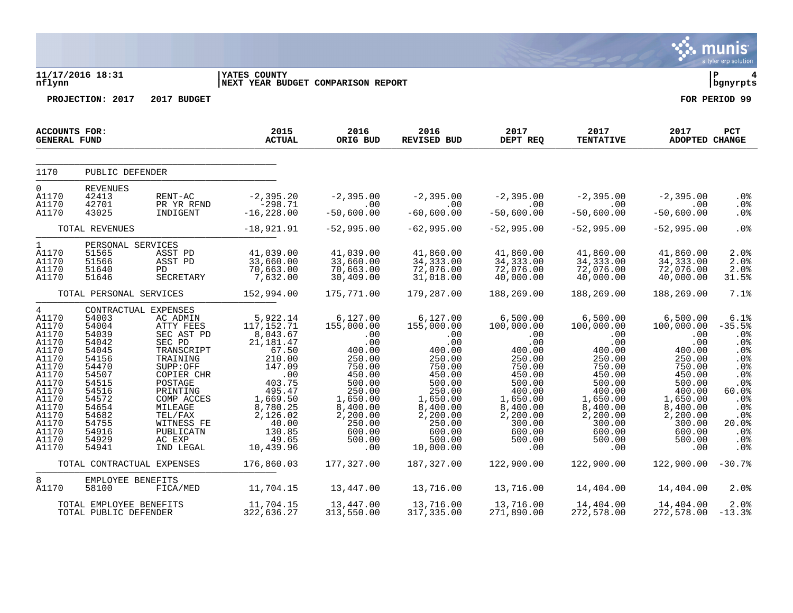|                                                                                                                                                                    |                                                                                                                                                                               |                                                                                                                                                                                                                                                                   |                                                                                                                                                                                                                                                                                                   |                                                                                                                                                                                                                                           |                                                                                                                                                                                                                            |                                                                                                                                                                                     |                                                                                                                                                                                                       |                                                                                                                                                                           | a tyler erp solution                                                                                                                            |
|--------------------------------------------------------------------------------------------------------------------------------------------------------------------|-------------------------------------------------------------------------------------------------------------------------------------------------------------------------------|-------------------------------------------------------------------------------------------------------------------------------------------------------------------------------------------------------------------------------------------------------------------|---------------------------------------------------------------------------------------------------------------------------------------------------------------------------------------------------------------------------------------------------------------------------------------------------|-------------------------------------------------------------------------------------------------------------------------------------------------------------------------------------------------------------------------------------------|----------------------------------------------------------------------------------------------------------------------------------------------------------------------------------------------------------------------------|-------------------------------------------------------------------------------------------------------------------------------------------------------------------------------------|-------------------------------------------------------------------------------------------------------------------------------------------------------------------------------------------------------|---------------------------------------------------------------------------------------------------------------------------------------------------------------------------|-------------------------------------------------------------------------------------------------------------------------------------------------|
| nflynn                                                                                                                                                             | 11/17/2016 18:31                                                                                                                                                              |                                                                                                                                                                                                                                                                   | <b>YATES COUNTY</b><br>NEXT YEAR BUDGET COMPARISON REPORT                                                                                                                                                                                                                                         |                                                                                                                                                                                                                                           |                                                                                                                                                                                                                            |                                                                                                                                                                                     |                                                                                                                                                                                                       |                                                                                                                                                                           | l P<br>4<br>  bgnyrpts                                                                                                                          |
|                                                                                                                                                                    | PROJECTION: 2017                                                                                                                                                              | 2017 BUDGET                                                                                                                                                                                                                                                       |                                                                                                                                                                                                                                                                                                   |                                                                                                                                                                                                                                           |                                                                                                                                                                                                                            |                                                                                                                                                                                     |                                                                                                                                                                                                       |                                                                                                                                                                           | FOR PERIOD 99                                                                                                                                   |
| ACCOUNTS FOR:<br><b>GENERAL FUND</b>                                                                                                                               |                                                                                                                                                                               |                                                                                                                                                                                                                                                                   | 2015<br><b>ACTUAL</b>                                                                                                                                                                                                                                                                             | 2016<br>ORIG BUD                                                                                                                                                                                                                          | 2016<br>REVISED BUD                                                                                                                                                                                                        | 2017<br>DEPT REQ                                                                                                                                                                    | 2017<br><b>TENTATIVE</b>                                                                                                                                                                              | 2017<br>ADOPTED CHANGE                                                                                                                                                    | PCT                                                                                                                                             |
| 1170                                                                                                                                                               | PUBLIC DEFENDER                                                                                                                                                               |                                                                                                                                                                                                                                                                   |                                                                                                                                                                                                                                                                                                   |                                                                                                                                                                                                                                           |                                                                                                                                                                                                                            |                                                                                                                                                                                     |                                                                                                                                                                                                       |                                                                                                                                                                           |                                                                                                                                                 |
| $\Omega$<br>A1170<br>A1170<br>A1170                                                                                                                                | <b>REVENUES</b><br>42413<br>42701<br>43025                                                                                                                                    | PR YR RFND<br>INDIGENT                                                                                                                                                                                                                                            | RENT-AC -2,395.20<br>$-298.71$<br>$-16, 228.00$                                                                                                                                                                                                                                                   | $\sim$ 00<br>$-50,600.00$                                                                                                                                                                                                                 | $-2,395.00$ $-2,395.00$ $-2,395.00$ $-2,395.00$<br>$\overline{00}$<br>$-60,600.00$                                                                                                                                         | 00.<br>50,600.00-<br>$-50,600.00$                                                                                                                                                   | $-50,600.00$                                                                                                                                                                                          | $-2,395.00$<br>$\sim 00$<br>$-50,600.00$                                                                                                                                  | .0%<br>.0%<br>$.0\%$                                                                                                                            |
|                                                                                                                                                                    | TOTAL REVENUES                                                                                                                                                                |                                                                                                                                                                                                                                                                   | $-18,921.91$                                                                                                                                                                                                                                                                                      | $-52,995.00$                                                                                                                                                                                                                              | $-62,995.00$                                                                                                                                                                                                               | $-52,995.00$                                                                                                                                                                        | $-52,995.00$                                                                                                                                                                                          | $-52,995.00$                                                                                                                                                              | .0%                                                                                                                                             |
| $1 \quad \blacksquare$<br>A1170<br>A1170<br>A1170<br>A1170                                                                                                         | PERSONAL SERVICES<br>51565<br>51566<br>51640<br>51646                                                                                                                         | ASST PD<br>ASST PD<br>PD and the set of the set of the set of the set of the set of the set of the set of the set of the set of the set of the set of the set of the set of the set of the set of the set of the set of the set of the set of the se<br>SECRETARY | 41,039.00<br>33,660.00<br>70,663.00<br>7,632.00                                                                                                                                                                                                                                                   | 41,039.00<br>33,660.00<br>70,663.00<br>30,409.00                                                                                                                                                                                          | 41,860.00<br>34, 333.00<br>72,076.00<br>31,018.00                                                                                                                                                                          | 41,860.00<br>34,333.00<br>72,076.00<br>40,000.00                                                                                                                                    | 41,860.00<br>34,333.00<br>72,076.00<br>40,000.00                                                                                                                                                      | 41,860.00<br>34, 333.00<br>72,076.00<br>40,000.00                                                                                                                         | 2.0%<br>2.0%<br>2.0%<br>31.5%                                                                                                                   |
|                                                                                                                                                                    |                                                                                                                                                                               | TOTAL PERSONAL SERVICES                                                                                                                                                                                                                                           | 152,994.00                                                                                                                                                                                                                                                                                        | 175,771.00                                                                                                                                                                                                                                | 179,287.00                                                                                                                                                                                                                 | 188,269.00                                                                                                                                                                          | 188,269.00                                                                                                                                                                                            | 188,269.00                                                                                                                                                                | 7.1%                                                                                                                                            |
| $4 \quad$<br>A1170<br>A1170<br>A1170<br>A1170<br>A1170<br>A1170<br>A1170<br>A1170<br>A1170<br>A1170<br>A1170<br>A1170<br>A1170<br>A1170<br>A1170<br>A1170<br>A1170 | CONTRACTUAL EXPENSES<br>54003<br>54004<br>54039<br>54042<br>54045<br>54156<br>54470<br>54507<br>54515<br>54516<br>54572<br>54654<br>54682<br>54755<br>54916<br>54929<br>54941 | AC ADMIN<br>ATTY FEES<br>SEC AST PD<br>SEC PD<br>TRANSCRIPT<br>TRAINING<br>SUPP:OFF<br>COPIER CHR<br>POSTAGE<br>PRINTING<br>COMP ACCES<br>MILEAGE<br>TEL/FAX<br>WITNESS FE<br>PUBLICATN<br>AC EXP<br>IND LEGAL                                                    | $5,922.14$<br>117 159 71<br>117, 152.71<br>8,043.67<br>21,181.47<br>$\begin{array}{r} 67.50 \\ 67.50 \\ 210.00 \\ 147.09 \\ 00 \\ 403.75 \end{array}$<br>495.47<br>1,669.50<br>8,780.25<br>2,126.02<br>$\begin{array}{r} 2 \ 40.00 \ \hline 130.85 \ \hline 49.65 \ \hline 10,439.96 \end{array}$ | 6,127.00<br>155,000.00<br>$\begin{array}{r} .00 \\ .00 \\ .00 \\ .00 \\ 750 \\ .00 \end{array}$<br>250.00<br>750.00<br>450.00<br>$+50.$<br>$500.$<br>$250.00$<br>$1,650.00$<br>$8,400.00$<br>$2,200$<br>250.00<br>600.00<br>500.00<br>.00 | $\begin{array}{r} 6,127.00 \\ 155,000.00 \\ .00 \\ .00 \\ 400.00 \\ 250.00 \end{array}$<br>250.00<br>750.00<br>450.00<br>500.00<br>250.00<br>1,650.00<br>8,400.00<br>2,200.00<br>250.00<br>600.00<br>$500.00$<br>10,000.00 | $6,500.00$<br>100.000<br>$0.00$<br>0.00<br>400.00<br>250.00<br>750.00<br>450.00<br>500.00<br>$400.00$<br>1,650.00<br>8,400.00<br>2,200.00<br>300.00<br>600.00<br>$500.00$<br>$0.00$ | $6,500.00$<br>100,000.00<br>$00$<br>00.00<br>400.00<br>250.00<br>750.00<br>450.00<br>500.00<br>$00.00$<br>400.00<br>1,650.00<br>9,400.00<br>8,400.00<br>2,200.00<br>300.00<br>600.00<br>500.00<br>.00 | 6,500.00<br>100,000.00<br>.00<br>.00<br>400.00<br>250.00<br>750.00<br>450.00<br>500.00<br>400.00<br>1,650.00<br>8,400.00<br>2,200.00<br>300.00<br>600.00<br>500.00<br>.00 | 6.1%<br>$-35.5%$<br>.0%<br>.0%<br>.0%<br>.0 <sub>8</sub><br>.0%<br>.0%<br>.0%<br>60.0%<br>.0%<br>.0%<br>$.0\%$<br>20.0%<br>.0%<br>.0%<br>$.0\%$ |
|                                                                                                                                                                    | TOTAL CONTRACTUAL EXPENSES                                                                                                                                                    |                                                                                                                                                                                                                                                                   | 176,860.03                                                                                                                                                                                                                                                                                        | 177,327.00                                                                                                                                                                                                                                | 187,327.00                                                                                                                                                                                                                 | 122,900.00                                                                                                                                                                          | 122,900.00                                                                                                                                                                                            | 122,900.00                                                                                                                                                                | $-30.7%$                                                                                                                                        |
| 8<br>A1170                                                                                                                                                         | EMPLOYEE BENEFITS<br>58100                                                                                                                                                    | FICA/MED                                                                                                                                                                                                                                                          | 11,704.15                                                                                                                                                                                                                                                                                         | 13,447.00    13,716.00                                                                                                                                                                                                                    |                                                                                                                                                                                                                            | 13,716.00                                                                                                                                                                           | 14,404.00                                                                                                                                                                                             | 14,404.00                                                                                                                                                                 | 2.0%                                                                                                                                            |
|                                                                                                                                                                    | TOTAL EMPLOYEE BENEFITS                                                                                                                                                       | TOTAL PUBLIC DEFENDER                                                                                                                                                                                                                                             | 11,704.15<br>322,636.27                                                                                                                                                                                                                                                                           | 13,447.00<br>313,550.00                                                                                                                                                                                                                   | 13,716.00<br>317,335.00                                                                                                                                                                                                    | 13,716.00<br>271,890.00                                                                                                                                                             | 14,404.00<br>272,578.00                                                                                                                                                                               | 14,404.00<br>$272,578.00 -13.38$                                                                                                                                          | 2.0%                                                                                                                                            |

 $\ddot{\mathbf{w}}$  munis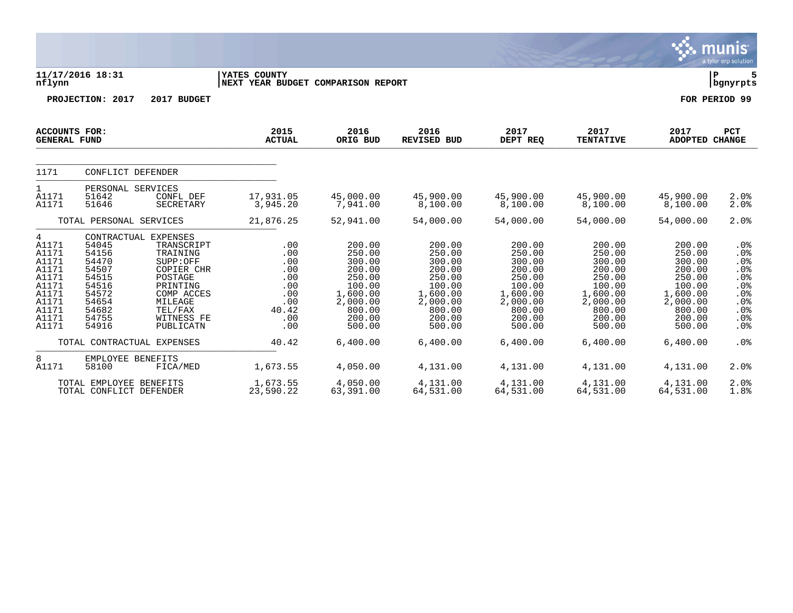|                                                                                                      |                                                                                                 |                                                                                                                                                                |                                                                             |                                                                                                                |                                                                                                                |                                                                                                                |                                                                                                                |                                                                                                                | <b>munis</b><br>a tyler erp solution                                         |
|------------------------------------------------------------------------------------------------------|-------------------------------------------------------------------------------------------------|----------------------------------------------------------------------------------------------------------------------------------------------------------------|-----------------------------------------------------------------------------|----------------------------------------------------------------------------------------------------------------|----------------------------------------------------------------------------------------------------------------|----------------------------------------------------------------------------------------------------------------|----------------------------------------------------------------------------------------------------------------|----------------------------------------------------------------------------------------------------------------|------------------------------------------------------------------------------|
| nflynn                                                                                               | 11/17/2016 18:31<br>YATES COUNTY<br>NEXT YEAR BUDGET COMPARISON REPORT                          |                                                                                                                                                                |                                                                             |                                                                                                                |                                                                                                                |                                                                                                                |                                                                                                                |                                                                                                                | Þ<br>5<br>  bgnyrpts                                                         |
|                                                                                                      | PROJECTION: 2017                                                                                | 2017 BUDGET                                                                                                                                                    |                                                                             |                                                                                                                |                                                                                                                |                                                                                                                |                                                                                                                |                                                                                                                | FOR PERIOD 99                                                                |
| <b>ACCOUNTS FOR:</b><br><b>GENERAL FUND</b>                                                          |                                                                                                 |                                                                                                                                                                | 2015<br><b>ACTUAL</b>                                                       | 2016<br>ORIG BUD                                                                                               | 2016<br><b>REVISED BUD</b>                                                                                     | 2017<br>DEPT REQ                                                                                               | 2017<br><b>TENTATIVE</b>                                                                                       | 2017<br><b>ADOPTED</b>                                                                                         | <b>PCT</b><br><b>CHANGE</b>                                                  |
| 1171                                                                                                 | CONFLICT DEFENDER                                                                               |                                                                                                                                                                |                                                                             |                                                                                                                |                                                                                                                |                                                                                                                |                                                                                                                |                                                                                                                |                                                                              |
| $\mathbf{1}$<br>A1171<br>A1171                                                                       | PERSONAL SERVICES<br>51642<br>51646                                                             | CONFL DEF<br>SECRETARY                                                                                                                                         | 17,931.05<br>3,945.20                                                       | 45,000.00<br>7,941.00                                                                                          | 45,900.00<br>8,100.00                                                                                          | 45,900.00<br>8,100.00                                                                                          | 45,900.00<br>8,100.00                                                                                          | 45,900.00<br>8,100.00                                                                                          | 2.0%<br>2.0%                                                                 |
|                                                                                                      | TOTAL PERSONAL SERVICES                                                                         |                                                                                                                                                                | 21,876.25                                                                   | 52,941.00                                                                                                      | 54,000.00                                                                                                      | 54,000.00                                                                                                      | 54,000.00                                                                                                      | 54,000.00                                                                                                      | 2.0%                                                                         |
| 4<br>A1171<br>A1171<br>A1171<br>A1171<br>A1171<br>A1171<br>A1171<br>A1171<br>A1171<br>A1171<br>A1171 | 54045<br>54156<br>54470<br>54507<br>54515<br>54516<br>54572<br>54654<br>54682<br>54755<br>54916 | CONTRACTUAL EXPENSES<br>TRANSCRIPT<br>TRAINING<br>SUPP:OFF<br>COPIER CHR<br>POSTAGE<br>PRINTING<br>COMP ACCES<br>MILEAGE<br>TEL/FAX<br>WITNESS FE<br>PUBLICATN | .00<br>.00<br>.00<br>.00<br>.00<br>.00<br>.00<br>.00<br>40.42<br>.00<br>.00 | 200.00<br>250.00<br>300.00<br>200.00<br>250.00<br>100.00<br>1,600.00<br>2,000.00<br>800.00<br>200.00<br>500.00 | 200.00<br>250.00<br>300.00<br>200.00<br>250.00<br>100.00<br>1,600.00<br>2,000.00<br>800.00<br>200.00<br>500.00 | 200.00<br>250.00<br>300.00<br>200.00<br>250.00<br>100.00<br>1,600.00<br>2,000.00<br>800.00<br>200.00<br>500.00 | 200.00<br>250.00<br>300.00<br>200.00<br>250.00<br>100.00<br>1,600.00<br>2,000.00<br>800.00<br>200.00<br>500.00 | 200.00<br>250.00<br>300.00<br>200.00<br>250.00<br>100.00<br>1,600.00<br>2,000.00<br>800.00<br>200.00<br>500.00 | $.0\%$<br>.0%<br>.0%<br>.0%<br>.0%<br>.0%<br>.0%<br>.0%<br>.0%<br>.0%<br>.0% |
|                                                                                                      |                                                                                                 | TOTAL CONTRACTUAL EXPENSES                                                                                                                                     | 40.42                                                                       | 6,400.00                                                                                                       | 6,400.00                                                                                                       | 6,400.00                                                                                                       | 6,400.00                                                                                                       | 6,400.00                                                                                                       | .0%                                                                          |
| 8<br>A1171                                                                                           | EMPLOYEE BENEFITS<br>58100                                                                      | FICA/MED                                                                                                                                                       | 1,673.55                                                                    | 4,050.00                                                                                                       | 4,131.00                                                                                                       | 4,131.00                                                                                                       | 4,131.00                                                                                                       | 4,131.00                                                                                                       | 2.0%                                                                         |
|                                                                                                      | TOTAL EMPLOYEE BENEFITS<br>TOTAL CONFLICT DEFENDER                                              |                                                                                                                                                                | 1,673.55<br>23,590.22                                                       | 4,050.00<br>63,391.00                                                                                          | 4,131.00<br>64,531.00                                                                                          | 4,131.00<br>64,531.00                                                                                          | 4,131.00<br>64,531.00                                                                                          | 4,131.00<br>64,531.00                                                                                          | 2.0%<br>1.8%                                                                 |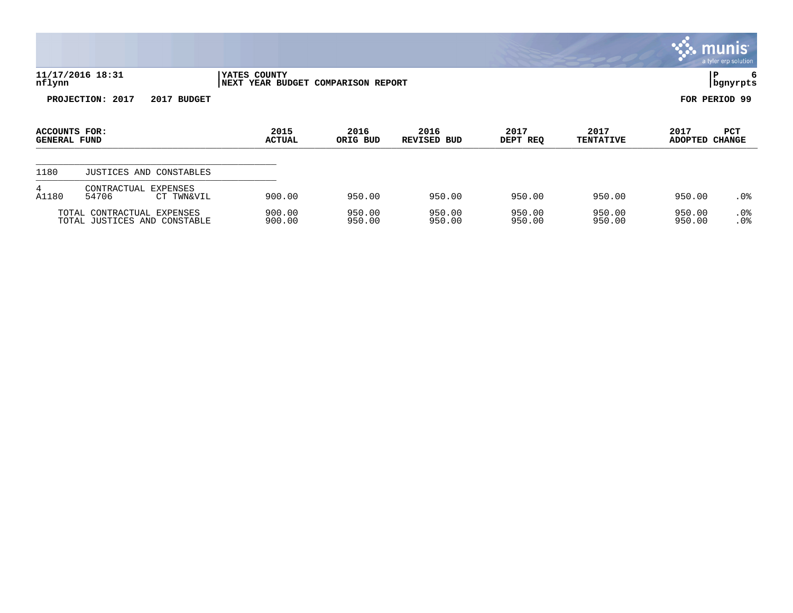|                                      |                                                            |                                                    |                  |                     |                  |                          |                        | <b>munis</b><br>a tyler erp solution |
|--------------------------------------|------------------------------------------------------------|----------------------------------------------------|------------------|---------------------|------------------|--------------------------|------------------------|--------------------------------------|
| nflynn                               | 11/17/2016 18:31                                           | YATES COUNTY<br>NEXT YEAR BUDGET COMPARISON REPORT |                  |                     |                  |                          | l P                    | 6<br>  bgnyrpts                      |
|                                      | PROJECTION: 2017<br>2017<br><b>BUDGET</b>                  |                                                    |                  |                     |                  |                          | FOR PERIOD 99          |                                      |
| ACCOUNTS FOR:<br><b>GENERAL FUND</b> |                                                            | 2015<br><b>ACTUAL</b>                              | 2016<br>ORIG BUD | 2016<br>REVISED BUD | 2017<br>DEPT REQ | 2017<br><b>TENTATIVE</b> | 2017<br>ADOPTED CHANGE | <b>PCT</b>                           |
| 1180                                 | JUSTICES AND<br>CONSTABLES                                 |                                                    |                  |                     |                  |                          |                        |                                      |
| 4<br>A1180                           | CONTRACTUAL<br><b>EXPENSES</b><br>54706<br>CT TWN&VIL      | 900.00                                             | 950.00           | 950.00              | 950.00           | 950.00                   | 950.00                 | .0 <sub>8</sub>                      |
|                                      | TOTAL CONTRACTUAL EXPENSES<br>TOTAL JUSTICES AND CONSTABLE | 900.00<br>900.00                                   | 950.00<br>950.00 | 950.00<br>950.00    | 950.00<br>950.00 | 950.00<br>950.00         | 950.00<br>950.00       | .0%<br>. 0%                          |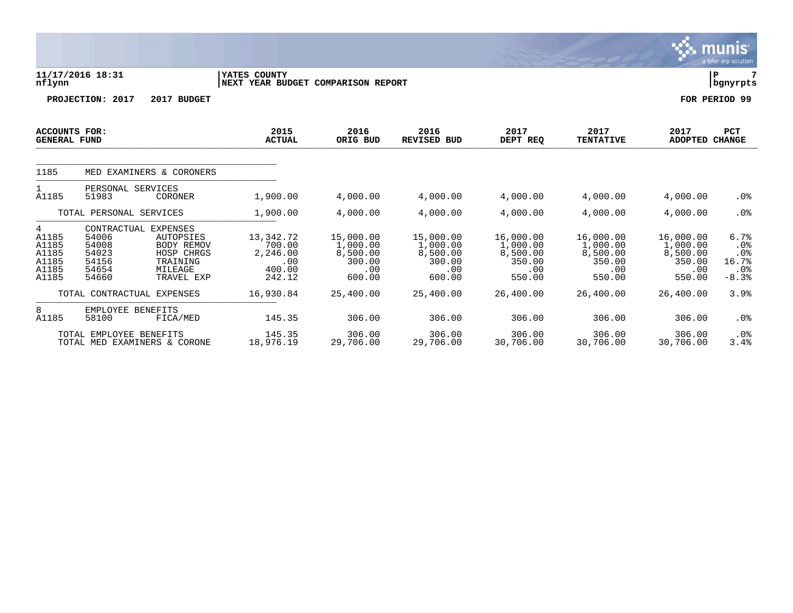|                                                         |                                                                            |                                                                                          |                                                            |                                                              |                                                              |                                                              |                                                              |                                                              | munis<br>a tyler erp solution                    |
|---------------------------------------------------------|----------------------------------------------------------------------------|------------------------------------------------------------------------------------------|------------------------------------------------------------|--------------------------------------------------------------|--------------------------------------------------------------|--------------------------------------------------------------|--------------------------------------------------------------|--------------------------------------------------------------|--------------------------------------------------|
| nflynn                                                  | 11/17/2016 18:31                                                           |                                                                                          | YATES COUNTY<br>NEXT YEAR BUDGET COMPARISON REPORT         |                                                              |                                                              |                                                              |                                                              |                                                              | lР<br>  bgnyrpts                                 |
|                                                         | PROJECTION: 2017                                                           | 2017 BUDGET                                                                              |                                                            |                                                              |                                                              |                                                              |                                                              |                                                              | FOR PERIOD 99                                    |
| <b>ACCOUNTS FOR:</b><br><b>GENERAL FUND</b>             |                                                                            |                                                                                          | 2015<br><b>ACTUAL</b>                                      | 2016<br>ORIG BUD                                             | 2016<br><b>REVISED BUD</b>                                   | 2017<br>DEPT REQ                                             | 2017<br><b>TENTATIVE</b>                                     | 2017<br><b>ADOPTED</b>                                       | PCT<br><b>CHANGE</b>                             |
| 1185                                                    | MED EXAMINERS & CORONERS                                                   |                                                                                          |                                                            |                                                              |                                                              |                                                              |                                                              |                                                              |                                                  |
| 1<br>A1185                                              | PERSONAL SERVICES<br>51983                                                 | CORONER                                                                                  | 1,900.00                                                   | 4,000.00                                                     | 4,000.00                                                     | 4,000.00                                                     | 4,000.00                                                     | 4,000.00                                                     | $.0\%$                                           |
|                                                         | TOTAL PERSONAL SERVICES                                                    |                                                                                          | 1,900.00                                                   | 4,000.00                                                     | 4,000.00                                                     | 4,000.00                                                     | 4,000.00                                                     | 4,000.00                                                     | .0 <sub>8</sub>                                  |
| 4<br>A1185<br>A1185<br>A1185<br>A1185<br>A1185<br>A1185 | CONTRACTUAL EXPENSES<br>54006<br>54008<br>54023<br>54156<br>54654<br>54660 | <b>AUTOPSIES</b><br><b>BODY REMOV</b><br>HOSP CHRGS<br>TRAINING<br>MILEAGE<br>TRAVEL EXP | 13,342.72<br>700.00<br>2,246.00<br>.00<br>400.00<br>242.12 | 15,000.00<br>1,000.00<br>8,500.00<br>300.00<br>.00<br>600.00 | 15,000.00<br>1,000.00<br>8,500.00<br>300.00<br>.00<br>600.00 | 16,000.00<br>1,000.00<br>8,500.00<br>350.00<br>.00<br>550.00 | 16,000.00<br>1,000.00<br>8,500.00<br>350.00<br>.00<br>550.00 | 16,000.00<br>1,000.00<br>8,500.00<br>350.00<br>.00<br>550.00 | 6.7%<br>.0%<br>$.0\%$<br>16.7%<br>.0%<br>$-8.3%$ |
|                                                         | TOTAL CONTRACTUAL                                                          | EXPENSES                                                                                 | 16,930.84                                                  | 25,400.00                                                    | 25,400.00                                                    | 26,400.00                                                    | 26,400.00                                                    | 26,400.00                                                    | 3.9%                                             |
| 8<br>A1185                                              | EMPLOYEE BENEFITS<br>58100                                                 | FICA/MED                                                                                 | 145.35                                                     | 306.00                                                       | 306.00                                                       | 306.00                                                       | 306.00                                                       | 306.00                                                       | .0 <sub>8</sub>                                  |
|                                                         | TOTAL EMPLOYEE BENEFITS<br>TOTAL MED EXAMINERS & CORONE                    |                                                                                          | 145.35<br>18,976.19                                        | 306.00<br>29,706.00                                          | 306.00<br>29,706.00                                          | 306.00<br>30,706.00                                          | 306.00<br>30,706.00                                          | 306.00<br>30,706.00                                          | $.0\%$<br>3.4%                                   |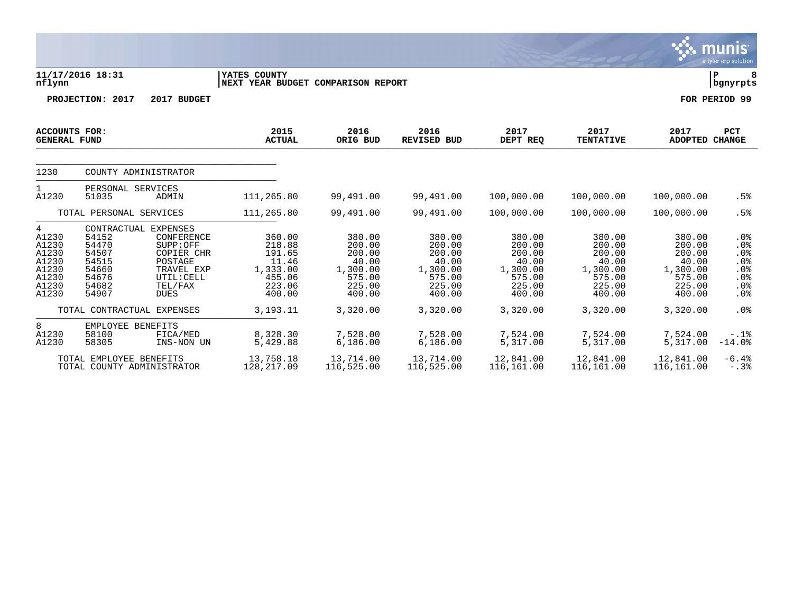|                                                                           |                                                                                                                                                                                                              |                                                                               |                                                                               |                                                                               |                                                                               |                                                                               |                                                                               | <b>munis</b><br>a tyler erp solution                       |  |  |
|---------------------------------------------------------------------------|--------------------------------------------------------------------------------------------------------------------------------------------------------------------------------------------------------------|-------------------------------------------------------------------------------|-------------------------------------------------------------------------------|-------------------------------------------------------------------------------|-------------------------------------------------------------------------------|-------------------------------------------------------------------------------|-------------------------------------------------------------------------------|------------------------------------------------------------|--|--|
| nflynn                                                                    | 11/17/2016 18:31<br>YATES COUNTY<br>NEXT YEAR BUDGET COMPARISON REPORT                                                                                                                                       |                                                                               |                                                                               |                                                                               |                                                                               |                                                                               |                                                                               |                                                            |  |  |
|                                                                           | 2017 BUDGET<br>PROJECTION: 2017                                                                                                                                                                              |                                                                               |                                                                               |                                                                               |                                                                               |                                                                               |                                                                               | FOR PERIOD 99                                              |  |  |
| <b>ACCOUNTS FOR:</b><br><b>GENERAL FUND</b>                               |                                                                                                                                                                                                              | 2015<br><b>ACTUAL</b>                                                         | 2016<br>ORIG BUD                                                              | 2016<br><b>REVISED BUD</b>                                                    | 2017<br>DEPT REQ                                                              | 2017<br><b>TENTATIVE</b>                                                      | 2017<br><b>ADOPTED</b>                                                        | <b>PCT</b><br><b>CHANGE</b>                                |  |  |
| 1230                                                                      | COUNTY ADMINISTRATOR                                                                                                                                                                                         |                                                                               |                                                                               |                                                                               |                                                                               |                                                                               |                                                                               |                                                            |  |  |
| $\mathbf{1}$<br>A1230                                                     | PERSONAL SERVICES<br>51035<br>ADMIN                                                                                                                                                                          | 111,265.80                                                                    | 99,491.00                                                                     | 99,491.00                                                                     | 100,000.00                                                                    | 100,000.00                                                                    | 100,000.00                                                                    | .5%                                                        |  |  |
|                                                                           | TOTAL PERSONAL SERVICES                                                                                                                                                                                      | 111,265.80                                                                    | 99,491.00                                                                     | 99,491.00                                                                     | 100,000.00                                                                    | 100,000.00                                                                    | 100,000.00                                                                    | .5%                                                        |  |  |
| 4<br>A1230<br>A1230<br>A1230<br>A1230<br>A1230<br>A1230<br>A1230<br>A1230 | CONTRACTUAL EXPENSES<br>54152<br><b>CONFERENCE</b><br>54470<br>SUPP:OFF<br>54507<br>COPIER CHR<br>54515<br>POSTAGE<br>54660<br>TRAVEL EXP<br>54676<br>UTIL: CELL<br>54682<br>TEL/FAX<br>54907<br><b>DUES</b> | 360.00<br>218.88<br>191.65<br>11.46<br>1,333.00<br>455.06<br>223.06<br>400.00 | 380.00<br>200.00<br>200.00<br>40.00<br>1,300.00<br>575.00<br>225.00<br>400.00 | 380.00<br>200.00<br>200.00<br>40.00<br>1,300.00<br>575.00<br>225.00<br>400.00 | 380.00<br>200.00<br>200.00<br>40.00<br>1,300.00<br>575.00<br>225.00<br>400.00 | 380.00<br>200.00<br>200.00<br>40.00<br>1,300.00<br>575.00<br>225.00<br>400.00 | 380.00<br>200.00<br>200.00<br>40.00<br>1,300.00<br>575.00<br>225.00<br>400.00 | $.0\%$<br>.0%<br>.0%<br>$.0\%$<br>.0%<br>.0%<br>.0%<br>.0% |  |  |
|                                                                           | TOTAL CONTRACTUAL EXPENSES                                                                                                                                                                                   | 3,193.11                                                                      | 3,320.00                                                                      | 3,320.00                                                                      | 3,320.00                                                                      | 3,320.00                                                                      | 3,320.00                                                                      | .0%                                                        |  |  |
| 8<br>A1230<br>A1230                                                       | EMPLOYEE BENEFITS<br>58100<br>FICA/MED<br>58305<br>INS-NON UN                                                                                                                                                | 8,328.30<br>5,429.88                                                          | 7,528.00<br>6,186.00                                                          | 7,528.00<br>6,186.00                                                          | 7,524.00<br>5,317.00                                                          | 7,524.00<br>5,317.00                                                          | 7,524.00<br>5,317.00                                                          | $-.1$ $%$<br>$-14.0%$                                      |  |  |
|                                                                           | TOTAL EMPLOYEE BENEFITS<br>TOTAL COUNTY ADMINISTRATOR                                                                                                                                                        | 13,758.18<br>128, 217.09                                                      | 13,714.00<br>116,525.00                                                       | 13,714.00<br>116,525.00                                                       | 12,841.00<br>116,161.00                                                       | 12,841.00<br>116,161.00                                                       | 12,841.00<br>116,161.00                                                       | $-6.4%$<br>$-.3%$                                          |  |  |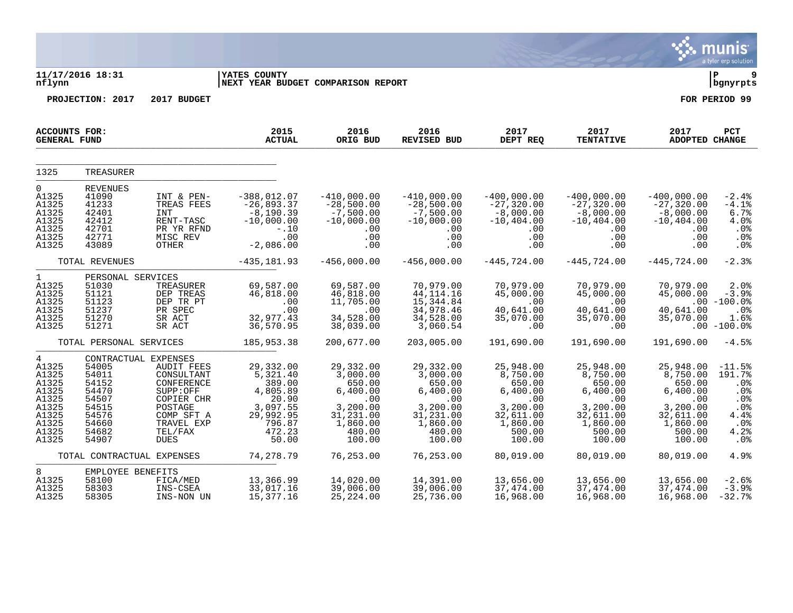|                                                                                                          |                                                                                        |                                                                                                                                                                  |                                                                                                            |                                                                                                             |                                                                                                             |                                                                                                             |                                                                                                             |                                                                                                             | munis<br>a tyler erp solution                                                                        |
|----------------------------------------------------------------------------------------------------------|----------------------------------------------------------------------------------------|------------------------------------------------------------------------------------------------------------------------------------------------------------------|------------------------------------------------------------------------------------------------------------|-------------------------------------------------------------------------------------------------------------|-------------------------------------------------------------------------------------------------------------|-------------------------------------------------------------------------------------------------------------|-------------------------------------------------------------------------------------------------------------|-------------------------------------------------------------------------------------------------------------|------------------------------------------------------------------------------------------------------|
| nflynn                                                                                                   | 11/17/2016 18:31                                                                       |                                                                                                                                                                  | <b>YATES COUNTY</b><br>NEXT YEAR BUDGET COMPARISON REPORT                                                  |                                                                                                             |                                                                                                             |                                                                                                             |                                                                                                             |                                                                                                             | 9<br>l P<br>bgnyrpts                                                                                 |
|                                                                                                          | PROJECTION: 2017                                                                       | 2017 BUDGET                                                                                                                                                      |                                                                                                            |                                                                                                             |                                                                                                             |                                                                                                             |                                                                                                             |                                                                                                             | FOR PERIOD 99                                                                                        |
| <b>ACCOUNTS FOR:</b><br><b>GENERAL FUND</b>                                                              |                                                                                        |                                                                                                                                                                  | 2015<br><b>ACTUAL</b>                                                                                      | 2016<br>ORIG BUD                                                                                            | 2016<br><b>REVISED BUD</b>                                                                                  | 2017<br>DEPT REQ                                                                                            | 2017<br><b>TENTATIVE</b>                                                                                    | 2017<br>ADOPTED CHANGE                                                                                      | PCT                                                                                                  |
| 1325                                                                                                     | TREASURER                                                                              |                                                                                                                                                                  |                                                                                                            |                                                                                                             |                                                                                                             |                                                                                                             |                                                                                                             |                                                                                                             |                                                                                                      |
| 0<br>A1325<br>A1325<br>A1325<br>A1325<br>A1325<br>A1325<br>A1325                                         | <b>REVENUES</b><br>41090<br>41233<br>42401<br>42412<br>42701<br>42771<br>43089         | INT & PEN-<br>TREAS FEES<br>INT<br>RENT-TASC<br>PR YR RFND<br>MISC REV<br><b>OTHER</b>                                                                           | $-388,012.07$<br>$-26,893.37$<br>$-8,190.39$<br>$-10,000.00$<br>$-10$<br>.00<br>$-2,086.00$                | $-410,000.00$<br>$-28,500.00$<br>$-7,500.00$<br>$-10,000.00$<br>.00<br>.00<br>.00                           | $-410,000.00$<br>$-28,500.00$<br>$-7,500.00$<br>$-10,000.00$<br>.00<br>.00<br>.00                           | $-400,000.00$<br>$-27, 320.00$<br>$-8,000.00$<br>$-10, 404.00$<br>.00<br>.00<br>.00                         | $-400,000.00$<br>$-27,320.00$<br>$-8,000.00$<br>$-10, 404.00$<br>$.00 \ \rm$<br>$.00 \,$<br>$.00 \,$        | $-400,000.00$<br>$-27, 320.00$<br>$-8,000.00$<br>$-10, 404.00$<br>.00<br>.00<br>.00                         | $-2.4%$<br>$-4.1%$<br>6.7%<br>4.0%<br>.0%<br>$.0\%$<br>.0%                                           |
|                                                                                                          | TOTAL REVENUES                                                                         |                                                                                                                                                                  | $-435, 181.93$                                                                                             | $-456,000.00$                                                                                               | $-456,000.00$                                                                                               | $-445,724.00$                                                                                               | $-445, 724.00$                                                                                              | $-445,724.00$                                                                                               | $-2.3%$                                                                                              |
| $\mathbf{1}$<br>A1325<br>A1325<br>A1325<br>A1325<br>A1325<br>A1325                                       | PERSONAL SERVICES<br>51030<br>51121<br>51123<br>51237<br>51270<br>51271                | TREASURER<br>DEP TREAS<br>DEP TR PT<br>PR SPEC<br>SR ACT<br>SR ACT                                                                                               | 69,587.00<br>46,818.00<br>.00<br>.00<br>32,977.43<br>36,570.95                                             | 69,587.00<br>46,818.00<br>11,705.00<br>.00<br>34,528.00<br>38,039.00                                        | 70,979.00<br>44, 114. 16<br>15,344.84<br>34,978.46<br>34,528.00<br>3,060.54                                 | 70,979.00<br>45,000.00<br>.00<br>40,641.00<br>35,070.00<br>.00                                              | 70,979.00<br>45,000.00<br>.00<br>40,641.00<br>35,070.00<br>.00                                              | 70,979.00<br>45,000.00<br>40,641.00<br>35,070.00                                                            | 2.0%<br>$-3.9%$<br>$.00 - 100.0%$<br>$.0\%$<br>1.6%<br>$.00 - 100.08$                                |
|                                                                                                          | TOTAL PERSONAL SERVICES                                                                |                                                                                                                                                                  | 185,953.38                                                                                                 | 200,677.00                                                                                                  | 203,005.00                                                                                                  | 191,690.00                                                                                                  | 191,690.00                                                                                                  | 191,690.00                                                                                                  | $-4.5%$                                                                                              |
| $\overline{4}$<br>A1325<br>A1325<br>A1325<br>A1325<br>A1325<br>A1325<br>A1325<br>A1325<br>A1325<br>A1325 | 54005<br>54011<br>54152<br>54470<br>54507<br>54515<br>54576<br>54660<br>54682<br>54907 | CONTRACTUAL EXPENSES<br><b>AUDIT FEES</b><br>CONSULTANT<br>CONFERENCE<br>SUPP:OFF<br>COPIER CHR<br>POSTAGE<br>COMP SFT A<br>TRAVEL EXP<br>TEL/FAX<br><b>DUES</b> | 29,332.00<br>5,321.40<br>389.00<br>4,805.89<br>20.90<br>3,097.55<br>29,992.95<br>796.87<br>472.23<br>50.00 | 29,332.00<br>3,000.00<br>650.00<br>6,400.00<br>.00<br>3,200.00<br>31,231.00<br>1,860.00<br>480.00<br>100.00 | 29,332.00<br>3,000.00<br>650.00<br>6,400.00<br>.00<br>3,200.00<br>31,231.00<br>1,860.00<br>480.00<br>100.00 | 25,948.00<br>8,750.00<br>650.00<br>6,400.00<br>.00<br>3,200.00<br>32,611.00<br>1,860.00<br>500.00<br>100.00 | 25,948.00<br>8,750.00<br>650.00<br>6,400.00<br>.00<br>3,200.00<br>32,611.00<br>1,860.00<br>500.00<br>100.00 | 25,948.00<br>8,750.00<br>650.00<br>6,400.00<br>.00<br>3,200.00<br>32,611.00<br>1,860.00<br>500.00<br>100.00 | $-11.5%$<br>191.7%<br>.0 <sub>8</sub><br>.0%<br>.0%<br>.0%<br>4.4%<br>.0%<br>4.2%<br>.0 <sub>8</sub> |
|                                                                                                          | TOTAL CONTRACTUAL EXPENSES                                                             |                                                                                                                                                                  | 74,278.79                                                                                                  | 76,253.00                                                                                                   | 76,253.00                                                                                                   | 80,019.00                                                                                                   | 80,019.00                                                                                                   | 80,019.00                                                                                                   | 4.9%                                                                                                 |
| 8                                                                                                        | EMPLOYEE BENEFITS                                                                      |                                                                                                                                                                  |                                                                                                            |                                                                                                             |                                                                                                             |                                                                                                             |                                                                                                             |                                                                                                             |                                                                                                      |
| A1325<br>A1325<br>A1325                                                                                  | 58100<br>58303<br>58305                                                                | FICA/MED<br>INS-CSEA<br>INS-NON UN                                                                                                                               | 13,366.99<br>33,017.16<br>15,377.16                                                                        | 14,020.00<br>39,006.00<br>25,224.00                                                                         | 14,391.00<br>39,006.00<br>25,736.00                                                                         | 13,656.00<br>37,474.00<br>16,968.00                                                                         | 13,656.00<br>37,474.00<br>16,968.00                                                                         | 13,656.00<br>37,474.00<br>16,968.00                                                                         | $-2.6%$<br>$-3.9%$<br>$-32.7%$                                                                       |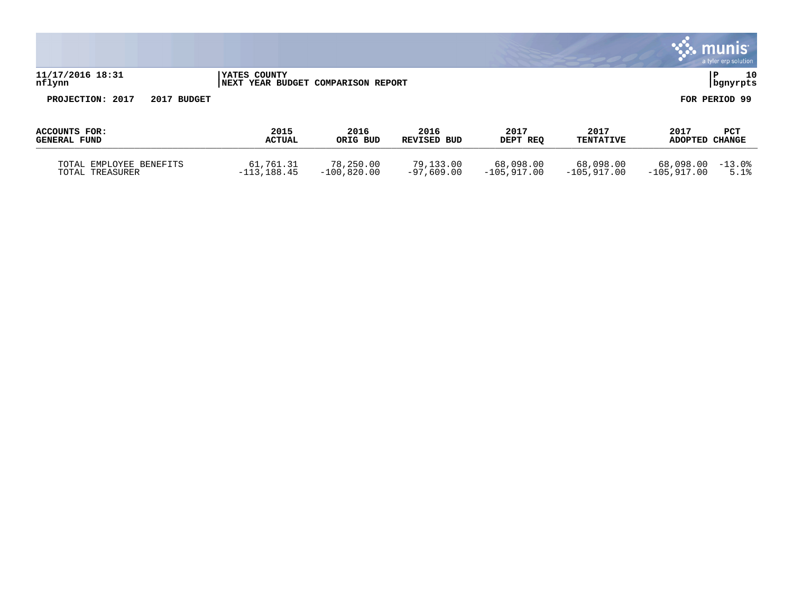|                                            |                                                                    |                            |                           |                            |                            |                            | $\sim$ munis<br>a tyler erp solution |
|--------------------------------------------|--------------------------------------------------------------------|----------------------------|---------------------------|----------------------------|----------------------------|----------------------------|--------------------------------------|
| 11/17/2016 18:31<br>nflynn                 | <b>IYATES COUNTY</b><br><b>INEXT YEAR BUDGET COMPARISON REPORT</b> |                            |                           |                            |                            |                            | 10<br>P<br>  bgnyrpts                |
| PROJECTION: 2017<br>2017 BUDGET            |                                                                    |                            |                           |                            |                            |                            | FOR PERIOD 99                        |
| ACCOUNTS FOR:<br><b>GENERAL FUND</b>       | 2015<br><b>ACTUAL</b>                                              | 2016<br>ORIG BUD           | 2016<br>REVISED BUD       | 2017<br>DEPT REO           | 2017<br><b>TENTATIVE</b>   | 2017<br>ADOPTED CHANGE     | <b>PCT</b>                           |
| TOTAL EMPLOYEE BENEFITS<br>TOTAL TREASURER | 61,761.31<br>$-113, 188.45$                                        | 78,250.00<br>$-100,820.00$ | 79,133.00<br>$-97.609.00$ | 68,098.00<br>$-105.917.00$ | 68,098.00<br>$-105,917.00$ | 68,098.00<br>$-105,917.00$ | $-13.0%$<br>5.1%                     |

 $\mathbf{r}$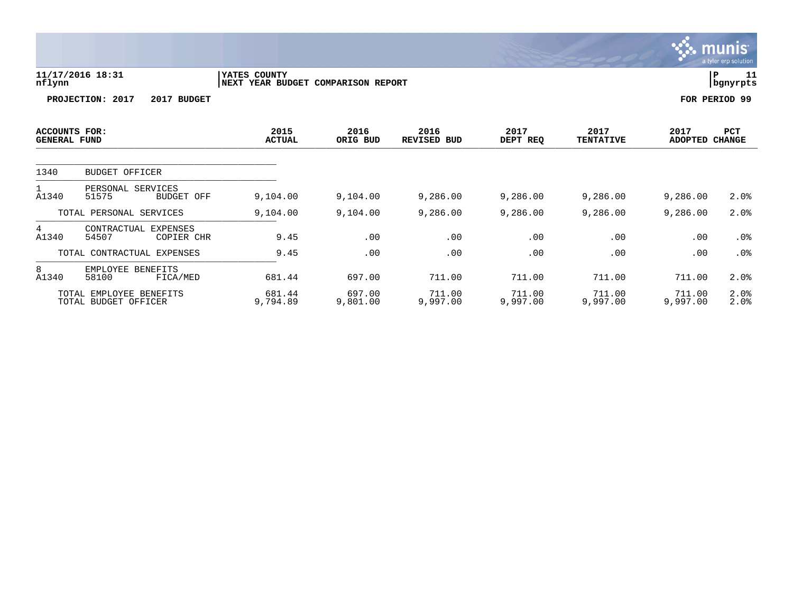|                                      |                                 |                                                    |                  |                            |                  |                          | <b>munis</b><br>a tyler erp solution |                |
|--------------------------------------|---------------------------------|----------------------------------------------------|------------------|----------------------------|------------------|--------------------------|--------------------------------------|----------------|
| nflynn                               | 11/17/2016 18:31                | YATES COUNTY<br>NEXT YEAR BUDGET COMPARISON REPORT |                  |                            |                  |                          | IΡ                                   | 11<br>bgnyrpts |
|                                      | PROJECTION: 2017<br>2017 BUDGET |                                                    |                  |                            |                  |                          | FOR PERIOD 99                        |                |
| <b>ACCOUNTS FOR:</b><br>GENERAL FUND |                                 | 2015<br>ACTUAL                                     | 2016<br>ORIG BUD | 2016<br><b>REVISED BUD</b> | 2017<br>DEPT REQ | 2017<br><b>TENTATIVE</b> | 2017<br>PCT<br>CHANGE<br>ADOPTED     |                |
| 1340                                 | <b>BUDGET OFFICER</b>           |                                                    |                  |                            |                  |                          |                                      |                |
| $-1$ $-1$ $-$                        | PERSONAL SERVICES<br>-----      | $\sim$ $\sim$ $\sim$ $\sim$                        | $\sim$ 101.00    | $\sim$ 000 00              | $\sim$ 000 00    | $\sim$ 000 00            | $\sim$ 000 00                        | $\sim$ $\sim$  |

| A1340                                           | SERVICES<br>PERSONAL<br>51575<br>BUDGET OFF    | 9.104.00           | 9.104.00           | 9,286.00           | 9,286.00           | 9,286,00           | 9,286.00           | $2.0\%$         |
|-------------------------------------------------|------------------------------------------------|--------------------|--------------------|--------------------|--------------------|--------------------|--------------------|-----------------|
|                                                 | TOTAL PERSONAL SERVICES                        | 9,104.00           | 9,104.00           | 9,286.00           | 9,286.00           | 9,286.00           | 9,286.00           | 2.0%            |
| 4<br>A1340                                      | CONTRACTUAL<br>EXPENSES<br>54507<br>COPIER CHR | 9.45               | .00                | .00                | .00                | .00                | .00                | . 0 %           |
|                                                 | TOTAL CONTRACTUAL EXPENSES                     | 9.45               | .00                | .00                | .00                | .00                | .00                |                 |
| 8<br>A1340                                      | EMPLOYEE<br>BENEFITS<br>58100<br>FICA/MED      | 681.44             | 697.00             | 711.00             | 711.00             | 711.00             | 711.00             | 2.0%            |
| TOTAL EMPLOYEE BENEFITS<br>TOTAL BUDGET OFFICER |                                                | 681.44<br>9,794.89 | 697.00<br>9,801.00 | 711.00<br>9.997.00 | 711.00<br>9.997.00 | 711.00<br>9,997,00 | 711.00<br>9.997.00 | $2.0\%$<br>2.0% |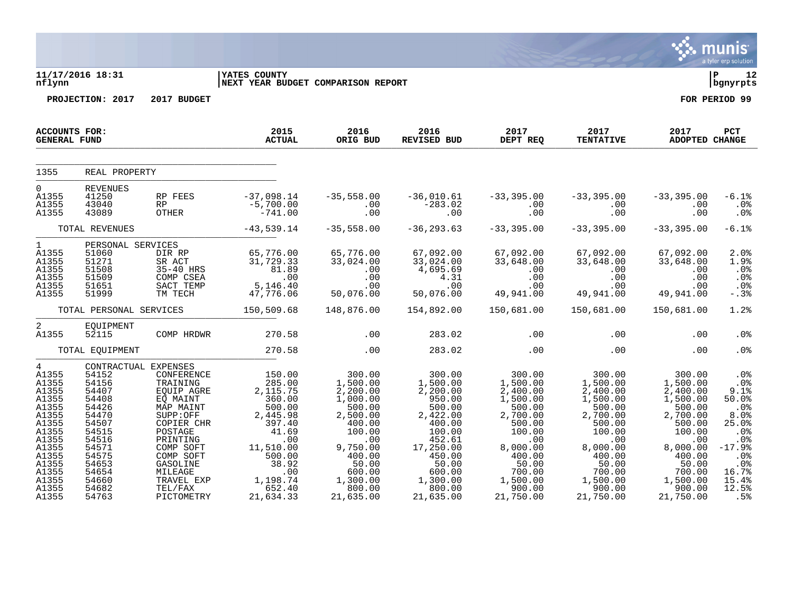|                                                                                                                                                                 |                                                                                                                                                                      |                                                                                                                                                                                                        |                                                                                                                                                                   |                                                                                                                                                                         |                                                                                                                                                                           |                                                                                                                                                                         |                                                                                                                                                                         |                                                                                                                                                                         | a tyler erp solution                                                                                                          |
|-----------------------------------------------------------------------------------------------------------------------------------------------------------------|----------------------------------------------------------------------------------------------------------------------------------------------------------------------|--------------------------------------------------------------------------------------------------------------------------------------------------------------------------------------------------------|-------------------------------------------------------------------------------------------------------------------------------------------------------------------|-------------------------------------------------------------------------------------------------------------------------------------------------------------------------|---------------------------------------------------------------------------------------------------------------------------------------------------------------------------|-------------------------------------------------------------------------------------------------------------------------------------------------------------------------|-------------------------------------------------------------------------------------------------------------------------------------------------------------------------|-------------------------------------------------------------------------------------------------------------------------------------------------------------------------|-------------------------------------------------------------------------------------------------------------------------------|
| nflynn                                                                                                                                                          | 11/17/2016 18:31                                                                                                                                                     |                                                                                                                                                                                                        | <b>IYATES COUNTY</b><br><b>INEXT YEAR BUDGET COMPARISON REPORT</b>                                                                                                |                                                                                                                                                                         |                                                                                                                                                                           |                                                                                                                                                                         |                                                                                                                                                                         |                                                                                                                                                                         | l P<br>12<br>bgnyrpts                                                                                                         |
|                                                                                                                                                                 | PROJECTION: 2017                                                                                                                                                     | 2017 BUDGET                                                                                                                                                                                            |                                                                                                                                                                   |                                                                                                                                                                         |                                                                                                                                                                           |                                                                                                                                                                         |                                                                                                                                                                         |                                                                                                                                                                         | FOR PERIOD 99                                                                                                                 |
| <b>ACCOUNTS FOR:</b><br><b>GENERAL FUND</b>                                                                                                                     |                                                                                                                                                                      |                                                                                                                                                                                                        | 2015<br><b>ACTUAL</b>                                                                                                                                             | 2016<br>ORIG BUD                                                                                                                                                        | 2016<br>REVISED BUD                                                                                                                                                       | 2017 2017<br>DEPT_REO TENTATI<br>$DEPT$ REQ                                                                                                                             | <b>TENTATIVE</b>                                                                                                                                                        | 2017<br>ADOPTED CHANGE                                                                                                                                                  | <b>PCT</b>                                                                                                                    |
| 1355                                                                                                                                                            | REAL PROPERTY                                                                                                                                                        |                                                                                                                                                                                                        |                                                                                                                                                                   |                                                                                                                                                                         |                                                                                                                                                                           |                                                                                                                                                                         |                                                                                                                                                                         |                                                                                                                                                                         |                                                                                                                               |
| $\overline{0}$<br>A1355<br>A1355<br>A1355                                                                                                                       | <b>REVENUES</b><br>41250<br>43040<br>43089                                                                                                                           | RP FEES<br>RP<br>OTHER                                                                                                                                                                                 | $-37,098.14$<br>$-5,700.00$<br>$-741.00$                                                                                                                          | $-35,558.00$<br>.00<br>.00                                                                                                                                              | $-36,010.61$<br>$-283.02$<br>.00                                                                                                                                          | $-33,395$<br>$-00$<br>$00$                                                                                                                                              | $-33,395.00$<br>.00<br>.00                                                                                                                                              | $-33,395.00$<br>.00<br>.00                                                                                                                                              | $-6.1%$<br>.0%<br>.0%                                                                                                         |
|                                                                                                                                                                 | TOTAL REVENUES                                                                                                                                                       |                                                                                                                                                                                                        | $-43,539.14$                                                                                                                                                      | $-35,558.00$                                                                                                                                                            | $-36, 293.63$                                                                                                                                                             | $-33,395.00$                                                                                                                                                            | $-33,395.00$                                                                                                                                                            | $-33,395.00$                                                                                                                                                            | $-6.1%$                                                                                                                       |
| $\mathbf{1}$<br>A1355<br>A1355<br>A1355<br>A1355<br>A1355<br>A1355                                                                                              | PERSONAL SERVICES<br>51060<br>51271<br>51508<br>51509<br>51651<br>51999                                                                                              | DIR RP<br>SR ACT<br>35-40 HRS<br>COMP CSEA<br>SACT TEMP<br>TM TECH                                                                                                                                     | 65,776.00<br>31,729.33<br>$81.89$<br>.00<br>5,146.40<br>47,776.06                                                                                                 | 65,776.00<br>33,024.00<br>.00<br>.00<br>.00<br>50,076.00                                                                                                                | 67,092.00<br>33,024.00<br>4,695.69<br>4.31<br>.00<br>50,076.00                                                                                                            | 67,092.00<br>33,648.00<br>$\cdot\,90$<br>.00<br>.00<br>49,941.00                                                                                                        | 67,092.00<br>33,648.00<br>.00<br>.00<br>.00<br>49,941.00                                                                                                                | 67,092.00<br>33,648.00<br>.00<br>.00<br>.00<br>49,941.00                                                                                                                | 2.0%<br>1.9%<br>.0%<br>$.0\%$<br>.0%<br>$-.3%$                                                                                |
|                                                                                                                                                                 | TOTAL PERSONAL SERVICES                                                                                                                                              |                                                                                                                                                                                                        | 150,509.68                                                                                                                                                        | 148,876.00                                                                                                                                                              | 154,892.00                                                                                                                                                                | 150,681.00                                                                                                                                                              | 150,681.00                                                                                                                                                              | 150,681.00                                                                                                                                                              | 1.2%                                                                                                                          |
| 2<br>A1355                                                                                                                                                      | EQUIPMENT<br>52115<br>TOTAL EQUIPMENT                                                                                                                                | COMP HRDWR                                                                                                                                                                                             | 270.58<br>270.58                                                                                                                                                  | .00<br>.00                                                                                                                                                              | 283.02<br>283.02                                                                                                                                                          | .00<br>.00                                                                                                                                                              | .00<br>.00                                                                                                                                                              | .00<br>.00                                                                                                                                                              | .0 <sub>8</sub><br>.0%                                                                                                        |
|                                                                                                                                                                 |                                                                                                                                                                      |                                                                                                                                                                                                        |                                                                                                                                                                   |                                                                                                                                                                         |                                                                                                                                                                           |                                                                                                                                                                         |                                                                                                                                                                         |                                                                                                                                                                         |                                                                                                                               |
| $4\overline{ }$<br>A1355<br>A1355<br>A1355<br>A1355<br>A1355<br>A1355<br>A1355<br>A1355<br>A1355<br>A1355<br>A1355<br>A1355<br>A1355<br>A1355<br>A1355<br>A1355 | CONTRACTUAL EXPENSES<br>54152<br>54156<br>54407<br>54408<br>54426<br>54470<br>54507<br>54515<br>54516<br>54571<br>54575<br>54653<br>54654<br>54660<br>54682<br>54763 | CONFERENCE<br>TRAINING<br>EOUIP AGRE<br>EQ MAINT<br>MAP MAINT<br>SUPP:OFF<br>COPIER CHR<br>POSTAGE<br>PRINTING<br>COMP SOFT<br>COMP SOFT<br>GASOLINE<br>MILEAGE<br>TRAVEL EXP<br>TEL/FAX<br>PICTOMETRY | 150.00<br>285.00<br>2, 115.75<br>360.00<br>500.00<br>2,445.98<br>397.40<br>41.69<br>.00<br>11,510.00<br>500.00<br>38.92<br>.00<br>1,198.74<br>652.40<br>21,634.33 | 300.00<br>1,500.00<br>2,200.00<br>1,000.00<br>500.00<br>2,500.00<br>400.00<br>100.00<br>.00<br>9,750.00<br>400.00<br>50.00<br>600.00<br>1,300.00<br>800.00<br>21,635.00 | 300.00<br>1,500.00<br>2,200.00<br>950.00<br>500.00<br>2,422.00<br>400.00<br>100.00<br>452.61<br>17,250.00<br>450.00<br>50.00<br>600.00<br>1,300.00<br>800.00<br>21,635.00 | 300.00<br>1,500.00<br>2,400.00<br>1,500.00<br>500.00<br>2,700.00<br>500.00<br>100.00<br>.00<br>8,000.00<br>400.00<br>50.00<br>700.00<br>1,500.00<br>900.00<br>21,750.00 | 300.00<br>1,500.00<br>2,400.00<br>1,500.00<br>500.00<br>2,700.00<br>500.00<br>100.00<br>.00<br>8,000.00<br>400.00<br>50.00<br>700.00<br>1,500.00<br>900.00<br>21,750.00 | 300.00<br>1,500.00<br>2,400.00<br>1,500.00<br>500.00<br>2,700.00<br>500.00<br>100.00<br>.00<br>8,000.00<br>400.00<br>50.00<br>700.00<br>1,500.00<br>900.00<br>21,750.00 | .0%<br>.0%<br>9.1%<br>50.0%<br>.0%<br>8.0%<br>25.0%<br>.0%<br>.0%<br>$-17.9%$<br>.0%<br>.0%<br>16.7%<br>15.4%<br>12.5%<br>.5% |

 $\therefore$  munis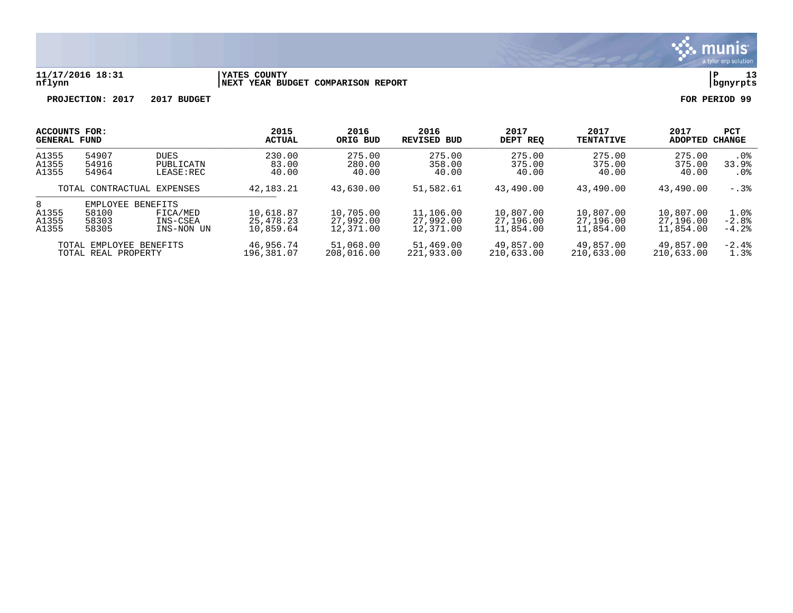

### **11/17/2016 18:31 |YATES COUNTY |P 13 nflynn |NEXT YEAR BUDGET COMPARISON REPORT |bgnyrpts**

| ACCOUNTS FOR:                |                                              | 2015                               | 2016                                | 2016                                | 2017                                | 2017                                | 2017                                | PCT                                 |                            |
|------------------------------|----------------------------------------------|------------------------------------|-------------------------------------|-------------------------------------|-------------------------------------|-------------------------------------|-------------------------------------|-------------------------------------|----------------------------|
| <b>GENERAL FUND</b>          |                                              | <b>ACTUAL</b>                      | ORIG BUD                            | REVISED BUD                         | DEPT REO                            | <b>TENTATIVE</b>                    | <b>ADOPTED</b>                      | CHANGE                              |                            |
| A1355                        | 54907                                        | <b>DUES</b>                        | 230.00                              | 275.00                              | 275.00                              | 275.00                              | 275.00                              | 275.00                              | $.0\%$                     |
| A1355                        | 54916                                        | PUBLICATN                          | 83.00                               | 280.00                              | 358.00                              | 375.00                              | 375.00                              | 375.00                              | 33.9%                      |
| A1355                        | 54964                                        | $LEASE$ :REC                       | 40.00                               | 40.00                               | 40.00                               | 40.00                               | 40.00                               | 40.00                               | .0%                        |
| TOTAL CONTRACTUAL EXPENSES   |                                              | 42,183.21                          | 43,630.00                           | 51,582.61                           | 43,490.00                           | 43,490.00                           | 43,490.00                           | $-0.38$                             |                            |
| 8<br>A1355<br>A1355<br>A1355 | EMPLOYEE BENEFITS<br>58100<br>58303<br>58305 | FICA/MED<br>INS-CSEA<br>INS-NON UN | 10,618.87<br>25,478.23<br>10,859.64 | 10,705.00<br>27,992.00<br>12,371.00 | 11,106.00<br>27,992.00<br>12,371.00 | 10,807.00<br>27,196.00<br>11,854.00 | 10,807.00<br>27,196.00<br>11,854.00 | 10,807.00<br>27,196.00<br>11,854.00 | 1.0%<br>$-2.8%$<br>$-4.2%$ |
|                              | TOTAL EMPLOYEE BENEFITS                      |                                    | 46,956.74                           | 51,068.00                           | 51,469.00                           | 49,857.00                           | 49,857.00                           | 49,857.00                           | $-2.4%$                    |
|                              | TOTAL REAL PROPERTY                          |                                    | 196,381.07                          | 208,016.00                          | 221,933.00                          | 210,633.00                          | 210,633.00                          | 210,633.00                          | 1.3%                       |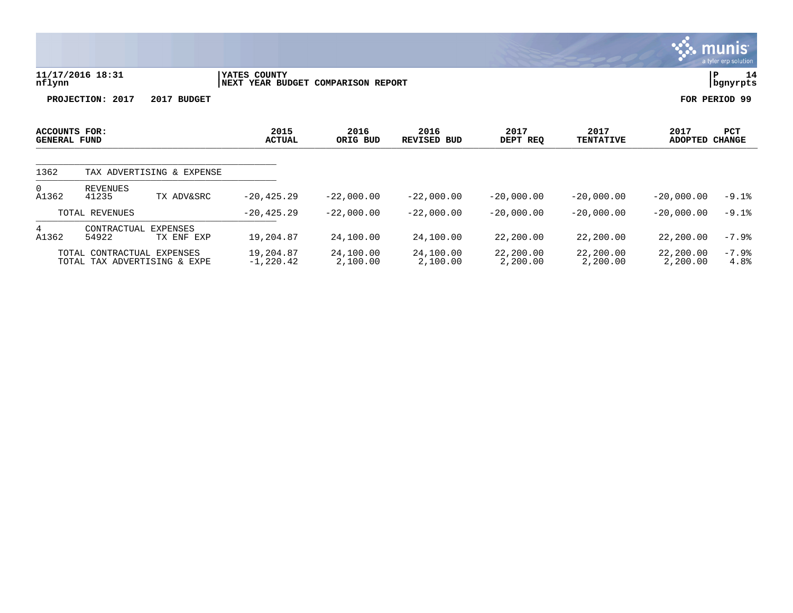| 11/17/2016 18:31<br>nflynn           |                            |                           | YATES COUNTY<br>NEXT YEAR BUDGET<br><b>COMPARISON REPORT</b> | 14<br>P<br>bgnyrpts |                            |                  |                          |                               |               |
|--------------------------------------|----------------------------|---------------------------|--------------------------------------------------------------|---------------------|----------------------------|------------------|--------------------------|-------------------------------|---------------|
|                                      | PROJECTION:<br>2017        | 2017 BUDGET               |                                                              |                     |                            |                  |                          |                               | FOR PERIOD 99 |
| ACCOUNTS FOR:<br><b>GENERAL FUND</b> |                            |                           | 2015<br><b>ACTUAL</b>                                        | 2016<br>ORIG BUD    | 2016<br><b>REVISED BUD</b> | 2017<br>DEPT REQ | 2017<br><b>TENTATIVE</b> | 2017<br><b>ADOPTED CHANGE</b> | PCT           |
| 1362                                 |                            | TAX ADVERTISING & EXPENSE |                                                              |                     |                            |                  |                          |                               |               |
| 0<br>A1362                           | <b>REVENUES</b><br>41235   | TX ADV&SRC                | $-20, 425.29$                                                | $-22,000.00$        | $-22,000.00$               | $-20,000.00$     | $-20,000.00$             | $-20,000.00$                  | $-9.1%$       |
|                                      | TOTAL REVENUES             |                           | $-20, 425.29$                                                | $-22,000.00$        | $-22,000.00$               | $-20.000.00$     | $-20,000.00$             | $-20,000.00$                  | $-9.1%$       |
| 4<br>A1362                           | CONTRACTUAL<br>54922       | EXPENSES<br>TX ENF EXP    | 19,204.87                                                    | 24,100.00           | 24,100.00                  | 22,200.00        | 22,200.00                | 22,200.00                     | $-7.9%$       |
|                                      | TOTAL CONTRACTUAL EXPENSES |                           | 19,204.87                                                    | 24,100.00           | 24,100.00                  | 22,200.00        | 22,200.00                | 22,200.00                     | $-7.9%$       |

 $\ddot{\mathbf{u}}$  munis

TOTAL TAX ADVERTISING & EXPE -1,220.42 2,100.00 2,100.00 2,200.00 2,200.00 2,200.00 4.8%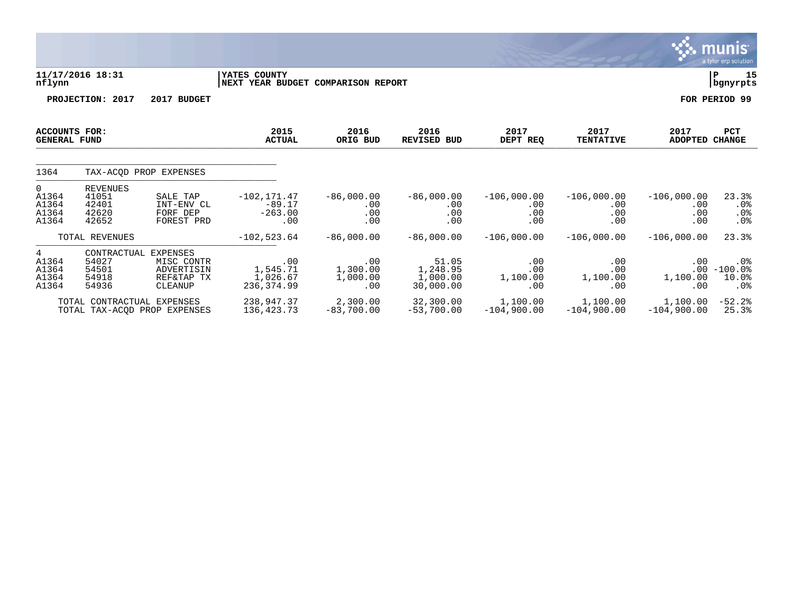|                                             |                                                     |                                                               |                                                    |                                    |                                            |                                    |                                    |                                    | <b>munis</b><br>a tyler erp solution                    |
|---------------------------------------------|-----------------------------------------------------|---------------------------------------------------------------|----------------------------------------------------|------------------------------------|--------------------------------------------|------------------------------------|------------------------------------|------------------------------------|---------------------------------------------------------|
| nflynn                                      | 11/17/2016 18:31                                    |                                                               | YATES COUNTY<br>NEXT YEAR BUDGET COMPARISON REPORT |                                    |                                            |                                    |                                    |                                    | 15<br>l P<br>  bgnyrpts                                 |
|                                             | PROJECTION: 2017                                    | 2017 BUDGET                                                   |                                                    |                                    |                                            |                                    |                                    |                                    | FOR PERIOD 99                                           |
| <b>ACCOUNTS FOR:</b><br><b>GENERAL FUND</b> |                                                     |                                                               | 2015<br><b>ACTUAL</b>                              | 2016<br>ORIG BUD                   | 2016<br><b>REVISED BUD</b>                 | 2017<br>DEPT REQ                   | 2017<br><b>TENTATIVE</b>           | 2017<br>ADOPTED CHANGE             | <b>PCT</b>                                              |
| 1364                                        |                                                     | TAX-ACOD PROP EXPENSES                                        |                                                    |                                    |                                            |                                    |                                    |                                    |                                                         |
| 0<br>A1364<br>A1364<br>A1364<br>A1364       | <b>REVENUES</b><br>41051<br>42401<br>42620<br>42652 | SALE TAP<br>INT-ENV CL<br>FORF DEP<br>FOREST PRD              | $-102, 171.47$<br>$-89.17$<br>$-263.00$<br>.00     | $-86,000.00$<br>.00<br>.00<br>.00  | $-86,000.00$<br>.00<br>.00<br>.00          | $-106,000.00$<br>.00<br>.00<br>.00 | $-106,000.00$<br>.00<br>.00<br>.00 | $-106,000.00$<br>.00<br>.00<br>.00 | 23.3%<br>.0%<br>$.0\%$<br>.0%                           |
|                                             | TOTAL REVENUES                                      |                                                               | $-102,523.64$                                      | $-86,000.00$                       | $-86,000.00$                               | $-106,000.00$                      | $-106,000.00$                      | $-106,000.00$                      | 23.3%                                                   |
| 4<br>A1364<br>A1364<br>A1364<br>A1364       | CONTRACTUAL<br>54027<br>54501<br>54918<br>54936     | EXPENSES<br>MISC CONTR<br>ADVERTISIN<br>REF&TAP TX<br>CLEANUP | .00<br>1,545.71<br>1,026.67<br>236, 374.99         | .00<br>1,300.00<br>1,000.00<br>.00 | 51.05<br>1,248.95<br>1,000.00<br>30,000.00 | .00<br>.00<br>1,100.00<br>.00      | .00<br>.00<br>1,100.00<br>.00      | .00<br>1,100.00<br>.00             | . 0 %<br>$.00 - 100.0$<br>$10.0$ $%$<br>.0 <sub>8</sub> |
|                                             | TOTAL CONTRACTUAL EXPENSES                          | TOTAL TAX-ACOD PROP EXPENSES                                  | 238,947.37<br>136, 423. 73                         | 2,300.00<br>$-83,700.00$           | 32,300.00<br>$-53,700.00$                  | 1,100.00<br>$-104,900.00$          | 1,100.00<br>$-104,900.00$          | 1,100.00<br>$-104,900.00$          | $-52.2$<br>25.3%                                        |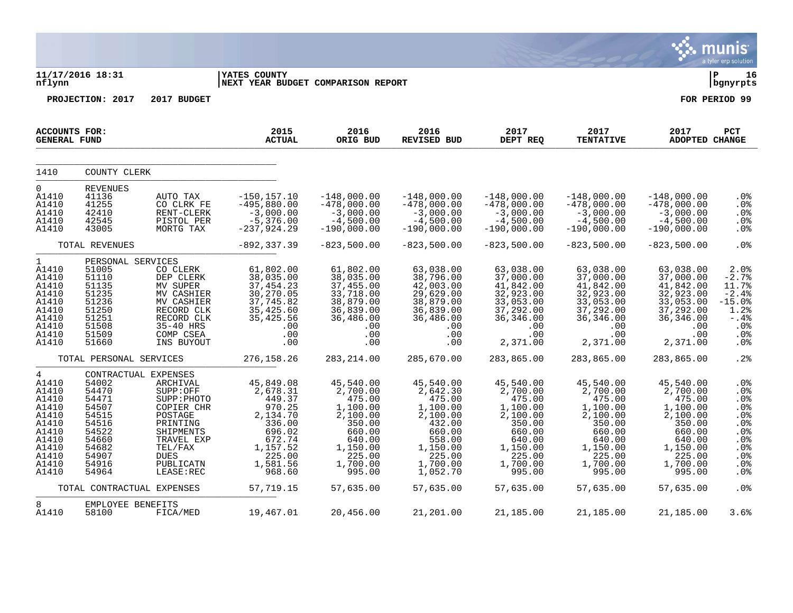|                                                                                                                            |                                                                                                                                  |                                                                                                                                                         |                                                                                                                                 |                                                                                                                                   |                                                                                                                                     |                                                                                                                                   |                                                                                                                                   |                                                                                                                                   | munis<br>a tyler erp solution                                                                            |
|----------------------------------------------------------------------------------------------------------------------------|----------------------------------------------------------------------------------------------------------------------------------|---------------------------------------------------------------------------------------------------------------------------------------------------------|---------------------------------------------------------------------------------------------------------------------------------|-----------------------------------------------------------------------------------------------------------------------------------|-------------------------------------------------------------------------------------------------------------------------------------|-----------------------------------------------------------------------------------------------------------------------------------|-----------------------------------------------------------------------------------------------------------------------------------|-----------------------------------------------------------------------------------------------------------------------------------|----------------------------------------------------------------------------------------------------------|
| nflynn                                                                                                                     | 11/17/2016 18:31                                                                                                                 |                                                                                                                                                         | <b>YATES COUNTY</b><br>NEXT YEAR BUDGET COMPARISON REPORT                                                                       |                                                                                                                                   |                                                                                                                                     |                                                                                                                                   |                                                                                                                                   |                                                                                                                                   | ∣ P<br>16<br>  bgnyrpts                                                                                  |
|                                                                                                                            | PROJECTION: 2017                                                                                                                 | 2017 BUDGET                                                                                                                                             |                                                                                                                                 |                                                                                                                                   |                                                                                                                                     |                                                                                                                                   |                                                                                                                                   |                                                                                                                                   | FOR PERIOD 99                                                                                            |
| ACCOUNTS FOR:<br><b>GENERAL FUND</b>                                                                                       |                                                                                                                                  |                                                                                                                                                         | 2015<br><b>ACTUAL</b>                                                                                                           | 2016<br>ORIG BUD                                                                                                                  | 2016<br><b>REVISED BUD</b>                                                                                                          | 2017<br>DEPT REQ                                                                                                                  | 2017<br><b>TENTATIVE</b>                                                                                                          | 2017<br><b>ADOPTED CHANGE</b>                                                                                                     | <b>PCT</b>                                                                                               |
| 1410                                                                                                                       | COUNTY CLERK                                                                                                                     |                                                                                                                                                         |                                                                                                                                 |                                                                                                                                   |                                                                                                                                     |                                                                                                                                   |                                                                                                                                   |                                                                                                                                   |                                                                                                          |
| $\Omega$<br>A1410<br>A1410<br>A1410<br>A1410<br>A1410                                                                      | <b>REVENUES</b><br>41136<br>41255<br>42410<br>42545<br>43005                                                                     | AUTO TAX<br>CO CLRK FE<br>RENT-CLERK<br>PISTOL PER<br>MORTG TAX                                                                                         | $-150, 157.10$<br>$-495,880.00$<br>$-3,000.00$<br>$-5,376.00$<br>$-237,924.29$                                                  | $-148,000.00$<br>$-478,000.00$<br>$-3,000.00$<br>$-4,500.00$<br>$-190,000.00$                                                     | $-148,000.00$<br>$-478,000.00$<br>$-3,000.00$<br>$-4,500.00$<br>$-190,000.00$                                                       | $-148,000.00$<br>$-478,000.00$<br>$-3,000.00$<br>$-4,500.00$<br>$-190,000.00$                                                     | $-148,000.00$<br>$-478,000.00$<br>$-3,000.00$<br>$-4,500.00$<br>$-190,000.00$                                                     | $-148,000.00$<br>$-478,000.00$<br>$-3,000.00$<br>$-4,500.00$<br>$-190,000.00$                                                     | .0%<br>.0%<br>.0%<br>.0%<br>.0%                                                                          |
|                                                                                                                            | TOTAL REVENUES                                                                                                                   |                                                                                                                                                         | $-892, 337.39$                                                                                                                  | $-823,500.00$                                                                                                                     | $-823,500.00$                                                                                                                       | $-823,500.00$                                                                                                                     | $-823,500.00$                                                                                                                     | $-823,500.00$                                                                                                                     | .0%                                                                                                      |
| 1<br>A1410<br>A1410<br>A1410<br>A1410<br>A1410<br>A1410<br>A1410<br>A1410<br>A1410<br>A1410                                | PERSONAL SERVICES<br>51005<br>51110<br>51135<br>51235<br>51236<br>51250<br>51251<br>51508<br>51509<br>51660                      | CO CLERK<br>DEP CLERK<br>MV SUPER<br>MV CASHIER<br>MV CASHIER<br>RECORD CLK<br>RECORD CLK<br>35-40 HRS<br>COMP CSEA<br>INS BUYOUT                       | 61,802.00<br>38,035.00<br>37, 454.23<br>30, 270.05<br>37, 745.82<br>35,425.60<br>35, 425.56<br>.00<br>.00<br>.00                | 61,802.00<br>38,035.00<br>37,455.00<br>33,718.00<br>38,879.00<br>36,839.00<br>36,486.00<br>.00<br>.00<br>.00                      | 63,038.00<br>38,796.00<br>42,003.00<br>29,629.00<br>38,879.00<br>36,839.00<br>36,486.00<br>.00<br>.00<br>.00                        | 63,038.00<br>37,000.00<br>41,842.00<br>32,923.00<br>33,053.00<br>37,292.00<br>36,346.00<br>.00<br>.00<br>2,371.00                 | 63,038.00<br>37,000.00<br>41,842.00<br>32,923.00<br>33,053.00<br>37,292.00<br>36,346.00<br>.00<br>.00<br>2,371.00                 | 63,038.00<br>37,000.00<br>41,842.00<br>32,923.00<br>33,053.00<br>37,292.00<br>36,346.00<br>.00<br>.00<br>2,371.00                 | 2.0%<br>$-2.7%$<br>11.7%<br>$-2.4%$<br>$-15.0%$<br>1.2%<br>-.4%<br>.0%<br>.0%<br>.0%                     |
|                                                                                                                            | TOTAL PERSONAL SERVICES                                                                                                          |                                                                                                                                                         | 276, 158.26                                                                                                                     | 283, 214.00                                                                                                                       | 285,670.00                                                                                                                          | 283,865.00                                                                                                                        | 283,865.00                                                                                                                        | 283,865.00                                                                                                                        | .2%                                                                                                      |
| $\overline{4}$<br>A1410<br>A1410<br>A1410<br>A1410<br>A1410<br>A1410<br>A1410<br>A1410<br>A1410<br>A1410<br>A1410<br>A1410 | CONTRACTUAL EXPENSES<br>54002<br>54470<br>54471<br>54507<br>54515<br>54516<br>54522<br>54660<br>54682<br>54907<br>54916<br>54964 | ARCHIVAL<br>SUPP:OFF<br>SUPP: PHOTO<br>COPIER CHR<br>POSTAGE<br>PRINTING<br>SHIPMENTS<br>TRAVEL EXP<br>TEL/FAX<br><b>DUES</b><br>PUBLICATN<br>LEASE:REC | 45,849.08<br>2,678.31<br>449.37<br>970.25<br>2,134.70<br>336.00<br>696.02<br>672.74<br>1,157.52<br>225.00<br>1,581.56<br>968.60 | 45,540.00<br>2,700.00<br>475.00<br>1,100.00<br>2,100.00<br>350.00<br>660.00<br>640.00<br>1,150.00<br>225.00<br>1,700.00<br>995.00 | 45,540.00<br>2,642.30<br>475.00<br>1,100.00<br>2,100.00<br>432.00<br>660.00<br>558.00<br>1,150.00<br>225.00<br>1,700.00<br>1,052.70 | 45,540.00<br>2,700.00<br>475.00<br>1,100.00<br>2,100.00<br>350.00<br>660.00<br>640.00<br>1,150.00<br>225.00<br>1,700.00<br>995.00 | 45,540.00<br>2,700.00<br>475.00<br>1,100.00<br>2,100.00<br>350.00<br>660.00<br>640.00<br>1,150.00<br>225.00<br>1,700.00<br>995.00 | 45,540.00<br>2,700.00<br>475.00<br>1,100.00<br>2,100.00<br>350.00<br>660.00<br>640.00<br>1,150.00<br>225.00<br>1,700.00<br>995.00 | .0%<br>.0%<br>.0%<br>.0%<br>.0%<br>.0%<br>.0 <sub>8</sub><br>.0%<br>.0%<br>.0 <sub>8</sub><br>.0%<br>.0% |
|                                                                                                                            | TOTAL CONTRACTUAL EXPENSES                                                                                                       |                                                                                                                                                         | 57,719.15                                                                                                                       | 57,635.00                                                                                                                         | 57,635.00                                                                                                                           | 57,635.00                                                                                                                         | 57,635.00                                                                                                                         | 57,635.00                                                                                                                         | .0%                                                                                                      |
| 8<br>A1410                                                                                                                 | EMPLOYEE BENEFITS<br>58100                                                                                                       | FICA/MED                                                                                                                                                | 19,467.01                                                                                                                       | 20,456.00                                                                                                                         | 21,201.00                                                                                                                           | 21,185.00                                                                                                                         | 21,185.00                                                                                                                         | 21,185.00                                                                                                                         | 3.6%                                                                                                     |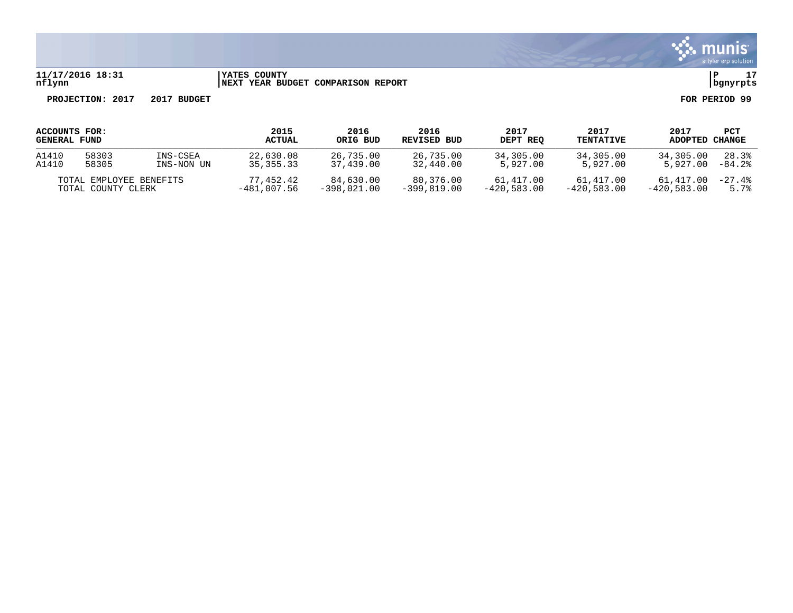

#### **11/17/2016 18:31 |YATES COUNTY |P 17 nflynn |NEXT YEAR BUDGET COMPARISON REPORT |bgnyrpts**

| ACCOUNTS FOR:       |                                               | 2015          | 2016                                                                                                                                               | 2016        | 2017                       | 2017             | 2017           | PCT       |           |
|---------------------|-----------------------------------------------|---------------|----------------------------------------------------------------------------------------------------------------------------------------------------|-------------|----------------------------|------------------|----------------|-----------|-----------|
| <b>GENERAL FUND</b> |                                               | <b>ACTUAL</b> | ORIG BUD                                                                                                                                           | REVISED BUD | DEPT REO                   | <b>TENTATIVE</b> | <b>ADOPTED</b> | CHANGE    |           |
| A1410               | 58303                                         | INS-CSEA      | 22,630.08                                                                                                                                          | 26,735.00   | 26,735.00                  | 34,305.00        | 34,305.00      | 34,305.00 | 28.3%     |
| A1410               | 58305                                         | INS-NON UN    | 35, 355, 33                                                                                                                                        | 37,439.00   | 32,440.00                  | 5,927.00         | 5,927.00       | 5,927.00  | $-84.2$ . |
|                     | TOTAL EMPLOYEE BENEFITS<br>TOTAL COUNTY CLERK |               | 77,452.42<br>84,630.00<br>80,376.00<br>61,417.00<br>61,417.00<br>$-420,583.00$<br>$-399.819.00$<br>$-420,583.00$<br>$-481,007.56$<br>$-398.021.00$ |             | 61,417.00<br>$-420.583.00$ | $-27.4%$<br>5.7% |                |           |           |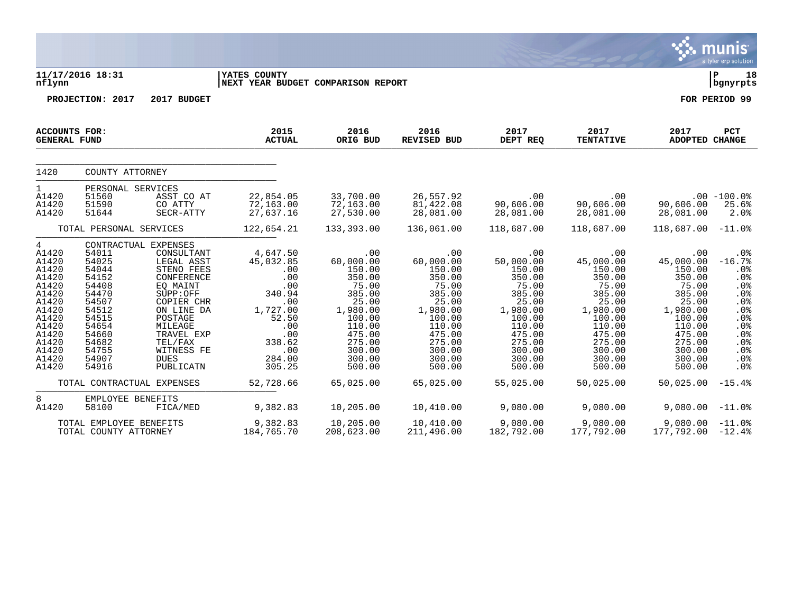|                                                                                                                                                        |                                                                                                                                     |                                                                                                                                                                                                                           |                                                                                                                                     |                                                                                                                                                    |                                                                                                                                                    |                                                                                                                                                    |                                                                                                                                                         |                                                                                                                                                    | munis<br>a tyler erp solution                                                                              |
|--------------------------------------------------------------------------------------------------------------------------------------------------------|-------------------------------------------------------------------------------------------------------------------------------------|---------------------------------------------------------------------------------------------------------------------------------------------------------------------------------------------------------------------------|-------------------------------------------------------------------------------------------------------------------------------------|----------------------------------------------------------------------------------------------------------------------------------------------------|----------------------------------------------------------------------------------------------------------------------------------------------------|----------------------------------------------------------------------------------------------------------------------------------------------------|---------------------------------------------------------------------------------------------------------------------------------------------------------|----------------------------------------------------------------------------------------------------------------------------------------------------|------------------------------------------------------------------------------------------------------------|
| nflynn                                                                                                                                                 | 11/17/2016 18:31                                                                                                                    |                                                                                                                                                                                                                           | <b>YATES COUNTY</b><br>NEXT YEAR BUDGET COMPARISON REPORT                                                                           |                                                                                                                                                    |                                                                                                                                                    |                                                                                                                                                    |                                                                                                                                                         |                                                                                                                                                    | l P<br>18<br>  bgnyrpts                                                                                    |
|                                                                                                                                                        | PROJECTION: 2017                                                                                                                    | 2017 BUDGET                                                                                                                                                                                                               |                                                                                                                                     |                                                                                                                                                    |                                                                                                                                                    |                                                                                                                                                    |                                                                                                                                                         |                                                                                                                                                    | FOR PERIOD 99                                                                                              |
| <b>GENERAL FUND</b>                                                                                                                                    | <b>ACCOUNTS FOR:</b>                                                                                                                |                                                                                                                                                                                                                           | 2015<br><b>ACTUAL</b>                                                                                                               | 2016<br>ORIG BUD                                                                                                                                   | 2016<br>REVISED BUD                                                                                                                                | 2017<br>DEPT REQ                                                                                                                                   | 2017<br><b>TENTATIVE</b>                                                                                                                                | 2017<br><b>ADOPTED CHANGE</b>                                                                                                                      | PCT                                                                                                        |
| 1420                                                                                                                                                   | COUNTY ATTORNEY                                                                                                                     |                                                                                                                                                                                                                           |                                                                                                                                     |                                                                                                                                                    |                                                                                                                                                    |                                                                                                                                                    |                                                                                                                                                         |                                                                                                                                                    |                                                                                                            |
| $\mathbf{1}$<br>A1420<br>A1420<br>A1420                                                                                                                | PERSONAL SERVICES<br>51560<br>51590<br>51644                                                                                        | ASST CO AT<br>CO ATTY<br>SECR-ATTY                                                                                                                                                                                        | 22,854.05<br>72,163.00<br>27,637.16                                                                                                 | 33,700.00<br>72,163.00<br>27,530.00                                                                                                                | 26,557.92<br>81,422.08<br>28,081.00                                                                                                                | .00<br>90,606.00<br>28,081.00                                                                                                                      | $.00 \,$<br>90,606.00<br>28,081.00                                                                                                                      | 90,606.00<br>28,081.00                                                                                                                             | $.00 - 100.0$<br>25.6%<br>2.0%                                                                             |
|                                                                                                                                                        | TOTAL PERSONAL SERVICES                                                                                                             |                                                                                                                                                                                                                           | 122,654.21                                                                                                                          | 133,393.00                                                                                                                                         | 136,061.00                                                                                                                                         | 118,687.00                                                                                                                                         | 118,687.00                                                                                                                                              | 118,687.00                                                                                                                                         | $-11.0\%$                                                                                                  |
| $4\overline{ }$<br>A1420<br>A1420<br>A1420<br>A1420<br>A1420<br>A1420<br>A1420<br>A1420<br>A1420<br>A1420<br>A1420<br>A1420<br>A1420<br>A1420<br>A1420 | 54011<br>54025<br>54044<br>54152<br>54408<br>54470<br>54507<br>54512<br>54515<br>54654<br>54660<br>54682<br>54755<br>54907<br>54916 | CONTRACTUAL EXPENSES<br>CONSULTANT<br>LEGAL ASST<br>STENO FEES<br>CONFERENCE<br>EQ MAINT<br>SUPP:OFF<br>COPIER CHR<br>ON LINE DA<br>POSTAGE<br>MILEAGE<br>TRAVEL EXP<br>TEL/FAX<br>WITNESS FE<br><b>DUES</b><br>PUBLICATN | 4,647.50<br>45,032.85<br>.00<br>.00<br>.00<br>340.94<br>.00<br>1,727.00<br>52.50<br>.00<br>.00<br>338.62<br>.00<br>284.00<br>305.25 | .00<br>60,000.00<br>150.00<br>350.00<br>75.00<br>385.00<br>25.00<br>1,980.00<br>100.00<br>110.00<br>475.00<br>275.00<br>300.00<br>300.00<br>500.00 | .00<br>60,000.00<br>150.00<br>350.00<br>75.00<br>385.00<br>25.00<br>1,980.00<br>100.00<br>110.00<br>475.00<br>275.00<br>300.00<br>300.00<br>500.00 | .00<br>50,000.00<br>150.00<br>350.00<br>75.00<br>385.00<br>25.00<br>1,980.00<br>100.00<br>110.00<br>475.00<br>275.00<br>300.00<br>300.00<br>500.00 | $.00 \,$<br>45,000.00<br>150.00<br>350.00<br>75.00<br>385.00<br>25.00<br>1,980.00<br>100.00<br>110.00<br>475.00<br>275.00<br>300.00<br>300.00<br>500.00 | .00<br>45,000.00<br>150.00<br>350.00<br>75.00<br>385.00<br>25.00<br>1,980.00<br>100.00<br>110.00<br>475.00<br>275.00<br>300.00<br>300.00<br>500.00 | .0%<br>$-16.7%$<br>.0%<br>.0%<br>.0%<br>.0%<br>.0%<br>.0%<br>.0%<br>.0%<br>.0%<br>.0%<br>.0%<br>.0%<br>.0% |
|                                                                                                                                                        |                                                                                                                                     | TOTAL CONTRACTUAL EXPENSES                                                                                                                                                                                                | 52,728.66                                                                                                                           | 65,025.00                                                                                                                                          | 65,025.00                                                                                                                                          | 55,025.00                                                                                                                                          | 50,025.00                                                                                                                                               | 50,025.00                                                                                                                                          | $-15.4%$                                                                                                   |
| 8<br>A1420                                                                                                                                             | EMPLOYEE BENEFITS<br>58100                                                                                                          | FICA/MED                                                                                                                                                                                                                  | 9,382.83                                                                                                                            | 10,205.00                                                                                                                                          | 10,410.00                                                                                                                                          | 9,080.00                                                                                                                                           | 9,080.00                                                                                                                                                | $9,080.00 -11.0$                                                                                                                                   |                                                                                                            |
|                                                                                                                                                        | TOTAL EMPLOYEE BENEFITS<br>TOTAL COUNTY ATTORNEY                                                                                    |                                                                                                                                                                                                                           | 9,382.83<br>184,765.70                                                                                                              | 10,205.00<br>208,623.00                                                                                                                            | 10,410.00<br>211,496.00                                                                                                                            | 9,080.00<br>182,792.00                                                                                                                             | 9,080.00<br>177,792.00                                                                                                                                  | 9,080.00<br>$177,792.00 -12.48$                                                                                                                    | $-11.0%$                                                                                                   |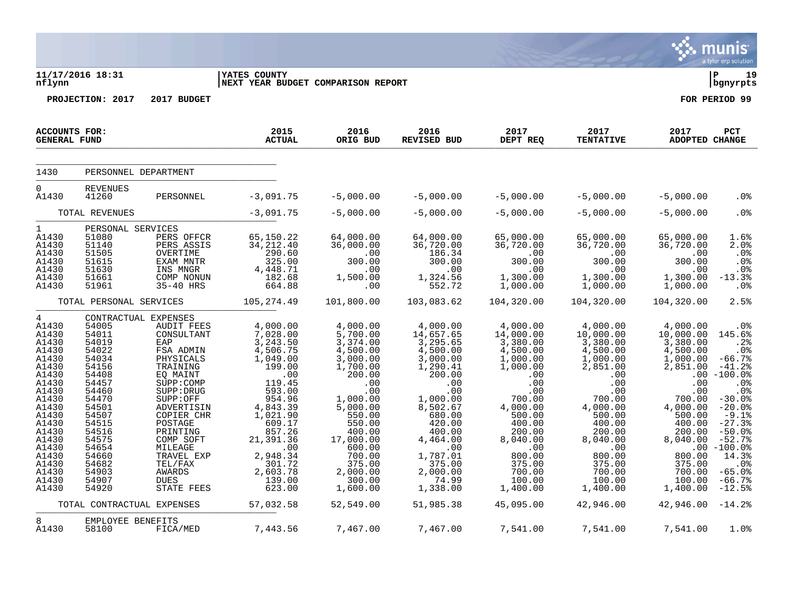|                                                                                                                                                                                                              |                                                                                                                                                                                                                   |                                                                                                                                                                                                                                                                      |                                                                                                                                                                                                                                   |                                                                                                                                                                                                                                   |                                                                                                                                                                                                                                 |                                                                                                                                                                                                                       |                                                                                                                                                                                                                       |                                                                                                                                                                                                                    | munis<br>a tyler erp solution                                                                                                                                                                                                  |
|--------------------------------------------------------------------------------------------------------------------------------------------------------------------------------------------------------------|-------------------------------------------------------------------------------------------------------------------------------------------------------------------------------------------------------------------|----------------------------------------------------------------------------------------------------------------------------------------------------------------------------------------------------------------------------------------------------------------------|-----------------------------------------------------------------------------------------------------------------------------------------------------------------------------------------------------------------------------------|-----------------------------------------------------------------------------------------------------------------------------------------------------------------------------------------------------------------------------------|---------------------------------------------------------------------------------------------------------------------------------------------------------------------------------------------------------------------------------|-----------------------------------------------------------------------------------------------------------------------------------------------------------------------------------------------------------------------|-----------------------------------------------------------------------------------------------------------------------------------------------------------------------------------------------------------------------|--------------------------------------------------------------------------------------------------------------------------------------------------------------------------------------------------------------------|--------------------------------------------------------------------------------------------------------------------------------------------------------------------------------------------------------------------------------|
| nflynn                                                                                                                                                                                                       | 11/17/2016 18:31                                                                                                                                                                                                  |                                                                                                                                                                                                                                                                      | <b>YATES COUNTY</b><br>NEXT YEAR BUDGET COMPARISON REPORT                                                                                                                                                                         |                                                                                                                                                                                                                                   |                                                                                                                                                                                                                                 |                                                                                                                                                                                                                       |                                                                                                                                                                                                                       |                                                                                                                                                                                                                    | lР<br>19<br>  bgnyrpts                                                                                                                                                                                                         |
|                                                                                                                                                                                                              | PROJECTION: 2017                                                                                                                                                                                                  | 2017 BUDGET                                                                                                                                                                                                                                                          |                                                                                                                                                                                                                                   |                                                                                                                                                                                                                                   |                                                                                                                                                                                                                                 |                                                                                                                                                                                                                       |                                                                                                                                                                                                                       |                                                                                                                                                                                                                    | FOR PERIOD 99                                                                                                                                                                                                                  |
| <b>ACCOUNTS FOR:</b><br><b>GENERAL FUND</b>                                                                                                                                                                  |                                                                                                                                                                                                                   |                                                                                                                                                                                                                                                                      | 2015<br><b>ACTUAL</b>                                                                                                                                                                                                             | 2016<br>ORIG BUD                                                                                                                                                                                                                  | 2016<br><b>REVISED BUD</b>                                                                                                                                                                                                      | 2017<br>DEPT REQ                                                                                                                                                                                                      | 2017<br><b>TENTATIVE</b>                                                                                                                                                                                              | 2017<br><b>ADOPTED CHANGE</b>                                                                                                                                                                                      | PCT                                                                                                                                                                                                                            |
| 1430                                                                                                                                                                                                         | PERSONNEL DEPARTMENT                                                                                                                                                                                              |                                                                                                                                                                                                                                                                      |                                                                                                                                                                                                                                   |                                                                                                                                                                                                                                   |                                                                                                                                                                                                                                 |                                                                                                                                                                                                                       |                                                                                                                                                                                                                       |                                                                                                                                                                                                                    |                                                                                                                                                                                                                                |
| $\overline{0}$<br>A1430                                                                                                                                                                                      | <b>REVENUES</b><br>41260                                                                                                                                                                                          | PERSONNEL                                                                                                                                                                                                                                                            | $-3,091.75$                                                                                                                                                                                                                       | $-5,000.00$                                                                                                                                                                                                                       | $-5,000.00$                                                                                                                                                                                                                     | $-5,000.00$                                                                                                                                                                                                           | $-5,000.00$                                                                                                                                                                                                           | $-5,000.00$                                                                                                                                                                                                        | .0%                                                                                                                                                                                                                            |
|                                                                                                                                                                                                              | TOTAL REVENUES                                                                                                                                                                                                    |                                                                                                                                                                                                                                                                      | $-3,091.75$                                                                                                                                                                                                                       | $-5,000.00$                                                                                                                                                                                                                       | $-5,000.00$                                                                                                                                                                                                                     | $-5,000.00$                                                                                                                                                                                                           | $-5,000.00$                                                                                                                                                                                                           | $-5,000.00$                                                                                                                                                                                                        | .0%                                                                                                                                                                                                                            |
| $\mathbf{1}$<br>A1430<br>A1430<br>A1430<br>A1430<br>A1430<br>A1430<br>A1430                                                                                                                                  | PERSONAL SERVICES<br>51080<br>51140<br>51505<br>51615<br>51630<br>51661<br>51961                                                                                                                                  | PERS OFFCR<br>PERS ASSIS<br>OVERTIME<br>EXAM MNTR<br>INS MNGR<br>COMP NONUN<br>35-40 HRS                                                                                                                                                                             | 65,150.22<br>34, 212.40<br>$7290.60$<br>325.00<br>4, 448.71<br>182.68<br>664.88                                                                                                                                                   | 64,000.00<br>36,000.00<br>$\overline{\phantom{0}}$ .00<br>300.00<br>.00<br>1,500.00<br>.00                                                                                                                                        | 64,000.00<br>36,720.00<br>186.34<br>300.00<br>.00<br>1,324.56<br>552.72                                                                                                                                                         | 65,000.00<br>36,720.00<br>300.00<br>.00<br>1,300.00<br>1,000.00                                                                                                                                                       | 65,000.00<br>36,720.00<br>.00<br>300.00<br>.00<br>1,300.00<br>1,000.00                                                                                                                                                | 65,000.00<br>36,720.00<br>.00<br>300.00<br>.00<br>1,300.00<br>1,000.00                                                                                                                                             | 1.6%<br>2.0%<br>.0%<br>.0%<br>.0%<br>$-13.3%$<br>.0%                                                                                                                                                                           |
|                                                                                                                                                                                                              | TOTAL PERSONAL SERVICES                                                                                                                                                                                           |                                                                                                                                                                                                                                                                      | 105, 274.49                                                                                                                                                                                                                       | 101,800.00                                                                                                                                                                                                                        | 103,083.62                                                                                                                                                                                                                      | 104,320.00                                                                                                                                                                                                            | 104,320.00                                                                                                                                                                                                            | 104,320.00                                                                                                                                                                                                         | 2.5%                                                                                                                                                                                                                           |
| $4\overline{ }$<br>A1430<br>A1430<br>A1430<br>A1430<br>A1430<br>A1430<br>A1430<br>A1430<br>A1430<br>A1430<br>A1430<br>A1430<br>A1430<br>A1430<br>A1430<br>A1430<br>A1430<br>A1430<br>A1430<br>A1430<br>A1430 | CONTRACTUAL EXPENSES<br>54005<br>54011<br>54019<br>54022<br>54034<br>54156<br>54408<br>54457<br>54460<br>54470<br>54501<br>54507<br>54515<br>54516<br>54575<br>54654<br>54660<br>54682<br>54903<br>54907<br>54920 | AUDIT FEES<br>CONSULTANT<br>EAP<br>FSA ADMIN<br>PHYSICALS<br>TRAINING<br>EQ MAINT<br>SUPP: COMP<br>SUPP: DRUG<br>SUPP:OFF<br>ADVERTISIN<br>COPIER CHR<br>POSTAGE<br>PRINTING<br>COMP SOFT<br>MILEAGE<br>TRAVEL EXP<br>TEL/FAX<br>AWARDS<br><b>DUES</b><br>STATE FEES | 4,000.00<br>$7,028.00$<br>3,243.50<br>4,506.75<br>1,049.00<br>199.00<br>.00<br>119.45<br>593.00<br>954.96<br>4,843.39<br>1,021.90<br>609.17<br>857.26<br>21,391.36<br>.00<br>2,948.34<br>$301.72$<br>2,603.78<br>139.00<br>623.00 | 4,000.00<br>$5,700.00$<br>3,374.00<br>4,500.00<br>3,000.00<br>1,700.00<br>200.00<br>.00<br>.00<br>1,000.00<br>5,000.00<br>550.00<br>550.00<br>400.00<br>17,000.00<br>600.00<br>700.00<br>375.00<br>2,000.00<br>300.00<br>1,600.00 | 4,000.00<br>14,657.65<br>$3,295.65$<br>4,500.00<br>3,000.00<br>1,290.41<br>200.00<br>.00<br>.00<br>1,000.00<br>8,502.67<br>680.00<br>420.00<br>400.00<br>4,464.00<br>.00<br>1,787.01<br>375.00<br>2,000.00<br>74.99<br>1,338.00 | 4,000.00<br>14,000.00<br>3,380.00<br>4,500.00<br>1,000.00<br>1,000.00<br>.00<br>.00<br>.00<br>700.00<br>4,000.00<br>500.00<br>400.00<br>200.00<br>8,040.00<br>.00<br>800.00<br>375.00<br>700.00<br>100.00<br>1,400.00 | 4,000.00<br>10,000.00<br>3,380.00<br>4,500.00<br>1,000.00<br>2,851.00<br>.00<br>.00<br>.00<br>700.00<br>4,000.00<br>500.00<br>400.00<br>200.00<br>8,040.00<br>.00<br>800.00<br>375.00<br>700.00<br>100.00<br>1,400.00 | 4,000.00<br>10,000.00<br>3,380.00<br>$4,500.00$<br>$1,000.00$<br>2,851.00<br>.00<br>.00<br>.00<br>700.00<br>4,000.00<br>500.00<br>400.00<br>200.00<br>8,040.00<br>800.00<br>375.00<br>700.00<br>100.00<br>1,400.00 | $.0\%$<br>145.6%<br>.2%<br>.0%<br>$-66.7%$<br>$-41.2%$<br>$-100.0%$<br>.0%<br>.0%<br>$-30.0%$<br>$-20.0%$<br>$-9.1%$<br>$-27.3%$<br>$-50.0%$<br>$-52.7%$<br>$.00 - 100.0%$<br>14.3%<br>.0%<br>$-65.0%$<br>$-66.7%$<br>$-12.5%$ |
|                                                                                                                                                                                                              | TOTAL CONTRACTUAL EXPENSES                                                                                                                                                                                        |                                                                                                                                                                                                                                                                      | 57,032.58                                                                                                                                                                                                                         | 52,549.00                                                                                                                                                                                                                         | 51,985.38                                                                                                                                                                                                                       | 45,095.00                                                                                                                                                                                                             | 42,946.00                                                                                                                                                                                                             | $42,946.00 -14.2$                                                                                                                                                                                                  |                                                                                                                                                                                                                                |
| 8<br>A1430                                                                                                                                                                                                   | EMPLOYEE BENEFITS<br>58100                                                                                                                                                                                        | FICA/MED                                                                                                                                                                                                                                                             | 7,443.56                                                                                                                                                                                                                          | 7,467.00                                                                                                                                                                                                                          | 7,467.00                                                                                                                                                                                                                        | 7,541.00                                                                                                                                                                                                              | 7,541.00                                                                                                                                                                                                              | 7,541.00                                                                                                                                                                                                           | 1.0%                                                                                                                                                                                                                           |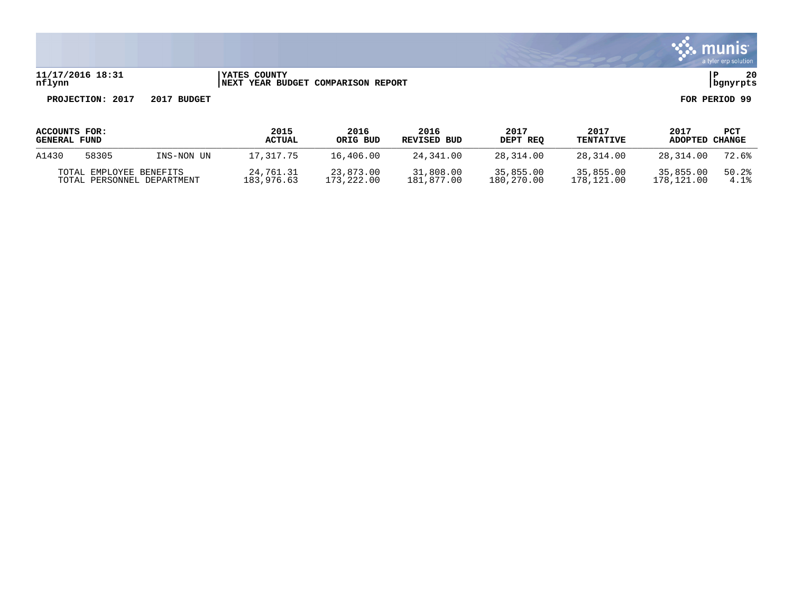

#### **11/17/2016 18:31 |YATES COUNTY |P 20 nflynn |NEXT YEAR BUDGET COMPARISON REPORT |bgnyrpts**

| ACCOUNTS FOR:       |                            |            | 2015          | 2016       | 2016        | 2017       | 2017             | 2017       | PCT    |
|---------------------|----------------------------|------------|---------------|------------|-------------|------------|------------------|------------|--------|
| <b>GENERAL FUND</b> |                            |            | <b>ACTUAL</b> | ORIG BUD   | REVISED BUD | DEPT REO   | <b>TENTATIVE</b> | ADOPTED    | CHANGE |
| A1430               | 58305                      | INS-NON UN | 17,317.75     | 16,406.00  | 24,341.00   | 28,314.00  | 28,314.00        | 28,314.00  | 72.6%  |
|                     | TOTAL EMPLOYEE BENEFITS    |            | 24,761.31     | 23,873.00  | 31,808.00   | 35,855.00  | 35,855.00        | 35,855,00  | 50.2%  |
|                     | TOTAL PERSONNEL DEPARTMENT |            | 183,976.63    | 173,222.00 | 181,877.00  | 180,270.00 | 178,121.00       | 178,121.00 | 4.1%   |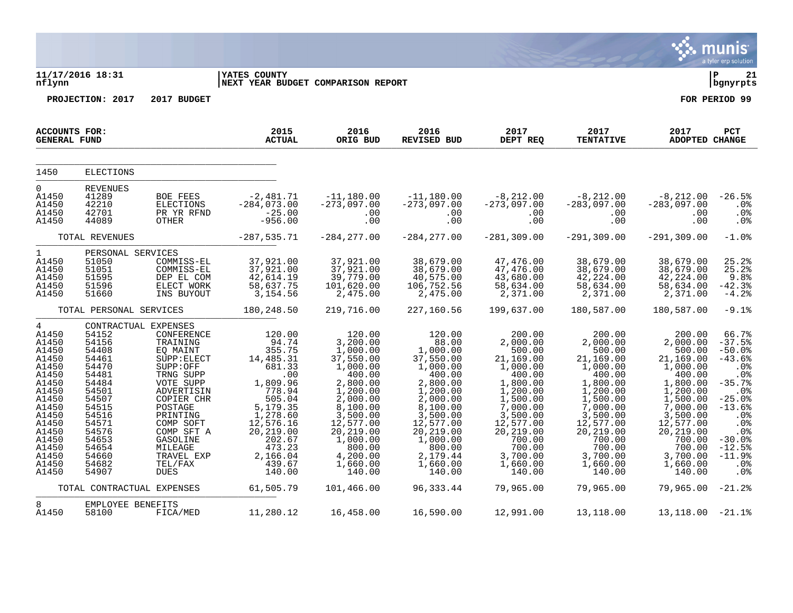|                                                                                                                                                                                  |                                                                                                                                                                                        |                                                                                                                                                                                                                                      |                                                                                                                                                                                               |                                                                                                                                                                                                                 |                                                                                                                                                                                                               |                                                                                                                                                                                                              |                                                                                                                                                                                                              |                                                                                                                                                                                                             | munis<br>a tyler erp solution                                                                                                                                                         |
|----------------------------------------------------------------------------------------------------------------------------------------------------------------------------------|----------------------------------------------------------------------------------------------------------------------------------------------------------------------------------------|--------------------------------------------------------------------------------------------------------------------------------------------------------------------------------------------------------------------------------------|-----------------------------------------------------------------------------------------------------------------------------------------------------------------------------------------------|-----------------------------------------------------------------------------------------------------------------------------------------------------------------------------------------------------------------|---------------------------------------------------------------------------------------------------------------------------------------------------------------------------------------------------------------|--------------------------------------------------------------------------------------------------------------------------------------------------------------------------------------------------------------|--------------------------------------------------------------------------------------------------------------------------------------------------------------------------------------------------------------|-------------------------------------------------------------------------------------------------------------------------------------------------------------------------------------------------------------|---------------------------------------------------------------------------------------------------------------------------------------------------------------------------------------|
| nflynn                                                                                                                                                                           | 11/17/2016 18:31                                                                                                                                                                       |                                                                                                                                                                                                                                      | <b>YATES COUNTY</b><br>NEXT YEAR BUDGET COMPARISON REPORT                                                                                                                                     |                                                                                                                                                                                                                 |                                                                                                                                                                                                               |                                                                                                                                                                                                              |                                                                                                                                                                                                              |                                                                                                                                                                                                             | l P<br>21<br>  bgnyrpts                                                                                                                                                               |
|                                                                                                                                                                                  | PROJECTION: 2017                                                                                                                                                                       | 2017 BUDGET                                                                                                                                                                                                                          |                                                                                                                                                                                               |                                                                                                                                                                                                                 |                                                                                                                                                                                                               |                                                                                                                                                                                                              |                                                                                                                                                                                                              |                                                                                                                                                                                                             | FOR PERIOD 99                                                                                                                                                                         |
| <b>ACCOUNTS FOR:</b><br><b>GENERAL FUND</b>                                                                                                                                      |                                                                                                                                                                                        |                                                                                                                                                                                                                                      | 2015<br><b>ACTUAL</b>                                                                                                                                                                         | 2016<br>ORIG BUD                                                                                                                                                                                                | 2016<br><b>REVISED BUD</b>                                                                                                                                                                                    | 2017<br>DEPT REQ                                                                                                                                                                                             | 2017<br><b>TENTATIVE</b>                                                                                                                                                                                     | 2017<br><b>ADOPTED CHANGE</b>                                                                                                                                                                               | PCT                                                                                                                                                                                   |
| 1450                                                                                                                                                                             | <b>ELECTIONS</b>                                                                                                                                                                       |                                                                                                                                                                                                                                      |                                                                                                                                                                                               |                                                                                                                                                                                                                 |                                                                                                                                                                                                               |                                                                                                                                                                                                              |                                                                                                                                                                                                              |                                                                                                                                                                                                             |                                                                                                                                                                                       |
| 0<br>A1450<br>A1450<br>A1450<br>A1450                                                                                                                                            | <b>REVENUES</b><br>41289<br>42210<br>42701<br>44089                                                                                                                                    | BOE FEES<br>ELECTIONS<br>PR YR RFND<br>OTHER                                                                                                                                                                                         | $-2,481.71$<br>$-284,073.00$<br>$-25.00$<br>$-956.00$                                                                                                                                         | $-11, 180.00$<br>$-273,097.00$<br>.00<br>.00                                                                                                                                                                    | $-11,180.00$<br>$-273,097.00$<br>.00<br>.00                                                                                                                                                                   | $-8,212.00$<br>$-273,097.00$<br>.00<br>.00                                                                                                                                                                   | $-8,212.00$<br>$-283,097.00$<br>.00<br>.00                                                                                                                                                                   | $-8, 212.00$<br>$-283,097.00$<br>.00<br>.00                                                                                                                                                                 | $-26.5%$<br>.0%<br>.0%<br>.0%                                                                                                                                                         |
|                                                                                                                                                                                  | TOTAL REVENUES                                                                                                                                                                         |                                                                                                                                                                                                                                      | $-287, 535.71$                                                                                                                                                                                | $-284, 277.00$                                                                                                                                                                                                  | $-284, 277.00$                                                                                                                                                                                                | $-281, 309.00$                                                                                                                                                                                               | $-291, 309.00$                                                                                                                                                                                               | $-291, 309.00$                                                                                                                                                                                              | $-1.0%$                                                                                                                                                                               |
| $\mathbf{1}$<br>A1450<br>A1450<br>A1450<br>A1450<br>A1450                                                                                                                        | PERSONAL SERVICES<br>51050<br>51051<br>51595<br>51596<br>51660                                                                                                                         | COMMISS-EL<br>COMMISS-EL<br>DEP EL COM<br>ELECT WORK<br>INS BUYOUT                                                                                                                                                                   | 37,921.00<br>37,921.00<br>42,614.19<br>58,637.75<br>3,154.56                                                                                                                                  | 37,921.00<br>37,921.00<br>39,779.00<br>101,620.00<br>2,475.00                                                                                                                                                   | 38,679.00<br>38,679.00<br>40,575.00<br>106,752.56<br>2,475.00                                                                                                                                                 | 47,476.00<br>47,476.00<br>43,680.00<br>58,634.00<br>2,371.00                                                                                                                                                 | 38,679.00<br>38,679.00<br>42, 224.00<br>58,634.00<br>2,371.00                                                                                                                                                | 38,679.00<br>38,679.00<br>42, 224.00<br>58,634.00<br>2,371.00                                                                                                                                               | 25.2%<br>25.2%<br>9.8%<br>$-42.3%$<br>$-4.2%$                                                                                                                                         |
|                                                                                                                                                                                  | TOTAL PERSONAL SERVICES                                                                                                                                                                |                                                                                                                                                                                                                                      | 180,248.50                                                                                                                                                                                    | 219,716.00                                                                                                                                                                                                      | 227,160.56                                                                                                                                                                                                    | 199,637.00                                                                                                                                                                                                   | 180,587.00                                                                                                                                                                                                   | 180,587.00                                                                                                                                                                                                  | $-9.1%$                                                                                                                                                                               |
| $\overline{4}$<br>A1450<br>A1450<br>A1450<br>A1450<br>A1450<br>A1450<br>A1450<br>A1450<br>A1450<br>A1450<br>A1450<br>A1450<br>A1450<br>A1450<br>A1450<br>A1450<br>A1450<br>A1450 | CONTRACTUAL EXPENSES<br>54152<br>54156<br>54408<br>54461<br>54470<br>54481<br>54484<br>54501<br>54507<br>54515<br>54516<br>54571<br>54576<br>54653<br>54654<br>54660<br>54682<br>54907 | CONFERENCE<br>TRAINING<br>EQ MAINT<br>SUPP: ELECT<br>SUPP:OFF<br>TRNG SUPP<br>VOTE SUPP<br>ADVERTISIN<br>COPIER CHR<br>POSTAGE<br>PRINTING<br>COMP SOFT<br>COMP SFT A<br>GASOLINE<br>MILEAGE<br>TRAVEL EXP<br>TEL/FAX<br><b>DUES</b> | 120.00<br>94.74<br>355.75<br>14,485.31<br>681.33<br>.00<br>1,809.96<br>778.94<br>505.04<br>5,179.35<br>1,278.60<br>12,576.16<br>20,219.00<br>202.67<br>473.23<br>2,166.04<br>439.67<br>140.00 | 120.00<br>3,200.00<br>1,000.00<br>37,550.00<br>1,000.00<br>400.00<br>2,800.00<br>1,200.00<br>2,000.00<br>8,100.00<br>3,500.00<br>12,577.00<br>20,219.00<br>1,000.00<br>800.00<br>4,200.00<br>1,660.00<br>140.00 | 120.00<br>88.00<br>1,000.00<br>37,550.00<br>1,000.00<br>400.00<br>2,800.00<br>1,200.00<br>2,000.00<br>8,100.00<br>3,500.00<br>12,577.00<br>20, 219.00<br>1,000.00<br>800.00<br>2,179.44<br>1,660.00<br>140.00 | 200.00<br>2,000.00<br>500.00<br>21,169.00<br>1,000.00<br>400.00<br>1,800.00<br>1,200.00<br>1,500.00<br>7,000.00<br>3,500.00<br>12,577.00<br>20, 219.00<br>700.00<br>700.00<br>3,700.00<br>1,660.00<br>140.00 | 200.00<br>2,000.00<br>500.00<br>21,169.00<br>1,000.00<br>400.00<br>1,800.00<br>1,200.00<br>1,500.00<br>7,000.00<br>3,500.00<br>12,577.00<br>20, 219.00<br>700.00<br>700.00<br>3,700.00<br>1,660.00<br>140.00 | 200.00<br>2,000.00<br>500.00<br>21,169.00<br>1,000.00<br>400.00<br>1,800.00<br>1,200.00<br>1,500.00<br>7,000.00<br>3,500.00<br>12,577.00<br>20,219.00<br>700.00<br>700.00<br>3,700.00<br>1,660.00<br>140.00 | 66.7%<br>$-37.5%$<br>$-50.0%$<br>$-43.6%$<br>.0%<br>.0%<br>$-35.7%$<br>.0%<br>$-25.0%$<br>$-13.6%$<br>.0%<br>.0%<br>.0%<br>$-30.0%$<br>$-12.5%$<br>$-11.9%$<br>.0 <sub>8</sub><br>.0% |
|                                                                                                                                                                                  | TOTAL CONTRACTUAL EXPENSES                                                                                                                                                             |                                                                                                                                                                                                                                      | 61,505.79                                                                                                                                                                                     | 101,466.00                                                                                                                                                                                                      | 96,333.44                                                                                                                                                                                                     | 79,965.00                                                                                                                                                                                                    | 79,965.00                                                                                                                                                                                                    | 79,965.00                                                                                                                                                                                                   | $-21.2%$                                                                                                                                                                              |
| 8<br>A1450                                                                                                                                                                       | EMPLOYEE BENEFITS<br>58100                                                                                                                                                             | FICA/MED                                                                                                                                                                                                                             | 11,280.12                                                                                                                                                                                     | 16,458.00                                                                                                                                                                                                       | 16,590.00                                                                                                                                                                                                     | 12,991.00                                                                                                                                                                                                    | 13,118.00                                                                                                                                                                                                    | 13,118.00                                                                                                                                                                                                   | $-21.1%$                                                                                                                                                                              |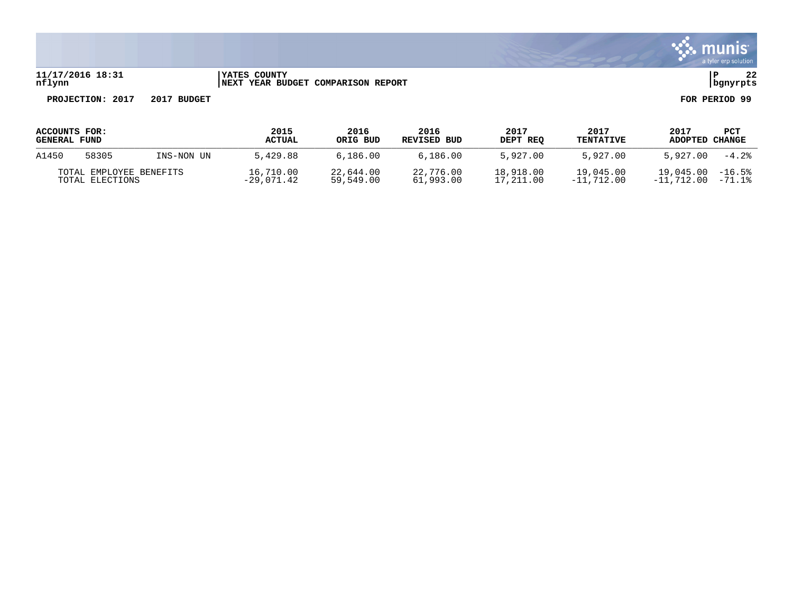

#### **11/17/2016 18:31 |YATES COUNTY |P 22 nflynn |NEXT YEAR BUDGET COMPARISON REPORT |bgnyrpts**

| <b>ACCOUNTS FOR:</b><br><b>GENERAL FUND</b> |       |            | 2015<br><b>ACTUAL</b>     | 2016<br>ORIG BUD       | 2016<br>REVISED BUD    | 2017<br>DEPT REO       | 2017<br><b>TENTATIVE</b>  | 2017<br>ADOPTED           | <b>PCT</b><br>CHANGE |
|---------------------------------------------|-------|------------|---------------------------|------------------------|------------------------|------------------------|---------------------------|---------------------------|----------------------|
| A1450                                       | 58305 | INS-NON UN | 5.429.88                  | 6.186.00               | 6,186,00               | 5,927.00               | 5.927.00                  | 5,927.00                  | $-4.2%$              |
| TOTAL EMPLOYEE BENEFITS<br>TOTAL ELECTIONS  |       |            | 16,710.00<br>$-29.071.42$ | 22,644.00<br>59,549.00 | 22,776.00<br>61,993.00 | 18,918.00<br>17,211.00 | 19,045.00<br>$-11.712.00$ | 19,045.00<br>$-11.712.00$ | $-16.5%$<br>$-71.1%$ |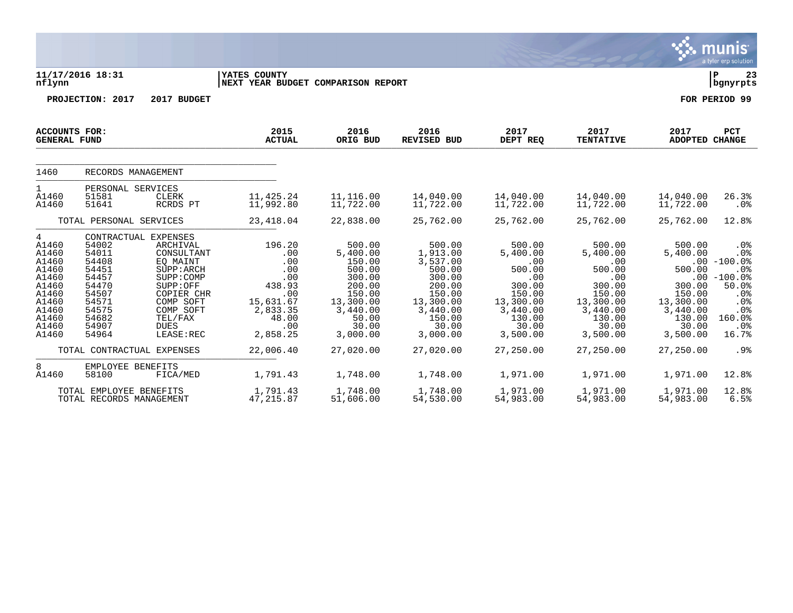|                                                                                                               |                                                                                                                                                                |                                                                                                                                                           |                                                                                                                       |                                                                                                                                          |                                                                                                                                             |                                                                                                                                     |                                                                                                                                     |                                                                                                                       | a tyler erp solution                                                                                                                                   |
|---------------------------------------------------------------------------------------------------------------|----------------------------------------------------------------------------------------------------------------------------------------------------------------|-----------------------------------------------------------------------------------------------------------------------------------------------------------|-----------------------------------------------------------------------------------------------------------------------|------------------------------------------------------------------------------------------------------------------------------------------|---------------------------------------------------------------------------------------------------------------------------------------------|-------------------------------------------------------------------------------------------------------------------------------------|-------------------------------------------------------------------------------------------------------------------------------------|-----------------------------------------------------------------------------------------------------------------------|--------------------------------------------------------------------------------------------------------------------------------------------------------|
| nflynn                                                                                                        | 11/17/2016 18:31                                                                                                                                               |                                                                                                                                                           | YATES COUNTY<br>NEXT YEAR BUDGET COMPARISON REPORT                                                                    |                                                                                                                                          |                                                                                                                                             |                                                                                                                                     |                                                                                                                                     |                                                                                                                       | l P<br>23<br>  bgnyrpts                                                                                                                                |
|                                                                                                               | PROJECTION: 2017                                                                                                                                               | 2017 BUDGET                                                                                                                                               |                                                                                                                       |                                                                                                                                          |                                                                                                                                             |                                                                                                                                     |                                                                                                                                     |                                                                                                                       | FOR PERIOD 99                                                                                                                                          |
| <b>ACCOUNTS FOR:</b><br><b>GENERAL FUND</b>                                                                   |                                                                                                                                                                |                                                                                                                                                           | 2015<br><b>ACTUAL</b>                                                                                                 | 2016<br>ORIG BUD                                                                                                                         | 2016<br><b>REVISED BUD</b>                                                                                                                  | 2017<br>DEPT REQ                                                                                                                    | 2017<br><b>TENTATIVE</b>                                                                                                            | 2017<br><b>ADOPTED CHANGE</b>                                                                                         | PCT                                                                                                                                                    |
| 1460                                                                                                          | RECORDS MANAGEMENT                                                                                                                                             |                                                                                                                                                           |                                                                                                                       |                                                                                                                                          |                                                                                                                                             |                                                                                                                                     |                                                                                                                                     |                                                                                                                       |                                                                                                                                                        |
| $\mathbf{1}$<br>A1460<br>A1460                                                                                | PERSONAL SERVICES<br>51581<br>51641                                                                                                                            | <b>CLERK</b><br>RCRDS PT                                                                                                                                  | 11,425.24<br>11,992.80                                                                                                | 11,116.00<br>11,722.00                                                                                                                   | 14,040.00<br>11,722.00                                                                                                                      | 14,040.00<br>11,722.00                                                                                                              | 14,040.00<br>11,722.00                                                                                                              | 14,040.00<br>11,722.00                                                                                                | 26.3%<br>.0%                                                                                                                                           |
|                                                                                                               | TOTAL PERSONAL SERVICES                                                                                                                                        |                                                                                                                                                           | 23, 418.04                                                                                                            | 22,838.00                                                                                                                                | 25,762.00                                                                                                                                   | 25,762.00                                                                                                                           | 25,762.00                                                                                                                           | 25,762.00                                                                                                             | 12.8%                                                                                                                                                  |
| 4<br>A1460<br>A1460<br>A1460<br>A1460<br>A1460<br>A1460<br>A1460<br>A1460<br>A1460<br>A1460<br>A1460<br>A1460 | CONTRACTUAL EXPENSES<br>54002<br>54011<br>54408<br>54451<br>54457<br>54470<br>54507<br>54571<br>54575<br>54682<br>54907<br>54964<br>TOTAL CONTRACTUAL EXPENSES | ARCHIVAL<br>CONSULTANT<br>EO MAINT<br>SUPP: ARCH<br>SUPP: COMP<br>SUPP:OFF<br>COPIER CHR<br>COMP SOFT<br>COMP SOFT<br>TEL/FAX<br><b>DUES</b><br>LEASE:REC | 196.20<br>.00<br>.00<br>.00<br>.00<br>438.93<br>.00<br>15,631.67<br>2,833.35<br>48.00<br>.00<br>2,858.25<br>22,006.40 | 500.00<br>5,400.00<br>150.00<br>500.00<br>300.00<br>200.00<br>150.00<br>13,300.00<br>3,440.00<br>50.00<br>30.00<br>3,000.00<br>27,020.00 | 500.00<br>1,913.00<br>3,537.00<br>500.00<br>300.00<br>200.00<br>150.00<br>13,300.00<br>3,440.00<br>150.00<br>30.00<br>3,000.00<br>27,020.00 | 500.00<br>5,400.00<br>.00<br>500.00<br>.00<br>300.00<br>150.00<br>13,300.00<br>3,440.00<br>130.00<br>30.00<br>3,500.00<br>27,250.00 | 500.00<br>5,400.00<br>.00<br>500.00<br>.00<br>300.00<br>150.00<br>13,300.00<br>3,440.00<br>130.00<br>30.00<br>3,500.00<br>27,250.00 | 500.00<br>5,400.00<br>500.00<br>300.00<br>150.00<br>13,300.00<br>3,440.00<br>130.00<br>30.00<br>3,500.00<br>27,250.00 | .0 <sub>8</sub><br>.0%<br>$.00 - 100.0$<br>.0%<br>$.00 - 100.0$<br>50.0%<br>.0%<br>.0%<br>.0 <sub>8</sub><br>160.0%<br>.0 <sub>8</sub><br>16.7%<br>.9% |
|                                                                                                               |                                                                                                                                                                |                                                                                                                                                           |                                                                                                                       |                                                                                                                                          |                                                                                                                                             |                                                                                                                                     |                                                                                                                                     |                                                                                                                       |                                                                                                                                                        |
| 8<br>A1460                                                                                                    | EMPLOYEE BENEFITS<br>58100                                                                                                                                     | FICA/MED                                                                                                                                                  | 1,791.43                                                                                                              | 1,748.00                                                                                                                                 | 1,748.00                                                                                                                                    | 1,971.00                                                                                                                            | 1,971.00                                                                                                                            | 1,971.00                                                                                                              | 12.8%                                                                                                                                                  |
|                                                                                                               | TOTAL EMPLOYEE BENEFITS<br>TOTAL RECORDS MANAGEMENT                                                                                                            |                                                                                                                                                           | 1,791.43<br>47,215.87                                                                                                 | 1,748.00<br>51,606.00                                                                                                                    | 1,748.00<br>54,530.00                                                                                                                       | 1,971.00<br>54,983.00                                                                                                               | 1,971.00<br>54,983.00                                                                                                               | 1,971.00<br>54,983.00                                                                                                 | 12.8%<br>6.5%                                                                                                                                          |

 $\ddot{\ddot{\mathbf{u}}}$  munis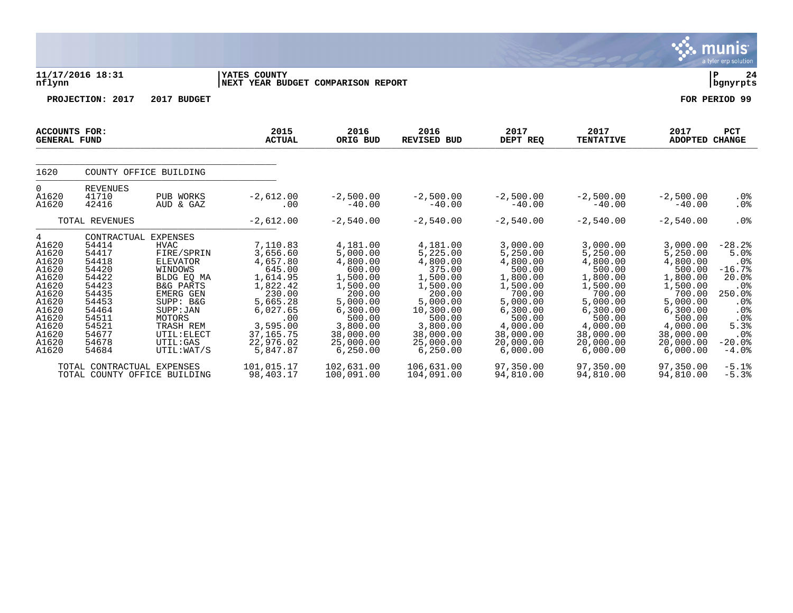|                                                                                                                                 |                                                                                                                                                    |                                                                                                                                                                                                              |                                                                                                                                                                 |                                                                                                                                                                   |                                                                                                                                                                    |                                                                                                                                                                   |                                                                                                                                                                  |                                                                                                                                                                  | <b>munis</b><br>a tyler erp solution                                                                                                                            |
|---------------------------------------------------------------------------------------------------------------------------------|----------------------------------------------------------------------------------------------------------------------------------------------------|--------------------------------------------------------------------------------------------------------------------------------------------------------------------------------------------------------------|-----------------------------------------------------------------------------------------------------------------------------------------------------------------|-------------------------------------------------------------------------------------------------------------------------------------------------------------------|--------------------------------------------------------------------------------------------------------------------------------------------------------------------|-------------------------------------------------------------------------------------------------------------------------------------------------------------------|------------------------------------------------------------------------------------------------------------------------------------------------------------------|------------------------------------------------------------------------------------------------------------------------------------------------------------------|-----------------------------------------------------------------------------------------------------------------------------------------------------------------|
| nflynn                                                                                                                          | 11/17/2016 18:31                                                                                                                                   |                                                                                                                                                                                                              | YATES COUNTY<br>NEXT YEAR BUDGET COMPARISON REPORT                                                                                                              |                                                                                                                                                                   |                                                                                                                                                                    |                                                                                                                                                                   |                                                                                                                                                                  |                                                                                                                                                                  | ΙP<br>24<br>  bgnyrpts                                                                                                                                          |
|                                                                                                                                 | PROJECTION: 2017                                                                                                                                   | 2017 BUDGET                                                                                                                                                                                                  |                                                                                                                                                                 |                                                                                                                                                                   |                                                                                                                                                                    |                                                                                                                                                                   |                                                                                                                                                                  |                                                                                                                                                                  | FOR PERIOD 99                                                                                                                                                   |
| <b>ACCOUNTS FOR:</b><br><b>GENERAL FUND</b>                                                                                     |                                                                                                                                                    |                                                                                                                                                                                                              | 2015<br><b>ACTUAL</b>                                                                                                                                           | 2016<br>ORIG BUD                                                                                                                                                  | 2016<br><b>REVISED BUD</b>                                                                                                                                         | 2017<br>DEPT REQ                                                                                                                                                  | 2017<br><b>TENTATIVE</b>                                                                                                                                         | 2017<br><b>ADOPTED</b>                                                                                                                                           | <b>PCT</b><br><b>CHANGE</b>                                                                                                                                     |
| 1620                                                                                                                            |                                                                                                                                                    | COUNTY OFFICE BUILDING                                                                                                                                                                                       |                                                                                                                                                                 |                                                                                                                                                                   |                                                                                                                                                                    |                                                                                                                                                                   |                                                                                                                                                                  |                                                                                                                                                                  |                                                                                                                                                                 |
| 0<br>A1620<br>A1620                                                                                                             | <b>REVENUES</b><br>41710<br>42416                                                                                                                  | PUB WORKS<br>AUD & GAZ                                                                                                                                                                                       | $-2,612.00$<br>.00                                                                                                                                              | $-2,500.00$<br>$-40.00$                                                                                                                                           | $-2,500.00$<br>$-40.00$                                                                                                                                            | $-2,500.00$<br>$-40.00$                                                                                                                                           | $-2,500.00$<br>$-40.00$                                                                                                                                          | $-2,500.00$<br>$-40.00$                                                                                                                                          | $.0\%$<br>.0%                                                                                                                                                   |
|                                                                                                                                 | TOTAL REVENUES                                                                                                                                     |                                                                                                                                                                                                              | $-2,612.00$                                                                                                                                                     | $-2,540.00$                                                                                                                                                       | $-2,540.00$                                                                                                                                                        | $-2,540.00$                                                                                                                                                       | $-2,540.00$                                                                                                                                                      | $-2,540.00$                                                                                                                                                      | .0%                                                                                                                                                             |
| 4<br>A1620<br>A1620<br>A1620<br>A1620<br>A1620<br>A1620<br>A1620<br>A1620<br>A1620<br>A1620<br>A1620<br>A1620<br>A1620<br>A1620 | CONTRACTUAL EXPENSES<br>54414<br>54417<br>54418<br>54420<br>54422<br>54423<br>54435<br>54453<br>54464<br>54511<br>54521<br>54677<br>54678<br>54684 | <b>HVAC</b><br>FIRE/SPRIN<br><b>ELEVATOR</b><br>WINDOWS<br>BLDG EO MA<br><b>B&amp;G PARTS</b><br><b>EMERG GEN</b><br>SUPP: B&G<br>SUPP: JAN<br>MOTORS<br>TRASH REM<br>UTIL: ELECT<br>UTIL:GAS<br>UTIL: WAT/S | 7,110.83<br>3,656.60<br>4,657.80<br>645.00<br>1,614.95<br>1,822.42<br>230.00<br>5,665.28<br>6,027.65<br>.00<br>3,595.00<br>37, 165. 75<br>22,976.02<br>5,847.87 | 4,181.00<br>5,000.00<br>4,800.00<br>600.00<br>1,500.00<br>1,500.00<br>200.00<br>5,000.00<br>6,300.00<br>500.00<br>3,800.00<br>38,000.00<br>25,000.00<br>6, 250.00 | 4,181.00<br>5,225.00<br>4,800.00<br>375.00<br>1,500.00<br>1,500.00<br>200.00<br>5,000.00<br>10,300.00<br>500.00<br>3,800.00<br>38,000.00<br>25,000.00<br>6, 250.00 | 3,000.00<br>5,250.00<br>4,800.00<br>500.00<br>1,800.00<br>1,500.00<br>700.00<br>5,000.00<br>6, 300.00<br>500.00<br>4,000.00<br>38,000.00<br>20,000.00<br>6,000.00 | 3,000.00<br>5,250.00<br>4,800.00<br>500.00<br>1,800.00<br>1,500.00<br>700.00<br>5,000.00<br>6,300.00<br>500.00<br>4,000.00<br>38,000.00<br>20,000.00<br>6,000.00 | 3,000.00<br>5,250.00<br>4,800.00<br>500.00<br>1,800.00<br>1,500.00<br>700.00<br>5,000.00<br>6,300.00<br>500.00<br>4,000.00<br>38,000.00<br>20,000.00<br>6,000.00 | $-28.2%$<br>5.0%<br>.0 <sub>8</sub><br>$-16.7%$<br>20.0%<br>.0 <sub>8</sub><br>250.0%<br>.0 <sub>8</sub><br>.0%<br>.0%<br>5.3%<br>.0%<br>$-20.0%$<br>$-4.0$ $8$ |
|                                                                                                                                 | TOTAL CONTRACTUAL EXPENSES                                                                                                                         | TOTAL COUNTY OFFICE BUILDING                                                                                                                                                                                 | 101,015.17<br>98,403.17                                                                                                                                         | 102,631.00<br>100,091.00                                                                                                                                          | 106,631.00<br>104,091.00                                                                                                                                           | 97,350.00<br>94,810.00                                                                                                                                            | 97,350.00<br>94,810.00                                                                                                                                           | 97,350.00<br>94,810.00                                                                                                                                           | $-5.1%$<br>$-5.3%$                                                                                                                                              |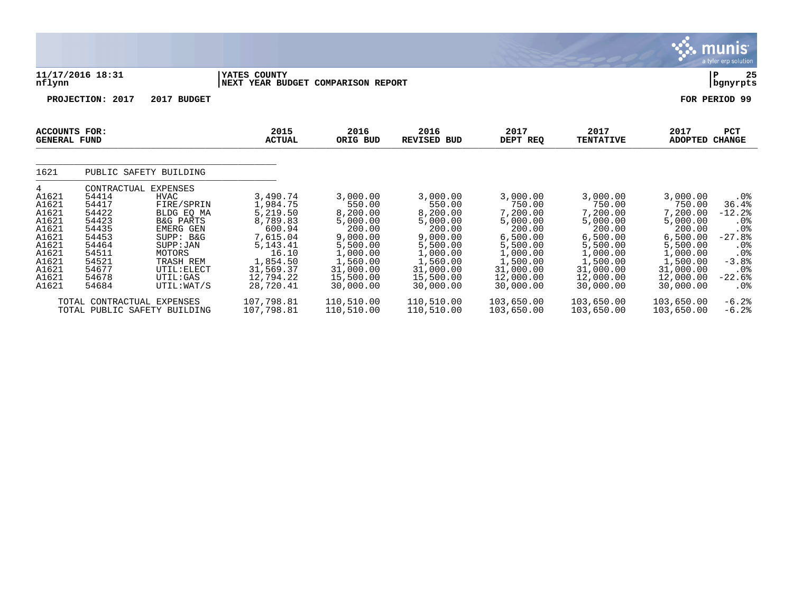|                                                                                                               |                                                                                                                                  |                                                                                                                                                                         |                                                                                                                                              |                                                                                                                                             |                                                                                                                                             |                                                                                                                                             |                                                                                                                                             |                                                                                                                                             | munis <sup>®</sup><br>a tyler erp solution                                                                                                              |
|---------------------------------------------------------------------------------------------------------------|----------------------------------------------------------------------------------------------------------------------------------|-------------------------------------------------------------------------------------------------------------------------------------------------------------------------|----------------------------------------------------------------------------------------------------------------------------------------------|---------------------------------------------------------------------------------------------------------------------------------------------|---------------------------------------------------------------------------------------------------------------------------------------------|---------------------------------------------------------------------------------------------------------------------------------------------|---------------------------------------------------------------------------------------------------------------------------------------------|---------------------------------------------------------------------------------------------------------------------------------------------|---------------------------------------------------------------------------------------------------------------------------------------------------------|
| nflynn                                                                                                        | 11/17/2016 18:31                                                                                                                 |                                                                                                                                                                         | YATES COUNTY<br>NEXT YEAR BUDGET COMPARISON REPORT                                                                                           |                                                                                                                                             |                                                                                                                                             |                                                                                                                                             |                                                                                                                                             |                                                                                                                                             | 25<br>Р<br>  bgnyrpts                                                                                                                                   |
|                                                                                                               | PROJECTION: 2017                                                                                                                 | 2017 BUDGET                                                                                                                                                             |                                                                                                                                              |                                                                                                                                             |                                                                                                                                             |                                                                                                                                             |                                                                                                                                             |                                                                                                                                             | FOR PERIOD 99                                                                                                                                           |
| <b>ACCOUNTS FOR:</b><br><b>GENERAL FUND</b>                                                                   |                                                                                                                                  |                                                                                                                                                                         | 2015<br><b>ACTUAL</b>                                                                                                                        | 2016<br>ORIG BUD                                                                                                                            | 2016<br><b>REVISED BUD</b>                                                                                                                  | 2017<br>DEPT REQ                                                                                                                            | 2017<br><b>TENTATIVE</b>                                                                                                                    | 2017<br><b>ADOPTED</b>                                                                                                                      | <b>PCT</b><br><b>CHANGE</b>                                                                                                                             |
| 1621                                                                                                          |                                                                                                                                  | PUBLIC SAFETY BUILDING                                                                                                                                                  |                                                                                                                                              |                                                                                                                                             |                                                                                                                                             |                                                                                                                                             |                                                                                                                                             |                                                                                                                                             |                                                                                                                                                         |
| 4<br>A1621<br>A1621<br>A1621<br>A1621<br>A1621<br>A1621<br>A1621<br>A1621<br>A1621<br>A1621<br>A1621<br>A1621 | CONTRACTUAL EXPENSES<br>54414<br>54417<br>54422<br>54423<br>54435<br>54453<br>54464<br>54511<br>54521<br>54677<br>54678<br>54684 | <b>HVAC</b><br>FIRE/SPRIN<br>BLDG EQ MA<br><b>B&amp;G PARTS</b><br>EMERG GEN<br>SUPP: B&G<br>SUPP: JAN<br>MOTORS<br>TRASH REM<br>UTIL: ELECT<br>UTIL:GAS<br>UTIL: WAT/S | 3,490.74<br>1,984.75<br>5,219.50<br>8,789.83<br>600.94<br>7,615.04<br>5, 143. 41<br>16.10<br>1,854.50<br>31,569.37<br>12,794.22<br>28,720.41 | 3,000.00<br>550.00<br>8,200.00<br>5,000.00<br>200.00<br>9,000.00<br>5,500.00<br>1,000.00<br>1,560.00<br>31,000.00<br>15,500.00<br>30,000.00 | 3,000.00<br>550.00<br>8,200.00<br>5,000.00<br>200.00<br>9,000.00<br>5,500.00<br>1,000.00<br>1,560.00<br>31,000.00<br>15,500.00<br>30,000.00 | 3,000.00<br>750.00<br>7,200.00<br>5,000.00<br>200.00<br>6,500.00<br>5,500.00<br>1,000.00<br>1,500.00<br>31,000.00<br>12,000.00<br>30,000.00 | 3,000.00<br>750.00<br>7,200.00<br>5,000.00<br>200.00<br>6,500.00<br>5,500.00<br>1,000.00<br>1,500.00<br>31,000.00<br>12,000.00<br>30,000.00 | 3,000.00<br>750.00<br>7,200.00<br>5,000.00<br>200.00<br>6,500.00<br>5,500.00<br>1,000.00<br>1,500.00<br>31,000.00<br>12,000.00<br>30,000.00 | .0%<br>36.4%<br>$-12.2$<br>.0%<br>.0 <sup>8</sup><br>$-27.8%$<br>.0 <sub>8</sub><br>.0 <sub>8</sub><br>$-3.8%$<br>.0 <sub>8</sub><br>$-22.6%$<br>$.0\%$ |
|                                                                                                               | TOTAL CONTRACTUAL EXPENSES<br>TOTAL PUBLIC SAFETY BUILDING                                                                       |                                                                                                                                                                         | 107,798.81<br>107,798.81                                                                                                                     | 110,510.00<br>110,510.00                                                                                                                    | 110,510.00<br>110,510.00                                                                                                                    | 103,650.00<br>103,650.00                                                                                                                    | 103,650.00<br>103,650.00                                                                                                                    | 103,650.00<br>103,650.00                                                                                                                    | $-6.2%$<br>$-6.2%$                                                                                                                                      |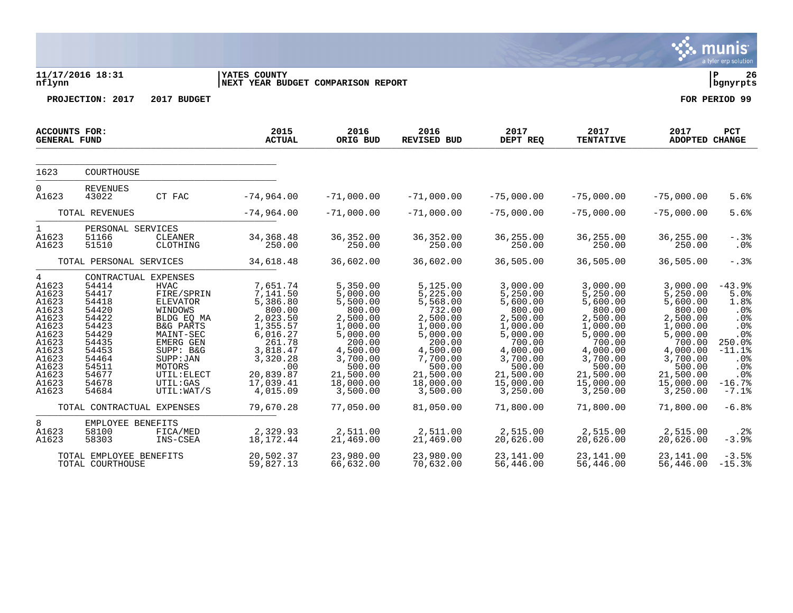|                                                                                                                                 | 11/17/2016 18:31                                                                                                                                   |                                                                                                                                                                                                       | YATES COUNTY                                                                                                                                                  |                                                                                                                                                                  |                                                                                                                                                                  |                                                                                                                                                                  |                                                                                                                                                                  |                                                                                                                                                                  | a tyrer crp solution<br>l P<br>26                                                                                         |
|---------------------------------------------------------------------------------------------------------------------------------|----------------------------------------------------------------------------------------------------------------------------------------------------|-------------------------------------------------------------------------------------------------------------------------------------------------------------------------------------------------------|---------------------------------------------------------------------------------------------------------------------------------------------------------------|------------------------------------------------------------------------------------------------------------------------------------------------------------------|------------------------------------------------------------------------------------------------------------------------------------------------------------------|------------------------------------------------------------------------------------------------------------------------------------------------------------------|------------------------------------------------------------------------------------------------------------------------------------------------------------------|------------------------------------------------------------------------------------------------------------------------------------------------------------------|---------------------------------------------------------------------------------------------------------------------------|
| nflynn                                                                                                                          |                                                                                                                                                    | 2017 BUDGET                                                                                                                                                                                           | NEXT YEAR BUDGET COMPARISON REPORT                                                                                                                            |                                                                                                                                                                  |                                                                                                                                                                  |                                                                                                                                                                  |                                                                                                                                                                  |                                                                                                                                                                  | bgnyrpts<br>FOR PERIOD 99                                                                                                 |
|                                                                                                                                 | PROJECTION: 2017                                                                                                                                   |                                                                                                                                                                                                       |                                                                                                                                                               |                                                                                                                                                                  |                                                                                                                                                                  |                                                                                                                                                                  |                                                                                                                                                                  |                                                                                                                                                                  |                                                                                                                           |
| <b>GENERAL FUND</b>                                                                                                             | <b>ACCOUNTS FOR:</b>                                                                                                                               |                                                                                                                                                                                                       | 2015<br><b>ACTUAL</b>                                                                                                                                         | 2016<br>ORIG BUD                                                                                                                                                 | 2016<br>REVISED BUD                                                                                                                                              | 2017<br>DEPT REQ                                                                                                                                                 | 2017<br><b>TENTATIVE</b>                                                                                                                                         | 2017<br>ADOPTED CHANGE                                                                                                                                           | PCT                                                                                                                       |
| 1623                                                                                                                            | COURTHOUSE                                                                                                                                         |                                                                                                                                                                                                       |                                                                                                                                                               |                                                                                                                                                                  |                                                                                                                                                                  |                                                                                                                                                                  |                                                                                                                                                                  |                                                                                                                                                                  |                                                                                                                           |
| $\Omega$<br>A1623                                                                                                               | <b>REVENUES</b><br>43022                                                                                                                           | CT FAC                                                                                                                                                                                                | $-74,964.00$                                                                                                                                                  | $-71,000.00$                                                                                                                                                     | $-71,000.00$                                                                                                                                                     | $-75,000.00$                                                                                                                                                     | $-75,000.00$                                                                                                                                                     | $-75,000.00$                                                                                                                                                     | 5.6%                                                                                                                      |
|                                                                                                                                 | TOTAL REVENUES                                                                                                                                     |                                                                                                                                                                                                       | $-74,964.00$                                                                                                                                                  | $-71,000.00$                                                                                                                                                     | $-71,000.00$                                                                                                                                                     | $-75,000.00$                                                                                                                                                     | $-75,000.00$                                                                                                                                                     | $-75,000.00$                                                                                                                                                     | 5.6%                                                                                                                      |
| $\mathbf{1}$<br>A1623<br>A1623                                                                                                  | PERSONAL SERVICES<br>51166<br>51510                                                                                                                | CLEANER<br>CLOTHING                                                                                                                                                                                   | 34, 368. 48<br>250.00                                                                                                                                         | 36, 352.00<br>250.00                                                                                                                                             | 36, 352.00<br>250.00                                                                                                                                             | 36,255.00<br>250.00                                                                                                                                              | 36,255.00<br>250.00                                                                                                                                              | 36,255.00<br>250.00                                                                                                                                              | $-.3%$<br>.0%                                                                                                             |
|                                                                                                                                 | TOTAL PERSONAL SERVICES                                                                                                                            |                                                                                                                                                                                                       | 34,618.48                                                                                                                                                     | 36,602.00                                                                                                                                                        | 36,602.00                                                                                                                                                        | 36,505.00                                                                                                                                                        | 36,505.00                                                                                                                                                        | 36,505.00                                                                                                                                                        | $-.3%$                                                                                                                    |
| 4<br>A1623<br>A1623<br>A1623<br>A1623<br>A1623<br>A1623<br>A1623<br>A1623<br>A1623<br>A1623<br>A1623<br>A1623<br>A1623<br>A1623 | CONTRACTUAL EXPENSES<br>54414<br>54417<br>54418<br>54420<br>54422<br>54423<br>54429<br>54435<br>54453<br>54464<br>54511<br>54677<br>54678<br>54684 | <b>HVAC</b><br>FIRE/SPRIN<br><b>ELEVATOR</b><br>WINDOWS<br>BLDG EQ MA<br><b>B&amp;G PARTS</b><br>MAINT-SEC<br>EMERG GEN<br>SUPP: B&G<br>SUPP: JAN<br>MOTORS<br>UTIL: ELECT<br>UTIL:GAS<br>UTIL: WAT/S | 7,651.74<br>7,141.50<br>5,386.80<br>800.00<br>2,023.50<br>1,355.57<br>6,016.27<br>261.78<br>3,818.47<br>3,320.28<br>.00<br>20,839.87<br>17,039.41<br>4,015.09 | 5,350.00<br>5,000.00<br>5,500.00<br>800.00<br>2,500.00<br>1,000.00<br>5,000.00<br>200.00<br>4,500.00<br>3,700.00<br>500.00<br>21,500.00<br>18,000.00<br>3,500.00 | 5,125.00<br>5,225.00<br>5,568.00<br>732.00<br>2,500.00<br>1,000.00<br>5,000.00<br>200.00<br>4,500.00<br>7,700.00<br>500.00<br>21,500.00<br>18,000.00<br>3,500.00 | 3,000.00<br>5,250.00<br>5,600.00<br>800.00<br>2,500.00<br>1,000.00<br>5,000.00<br>700.00<br>4,000.00<br>3,700.00<br>500.00<br>21,500.00<br>15,000.00<br>3,250.00 | 3,000.00<br>5,250.00<br>5,600.00<br>800.00<br>2,500.00<br>1,000.00<br>5,000.00<br>700.00<br>4,000.00<br>3,700.00<br>500.00<br>21,500.00<br>15,000.00<br>3,250.00 | 3,000.00<br>5,250.00<br>5,600.00<br>800.00<br>2,500.00<br>1,000.00<br>5,000.00<br>700.00<br>4,000.00<br>3,700.00<br>500.00<br>21,500.00<br>15,000.00<br>3,250.00 | $-43.9%$<br>5.0%<br>1.8%<br>$.0\%$<br>.0%<br>.0%<br>.0%<br>250.0%<br>$-11.1%$<br>.0%<br>.0%<br>.0%<br>$-16.7%$<br>$-7.1%$ |
|                                                                                                                                 | TOTAL CONTRACTUAL EXPENSES                                                                                                                         |                                                                                                                                                                                                       | 79,670.28                                                                                                                                                     | 77,050.00                                                                                                                                                        | 81,050.00                                                                                                                                                        | 71,800.00                                                                                                                                                        | 71,800.00                                                                                                                                                        | 71,800.00                                                                                                                                                        | $-6.8%$                                                                                                                   |
| 8<br>A1623<br>A1623                                                                                                             | EMPLOYEE BENEFITS<br>58100<br>58303                                                                                                                | FICA/MED<br>INS-CSEA                                                                                                                                                                                  | 2,329.93<br>18,172.44                                                                                                                                         | 2,511.00<br>21,469.00                                                                                                                                            | 2,511.00<br>21,469.00                                                                                                                                            | 2,515.00<br>20,626.00                                                                                                                                            | 2,515.00<br>20,626.00                                                                                                                                            | 2,515.00<br>20,626.00                                                                                                                                            | .2%<br>$-3.9%$                                                                                                            |
|                                                                                                                                 | TOTAL EMPLOYEE BENEFITS<br>TOTAL COURTHOUSE                                                                                                        |                                                                                                                                                                                                       | 20,502.37<br>59,827.13                                                                                                                                        | 23,980.00<br>66,632.00                                                                                                                                           | 23,980.00<br>70,632.00                                                                                                                                           | 23,141.00<br>56,446.00                                                                                                                                           | 23,141.00<br>56,446.00                                                                                                                                           | 23, 141, 00<br>56,446.00                                                                                                                                         | $-3.5%$<br>$-15.3%$                                                                                                       |

**SALE MUNIS**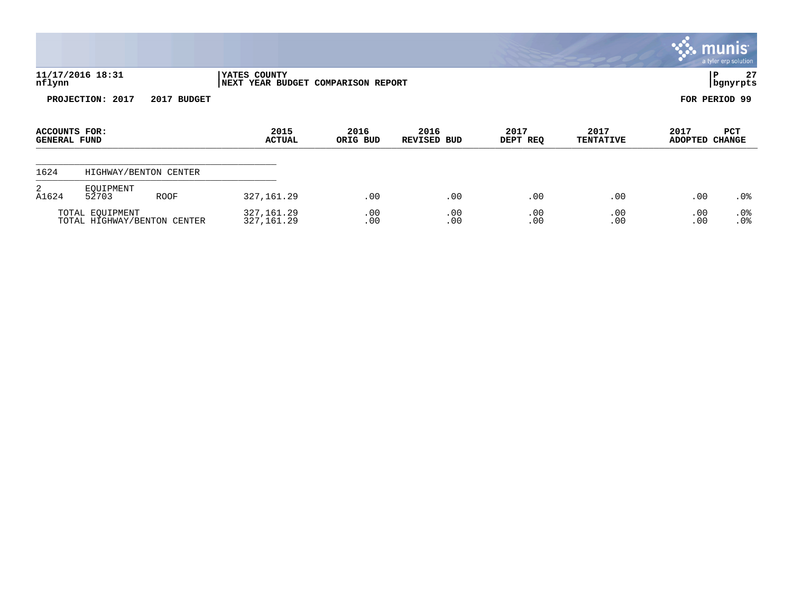|                                             |                                                |             |                                                            |                  |                     |                  |                          |                        | munis <sup>®</sup><br>a tyler erp solution |
|---------------------------------------------|------------------------------------------------|-------------|------------------------------------------------------------|------------------|---------------------|------------------|--------------------------|------------------------|--------------------------------------------|
| nflynn                                      | 11/17/2016 18:31                               |             | <b> YATES COUNTY</b><br>NEXT YEAR BUDGET COMPARISON REPORT |                  |                     |                  |                          | P                      | 27<br>bgnyrpts                             |
|                                             | PROJECTION: 2017                               | 2017 BUDGET |                                                            |                  |                     |                  |                          | FOR PERIOD 99          |                                            |
| <b>ACCOUNTS FOR:</b><br><b>GENERAL FUND</b> |                                                |             | 2015<br><b>ACTUAL</b>                                      | 2016<br>ORIG BUD | 2016<br>REVISED BUD | 2017<br>DEPT REQ | 2017<br><b>TENTATIVE</b> | 2017<br>ADOPTED CHANGE | PCT                                        |
| 1624                                        | HIGHWAY/BENTON CENTER                          |             |                                                            |                  |                     |                  |                          |                        |                                            |
| 2<br>A1624                                  | EQUIPMENT<br>52703                             | <b>ROOF</b> | 327, 161.29                                                | .00              | .00                 | .00              | .00                      | .00                    | .0 <sub>8</sub>                            |
|                                             | TOTAL EQUIPMENT<br>TOTAL HIGHWAY/BENTON CENTER |             | 327, 161.29<br>327, 161.29                                 | .00<br>.00       | .00<br>.00          | .00<br>.00       | .00<br>.00               | .00<br>.00             | .0%<br>.0%                                 |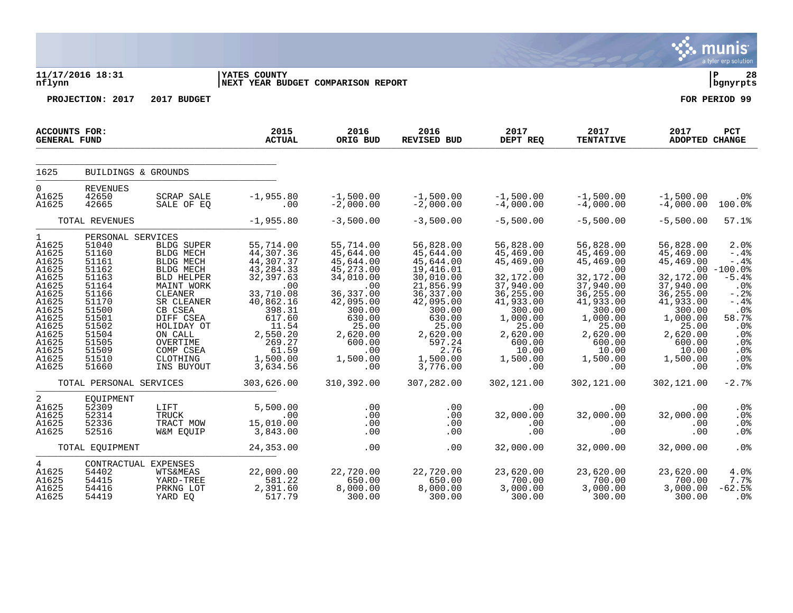|                                                                                                                                                              |                                                                                                                                                                   |                                                                                                                                                                                                                                 |                                                                                                                                                                                      |                                                                                                                                                                               |                                                                                                                                                                                          |                                                                                                                                                                                 |                                                                                                                                                                                 |                                                                                                                                                                          | munis <sup>®</sup><br>a tyler erp solution                                                                                                                          |
|--------------------------------------------------------------------------------------------------------------------------------------------------------------|-------------------------------------------------------------------------------------------------------------------------------------------------------------------|---------------------------------------------------------------------------------------------------------------------------------------------------------------------------------------------------------------------------------|--------------------------------------------------------------------------------------------------------------------------------------------------------------------------------------|-------------------------------------------------------------------------------------------------------------------------------------------------------------------------------|------------------------------------------------------------------------------------------------------------------------------------------------------------------------------------------|---------------------------------------------------------------------------------------------------------------------------------------------------------------------------------|---------------------------------------------------------------------------------------------------------------------------------------------------------------------------------|--------------------------------------------------------------------------------------------------------------------------------------------------------------------------|---------------------------------------------------------------------------------------------------------------------------------------------------------------------|
| nflynn                                                                                                                                                       | 11/17/2016 18:31                                                                                                                                                  |                                                                                                                                                                                                                                 | <b>YATES COUNTY</b><br>NEXT YEAR BUDGET COMPARISON REPORT                                                                                                                            |                                                                                                                                                                               |                                                                                                                                                                                          |                                                                                                                                                                                 |                                                                                                                                                                                 |                                                                                                                                                                          | l P<br>28<br>bgnyrpts                                                                                                                                               |
|                                                                                                                                                              | PROJECTION: 2017                                                                                                                                                  | 2017 BUDGET                                                                                                                                                                                                                     |                                                                                                                                                                                      |                                                                                                                                                                               |                                                                                                                                                                                          |                                                                                                                                                                                 |                                                                                                                                                                                 |                                                                                                                                                                          | FOR PERIOD 99                                                                                                                                                       |
| <b>ACCOUNTS FOR:</b><br><b>GENERAL FUND</b>                                                                                                                  |                                                                                                                                                                   |                                                                                                                                                                                                                                 | 2015<br><b>ACTUAL</b>                                                                                                                                                                | 2016<br>ORIG BUD                                                                                                                                                              | 2016<br><b>REVISED BUD</b>                                                                                                                                                               | 2017<br>DEPT REQ                                                                                                                                                                | 2017<br><b>TENTATIVE</b>                                                                                                                                                        | 2017<br>ADOPTED CHANGE                                                                                                                                                   | PCT                                                                                                                                                                 |
| 1625                                                                                                                                                         | BUILDINGS & GROUNDS                                                                                                                                               |                                                                                                                                                                                                                                 |                                                                                                                                                                                      |                                                                                                                                                                               |                                                                                                                                                                                          |                                                                                                                                                                                 |                                                                                                                                                                                 |                                                                                                                                                                          |                                                                                                                                                                     |
| $\overline{0}$<br>A1625<br>A1625                                                                                                                             | <b>REVENUES</b><br>42650<br>42665                                                                                                                                 | <b>SCRAP SALE</b><br>SALE OF EO                                                                                                                                                                                                 | $-1,955.80$<br>.00                                                                                                                                                                   | $-1,500.00$<br>$-2,000.00$                                                                                                                                                    | $-1,500.00$<br>$-2,000.00$                                                                                                                                                               | $-1,500.00$<br>$-4,000.00$                                                                                                                                                      | $-1,500.00$<br>$-4,000.00$                                                                                                                                                      | $-1,500.00$<br>$-4,000.00$                                                                                                                                               | .0 <sub>8</sub><br>100.0%                                                                                                                                           |
|                                                                                                                                                              | TOTAL REVENUES                                                                                                                                                    |                                                                                                                                                                                                                                 | $-1,955.80$                                                                                                                                                                          | $-3,500.00$                                                                                                                                                                   | $-3,500.00$                                                                                                                                                                              | $-5,500.00$                                                                                                                                                                     | $-5,500.00$                                                                                                                                                                     | $-5,500.00$                                                                                                                                                              | 57.1%                                                                                                                                                               |
| $\mathbf{1}$<br>A1625<br>A1625<br>A1625<br>A1625<br>A1625<br>A1625<br>A1625<br>A1625<br>A1625<br>A1625<br>A1625<br>A1625<br>A1625<br>A1625<br>A1625<br>A1625 | PERSONAL SERVICES<br>51040<br>51160<br>51161<br>51162<br>51163<br>51164<br>51166<br>51170<br>51500<br>51501<br>51502<br>51504<br>51505<br>51509<br>51510<br>51660 | <b>BLDG SUPER</b><br><b>BLDG MECH</b><br>BLDG MECH<br>BLDG MECH<br><b>BLD HELPER</b><br>MAINT WORK<br>CLEANER<br>SR CLEANER<br>CB CSEA<br>DIFF CSEA<br>HOLIDAY OT<br>ON CALL<br>OVERTIME<br>COMP CSEA<br>CLOTHING<br>INS BUYOUT | 55,714.00<br>44,307.36<br>44,307.37<br>43, 284.33<br>32, 397.63<br>.00<br>33,710.08<br>40,862.16<br>398.31<br>617.60<br>11.54<br>2,550.20<br>269.27<br>61.59<br>1,500.00<br>3,634.56 | 55,714.00<br>45,644.00<br>45,644.00<br>45, 273.00<br>34,010.00<br>.00<br>36, 337.00<br>42,095.00<br>300.00<br>630.00<br>25.00<br>2,620.00<br>600.00<br>.00<br>1,500.00<br>.00 | 56,828.00<br>45,644.00<br>45,644.00<br>19,416.01<br>30,010.00<br>21,856.99<br>36, 337.00<br>42,095.00<br>300.00<br>630.00<br>25.00<br>2,620.00<br>597.24<br>2.76<br>1,500.00<br>3,776.00 | 56,828.00<br>45,469.00<br>45,469.00<br>.00<br>32,172.00<br>37,940.00<br>36,255.00<br>41,933.00<br>300.00<br>1,000.00<br>25.00<br>2,620.00<br>600.00<br>10.00<br>1,500.00<br>.00 | 56,828.00<br>45,469.00<br>45,469.00<br>.00<br>32,172.00<br>37,940.00<br>36,255.00<br>41,933.00<br>300.00<br>1,000.00<br>25.00<br>2,620.00<br>600.00<br>10.00<br>1,500.00<br>.00 | 56,828.00<br>45,469.00<br>45,469.00<br>32,172.00<br>37,940.00<br>36,255.00<br>41,933.00<br>300.00<br>1,000.00<br>25.00<br>2,620.00<br>600.00<br>10.00<br>1,500.00<br>.00 | 2.0%<br>$-.4%$<br>$- .4%$<br>$.00 - 100.0%$<br>$-5.4%$<br>.0 <sub>8</sub><br>$-0.2$<br>$-.4%$<br>.0%<br>58.7%<br>.0%<br>.0%<br>.0 <sub>8</sub><br>.0%<br>.0%<br>.0% |
|                                                                                                                                                              | TOTAL PERSONAL SERVICES                                                                                                                                           |                                                                                                                                                                                                                                 | 303,626.00                                                                                                                                                                           | 310,392.00                                                                                                                                                                    | 307,282.00                                                                                                                                                                               | 302,121.00                                                                                                                                                                      | 302,121.00                                                                                                                                                                      | 302,121.00                                                                                                                                                               | $-2.7%$                                                                                                                                                             |
| 2<br>A1625<br>A1625<br>A1625<br>A1625                                                                                                                        | EQUIPMENT<br>52309<br>52314<br>52336<br>52516                                                                                                                     | LIFT<br>TRUCK<br>TRACT MOW<br>W&M EQUIP                                                                                                                                                                                         | 5,500.00<br>.00<br>15,010.00<br>3,843.00                                                                                                                                             | .00<br>.00<br>.00<br>.00                                                                                                                                                      | .00<br>.00<br>.00<br>.00                                                                                                                                                                 | .00<br>32,000.00<br>.00<br>.00                                                                                                                                                  | .00<br>32,000.00<br>.00<br>.00                                                                                                                                                  | .00<br>32,000.00<br>.00<br>.00                                                                                                                                           | .0%<br>.0%<br>$.0\%$<br>.0%                                                                                                                                         |
|                                                                                                                                                              | TOTAL EQUIPMENT                                                                                                                                                   |                                                                                                                                                                                                                                 | 24, 353.00                                                                                                                                                                           | .00                                                                                                                                                                           | .00                                                                                                                                                                                      | 32,000.00                                                                                                                                                                       | 32,000.00                                                                                                                                                                       | 32,000.00                                                                                                                                                                | .0%                                                                                                                                                                 |
| $4\overline{ }$<br>A1625<br>A1625<br>A1625<br>A1625                                                                                                          | 54402<br>54415<br>54416<br>54419                                                                                                                                  | CONTRACTUAL EXPENSES<br><b>WTS&amp;MEAS</b><br>YARD-TREE<br>PRKNG LOT<br>YARD EO                                                                                                                                                | 22,000.00<br>581.22<br>2,391.60<br>517.79                                                                                                                                            | 22,720.00<br>650.00<br>8,000.00<br>300.00                                                                                                                                     | 22,720.00<br>650.00<br>8,000.00<br>300.00                                                                                                                                                | 23,620.00<br>700.00<br>3,000.00<br>300.00                                                                                                                                       | 23,620.00<br>700.00<br>3,000.00<br>300.00                                                                                                                                       | 23,620.00<br>700.00<br>3,000.00<br>300.00                                                                                                                                | $4.0\%$<br>7.7%<br>$-62.5%$<br>.0 <sub>8</sub>                                                                                                                      |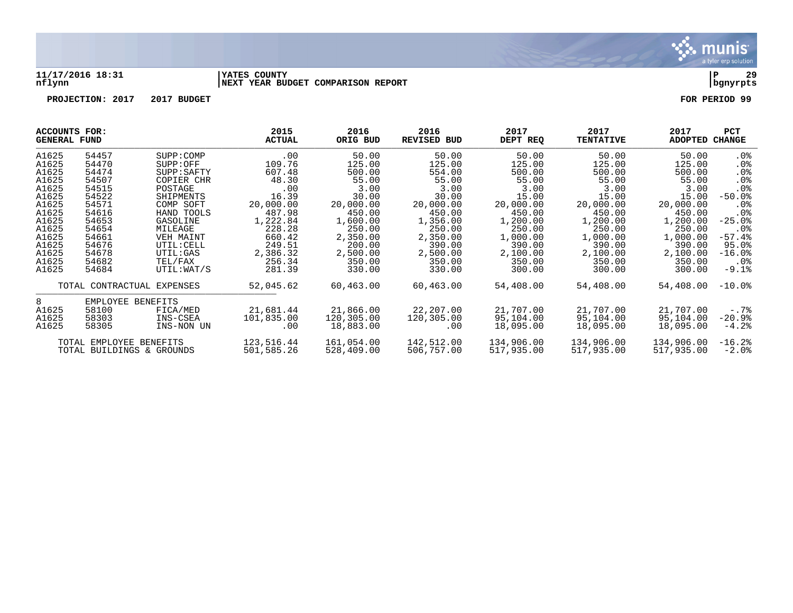

#### **11/17/2016 18:31 |YATES COUNTY |P 29 nflynn |NEXT YEAR BUDGET COMPARISON REPORT |bgnyrpts**

| ACCOUNTS FOR:<br><b>GENERAL FUND</b> |                           |             | 2015<br><b>ACTUAL</b> | 2016<br>ORIG BUD | 2016<br>REVISED BUD | 2017<br>DEPT REQ | 2017<br><b>TENTATIVE</b> | 2017<br>ADOPTED | <b>PCT</b><br><b>CHANGE</b> |
|--------------------------------------|---------------------------|-------------|-----------------------|------------------|---------------------|------------------|--------------------------|-----------------|-----------------------------|
| A1625                                | 54457                     | SUPP:COMP   | $.00 \,$              | 50.00            | 50.00               | 50.00            | 50.00                    | 50.00           | . 0%                        |
| A1625                                | 54470                     | SUPP:OFF    | 109.76                | 125.00           | 125.00              | 125.00           | 125.00                   | 125.00          | $.0\%$                      |
| A1625                                | 54474                     | SUPP: SAFTY | 607.48                | 500.00           | 554.00              | 500.00           | 500.00                   | 500.00          | $.0\%$                      |
| A1625                                | 54507                     | COPIER CHR  | 48.30                 | 55.00            | 55.00               | 55.00            | 55.00                    | 55.00           | .0 <sub>8</sub>             |
| A1625                                | 54515                     | POSTAGE     | .00                   | 3.00             | 3.00                | 3.00             | 3.00                     | 3.00            | .0%                         |
| A1625                                | 54522                     | SHIPMENTS   | 16.39                 | 30.00            | 30.00               | 15.00            | 15.00                    | 15.00           | $-50.0$ °                   |
| A1625                                | 54571                     | COMP SOFT   | 20,000.00             | 20,000.00        | 20,000.00           | 20,000.00        | 20,000.00                | 20,000.00       | $.0\%$                      |
| A1625                                | 54616                     | HAND TOOLS  | 487.98                | 450.00           | 450.00              | 450.00           | 450.00                   | 450.00          | . 0 %                       |
| A1625                                | 54653                     | GASOLINE    | 1,222.84              | 1,600.00         | 1,356.00            | 1,200.00         | 1,200.00                 | 1,200.00        | $-25.0%$                    |
| A1625                                | 54654                     | MILEAGE     | 228.28                | 250.00           | 250.00              | 250.00           | 250.00                   | 250.00          | $.0\%$                      |
| A1625                                | 54661                     | VEH MAINT   | 660.42                | 2,350.00         | 2,350.00            | 1,000.00         | 1,000.00                 | 1,000.00        | $-57.4%$                    |
| A1625                                | 54676                     | UTIL: CELL  | 249.51                | 200.00           | 390.00              | 390.00           | 390.00                   | 390.00          | 95.0%                       |
| A1625                                | 54678                     | UTIL:GAS    | 2,386.32              | 2,500.00         | 2,500.00            | 2,100.00         | 2,100.00                 | 2,100.00        | $-16.0%$                    |
| A1625                                | 54682                     | TEL/FAX     | 256.34                | 350.00           | 350.00              | 350.00           | 350.00                   | 350.00          | .0%                         |
| A1625                                | 54684                     | UTIL: WAT/S | 281.39                | 330.00           | 330.00              | 300.00           | 300.00                   | 300.00          | $-9.1%$                     |
|                                      | TOTAL CONTRACTUAL         | EXPENSES    | 52,045.62             | 60,463.00        | 60,463.00           | 54,408.00        | 54,408.00                | 54,408.00       | $-10.0$ °                   |
| 8                                    | EMPLOYEE BENEFITS         |             |                       |                  |                     |                  |                          |                 |                             |
| A1625                                | 58100                     | FICA/MED    | 21,681.44             | 21,866.00        | 22,207.00           | 21,707.00        | 21,707.00                | 21,707.00       | $-0.7\%$                    |
| A1625                                | 58303                     | INS-CSEA    | 101,835.00            | 120,305.00       | 120,305.00          | 95,104.00        | 95,104.00                | 95,104.00       | $-20.9%$                    |
| A1625                                | 58305                     | INS-NON UN  | .00                   | 18,883.00        | $.00 \,$            | 18,095.00        | 18,095.00                | 18,095.00       | $-4.2%$                     |
|                                      | TOTAL EMPLOYEE BENEFITS   |             | 123,516.44            | 161,054.00       | 142,512.00          | 134,906.00       | 134,906.00               | 134,906.00      | $-16.2%$                    |
|                                      | TOTAL BUILDINGS & GROUNDS |             | 501,585.26            | 528,409.00       | 506,757.00          | 517,935.00       | 517,935.00               | 517,935.00      | $-2.0$ %                    |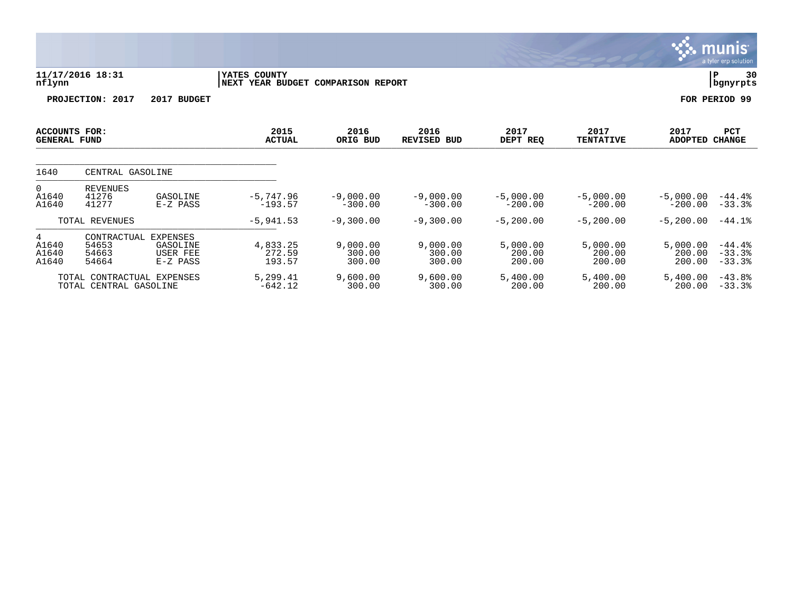|                                             |                                                      |                                           |                                                            |                              |                              |                              |                              |                              | <b>munis</b><br>a tyler erp solution |
|---------------------------------------------|------------------------------------------------------|-------------------------------------------|------------------------------------------------------------|------------------------------|------------------------------|------------------------------|------------------------------|------------------------------|--------------------------------------|
| nflynn                                      | 11/17/2016 18:31                                     |                                           | <b>IYATES COUNTY</b><br>NEXT YEAR BUDGET COMPARISON REPORT |                              |                              |                              |                              |                              | P.<br>30<br>  bgnyrpts               |
|                                             | PROJECTION: 2017                                     | 2017 BUDGET                               |                                                            |                              |                              |                              |                              |                              | FOR PERIOD 99                        |
| <b>ACCOUNTS FOR:</b><br><b>GENERAL FUND</b> |                                                      |                                           | 2015<br><b>ACTUAL</b>                                      | 2016<br>ORIG BUD             | 2016<br><b>REVISED BUD</b>   | 2017<br>DEPT REQ             | 2017<br><b>TENTATIVE</b>     | 2017<br><b>ADOPTED</b>       | <b>PCT</b><br><b>CHANGE</b>          |
| 1640                                        | CENTRAL GASOLINE                                     |                                           |                                                            |                              |                              |                              |                              |                              |                                      |
| 0<br>A1640<br>A1640                         | <b>REVENUES</b><br>41276<br>41277                    | GASOLINE<br>$E-Z$ PASS                    | $-5,747.96$<br>$-193.57$                                   | $-9,000.00$<br>$-300.00$     | $-9,000.00$<br>$-300.00$     | $-5,000.00$<br>$-200.00$     | $-5,000.00$<br>$-200.00$     | $-5,000.00$<br>$-200.00$     | $-44.4\%$<br>$-33.3%$                |
|                                             | TOTAL REVENUES                                       |                                           | $-5, 941.53$                                               | $-9,300.00$                  | $-9,300.00$                  | $-5, 200.00$                 | $-5, 200.00$                 | $-5,200.00$                  | $-44.1%$                             |
| 4<br>A1640<br>A1640<br>A1640                | CONTRACTUAL EXPENSES<br>54653<br>54663<br>54664      | GASOLINE<br><b>USER FEE</b><br>$E-Z$ PASS | 4,833.25<br>272.59<br>193.57                               | 9,000.00<br>300.00<br>300.00 | 9,000.00<br>300.00<br>300.00 | 5,000.00<br>200.00<br>200.00 | 5,000.00<br>200.00<br>200.00 | 5,000.00<br>200.00<br>200.00 | $-44.4%$<br>$-33.3%$<br>$-33.3%$     |
|                                             | TOTAL CONTRACTUAL EXPENSES<br>TOTAL CENTRAL GASOLINE |                                           | 5,299.41<br>$-642.12$                                      | 9,600.00<br>300.00           | 9,600.00<br>300.00           | 5,400.00<br>200.00           | 5,400.00<br>200.00           | 5,400.00<br>200.00           | $-43.8%$<br>$-33.3%$                 |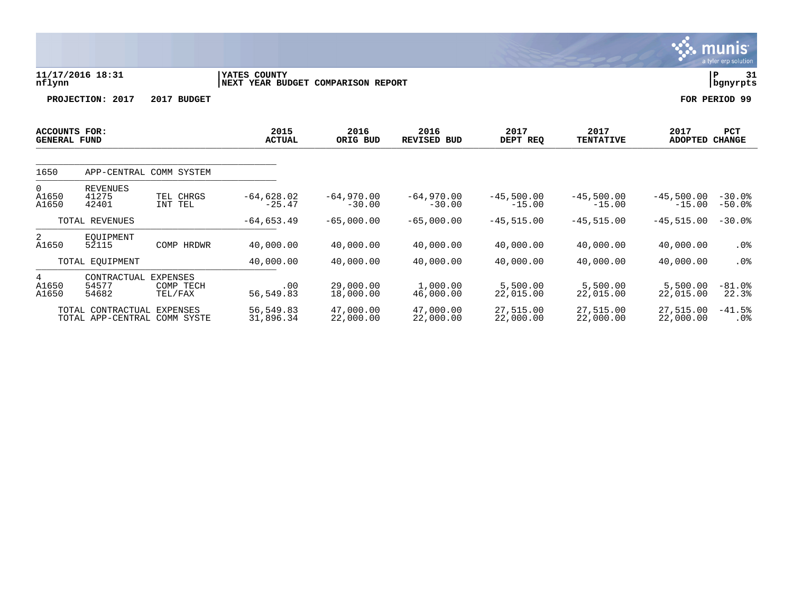|                                             |                               |                                         |                                         |                          |                            |                          |                          |                          | a tyler cip solution |
|---------------------------------------------|-------------------------------|-----------------------------------------|-----------------------------------------|--------------------------|----------------------------|--------------------------|--------------------------|--------------------------|----------------------|
| nflynn                                      | 11/17/2016 18:31              |                                         | YATES COUNTY<br><b>NEXT YEAR BUDGET</b> | <b>COMPARISON REPORT</b> |                            |                          |                          |                          |                      |
|                                             | PROJECTION: 2017              | 2017 BUDGET                             |                                         |                          |                            |                          |                          |                          | FOR PERIOD 99        |
| <b>ACCOUNTS FOR:</b><br><b>GENERAL FUND</b> |                               |                                         | 2015<br><b>ACTUAL</b>                   | 2016<br>ORIG BUD         | 2016<br><b>REVISED BUD</b> | 2017<br>DEPT REQ         | 2017<br><b>TENTATIVE</b> | 2017<br><b>ADOPTED</b>   | PCT<br><b>CHANGE</b> |
| 1650                                        |                               | APP-CENTRAL COMM SYSTEM                 |                                         |                          |                            |                          |                          |                          |                      |
| 0<br>A1650<br>A1650                         | REVENUES<br>41275<br>42401    | TEL CHRGS<br>INT TEL                    | $-64,628.02$<br>$-25.47$                | $-64,970.00$<br>$-30.00$ | $-64,970.00$<br>$-30.00$   | $-45,500.00$<br>$-15.00$ | $-45,500.00$<br>$-15.00$ | $-45,500.00$<br>$-15.00$ | $-30.0%$<br>$-50.0%$ |
|                                             | TOTAL REVENUES                |                                         | $-64,653.49$                            | $-65,000.00$             | $-65,000.00$               | $-45,515.00$             | $-45,515.00$             | $-45,515.00$             | $-30.0%$             |
| $\overline{2}$<br>A1650                     | EOUIPMENT<br>52115            | COMP<br>HRDWR                           | 40,000.00                               | 40,000.00                | 40,000.00                  | 40,000.00                | 40,000.00                | 40,000.00                | .0%                  |
|                                             | TOTAL EQUIPMENT               |                                         | 40,000.00                               | 40,000.00                | 40,000.00                  | 40,000.00                | 40,000.00                | 40,000.00                | $.0\%$               |
| 4<br>A1650<br>A1650                         | CONTRACTUAL<br>54577<br>54682 | <b>EXPENSES</b><br>COMP TECH<br>TEL/FAX | .00<br>56,549.83                        | 29,000.00<br>18,000.00   | 1,000.00<br>46,000.00      | 5,500.00<br>22,015.00    | 5,500.00<br>22,015.00    | 5,500.00<br>22,015.00    | $-81.0%$<br>22.3%    |

 $\ddot{\mathbf{w}}$  munis

TOTAL CONTRACTUAL EXPENSES 56,549.83 47,000.00 47,000.00 27,515.00 27,515.00 27,515.00 -41.5% TOTAL APP-CENTRAL COMM SYSTE 31,896.34 22,000.00 22,000.00 22,000.00 22,000.00 22,000.00 .0%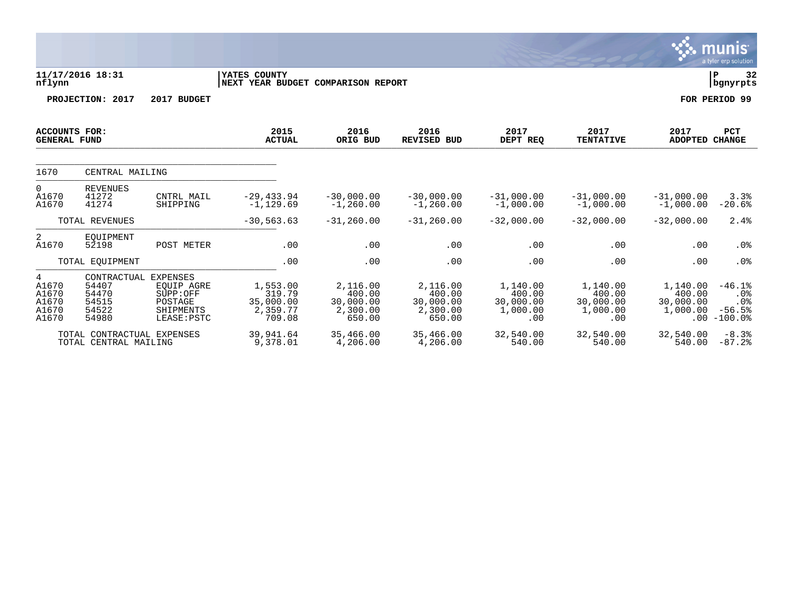|                                                |                                                          |                                                                                  |                                                       |                                                       |                                                       |                                                    |                                                    |                                             | munis<br>a tyler erp solution                           |
|------------------------------------------------|----------------------------------------------------------|----------------------------------------------------------------------------------|-------------------------------------------------------|-------------------------------------------------------|-------------------------------------------------------|----------------------------------------------------|----------------------------------------------------|---------------------------------------------|---------------------------------------------------------|
| nflynn                                         | 11/17/2016 18:31                                         |                                                                                  | YATES COUNTY<br>NEXT YEAR BUDGET COMPARISON REPORT    |                                                       |                                                       |                                                    |                                                    |                                             | ΙP<br>32<br>  bgnyrpts                                  |
|                                                | PROJECTION: 2017                                         | 2017 BUDGET                                                                      |                                                       |                                                       |                                                       |                                                    |                                                    |                                             | FOR PERIOD 99                                           |
| <b>ACCOUNTS FOR:</b><br><b>GENERAL FUND</b>    |                                                          |                                                                                  | 2015<br><b>ACTUAL</b>                                 | 2016<br>ORIG BUD                                      | 2016<br><b>REVISED BUD</b>                            | 2017<br>DEPT REQ                                   | 2017<br><b>TENTATIVE</b>                           | 2017<br><b>ADOPTED</b>                      | PCT<br><b>CHANGE</b>                                    |
| 1670                                           | CENTRAL MAILING                                          |                                                                                  |                                                       |                                                       |                                                       |                                                    |                                                    |                                             |                                                         |
| $\Omega$<br>A1670<br>A1670                     | <b>REVENUES</b><br>41272<br>41274                        | CNTRL MAIL<br>SHIPPING                                                           | $-29, 433.94$<br>$-1, 129.69$                         | $-30,000.00$<br>$-1, 260.00$                          | $-30,000.00$<br>$-1, 260.00$                          | $-31,000.00$<br>$-1,000.00$                        | $-31,000.00$<br>$-1,000.00$                        | $-31,000.00$<br>$-1,000.00$                 | 3.3%<br>$-20.6%$                                        |
|                                                | TOTAL REVENUES                                           |                                                                                  | $-30, 563.63$                                         | $-31, 260.00$                                         | $-31, 260.00$                                         | $-32,000.00$                                       | $-32,000.00$                                       | $-32,000.00$                                | 2.4%                                                    |
| 2<br>A1670                                     | EOUIPMENT<br>52198                                       | POST METER                                                                       | .00                                                   | .00                                                   | .00                                                   | .00                                                | .00                                                | .00                                         | .0%                                                     |
|                                                | TOTAL EQUIPMENT                                          |                                                                                  | .00                                                   | .00                                                   | .00                                                   | .00                                                | .00                                                | .00                                         | .0%                                                     |
| 4<br>A1670<br>A1670<br>A1670<br>A1670<br>A1670 | CONTRACTUAL<br>54407<br>54470<br>54515<br>54522<br>54980 | <b>EXPENSES</b><br>EOUIP AGRE<br>SUPP:OFF<br>POSTAGE<br>SHIPMENTS<br>LEASE: PSTC | 1,553.00<br>319.79<br>35,000.00<br>2,359.77<br>709.08 | 2,116.00<br>400.00<br>30,000.00<br>2,300.00<br>650.00 | 2,116.00<br>400.00<br>30,000.00<br>2,300.00<br>650.00 | 1,140.00<br>400.00<br>30,000.00<br>1,000.00<br>.00 | 1,140.00<br>400.00<br>30,000.00<br>1,000.00<br>.00 | 1,140.00<br>400.00<br>30,000.00<br>1,000.00 | $-46.1%$<br>$.0\%$<br>.0%<br>$-56.5%$<br>$.00 - 100.0%$ |
|                                                | TOTAL CONTRACTUAL EXPENSES<br>TOTAL CENTRAL MAILING      |                                                                                  | 39,941.64<br>9,378.01                                 | 35,466.00<br>4,206.00                                 | 35,466.00<br>4,206.00                                 | 32,540.00<br>540.00                                | 32,540.00<br>540.00                                | 32,540.00<br>540.00                         | $-8.3%$<br>$-87.2%$                                     |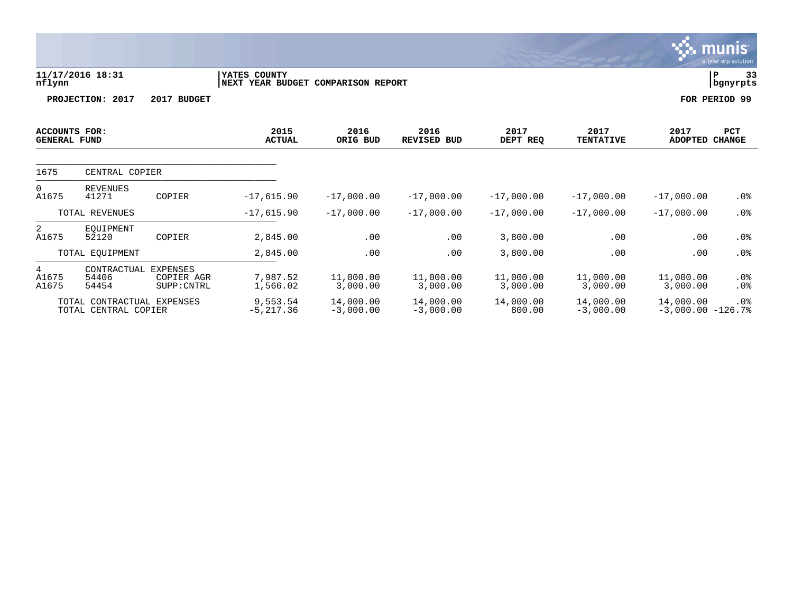**11/17/2016 18:31 |YATES COUNTY |P 33 nflynn |NEXT YEAR BUDGET COMPARISON REPORT |bgnyrpts PROJECTION:** 2017 2017 BUDGET FOR PERIOD 99

| 2015<br>ACCOUNTS FOR:<br><b>ACTUAL</b><br><b>GENERAL FUND</b> |                               |                                              |                         | 2016<br>ORIG BUD         | 2016<br><b>REVISED BUD</b> | 2017<br>DEPT REQ      | 2017<br><b>TENTATIVE</b> | 2017<br><b>ADOPTED</b>           | <b>PCT</b><br><b>CHANGE</b> |
|---------------------------------------------------------------|-------------------------------|----------------------------------------------|-------------------------|--------------------------|----------------------------|-----------------------|--------------------------|----------------------------------|-----------------------------|
| 1675                                                          | CENTRAL COPIER                |                                              |                         |                          |                            |                       |                          |                                  |                             |
| $\Omega$<br>A1675                                             | REVENUES<br>41271             | COPIER                                       | $-17,615.90$            | $-17,000.00$             | $-17,000.00$               | $-17,000.00$          | $-17,000.00$             | $-17,000.00$                     | .0%                         |
| TOTAL REVENUES                                                |                               |                                              | $-17,615.90$            | $-17,000.00$             | $-17,000.00$               | $-17,000.00$          | $-17,000.00$             | $-17,000.00$                     | $.0\%$                      |
| 2<br>A1675                                                    | EOUIPMENT<br>52120            | COPIER                                       | 2,845.00                | .00                      | .00                        | 3,800.00              | .00                      | .00                              | $.0\%$                      |
| TOTAL EOUIPMENT                                               |                               |                                              | 2,845.00                | .00                      | .00                        | 3,800.00              | .00                      | .00                              | $.0\%$                      |
| 4<br>A1675<br>A1675                                           | CONTRACTUAL<br>54406<br>54454 | <b>EXPENSES</b><br>COPIER AGR<br>SUPP: CNTRL | 7,987.52<br>1,566.02    | 11,000.00<br>3,000.00    | 11,000.00<br>3,000.00      | 11,000.00<br>3,000.00 | 11,000.00<br>3,000.00    | 11,000.00<br>3,000.00            | $.0\%$<br>$.0\%$            |
| TOTAL<br>CONTRACTUAL EXPENSES<br>TOTAL CENTRAL COPIER         |                               |                                              | 9,553.54<br>$-5,217.36$ | 14,000.00<br>$-3,000.00$ | 14,000.00<br>$-3,000.00$   | 14,000.00<br>800.00   | 14,000.00<br>$-3,000.00$ | 14,000.00<br>$-3,000.00 - 126.7$ | $.0\%$                      |

munis a tyler erp solution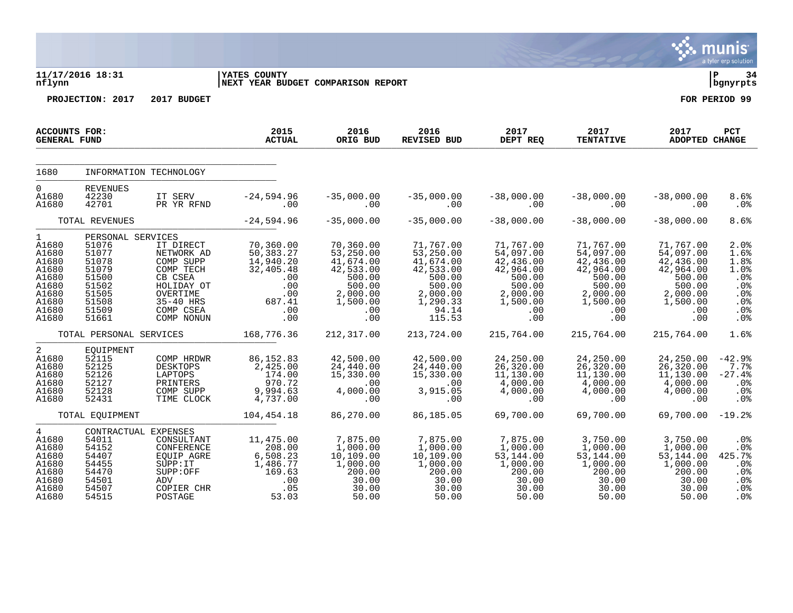|                                                                                                        |                                                                                                             |                                                                                                                                |                                                                                                |                                                                                                            |                                                                                                                 |                                                                                                            |                                                                                                            |                                                                                                            | a tyler erp solution                                                               |
|--------------------------------------------------------------------------------------------------------|-------------------------------------------------------------------------------------------------------------|--------------------------------------------------------------------------------------------------------------------------------|------------------------------------------------------------------------------------------------|------------------------------------------------------------------------------------------------------------|-----------------------------------------------------------------------------------------------------------------|------------------------------------------------------------------------------------------------------------|------------------------------------------------------------------------------------------------------------|------------------------------------------------------------------------------------------------------------|------------------------------------------------------------------------------------|
| nflynn                                                                                                 | 11/17/2016 18:31                                                                                            |                                                                                                                                | <b>YATES COUNTY</b><br><b>INEXT YEAR BUDGET COMPARISON REPORT</b>                              |                                                                                                            |                                                                                                                 |                                                                                                            |                                                                                                            |                                                                                                            | ΙP<br>34<br>  bgnyrpts                                                             |
|                                                                                                        | PROJECTION: 2017                                                                                            | 2017 BUDGET                                                                                                                    |                                                                                                |                                                                                                            |                                                                                                                 |                                                                                                            |                                                                                                            |                                                                                                            | FOR PERIOD 99                                                                      |
| <b>ACCOUNTS FOR:</b><br><b>GENERAL FUND</b>                                                            |                                                                                                             |                                                                                                                                | 2015<br><b>ACTUAL</b>                                                                          | 2016<br>ORIG BUD                                                                                           | 2016<br>REVISED BUD                                                                                             | 2017<br>DEPT REQ                                                                                           | 2017<br><b>TENTATIVE</b>                                                                                   | 2017<br><b>ADOPTED CHANGE</b>                                                                              | PCT                                                                                |
| 1680                                                                                                   |                                                                                                             | INFORMATION TECHNOLOGY                                                                                                         |                                                                                                |                                                                                                            |                                                                                                                 |                                                                                                            |                                                                                                            |                                                                                                            |                                                                                    |
| $\mathbf 0$<br>A1680<br>A1680                                                                          | <b>REVENUES</b><br>42230<br>42701                                                                           | IT SERV<br>PR YR RFND                                                                                                          | $-24,594.96$<br>.00                                                                            | $-35,000.00$<br>.00                                                                                        | $-35,000.00$<br>.00                                                                                             | $-38,000.00$<br>.00                                                                                        | $-38,000.00$<br>.00                                                                                        | $-38,000.00$<br>.00                                                                                        | 8.6%<br>.0%                                                                        |
|                                                                                                        | TOTAL REVENUES                                                                                              |                                                                                                                                | $-24,594.96$                                                                                   | $-35,000.00$                                                                                               | $-35,000.00$                                                                                                    | $-38,000.00$                                                                                               | $-38,000.00$                                                                                               | $-38,000.00$                                                                                               | 8.6%                                                                               |
| $\mathbf{1}$<br>A1680<br>A1680<br>A1680<br>A1680<br>A1680<br>A1680<br>A1680<br>A1680<br>A1680<br>A1680 | PERSONAL SERVICES<br>51076<br>51077<br>51078<br>51079<br>51500<br>51502<br>51505<br>51508<br>51509<br>51661 | IT DIRECT<br>NETWORK AD<br>COMP SUPP<br>COMP TECH<br>CB CSEA<br>HOLIDAY OT<br>OVERTIME<br>35-40 HRS<br>COMP CSEA<br>COMP NONUN | 70,360.00<br>50, 383.27<br>14,940.20<br>32,405.48<br>.00<br>.00<br>.00<br>687.41<br>.00<br>.00 | 70,360.00<br>53,250.00<br>41,674.00<br>42,533.00<br>500.00<br>500.00<br>2,000.00<br>1,500.00<br>.00<br>.00 | 71,767.00<br>53,250.00<br>41,674.00<br>42,533.00<br>500.00<br>500.00<br>2,000.00<br>1,290.33<br>94.14<br>115.53 | 71,767.00<br>54,097.00<br>42,436.00<br>42,964.00<br>500.00<br>500.00<br>2,000.00<br>1,500.00<br>.00<br>.00 | 71,767.00<br>54,097.00<br>42,436.00<br>42,964.00<br>500.00<br>500.00<br>2,000.00<br>1,500.00<br>.00<br>.00 | 71,767.00<br>54,097.00<br>42,436.00<br>42,964.00<br>500.00<br>500.00<br>2,000.00<br>1,500.00<br>.00<br>.00 | 2.0%<br>1.6%<br>1.8%<br>1.0%<br>.0%<br>.0%<br>.0%<br>.0%<br>.0%<br>.0 <sub>8</sub> |
|                                                                                                        | TOTAL PERSONAL SERVICES                                                                                     |                                                                                                                                | 168,776.36                                                                                     | 212,317.00                                                                                                 | 213,724.00                                                                                                      | 215,764.00                                                                                                 | 215,764.00                                                                                                 | 215,764.00                                                                                                 | 1.6%                                                                               |
| $\overline{2}$<br>A1680<br>A1680<br>A1680<br>A1680<br>A1680<br>A1680                                   | EQUIPMENT<br>52115<br>52125<br>52126<br>52127<br>52128<br>52431                                             | COMP HRDWR<br><b>DESKTOPS</b><br>LAPTOPS<br>PRINTERS<br>COMP SUPP<br>TIME CLOCK                                                | 86,152.83<br>2,425.00<br>174.00<br>970.72<br>9,994.63<br>4,737.00                              | 42,500.00<br>24,440.00<br>15,330.00<br>.00<br>4,000.00<br>.00                                              | 42,500.00<br>24,440.00<br>15,330.00<br>.00<br>3,915.05<br>.00                                                   | 24,250.00<br>26, 320.00<br>11, 130.00<br>4,000.00<br>4,000.00<br>.00                                       | 24,250.00<br>26, 320.00<br>11, 130.00<br>4,000.00<br>4,000.00<br>.00                                       | 24,250.00<br>26,320.00<br>11,130.00<br>4,000.00<br>4,000.00<br>.00                                         | $-42.9%$<br>7.7%<br>$-27.4%$<br>.0%<br>.0%<br>.0%                                  |
|                                                                                                        | TOTAL EOUIPMENT                                                                                             |                                                                                                                                | 104,454.18                                                                                     | 86,270.00                                                                                                  | 86,185.05                                                                                                       | 69,700.00                                                                                                  | 69,700.00                                                                                                  | 69,700.00                                                                                                  | $-19.2%$                                                                           |
| $\overline{4}$<br>A1680<br>A1680<br>A1680<br>A1680<br>A1680<br>A1680<br>A1680<br>A1680                 | CONTRACTUAL EXPENSES<br>54011<br>54152<br>54407<br>54455<br>54470<br>54501<br>54507<br>54515                | CONSULTANT<br>CONFERENCE<br>EQUIP AGRE<br>SUPP:IT<br>SUPP:OFF<br>ADV<br>COPIER CHR<br>POSTAGE                                  | 11,475.00<br>208.00<br>6,508.23<br>1,486.77<br>169.63<br>.00<br>.05<br>53.03                   | 7,875.00<br>1,000.00<br>10,109.00<br>1,000.00<br>200.00<br>30.00<br>30.00<br>50.00                         | 7,875.00<br>1,000.00<br>10,109.00<br>1,000.00<br>200.00<br>30.00<br>30.00<br>50.00                              | 7,875.00<br>1,000.00<br>53,144.00<br>1,000.00<br>200.00<br>30.00<br>30.00<br>50.00                         | 3,750.00<br>1,000.00<br>53,144.00<br>1,000.00<br>200.00<br>30.00<br>30.00<br>50.00                         | 3,750.00<br>1,000.00<br>53, 144.00<br>1,000.00<br>200.00<br>30.00<br>30.00<br>50.00                        | .0 <sub>8</sub><br>.0%<br>425.7%<br>.0%<br>.0%<br>.0%<br>.0%<br>.0 <sub>8</sub>    |

# $\therefore$  munis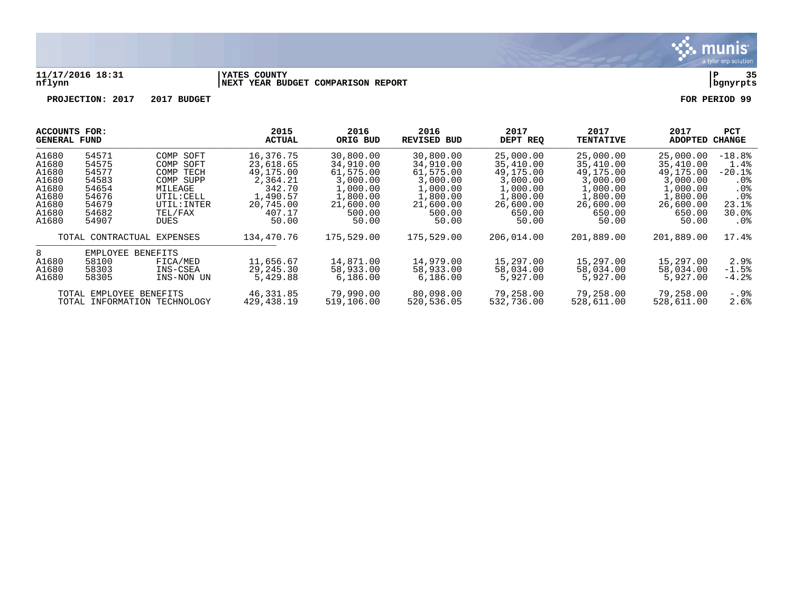

#### **11/17/2016 18:31 |YATES COUNTY |P 35 nflynn |NEXT YEAR BUDGET COMPARISON REPORT |bgnyrpts**

| ACCOUNTS FOR:<br><b>GENERAL FUND</b> |                         | 2015<br><b>ACTUAL</b>        | 2016<br>ORIG BUD | 2016<br>REVISED BUD | 2017<br>DEPT REQ | 2017<br><b>TENTATIVE</b> | 2017<br><b>ADOPTED</b> | PCT<br><b>CHANGE</b> |                 |
|--------------------------------------|-------------------------|------------------------------|------------------|---------------------|------------------|--------------------------|------------------------|----------------------|-----------------|
| A1680                                | 54571                   | COMP SOFT                    | 16,376.75        | 30,800.00           | 30,800.00        | 25,000.00                | 25,000.00              | 25,000.00            | $-18.8%$        |
| A1680                                | 54575                   | COMP<br>SOFT                 | 23,618.65        | 34,910.00           | 34,910.00        | 35,410.00                | 35,410.00              | 35,410.00            | 1.4%            |
| A1680                                | 54577                   | TECH<br>COMP                 | 49,175.00        | 61,575.00           | 61,575.00        | 49,175.00                | 49,175.00              | 49,175.00            | $-20.1%$        |
| A1680                                | 54583                   | COMP SUPP                    | 2,364.21         | 3,000.00            | 3,000.00         | 3,000.00                 | 3,000.00               | 3,000.00             | $.0\%$          |
| A1680                                | 54654                   | MILEAGE                      | 342.70           | 1,000.00            | 1,000.00         | 1,000.00                 | 1,000.00               | 1,000.00             | . 0 %           |
| A1680                                | 54676                   | UTIL: CELL                   | 1,490.57         | 1,800.00            | 1,800.00         | 1,800.00                 | 1,800.00               | 1,800.00             | .0 <sub>8</sub> |
| A1680                                | 54679                   | UTIL: INTER                  | 20,745.00        | 21,600.00           | 21,600.00        | 26,600.00                | 26,600.00              | 26,600.00            | 23.1%           |
| A1680                                | 54682                   | TEL/FAX                      | 407.17           | 500.00              | 500.00           | 650.00                   | 650.00                 | 650.00               | 30.0%           |
| A1680                                | 54907                   | DUES                         | 50.00            | 50.00               | 50.00            | 50.00                    | 50.00                  | 50.00                | $.0\%$          |
| TOTAL CONTRACTUAL EXPENSES           |                         | 134,470.76                   | 175,529.00       | 175,529.00          | 206,014.00       | 201,889.00               | 201,889.00             | 17.4%                |                 |
| 8                                    | EMPLOYEE                | <b>BENEFITS</b>              |                  |                     |                  |                          |                        |                      |                 |
| A1680                                | 58100                   | FICA/MED                     | 11,656.67        | 14,871.00           | 14,979.00        | 15,297.00                | 15,297.00              | 15,297.00            | 2.9%            |
| A1680                                | 58303                   | INS-CSEA                     | 29, 245.30       | 58,933.00           | 58,933.00        | 58,034.00                | 58,034.00              | 58,034.00            | $-1.5%$         |
| A1680                                | 58305                   | INS-NON UN                   | 5,429.88         | 6,186.00            | 6,186.00         | 5,927.00                 | 5,927.00               | 5,927,00             | $-4.2%$         |
|                                      | TOTAL EMPLOYEE BENEFITS |                              | 46,331.85        | 79,990.00           | 80,098.00        | 79,258.00                | 79,258.00              | 79,258.00            | -.9%            |
|                                      |                         | TOTAL INFORMATION TECHNOLOGY | 429, 438.19      | 519,106.00          | 520,536.05       | 532,736.00               | 528,611.00             | 528,611.00           | 2.6%            |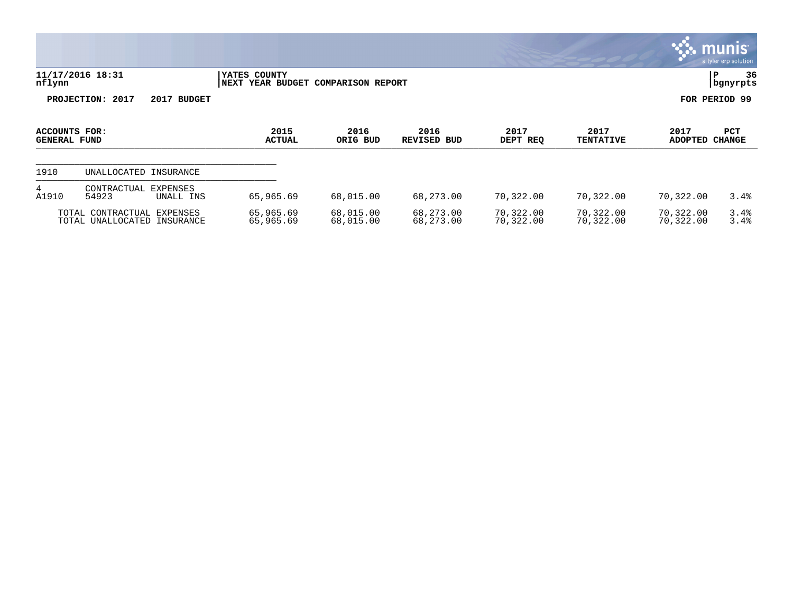|                               |                                                                 |                                          |                          |                            |                        |                          |                        | <b>munis</b><br>a tyler erp solution |
|-------------------------------|-----------------------------------------------------------------|------------------------------------------|--------------------------|----------------------------|------------------------|--------------------------|------------------------|--------------------------------------|
| nflynn                        | 11/17/2016 18:31                                                | YATES COUNTY<br><b> NEXT YEAR BUDGET</b> | <b>COMPARISON REPORT</b> |                            |                        |                          | ∣P                     | 36<br>  bgnyrpts                     |
|                               | PROJECTION: 2017<br>2017 BUDGET                                 |                                          |                          |                            |                        |                          |                        | FOR PERIOD 99                        |
| ACCOUNTS FOR:<br>GENERAL FUND |                                                                 | 2015<br><b>ACTUAL</b>                    | 2016<br>ORIG BUD         | 2016<br><b>REVISED BUD</b> | 2017<br>DEPT REQ       | 2017<br><b>TENTATIVE</b> | 2017<br><b>ADOPTED</b> | PCT<br><b>CHANGE</b>                 |
| 1910                          | UNALLOCATED INSURANCE                                           |                                          |                          |                            |                        |                          |                        |                                      |
| 4<br>A1910                    | CONTRACTUAL<br>EXPENSES<br>54923<br>UNALL INS                   | 65,965.69                                | 68,015.00                | 68,273.00                  | 70,322.00              | 70,322.00                | 70,322.00              | 3.4%                                 |
|                               | TOTAL CONTRACTUAL<br>EXPENSES<br>TOTAL UNALLOCATED<br>INSURANCE | 65,965.69<br>65,965.69                   | 68,015.00<br>68,015.00   | 68,273.00<br>68,273.00     | 70,322.00<br>70,322.00 | 70,322.00<br>70,322.00   | 70,322.00<br>70,322.00 | 3.4%<br>3.4%                         |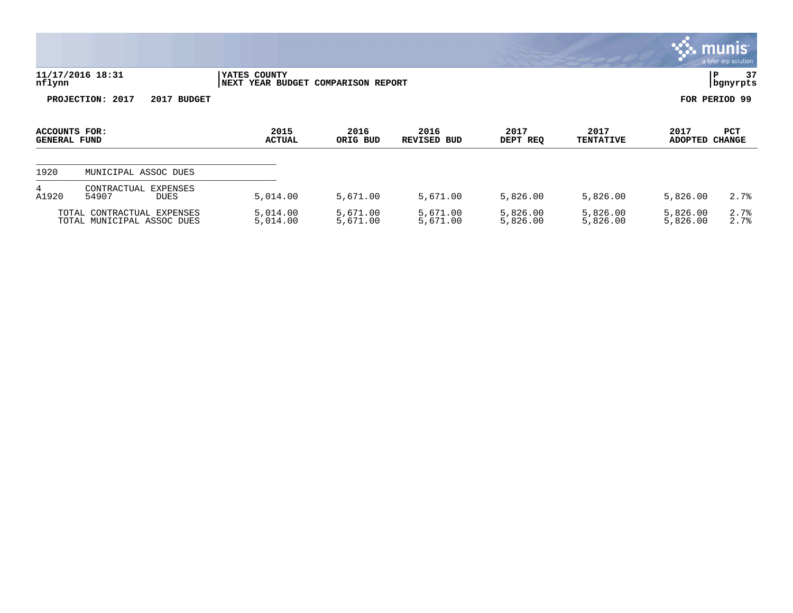|                                      |                                                          |                                                    |                      |                            |                      |                          |                        | munis l<br>a tyler erp solution |
|--------------------------------------|----------------------------------------------------------|----------------------------------------------------|----------------------|----------------------------|----------------------|--------------------------|------------------------|---------------------------------|
| nflynn                               | 11/17/2016 18:31                                         | YATES COUNTY<br>NEXT YEAR BUDGET COMPARISON REPORT |                      |                            |                      |                          | IΡ                     | 37<br>bgnyrpts                  |
|                                      | PROJECTION: 2017<br>2017 BUDGET                          |                                                    |                      |                            |                      |                          | FOR PERIOD 99          |                                 |
| ACCOUNTS FOR:<br><b>GENERAL FUND</b> |                                                          | 2015<br><b>ACTUAL</b>                              | 2016<br>ORIG BUD     | 2016<br><b>REVISED BUD</b> | 2017<br>DEPT REQ     | 2017<br><b>TENTATIVE</b> | 2017<br>ADOPTED CHANGE | <b>PCT</b>                      |
| 1920                                 | MUNICIPAL ASSOC DUES                                     |                                                    |                      |                            |                      |                          |                        |                                 |
| 4<br>A1920                           | <b>EXPENSES</b><br>CONTRACTUAL<br>54907<br><b>DUES</b>   | 5,014.00                                           | 5,671.00             | 5,671.00                   | 5,826.00             | 5,826.00                 | 5,826.00               | 2.7%                            |
|                                      | TOTAL CONTRACTUAL EXPENSES<br>TOTAL MUNICIPAL ASSOC DUES | 5,014.00<br>5,014.00                               | 5,671.00<br>5,671.00 | 5,671.00<br>5,671.00       | 5,826.00<br>5,826.00 | 5,826.00<br>5,826.00     | 5,826.00<br>5,826.00   | 2.7%<br>2.7%                    |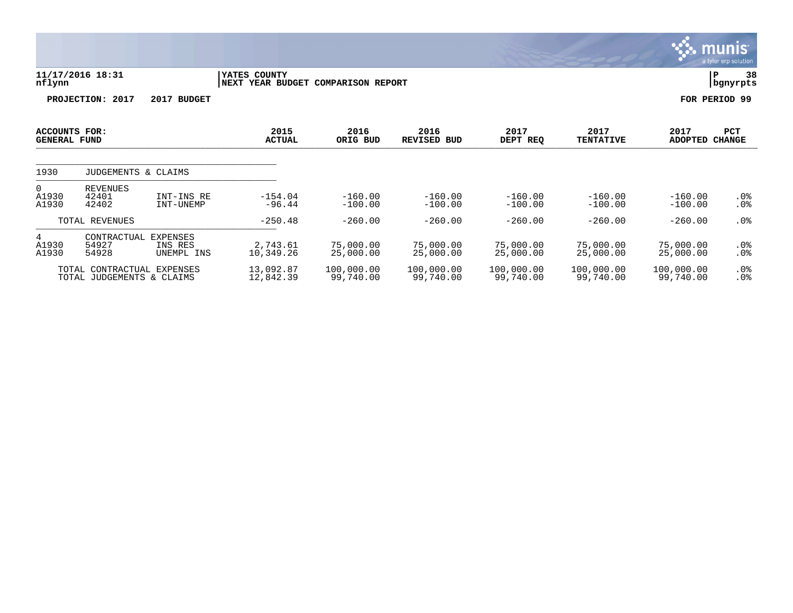|                                      |                                                |                                          |                                                    |                         |                            |                         |                          |                         | <b>munis</b><br>a tyler erp solution. |
|--------------------------------------|------------------------------------------------|------------------------------------------|----------------------------------------------------|-------------------------|----------------------------|-------------------------|--------------------------|-------------------------|---------------------------------------|
| nflynn                               | 11/17/2016 18:31                               |                                          | YATES COUNTY<br>NEXT YEAR BUDGET COMPARISON REPORT |                         |                            |                         |                          |                         | 38<br>P<br>  bgnyrpts                 |
|                                      | PROJECTION: 2017                               | 2017 BUDGET                              |                                                    |                         |                            |                         |                          |                         | FOR PERIOD 99                         |
| ACCOUNTS FOR:<br><b>GENERAL FUND</b> |                                                |                                          | 2015<br><b>ACTUAL</b>                              | 2016<br>ORIG BUD        | 2016<br><b>REVISED BUD</b> | 2017<br>DEPT REQ        | 2017<br><b>TENTATIVE</b> | 2017<br><b>ADOPTED</b>  | PCT<br><b>CHANGE</b>                  |
| 1930                                 | JUDGEMENTS & CLAIMS                            |                                          |                                                    |                         |                            |                         |                          |                         |                                       |
| 0<br>A1930<br>A1930                  | <b>REVENUES</b><br>42401<br>42402              | INT-INS RE<br>INT-UNEMP                  | $-154.04$<br>$-96.44$                              | $-160.00$<br>$-100.00$  | $-160.00$<br>$-100.00$     | $-160.00$<br>$-100.00$  | $-160.00$<br>$-100.00$   | $-160.00$<br>$-100.00$  | $.0\%$<br>$.0\%$                      |
|                                      | TOTAL REVENUES                                 |                                          | $-250.48$                                          | $-260.00$               | $-260.00$                  | $-260.00$               | $-260.00$                | $-260.00$               | $.0\%$                                |
| 4<br>A1930<br>A1930                  | CONTRACTUAL<br>54927<br>54928                  | <b>EXPENSES</b><br>INS RES<br>UNEMPL INS | 2,743.61<br>10,349.26                              | 75,000.00<br>25,000.00  | 75,000.00<br>25,000.00     | 75,000.00<br>25,000.00  | 75,000.00<br>25,000.00   | 75,000.00<br>25,000.00  | $.0\%$<br>$.0\%$                      |
|                                      | TOTAL CONTRACTUAL<br>TOTAL JUDGEMENTS & CLAIMS | EXPENSES                                 | 13,092.87<br>12,842.39                             | 100,000.00<br>99,740.00 | 100,000.00<br>99,740.00    | 100,000.00<br>99,740.00 | 100,000.00<br>99,740.00  | 100,000.00<br>99,740.00 | $.0\%$<br>. 0%                        |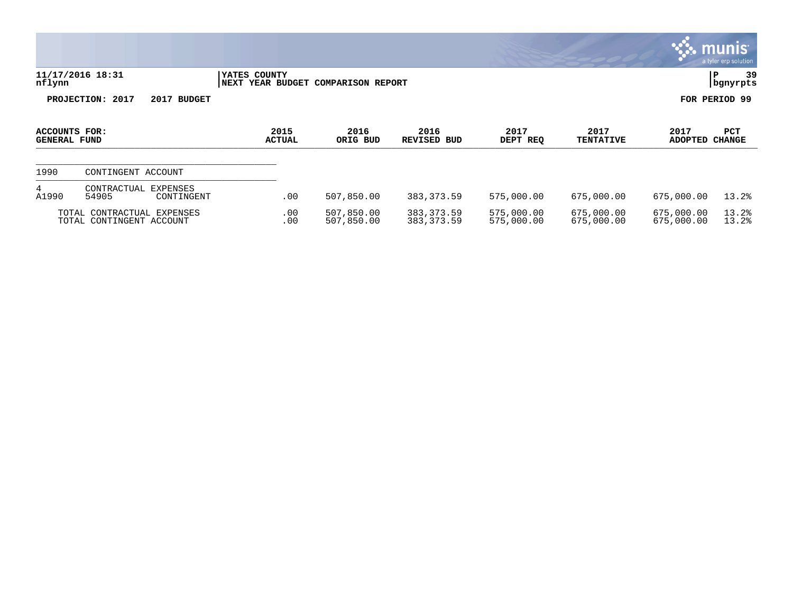|                                      |                                                        |                       |                                    |                            |                          |                          |                          | munis'<br>a tyler erp solution |
|--------------------------------------|--------------------------------------------------------|-----------------------|------------------------------------|----------------------------|--------------------------|--------------------------|--------------------------|--------------------------------|
| nflynn                               | 11/17/2016 18:31                                       | YATES COUNTY          | NEXT YEAR BUDGET COMPARISON REPORT |                            |                          |                          |                          | P<br>39<br>bgnyrpts            |
|                                      | PROJECTION: 2017<br>2017 BUDGET                        |                       |                                    |                            |                          |                          |                          | FOR PERIOD 99                  |
| ACCOUNTS FOR:<br><b>GENERAL FUND</b> |                                                        | 2015<br><b>ACTUAL</b> | 2016<br>ORIG BUD                   | 2016<br><b>REVISED BUD</b> | 2017<br>DEPT REQ         | 2017<br><b>TENTATIVE</b> | 2017<br><b>ADOPTED</b>   | <b>PCT</b><br><b>CHANGE</b>    |
| 1990                                 | CONTINGENT ACCOUNT                                     |                       |                                    |                            |                          |                          |                          |                                |
| 4<br>A1990                           | CONTRACTUAL<br>EXPENSES<br>54905<br>CONTINGENT         | .00                   | 507,850.00                         | 383,373.59                 | 575,000.00               | 675,000.00               | 675,000.00               | 13.2%                          |
|                                      | TOTAL CONTRACTUAL EXPENSES<br>TOTAL CONTINGENT ACCOUNT | .00<br>.00            | 507,850.00<br>507,850.00           | 383, 373.59<br>383, 373.59 | 575,000.00<br>575,000.00 | 675,000.00<br>675,000.00 | 675,000.00<br>675,000.00 | 13.2%<br>13.2%                 |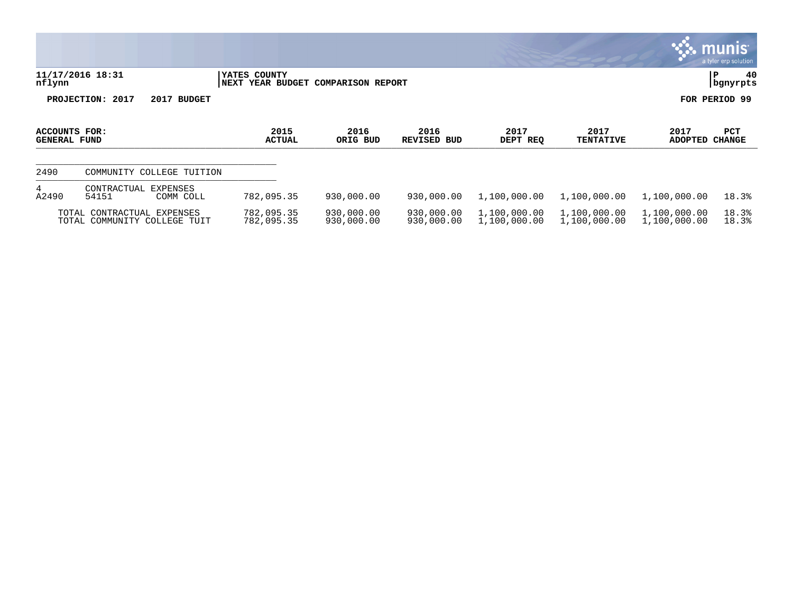|                                      |                                                            |                                                    |                          |                            |                              |                              |                              | <b>munis</b><br>a tyler erp solution |
|--------------------------------------|------------------------------------------------------------|----------------------------------------------------|--------------------------|----------------------------|------------------------------|------------------------------|------------------------------|--------------------------------------|
| nflynn                               | 11/17/2016 18:31                                           | YATES COUNTY<br>NEXT YEAR BUDGET COMPARISON REPORT |                          |                            |                              |                              |                              | 40<br> P<br>  bgnyrpts               |
|                                      | PROJECTION: 2017<br>2017 BUDGET                            |                                                    |                          |                            |                              |                              |                              | FOR PERIOD 99                        |
| ACCOUNTS FOR:<br><b>GENERAL FUND</b> |                                                            | 2015<br><b>ACTUAL</b>                              | 2016<br>ORIG BUD         | 2016<br><b>REVISED BUD</b> | 2017<br>DEPT REQ             | 2017<br><b>TENTATIVE</b>     | 2017<br><b>ADOPTED</b>       | PCT<br><b>CHANGE</b>                 |
| 2490                                 | COMMUNITY COLLEGE TUITION                                  |                                                    |                          |                            |                              |                              |                              |                                      |
| 4<br>A2490                           | EXPENSES<br>CONTRACTUAL<br>54151<br>COMM COLL              | 782,095.35                                         | 930,000.00               | 930,000.00                 | 1,100,000.00                 | 1,100,000.00                 | 1,100,000.00                 | 18.3%                                |
|                                      | TOTAL CONTRACTUAL EXPENSES<br>TOTAL COMMUNITY COLLEGE TUIT | 782,095.35<br>782,095.35                           | 930,000.00<br>930,000.00 | 930,000.00<br>930,000.00   | 1,100,000.00<br>1,100,000.00 | 1,100,000.00<br>1,100,000.00 | 1,100,000.00<br>1,100,000.00 | 18.3%<br>18.3%                       |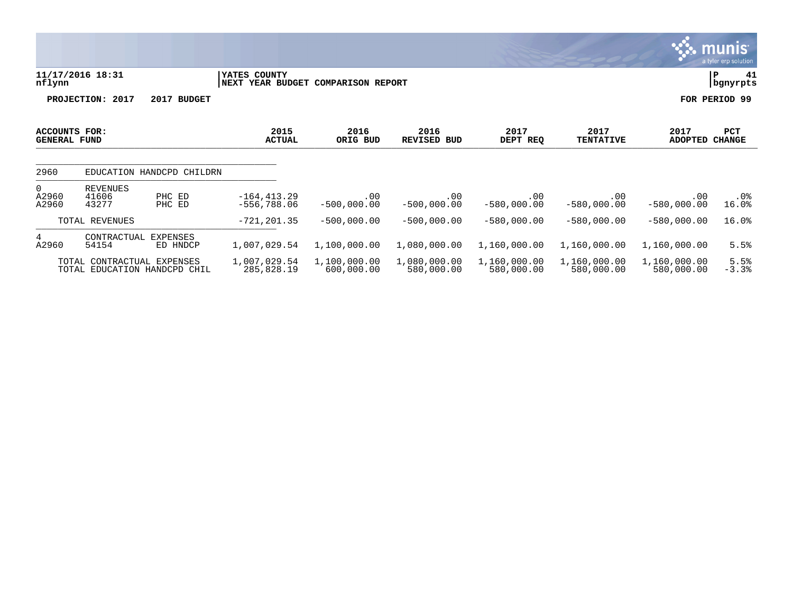|                                                                |                                                |                                 |                                                     |                            |                            |                            |                            | a tyler erp solution |
|----------------------------------------------------------------|------------------------------------------------|---------------------------------|-----------------------------------------------------|----------------------------|----------------------------|----------------------------|----------------------------|----------------------|
| nflynn                                                         | 11/17/2016 18:31                               | YATES COUNTY                    | <b>NEXT YEAR BUDGET</b><br><b>COMPARISON REPORT</b> |                            |                            |                            |                            |                      |
|                                                                | PROJECTION: 2017<br>2017 BUDGET                |                                 |                                                     |                            |                            |                            |                            | FOR PERIOD 99        |
| <b>ACCOUNTS FOR:</b><br><b>GENERAL FUND</b>                    |                                                | 2015<br><b>ACTUAL</b>           | 2016<br>ORIG BUD                                    | 2016<br>REVISED<br>BUD     | 2017<br>DEPT REQ           | 2017<br><b>TENTATIVE</b>   | 2017<br><b>ADOPTED</b>     | PCT<br><b>CHANGE</b> |
| 2960                                                           | EDUCATION HANDCPD CHILDRN                      |                                 |                                                     |                            |                            |                            |                            |                      |
| 0<br>A2960<br>A2960                                            | REVENUES<br>41606<br>PHC ED<br>43277<br>PHC ED | $-164, 413.29$<br>$-556,788.06$ | .00<br>$-500,000.00$                                | .00<br>$-500,000.00$       | .00<br>$-580,000.00$       | .00<br>$-580,000.00$       | .00<br>$-580,000.00$       | $.0\%$<br>16.0%      |
|                                                                | TOTAL REVENUES                                 | $-721, 201.35$                  | $-500,000.00$                                       | $-500,000.00$              | $-580,000.00$              | $-580,000.00$              | $-580,000.00$              | 16.0%                |
| 4<br>A2960                                                     | CONTRACTUAL<br>EXPENSES<br>54154<br>ED HNDCP   | 1,007,029.54                    | 1,100,000.00                                        | 1,080,000.00               | 1,160,000.00               | 1,160,000.00               | 1,160,000.00               | 5.5%                 |
| CONTRACTUAL EXPENSES<br>TOTAL.<br>TOTAL EDUCATION HANDCPD CHIL |                                                | 1,007,029.54<br>285,828.19      | 1,100,000.00<br>600,000.00                          | 1,080,000.00<br>580,000.00 | 1,160,000.00<br>580,000.00 | 1,160,000.00<br>580,000.00 | 1,160,000.00<br>580,000.00 | 5.5%<br>$-3.3%$      |

 $\therefore$  munis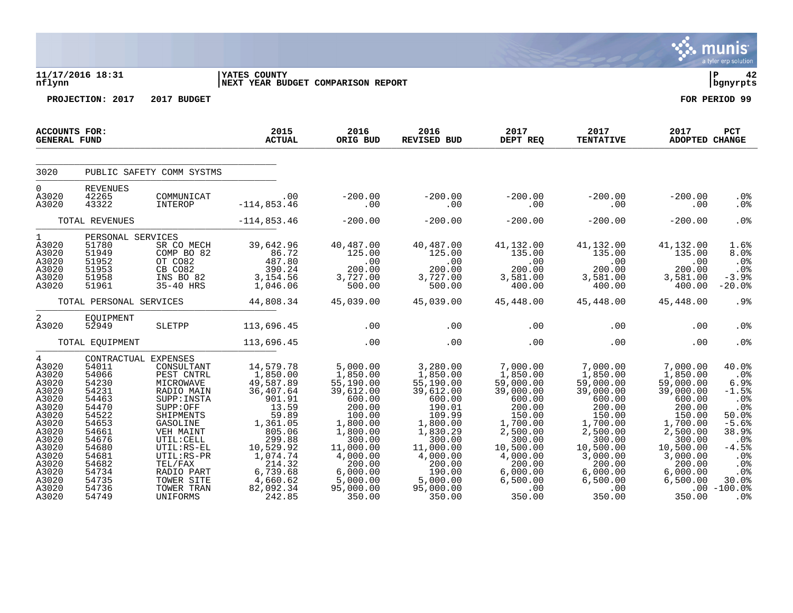|                                                                                                                                                                          |                                                                                                                                                                               |                                                                                                                                                                                                                                   |                                                                                                                                                                                               |                                                                                                                                                                                                   |                                                                                                                                                                                                 |                                                                                                                                                                                              |                                                                                                                                                                                                 |                                                                                                                                                                                     | a tyler erp solution                                                                                                                                                     |
|--------------------------------------------------------------------------------------------------------------------------------------------------------------------------|-------------------------------------------------------------------------------------------------------------------------------------------------------------------------------|-----------------------------------------------------------------------------------------------------------------------------------------------------------------------------------------------------------------------------------|-----------------------------------------------------------------------------------------------------------------------------------------------------------------------------------------------|---------------------------------------------------------------------------------------------------------------------------------------------------------------------------------------------------|-------------------------------------------------------------------------------------------------------------------------------------------------------------------------------------------------|----------------------------------------------------------------------------------------------------------------------------------------------------------------------------------------------|-------------------------------------------------------------------------------------------------------------------------------------------------------------------------------------------------|-------------------------------------------------------------------------------------------------------------------------------------------------------------------------------------|--------------------------------------------------------------------------------------------------------------------------------------------------------------------------|
| nflynn                                                                                                                                                                   | 11/17/2016 18:31                                                                                                                                                              |                                                                                                                                                                                                                                   | <b>YATES COUNTY</b><br>NEXT YEAR BUDGET COMPARISON REPORT                                                                                                                                     |                                                                                                                                                                                                   |                                                                                                                                                                                                 |                                                                                                                                                                                              |                                                                                                                                                                                                 |                                                                                                                                                                                     | l P<br>42<br>bgnyrpts                                                                                                                                                    |
|                                                                                                                                                                          | PROJECTION: 2017                                                                                                                                                              | 2017 BUDGET                                                                                                                                                                                                                       |                                                                                                                                                                                               |                                                                                                                                                                                                   |                                                                                                                                                                                                 |                                                                                                                                                                                              |                                                                                                                                                                                                 |                                                                                                                                                                                     | FOR PERIOD 99                                                                                                                                                            |
| <b>ACCOUNTS FOR:</b><br><b>GENERAL FUND</b>                                                                                                                              |                                                                                                                                                                               |                                                                                                                                                                                                                                   | 2015<br><b>ACTUAL</b>                                                                                                                                                                         | 2016<br>ORIG BUD                                                                                                                                                                                  | 2016<br>REVISED BUD                                                                                                                                                                             | 2017<br>DEPT REQ                                                                                                                                                                             | 2017<br><b>TENTATIVE</b>                                                                                                                                                                        | 2017<br>ADOPTED CHANGE                                                                                                                                                              | PCT                                                                                                                                                                      |
| 3020                                                                                                                                                                     |                                                                                                                                                                               | PUBLIC SAFETY COMM SYSTMS                                                                                                                                                                                                         |                                                                                                                                                                                               |                                                                                                                                                                                                   |                                                                                                                                                                                                 |                                                                                                                                                                                              |                                                                                                                                                                                                 |                                                                                                                                                                                     |                                                                                                                                                                          |
| $\Omega$<br>A3020<br>A3020                                                                                                                                               | <b>REVENUES</b><br>42265<br>43322                                                                                                                                             | COMMUNICAT<br>INTEROP                                                                                                                                                                                                             | .00<br>$-114,853.46$                                                                                                                                                                          | $-200.00$<br>.00                                                                                                                                                                                  | $-200.00$<br>.00                                                                                                                                                                                | $-200.00$<br>.00                                                                                                                                                                             | $-200.00$<br>.00                                                                                                                                                                                | $-200.00$<br>.00                                                                                                                                                                    | .0 <sub>8</sub><br>.0%                                                                                                                                                   |
|                                                                                                                                                                          | TOTAL REVENUES                                                                                                                                                                |                                                                                                                                                                                                                                   | $-114,853.46$                                                                                                                                                                                 | $-200.00$                                                                                                                                                                                         | $-200.00$                                                                                                                                                                                       | $-200.00$                                                                                                                                                                                    | $-200.00$                                                                                                                                                                                       | $-200.00$                                                                                                                                                                           | .0%                                                                                                                                                                      |
| $1 \quad$<br>A3020<br>A3020<br>A3020<br>A3020<br>A3020<br>A3020                                                                                                          | PERSONAL SERVICES<br>51780<br>51949<br>51952<br>51953<br>51958<br>51961                                                                                                       | SR CO MECH<br>COMP BO 82<br>OT CO82<br>CB CO82<br>INS BO 82<br>35-40 HRS                                                                                                                                                          | 39,642.96<br>86.72<br>487.80<br>390.24<br>3,154.56<br>1,046.06                                                                                                                                | 40,487.00<br>125.00<br>$\sim 00$<br>200.00<br>3,727.00<br>500.00                                                                                                                                  | 40,487.00<br>125.00<br>.00<br>200.00<br>3,727.00<br>500.00                                                                                                                                      | 41,132.00<br>135.00<br>.00<br>200.00<br>3,581.00<br>400.00                                                                                                                                   | 41,132.00<br>135.00<br>.00<br>200.00<br>3,581.00<br>400.00                                                                                                                                      | 41,132.00<br>135.00<br>.00<br>200.00<br>3,581.00<br>400.00                                                                                                                          | 1.6%<br>8.0%<br>.0%<br>.0%<br>$-3.9%$<br>$-20.0%$                                                                                                                        |
|                                                                                                                                                                          | TOTAL PERSONAL SERVICES                                                                                                                                                       |                                                                                                                                                                                                                                   | 44,808.34                                                                                                                                                                                     | 45,039.00                                                                                                                                                                                         | 45,039.00                                                                                                                                                                                       | 45,448.00                                                                                                                                                                                    | 45,448.00                                                                                                                                                                                       | 45,448.00                                                                                                                                                                           | .9%                                                                                                                                                                      |
| $\overline{2}$<br>A3020                                                                                                                                                  | EQUIPMENT<br>52949                                                                                                                                                            | SLETPP                                                                                                                                                                                                                            | 113,696.45                                                                                                                                                                                    | .00                                                                                                                                                                                               | .00                                                                                                                                                                                             | .00                                                                                                                                                                                          | $.00 \ \rm$                                                                                                                                                                                     | .00                                                                                                                                                                                 | .0%                                                                                                                                                                      |
|                                                                                                                                                                          | TOTAL EQUIPMENT                                                                                                                                                               |                                                                                                                                                                                                                                   | 113,696.45                                                                                                                                                                                    | .00                                                                                                                                                                                               | .00                                                                                                                                                                                             | .00                                                                                                                                                                                          | .00                                                                                                                                                                                             | .00                                                                                                                                                                                 | .0 <sub>8</sub>                                                                                                                                                          |
| $4\overline{ }$<br>A3020<br>A3020<br>A3020<br>A3020<br>A3020<br>A3020<br>A3020<br>A3020<br>A3020<br>A3020<br>A3020<br>A3020<br>A3020<br>A3020<br>A3020<br>A3020<br>A3020 | CONTRACTUAL EXPENSES<br>54011<br>54066<br>54230<br>54231<br>54463<br>54470<br>54522<br>54653<br>54661<br>54676<br>54680<br>54681<br>54682<br>54734<br>54735<br>54736<br>54749 | CONSULTANT<br>PEST CNTRL<br>MICROWAVE<br>RADIO MAIN<br>SUPP: INSTA<br>SUPP:OFF<br>SHIPMENTS<br>GASOLINE<br>VEH MAINT<br>UTIL: CELL<br>UTIL:RS-EL<br>$UTIL:RS-PR$<br>TEL/FAX<br>RADIO PART<br>TOWER SITE<br>TOWER TRAN<br>UNIFORMS | 14,579.78<br>1,850.00<br>49,587.89<br>36,407.64<br>901.91<br>13.59<br>59.89<br>1,361.05<br>805.06<br>299.88<br>10,529.92<br>1,074.74<br>214.32<br>6,739.68<br>4,660.62<br>82,092.34<br>242.85 | 5,000.00<br>1,850.00<br>55, 190.00<br>39,612.00<br>600.00<br>200.00<br>100.00<br>1,800.00<br>1,800.00<br>300.00<br>11,000.00<br>4,000.00<br>200.00<br>6,000.00<br>5,000.00<br>95,000.00<br>350.00 | 3,280.00<br>1,850.00<br>55, 190.00<br>39,612.00<br>600.00<br>190.01<br>109.99<br>1,800.00<br>1,830.29<br>300.00<br>11,000.00<br>4,000.00<br>200.00<br>190.00<br>5,000.00<br>95,000.00<br>350.00 | 7,000.00<br>1,850.00<br>59,000.00<br>39,000.00<br>600.00<br>200.00<br>150.00<br>$1,700.00$<br>2,500.00<br>300.00<br>10,500.00<br>4,000.00<br>200.00<br>6,000.00<br>6,500.00<br>.00<br>350.00 | 7,000.00<br>1,850.00<br>59,000.00<br>39,000.00<br>600.00<br>200.00<br>150.00<br>1,700.00<br>2,500.00<br>300.00<br>10,500.00<br>3,000.00<br>200.00<br>6,000.00<br>6,500.00<br>$.00 \,$<br>350.00 | 7,000.00<br>1,850.00<br>59,000.00<br>39,000.00<br>600.00<br>200.00<br>150.00<br>1,700.00<br>2,500.00<br>300.00<br>10,500.00<br>3,000.00<br>200.00<br>6,000.00<br>6,500.00<br>350.00 | 40.0%<br>$.0\%$<br>6.9%<br>$-1.5%$<br>$.0\%$<br>.0%<br>50.0%<br>$-5.6%$<br>38.9%<br>$.0\%$<br>$-4.5%$<br>.0%<br>.0%<br>.0 <sub>8</sub><br>30.0%<br>$.00 - 100.0%$<br>.0% |

**∵ munis**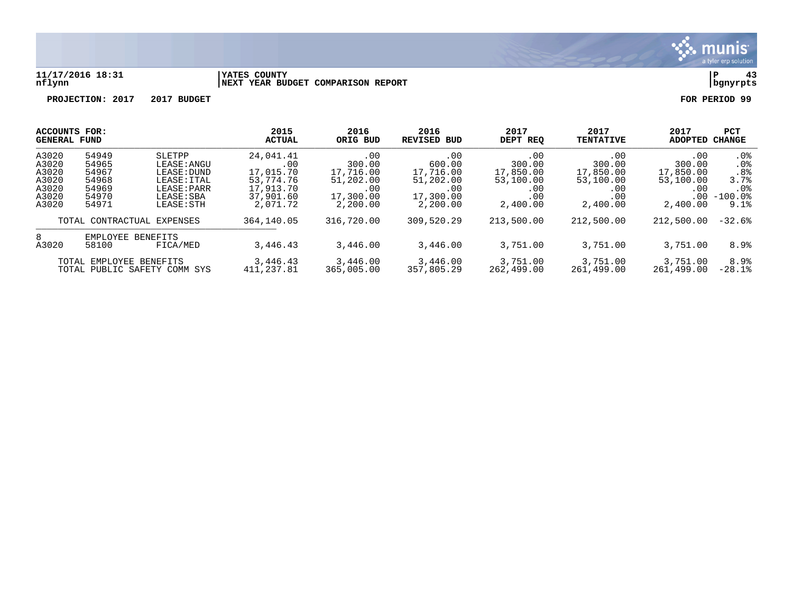

#### **11/17/2016 18:31 |YATES COUNTY |P 43 nflynn |NEXT YEAR BUDGET COMPARISON REPORT |bgnyrpts**

| <b>ACCOUNTS FOR:</b>         |                   | 2015                 | 2016       | 2016               | 2017       | 2017             | 2017           | <b>PCT</b>    |                 |
|------------------------------|-------------------|----------------------|------------|--------------------|------------|------------------|----------------|---------------|-----------------|
| <b>GENERAL FUND</b>          |                   | <b>ACTUAL</b>        | ORIG BUD   | <b>REVISED BUD</b> | DEPT REO   | <b>TENTATIVE</b> | <b>ADOPTED</b> | <b>CHANGE</b> |                 |
| A3020                        | 54949             | SLETPP               | 24,041.41  | .00                | .00        | .00              | .00            | .00           | $.0\%$          |
| A3020                        | 54965             | LEASE: ANGU          | .00        | 300.00             | 600.00     | 300.00           | 300.00         | 300.00        | .0 <sub>8</sub> |
| A3020                        | 54967             | LEASE: DUND          | 17,015.70  | 17,716.00          | 17,716.00  | 17,850.00        | 17,850.00      | 17,850.00     | .8 <sup>°</sup> |
| A3020                        | 54968             | LEASE: ITAL          | 53,774.76  | 51,202.00          | 51,202.00  | 53,100.00        | 53,100.00      | 53,100.00     | 3.7%            |
| A3020                        | 54969             | LEASE: PARR          | 17,913.70  | .00                | .00        | .00              | .00            | .00           | $.0\%$          |
| A3020                        | 54970             | LEASE: SBA           | 37,901.60  | 17,300.00          | 17,300.00  | .00              | .00            | $.00 \,$      | $-100.0$ %      |
| A3020                        | 54971             | LEASE: STH           | 2,071.72   | 2,200.00           | 2,200.00   | 2,400.00         | 2,400.00       | 2,400.00      | 9.1%            |
| TOTAL CONTRACTUAL EXPENSES   |                   | 364, 140.05          | 316,720.00 | 309,520.29         | 213,500.00 | 212,500.00       | 212,500.00     | $-32.6%$      |                 |
| 8<br>A3020                   | EMPLOYEE<br>58100 | BENEFITS<br>FICA/MED | 3,446.43   | 3,446.00           | 3,446.00   | 3,751.00         | 3,751.00       | 3,751.00      | 8.9%            |
| TOTAL EMPLOYEE BENEFITS      |                   | 3,446.43             | 3,446.00   | 3,446.00           | 3,751.00   | 3,751.00         | 3,751.00       | 8.9%          |                 |
| TOTAL PUBLIC SAFETY COMM SYS |                   | 411,237.81           | 365,005.00 | 357,805.29         | 262,499.00 | 261,499.00       | 261,499.00     | $-28.1$ $8$   |                 |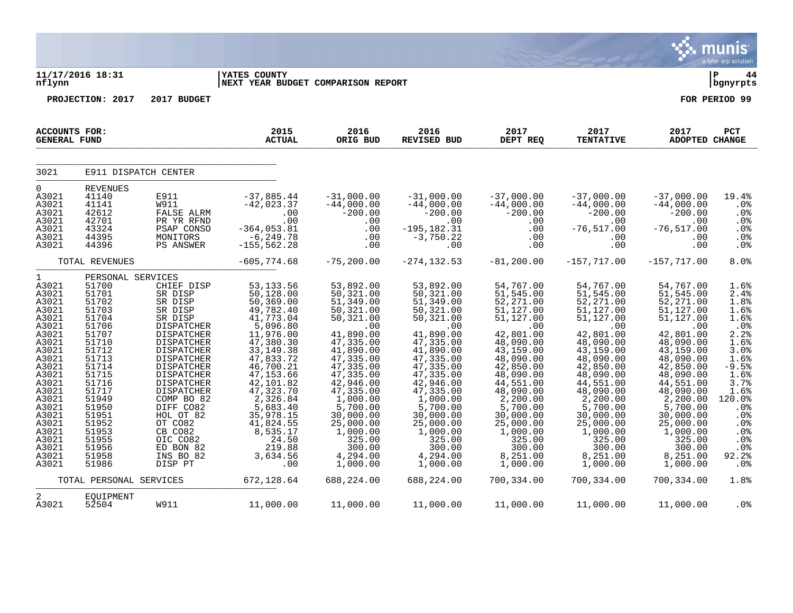|                                                                                                                                                                                                                            |                                                                                                                                                                                                                                  |                                                                                                                                                                                                                                                                                                            |                                                                                                                                                                                                                                                                                             |                                                                                                                                                                                                                                                                                        |                                                                                                                                                                                                                                                                                         |                                                                                                                                                                                                                                                                                        |                                                                                                                                                                                                                                                                                          |                                                                                                                                                                                                                                                                                          | munis<br>a tyler erp solution                                                                                                                                                             |
|----------------------------------------------------------------------------------------------------------------------------------------------------------------------------------------------------------------------------|----------------------------------------------------------------------------------------------------------------------------------------------------------------------------------------------------------------------------------|------------------------------------------------------------------------------------------------------------------------------------------------------------------------------------------------------------------------------------------------------------------------------------------------------------|---------------------------------------------------------------------------------------------------------------------------------------------------------------------------------------------------------------------------------------------------------------------------------------------|----------------------------------------------------------------------------------------------------------------------------------------------------------------------------------------------------------------------------------------------------------------------------------------|-----------------------------------------------------------------------------------------------------------------------------------------------------------------------------------------------------------------------------------------------------------------------------------------|----------------------------------------------------------------------------------------------------------------------------------------------------------------------------------------------------------------------------------------------------------------------------------------|------------------------------------------------------------------------------------------------------------------------------------------------------------------------------------------------------------------------------------------------------------------------------------------|------------------------------------------------------------------------------------------------------------------------------------------------------------------------------------------------------------------------------------------------------------------------------------------|-------------------------------------------------------------------------------------------------------------------------------------------------------------------------------------------|
| nflynn                                                                                                                                                                                                                     | 11/17/2016 18:31                                                                                                                                                                                                                 |                                                                                                                                                                                                                                                                                                            | <b>IYATES COUNTY</b><br>NEXT YEAR BUDGET COMPARISON REPORT                                                                                                                                                                                                                                  |                                                                                                                                                                                                                                                                                        |                                                                                                                                                                                                                                                                                         |                                                                                                                                                                                                                                                                                        |                                                                                                                                                                                                                                                                                          |                                                                                                                                                                                                                                                                                          | ∣ P<br>44<br>  bgnyrpts                                                                                                                                                                   |
|                                                                                                                                                                                                                            | PROJECTION: 2017                                                                                                                                                                                                                 | 2017 BUDGET                                                                                                                                                                                                                                                                                                |                                                                                                                                                                                                                                                                                             |                                                                                                                                                                                                                                                                                        |                                                                                                                                                                                                                                                                                         |                                                                                                                                                                                                                                                                                        |                                                                                                                                                                                                                                                                                          |                                                                                                                                                                                                                                                                                          | FOR PERIOD 99                                                                                                                                                                             |
| <b>ACCOUNTS FOR:</b><br><b>GENERAL FUND</b>                                                                                                                                                                                |                                                                                                                                                                                                                                  |                                                                                                                                                                                                                                                                                                            | 2015<br><b>ACTUAL</b>                                                                                                                                                                                                                                                                       | 2016<br>ORIG BUD                                                                                                                                                                                                                                                                       | 2016<br><b>REVISED BUD</b>                                                                                                                                                                                                                                                              | 2017<br>DEPT REQ                                                                                                                                                                                                                                                                       | 2017<br><b>TENTATIVE</b>                                                                                                                                                                                                                                                                 | 2017<br>ADOPTED CHANGE                                                                                                                                                                                                                                                                   | PCT                                                                                                                                                                                       |
| 3021                                                                                                                                                                                                                       | E911 DISPATCH CENTER                                                                                                                                                                                                             |                                                                                                                                                                                                                                                                                                            |                                                                                                                                                                                                                                                                                             |                                                                                                                                                                                                                                                                                        |                                                                                                                                                                                                                                                                                         |                                                                                                                                                                                                                                                                                        |                                                                                                                                                                                                                                                                                          |                                                                                                                                                                                                                                                                                          |                                                                                                                                                                                           |
| $\mathbf 0$<br>A3021<br>A3021<br>A3021<br>A3021<br>A3021<br>A3021<br>A3021                                                                                                                                                 | <b>REVENUES</b><br>41140<br>41141<br>42612<br>42701<br>43324<br>44395<br>44396                                                                                                                                                   | E911<br><b>W911</b><br>FALSE ALRM<br>PR YR RFND<br>PSAP CONSO<br>MONITORS<br>PS ANSWER                                                                                                                                                                                                                     | $-37,885.44$<br>$-42,023.37$<br>.00<br>.00<br>$-364,053.81$<br>-6,249.78<br>$-155, 562.28$                                                                                                                                                                                                  | $-31,000.00$<br>$-44,000.00$<br>$-200.00$<br>.00<br>.00<br>.00<br>.00                                                                                                                                                                                                                  | $-31,000.00$<br>$-44,000.00$<br>$-200.00$<br>.00<br>$-195, 182.31$<br>$-3, 750.22$<br>.00                                                                                                                                                                                               | $-37,000.00$<br>$-44,000.00$<br>$-200.00$<br>.00<br>.00<br>.00<br>.00                                                                                                                                                                                                                  | $-37,000.00$<br>$-44,000.00$<br>$-200.00$<br>.00<br>$-76,517.00$<br>.00<br>.00                                                                                                                                                                                                           | $-37,000.00$<br>$-44,000.00$<br>$-200.00$<br>.00<br>$-76, 517.00$<br>.00<br>.00                                                                                                                                                                                                          | 19.4%<br>.0%<br>.0%<br>.0%<br>.0%<br>.0%<br>.0%                                                                                                                                           |
|                                                                                                                                                                                                                            | TOTAL REVENUES                                                                                                                                                                                                                   |                                                                                                                                                                                                                                                                                                            | $-605,774.68$                                                                                                                                                                                                                                                                               | $-75, 200.00$                                                                                                                                                                                                                                                                          | $-274, 132.53$                                                                                                                                                                                                                                                                          | $-81, 200.00$                                                                                                                                                                                                                                                                          | $-157, 717.00$                                                                                                                                                                                                                                                                           | $-157,717.00$                                                                                                                                                                                                                                                                            | 8.0%                                                                                                                                                                                      |
| $\mathbf 1$<br>A3021<br>A3021<br>A3021<br>A3021<br>A3021<br>A3021<br>A3021<br>A3021<br>A3021<br>A3021<br>A3021<br>A3021<br>A3021<br>A3021<br>A3021<br>A3021<br>A3021<br>A3021<br>A3021<br>A3021<br>A3021<br>A3021<br>A3021 | PERSONAL SERVICES<br>51700<br>51701<br>51702<br>51703<br>51704<br>51706<br>51707<br>51710<br>51712<br>51713<br>51714<br>51715<br>51716<br>51717<br>51949<br>51950<br>51951<br>51952<br>51953<br>51955<br>51956<br>51958<br>51986 | CHIEF DISP<br>SR DISP<br>SR DISP<br>SR DISP<br>SR DISP<br>DISPATCHER<br>DISPATCHER<br>DISPATCHER<br>DISPATCHER<br>DISPATCHER<br><b>DISPATCHER</b><br>DISPATCHER<br>DISPATCHER<br>DISPATCHER<br>COMP BO 82<br>DIFF CO82<br>HOL OT 82<br>OT CO82<br>CB CO82<br>OIC CO82<br>ED BON 82<br>INS BO 82<br>DISP PT | 53, 133.56<br>50, 128.00<br>50, 369.00<br>49,782.40<br>41,773.04<br>5,096.80<br>11,976.00<br>47,380.30<br>33, 149. 38<br>47,833.72<br>46,700.21<br>47, 153.66<br>42,101.82<br>47,323.70<br>2,326.84<br>5,683.40<br>35,978.15<br>41,824.55<br>8,535.17<br>24.50<br>219.88<br>3,634.56<br>.00 | 53,892.00<br>50,321.00<br>51,349.00<br>50,321.00<br>50,321.00<br>.00<br>41,890.00<br>47,335.00<br>41,890.00<br>47,335.00<br>47,335.00<br>47,335.00<br>42,946.00<br>47,335.00<br>1,000.00<br>5,700.00<br>30,000.00<br>25,000.00<br>1,000.00<br>325.00<br>300.00<br>4,294.00<br>1,000.00 | 53,892.00<br>50,321.00<br>51,349.00<br>50,321.00<br>50,321.00<br>.00<br>41,890.00<br>47, 335.00<br>41,890.00<br>47,335.00<br>47,335.00<br>47,335.00<br>42,946.00<br>47,335.00<br>1,000.00<br>5,700.00<br>30,000.00<br>25,000.00<br>1,000.00<br>325.00<br>300.00<br>4,294.00<br>1,000.00 | 54,767.00<br>51,545.00<br>52,271.00<br>51,127.00<br>51,127.00<br>.00<br>42,801.00<br>48,090.00<br>43,159.00<br>48,090.00<br>42,850.00<br>48,090.00<br>44,551.00<br>48,090.00<br>2,200.00<br>5,700.00<br>30,000.00<br>25,000.00<br>1,000.00<br>325.00<br>300.00<br>8,251.00<br>1,000.00 | 54,767.00<br>51, 545.00<br>52, 271.00<br>51,127.00<br>51,127.00<br>.00<br>42,801.00<br>48,090.00<br>43,159.00<br>48,090.00<br>42,850.00<br>48,090.00<br>44,551.00<br>48,090.00<br>2,200.00<br>5,700.00<br>30,000.00<br>25,000.00<br>1,000.00<br>325.00<br>300.00<br>8,251.00<br>1,000.00 | 54,767.00<br>51,545.00<br>52, 271.00<br>51, 127.00<br>51,127.00<br>.00<br>42,801.00<br>48,090.00<br>43,159.00<br>48,090.00<br>42,850.00<br>48,090.00<br>44,551.00<br>48,090.00<br>2,200.00<br>5,700.00<br>30,000.00<br>25,000.00<br>1,000.00<br>325.00<br>300.00<br>8,251.00<br>1,000.00 | 1.6%<br>2.4%<br>1.8%<br>1.6%<br>1.6%<br>.0%<br>2.2%<br>1.6%<br>$3.0%$<br>$1.6%$<br>$-9.5%$<br>1.6%<br>3.7%<br>1.6%<br>120.0%<br>.0%<br>.0%<br>.0%<br>$.0\%$<br>.0%<br>.0%<br>92.2%<br>.0% |
|                                                                                                                                                                                                                            | TOTAL PERSONAL SERVICES                                                                                                                                                                                                          |                                                                                                                                                                                                                                                                                                            | 672,128.64                                                                                                                                                                                                                                                                                  | 688,224.00                                                                                                                                                                                                                                                                             | 688,224.00                                                                                                                                                                                                                                                                              | 700,334.00                                                                                                                                                                                                                                                                             | 700,334.00                                                                                                                                                                                                                                                                               | 700,334.00                                                                                                                                                                                                                                                                               | 1.8%                                                                                                                                                                                      |
| 2<br>A3021                                                                                                                                                                                                                 | EQUIPMENT<br>52504                                                                                                                                                                                                               | <b>W911</b>                                                                                                                                                                                                                                                                                                | 11,000.00                                                                                                                                                                                                                                                                                   | 11,000.00                                                                                                                                                                                                                                                                              | 11,000.00                                                                                                                                                                                                                                                                               | 11,000.00                                                                                                                                                                                                                                                                              | 11,000.00                                                                                                                                                                                                                                                                                | 11,000.00                                                                                                                                                                                                                                                                                | .0 <sub>8</sub>                                                                                                                                                                           |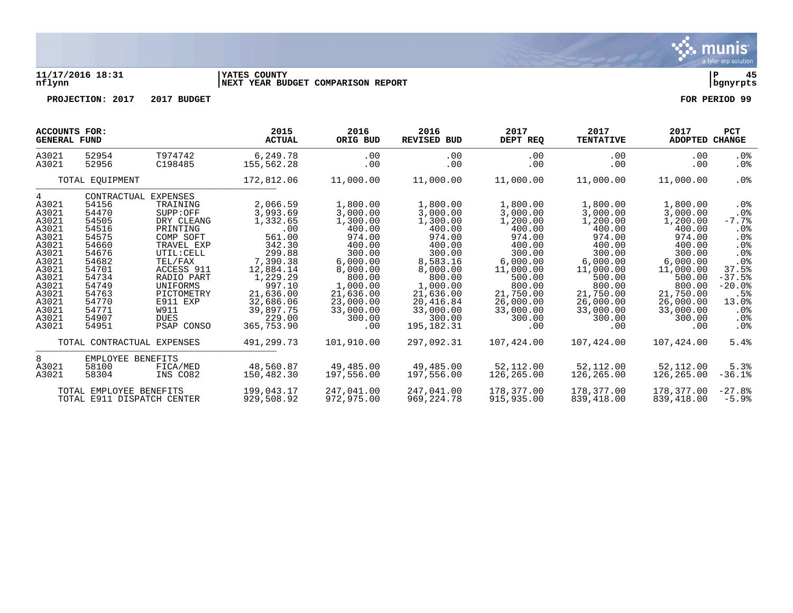

### **11/17/2016 18:31 |YATES COUNTY |P 45 nflynn |NEXT YEAR BUDGET COMPARISON REPORT |bgnyrpts**

| ACCOUNTS FOR:<br><b>GENERAL FUND</b> |                                                       |                      | 2015<br><b>ACTUAL</b>    | 2016<br>ORIG BUD         | 2016<br><b>REVISED BUD</b> | 2017<br>DEPT REQ         | 2017<br><b>TENTATIVE</b> | 2017<br>ADOPTED CHANGE   | <b>PCT</b>          |
|--------------------------------------|-------------------------------------------------------|----------------------|--------------------------|--------------------------|----------------------------|--------------------------|--------------------------|--------------------------|---------------------|
| A3021                                | 52954                                                 | T974742              | 6,249.78                 | .00                      | .00                        | .00                      | $.00 \,$                 | .00                      | . 0%                |
| A3021                                | 52956                                                 | C198485              | 155,562.28               | .00                      | .00                        | .00                      | .00                      | .00                      | .0%                 |
|                                      | TOTAL EQUIPMENT                                       |                      | 172,812.06               | 11,000.00                | 11,000.00                  | 11,000.00                | 11,000.00                | 11,000.00                | $.0\%$              |
| 4<br>A3021                           | CONTRACTUAL<br>54156                                  | EXPENSES<br>TRAINING | 2,066.59                 | 1,800.00                 | 1,800.00                   | 1,800.00                 | 1,800.00                 | 1,800.00                 | . 0 %               |
| A3021                                | 54470                                                 | SUPP: OFF            | 3,993.69                 | 3,000.00                 | 3,000.00                   | 3,000.00                 | 3,000.00                 | 3,000.00                 | .0 <sub>8</sub>     |
| A3021                                | 54505                                                 | DRY CLEANG           | 1,332.65                 | 1,300.00                 | 1,300.00                   | 1,200.00                 | 1,200.00                 | 1,200.00                 | $-7.7%$             |
| A3021                                | 54516                                                 | PRINTING             | .00                      | 400.00                   | 400.00                     | 400.00                   | 400.00                   | 400.00                   | $.0\%$              |
| A3021                                | 54575                                                 | COMP SOFT            | 561.00                   | 974.00                   | 974.00                     | 974.00                   | 974.00                   | 974.00                   | .0%                 |
| A3021                                | 54660                                                 | TRAVEL EXP           | 342.30                   | 400.00                   | 400.00                     | 400.00                   | 400.00                   | 400.00                   | .0%                 |
| A3021                                | 54676                                                 | UTIL: CELL           | 299.88                   | 300.00                   | 300.00                     | 300.00                   | 300.00                   | 300.00                   | $.0\%$              |
| A3021                                | 54682                                                 | TEL/FAX              | 7,390.38                 | 6,000.00                 | 8,583.16                   | 6,000.00                 | 6,000.00                 | 6,000.00                 | $.0\%$              |
| A3021                                | 54701                                                 | ACCESS 911           | 12,884.14                | 8,000.00                 | 8,000.00                   | 11,000.00                | 11,000.00                | 11,000.00                | 37.5%               |
| A3021                                | 54734                                                 | RADIO PART           | 1,229.29                 | 800.00                   | 800.00                     | 500.00                   | 500.00                   | 500.00                   | $-37.5%$            |
| A3021                                | 54749                                                 | UNIFORMS             | 997.10                   | 1,000.00                 | 1,000.00                   | 800.00                   | 800.00                   | 800.00                   | $-20.0%$            |
| A3021                                | 54763                                                 | PICTOMETRY           | 21,636.00                | 21,636.00                | 21,636.00                  | 21,750.00                | 21,750.00                | 21,750.00                | .5%                 |
| A3021                                | 54770                                                 | E911 EXP             | 32,686.06                | 23,000.00                | 20,416.84                  | 26,000.00                | 26,000.00                | 26,000.00                | 13.0%               |
| A3021                                | 54771                                                 | W911                 | 39,897.75                | 33,000.00                | 33,000.00                  | 33,000.00                | 33,000.00                | 33,000.00                | . 0 %               |
| A3021                                | 54907                                                 | <b>DUES</b>          | 229.00                   | 300.00                   | 300.00                     | 300.00                   | 300.00                   | 300.00                   | . 0 %               |
| A3021                                | 54951                                                 | PSAP CONSO           | 365,753.90               | .00                      | 195, 182. 31               | .00                      | .00                      | .00                      | .0 <sub>8</sub>     |
|                                      | TOTAL CONTRACTUAL EXPENSES                            |                      | 491, 299. 73             | 101,910.00               | 297,092.31                 | 107,424.00               | 107,424.00               | 107,424.00               | 5.4%                |
| 8                                    | EMPLOYEE BENEFITS                                     |                      |                          |                          |                            |                          |                          |                          |                     |
| A3021                                | 58100                                                 | FICA/MED             | 48,560.87                | 49,485.00                | 49,485.00                  | 52,112.00                | 52,112.00                | 52,112.00                | 5.3%                |
| A3021                                | 58304                                                 | INS CO82             | 150,482.30               | 197,556.00               | 197,556.00                 | 126,265.00               | 126,265.00               | 126,265.00               | $-36.1%$            |
|                                      | TOTAL EMPLOYEE BENEFITS<br>TOTAL E911 DISPATCH CENTER |                      | 199.043.17<br>929,508.92 | 247,041,00<br>972,975.00 | 247,041,00<br>969, 224.78  | 178,377.00<br>915,935.00 | 178,377.00<br>839,418.00 | 178,377.00<br>839,418.00 | $-27.8%$<br>$-5.9%$ |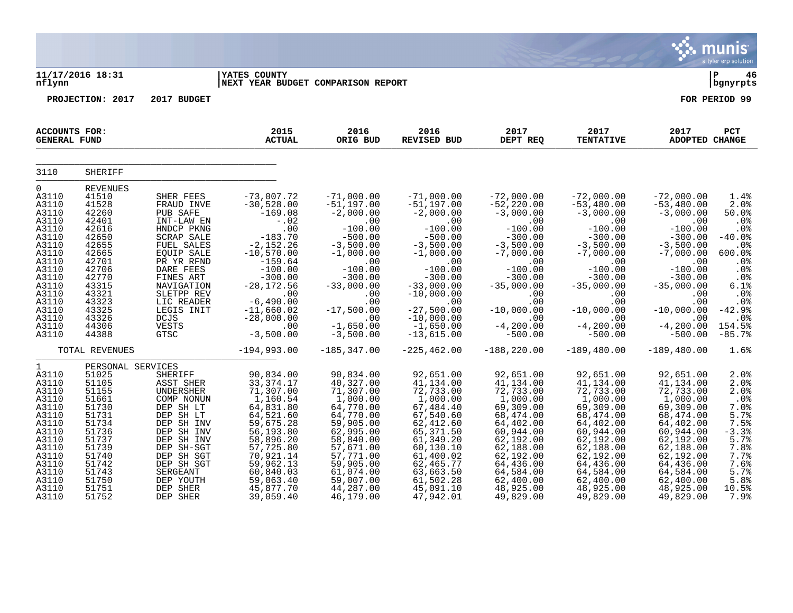|                                                                                                                                                                                  |                                                                                                                                                                                   |                                                                                                                                                                                                                                                                |                                                                                                                                                                                                                                             |                                                                                                                                                                                                                                |                                                                                                                                                                                                                                                   |                                                                                                                                                                                                                                |                                                                                                                                                                                                                               |                                                                                                                                                                                                                               | a tyler erp solution                                                                                                                                                |
|----------------------------------------------------------------------------------------------------------------------------------------------------------------------------------|-----------------------------------------------------------------------------------------------------------------------------------------------------------------------------------|----------------------------------------------------------------------------------------------------------------------------------------------------------------------------------------------------------------------------------------------------------------|---------------------------------------------------------------------------------------------------------------------------------------------------------------------------------------------------------------------------------------------|--------------------------------------------------------------------------------------------------------------------------------------------------------------------------------------------------------------------------------|---------------------------------------------------------------------------------------------------------------------------------------------------------------------------------------------------------------------------------------------------|--------------------------------------------------------------------------------------------------------------------------------------------------------------------------------------------------------------------------------|-------------------------------------------------------------------------------------------------------------------------------------------------------------------------------------------------------------------------------|-------------------------------------------------------------------------------------------------------------------------------------------------------------------------------------------------------------------------------|---------------------------------------------------------------------------------------------------------------------------------------------------------------------|
| nflynn                                                                                                                                                                           | 11/17/2016 18:31                                                                                                                                                                  |                                                                                                                                                                                                                                                                | YATES COUNTY<br>NEXT YEAR BUDGET COMPARISON REPORT                                                                                                                                                                                          |                                                                                                                                                                                                                                |                                                                                                                                                                                                                                                   |                                                                                                                                                                                                                                |                                                                                                                                                                                                                               |                                                                                                                                                                                                                               | ∣P<br>46<br>  bgnyrpts                                                                                                                                              |
|                                                                                                                                                                                  | PROJECTION: 2017                                                                                                                                                                  | 2017 BUDGET                                                                                                                                                                                                                                                    |                                                                                                                                                                                                                                             |                                                                                                                                                                                                                                |                                                                                                                                                                                                                                                   |                                                                                                                                                                                                                                |                                                                                                                                                                                                                               |                                                                                                                                                                                                                               | FOR PERIOD 99                                                                                                                                                       |
| ACCOUNTS FOR:<br><b>GENERAL FUND</b>                                                                                                                                             |                                                                                                                                                                                   |                                                                                                                                                                                                                                                                | 2015<br><b>ACTUAL</b>                                                                                                                                                                                                                       | 2016<br>ORIG BUD                                                                                                                                                                                                               | 2016<br><b>REVISED BUD</b>                                                                                                                                                                                                                        | 2017<br>DEPT REQ                                                                                                                                                                                                               | 2017<br><b>TENTATIVE</b>                                                                                                                                                                                                      | 2017<br>ADOPTED CHANGE                                                                                                                                                                                                        | PCT                                                                                                                                                                 |
| 3110                                                                                                                                                                             | <b>SHERIFF</b>                                                                                                                                                                    |                                                                                                                                                                                                                                                                |                                                                                                                                                                                                                                             |                                                                                                                                                                                                                                |                                                                                                                                                                                                                                                   |                                                                                                                                                                                                                                |                                                                                                                                                                                                                               |                                                                                                                                                                                                                               |                                                                                                                                                                     |
| $\overline{0}$<br>A3110<br>A3110<br>A3110<br>A3110<br>A3110<br>A3110<br>A3110<br>A3110<br>A3110<br>A3110<br>A3110<br>A3110<br>A3110<br>A3110<br>A3110<br>A3110<br>A3110<br>A3110 | <b>REVENUES</b><br>41510<br>41528<br>42260<br>42401<br>42616<br>42650<br>42655<br>42665<br>42701<br>42706<br>42770<br>43315<br>43321<br>43323<br>43325<br>43326<br>44306<br>44388 | SHER FEES<br>FRAUD INVE<br>PUB SAFE<br>INT-LAW EN<br>HNDCP PKNG<br><b>SCRAP SALE</b><br>FUEL SALES<br><b>EQUIP SALE</b><br>PR YR RFND<br>DARE FEES<br>FINES ART<br>NAVIGATION<br>SLETPP REV<br>LIC READER<br>LEGIS INIT<br><b>DCJS</b><br>VESTS<br><b>GTSC</b> | $-73,007.72$<br>$-30,528.00$<br>$-169.08$<br>$-.02$<br>.00<br>$-183.70$<br>$-2, 152.26$<br>$-10,570.00$<br>$-159.64$<br>$-100.00$<br>$-300.00$<br>$-28, 172.56$<br>.00<br>$-6,490.00$<br>$-11,660.02$<br>$-28,000.00$<br>.00<br>$-3,500.00$ | $-71,000.00$<br>$-51.197.00$<br>$-2,000.00$<br>.00<br>$-100.00$<br>$-500.00$<br>$-3,500.00$<br>$-1,000.00$<br>.00<br>$-100.00$<br>$-300.00$<br>$-33,000.00$<br>.00<br>.00<br>$-17,500.00$<br>.00<br>$-1,650.00$<br>$-3,500.00$ | $-71,000.00$<br>$-51,197.00$<br>$-2,000.00$<br>.00<br>$-100.00$<br>$-500.00$<br>$-3,500.00$<br>$-1,000.00$<br>.00<br>$-100.00$<br>$-300.00$<br>$-33,000.00$<br>$-10,000.00$<br>.00<br>$-27,500.00$<br>$-10,000.00$<br>$-1,650.00$<br>$-13,615.00$ | $-72,000.00$<br>$-52, 220.00$<br>$-3,000.00$<br>.00<br>$-100.00$<br>$-300.00$<br>$-3,500.00$<br>$-7,000.00$<br>.00<br>$-100.00$<br>$-300.00$<br>$-35,000.00$<br>.00<br>.00<br>$-10,000.00$<br>.00<br>$-4, 200.00$<br>$-500.00$ | $-72,000.00$<br>$-53,480.00$<br>$-3,000.00$<br>.00<br>$-100.00$<br>$-300.00$<br>$-3,500.00$<br>$-7,000.00$<br>.00<br>$-100.00$<br>$-300.00$<br>$-35,000.00$<br>.00<br>.00<br>$-10,000.00$<br>.00<br>$-4, 200.00$<br>$-500.00$ | $-72,000.00$<br>$-53,480.00$<br>$-3,000.00$<br>.00<br>$-100.00$<br>$-300.00$<br>$-3,500.00$<br>$-7,000.00$<br>.00<br>$-100.00$<br>$-300.00$<br>$-35,000.00$<br>.00<br>.00<br>$-10,000.00$<br>.00<br>$-4, 200.00$<br>$-500.00$ | 1.4%<br>2.0%<br>50.0%<br>.0%<br>.0%<br>$-40.0%$<br>.0%<br>$600.0$ %<br>.0%<br>.0 <sub>8</sub><br>.0%<br>6.1%<br>.0%<br>.0%<br>$-42.9%$<br>.0%<br>154.5%<br>$-85.7%$ |
|                                                                                                                                                                                  | TOTAL REVENUES                                                                                                                                                                    |                                                                                                                                                                                                                                                                | $-194,993.00$                                                                                                                                                                                                                               | $-185, 347.00$                                                                                                                                                                                                                 | $-225, 462.00$                                                                                                                                                                                                                                    | $-188, 220.00$                                                                                                                                                                                                                 | $-189,480.00$                                                                                                                                                                                                                 | $-189, 480.00$                                                                                                                                                                                                                | 1.6%                                                                                                                                                                |
| $\mathbf 1$<br>A3110<br>A3110<br>A3110<br>A3110<br>A3110<br>A3110<br>A3110<br>A3110<br>A3110<br>A3110<br>A3110<br>A3110<br>A3110<br>A3110<br>A3110<br>A3110                      | PERSONAL SERVICES<br>51025<br>51105<br>51155<br>51661<br>51730<br>51731<br>51734<br>51736<br>51737<br>51739<br>51740<br>51742<br>51743<br>51750<br>51751<br>51752                 | SHERIFF<br>ASST SHER<br>UNDERSHER<br>COMP NONUN<br>DEP SH LT<br>DEP SH LT<br>DEP SH INV<br>DEP SH INV<br>DEP SH INV<br>DEP SH-SGT<br>DEP SH SGT<br>DEP SH SGT<br>SERGEANT<br>DEP YOUTH<br>DEP SHER<br>DEP SHER                                                 | 90,834.00<br>33, 374. 17<br>71,307.00<br>1,160.54<br>64,831.80<br>64,521.60<br>59,675.28<br>56,193.80<br>58,896.20<br>57,725.80<br>70,921.14<br>59,962.13<br>60,840.03<br>59,063.40<br>45,877.70<br>39,059.40                               | 90,834.00<br>40,327.00<br>71,307.00<br>1,000.00<br>64,770.00<br>64,770.00<br>59,905.00<br>62,995.00<br>58,840.00<br>57,671.00<br>57,771.00<br>59,905.00<br>61,074.00<br>59,007.00<br>44,287.00<br>46,179.00                    | 92,651.00<br>41,134.00<br>72,733.00<br>1,000.00<br>67,484.40<br>67,540.60<br>62,412.60<br>65, 371.50<br>61,349.20<br>60,130.10<br>61,400.02<br>62,465.77<br>63,663.50<br>61,502.28<br>45,091.10<br>47,942.01                                      | 92,651.00<br>41,134.00<br>72,733.00<br>1,000.00<br>69,309.00<br>68,474.00<br>64,402.00<br>60,944.00<br>62,192.00<br>62,188.00<br>62,192.00<br>64,436.00<br>64,584.00<br>62,400.00<br>48,925.00<br>49,829.00                    | 92,651.00<br>41,134.00<br>72,733.00<br>1,000.00<br>69,309.00<br>68,474.00<br>64,402.00<br>60,944.00<br>62,192.00<br>62,188.00<br>62,192.00<br>64,436.00<br>64,584.00<br>62,400.00<br>48,925.00<br>49,829.00                   | 92,651.00<br>41,134.00<br>72,733.00<br>1,000.00<br>69,309.00<br>68,474.00<br>64,402.00<br>60,944.00<br>62,192.00<br>62,188.00<br>62,192.00<br>64,436.00<br>64,584.00<br>62,400.00<br>48,925.00<br>49,829.00                   | 2.0%<br>2.0%<br>2.0%<br>$.0\%$<br>7.0%<br>5.7%<br>7.5%<br>$-3.3%$<br>5.7%<br>7.8%<br>7.7%<br>7.6%<br>5.7%<br>5.8%<br>10.5%<br>7.9%                                  |

 $\ddot{\mathbf{w}}$  munis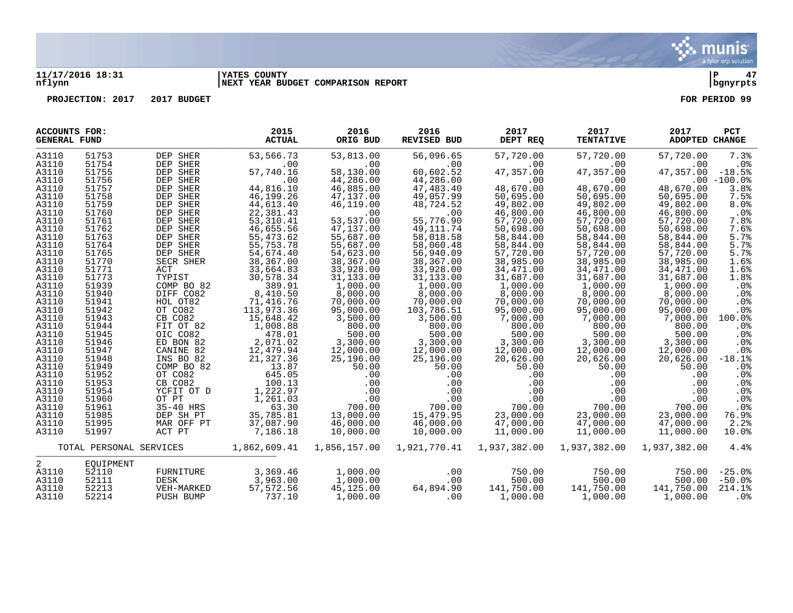

#### **11/17/2016 18:31 |YATES COUNTY |P 47 nflynn |NEXT YEAR BUDGET COMPARISON REPORT |bgnyrpts**

| <b>ACCOUNTS FOR:</b><br><b>GENERAL FUND</b> |                         |               | 2015<br><b>ACTUAL</b>  | 2016<br>ORIG BUD | 2016<br><b>REVISED BUD</b> | 2017<br>DEPT REQ       | 2017<br><b>TENTATIVE</b> | 2017<br>ADOPTED CHANGE | <b>PCT</b>      |
|---------------------------------------------|-------------------------|---------------|------------------------|------------------|----------------------------|------------------------|--------------------------|------------------------|-----------------|
| A3110                                       | 51753                   | DEP SHER      | 53,566.73              | 53,813.00        | 56,096.65                  | 57,720.00              | 57,720.00                | 57,720.00              | 7.3%            |
| A3110                                       | 51754                   | DEP SHER      | .00                    | .00              | .00                        | $.00 \,$               | $.00 \,$                 | $.00 \,$               | $.0\%$          |
| A3110                                       | 51755                   | DEP SHER      | 57,740.16              | 58,130.00        | 60,602.52                  | 47,357.00              | 47,357.00                | 47,357.00              | $-18.5%$        |
| A3110                                       | 51756                   | DEP SHER      | .00                    | 44,286.00        | 44,286.00                  | .00                    | .00                      |                        | $.00 - 100.0$   |
| A3110                                       | 51757                   | DEP SHER      | 44,816.10              | 46,885.00        | 47,483.40                  | 48,670.00              | 48,670.00                | 48,670.00              | 3.8%            |
| A3110                                       | 51758                   | DEP SHER      | 46,199.26              | 47,137.00        | 49,057.99                  | 50,695.00              | 50,695.00                | 50,695.00              | 7.5%            |
| A3110                                       | 51759                   | DEP SHER      | 44,613.40              | 46,119.00        | 48,724.52                  | 49,802.00              | 49,802.00                | 49,802.00              | 8.0%            |
| A3110                                       | 51760                   | DEP SHER      | 22,381.43              | .00              | .00                        | 46,800.00              | 46,800.00                | 46,800.00              | $.0\%$          |
| A3110                                       | 51761                   | DEP SHER      | 53,310.41              | 53,537.00        | 55,776.90                  | 57,720.00              | 57,720.00                | 57,720.00              | 7.8%            |
| A3110                                       | 51762                   | DEP SHER      | 46,655.56              | 47,137.00        | 49, 111.74                 | 50,698.00              | 50,698.00                | 50,698.00              | 7.6%            |
| A3110                                       | 51763                   | DEP SHER      | 55, 473.62             | 55,687.00        | 58,018.58                  | 58,844.00              | 58,844.00                | 58,844.00              | 5.7%            |
| A3110                                       | 51764                   | DEP SHER      | 55,753.78              | 55,687.00        | 58,060.48                  | 58,844.00              | 58,844.00                | 58,844.00              | 5.7%            |
| A3110                                       | 51765                   | DEP SHER      | 54,674.40              | 54,623.00        | 56,940.09                  | 57,720.00              | 57,720.00                | 57,720.00              | 5.7%            |
| A3110                                       | 51770                   |               |                        |                  |                            |                        |                          |                        | 1.6%            |
|                                             | 51771                   | SECR SHER     | 38,367.00              | 38,367.00        | 38,367.00<br>33,928,00     | 38,985.00<br>34,471.00 | 38,985.00<br>34,471.00   | 38,985.00              | 1.6%            |
| A3110                                       | 51773                   | ACT<br>TYPIST | 33,664.83<br>30,578.34 | 33,928.00        |                            |                        |                          | 34,471.00              |                 |
| A3110                                       |                         |               |                        | 31,133.00        | 31,133.00                  | 31,687.00              | 31,687.00                | 31,687.00              | 1.8%            |
| A3110                                       | 51939                   | COMP BO 82    | 389.91                 | 1,000.00         | 1,000.00                   | 1,000.00               | 1,000.00                 | 1,000.00               | .0%             |
| A3110                                       | 51940                   | DIFF CO82     | 8,410.50               | 8,000.00         | 8,000.00                   | 8,000.00               | 8,000.00                 | 8,000.00               | $.0\%$          |
| A3110                                       | 51941                   | HOL OT82      | 71,416.76              | 70,000.00        | 70,000.00                  | 70,000.00              | 70,000.00                | 70,000.00              | .0%             |
| A3110                                       | 51942                   | OT CO82       | 113,973.36             | 95,000.00        | 103,786.51                 | 95,000.00              | 95,000.00                | 95,000.00              | .0%             |
| A3110                                       | 51943                   | CB CO82       | 15,648.42              | 3,500.00         | 3,500.00                   | 7,000.00               | 7,000.00                 | 7,000.00               | 100.0%          |
| A3110                                       | 51944                   | FIT OT 82     | 1,008.88               | 800.00           | 800.00                     | 800.00                 | 800.00                   | 800.00                 | .0 <sub>8</sub> |
| A3110                                       | 51945                   | OIC CO82      | 478.01                 | 500.00           | 500.00                     | 500.00                 | 500.00                   | 500.00                 | .0%             |
| A3110                                       | 51946                   | ED BON 82     | 2,071.02               | 3,300.00         | 3,300.00                   | 3,300.00               | 3,300.00                 | 3,300.00               | .0 <sub>8</sub> |
| A3110                                       | 51947                   | CANINE 82     | 12,479.94              | 12,000.00        | 12,000.00                  | 12,000.00              | 12,000.00                | 12,000.00              | .0%             |
| A3110                                       | 51948                   | INS BO 82     | 21,327.36              | 25,196.00        | 25,196.00                  | 20,626.00              | 20,626.00                | 20,626.00              | $-18.1%$        |
| A3110                                       | 51949                   | COMP BO 82    | 13.87                  | 50.00            | 50.00                      | 50.00                  | 50.00                    | 50.00                  | .0 <sub>8</sub> |
| A3110                                       | 51952                   | OT CO82       | 645.05                 | .00              | .00                        | .00                    | .00                      | .00                    | $.0\%$          |
| A3110                                       | 51953                   | CB CO82       | 100.13                 | .00              | .00                        | .00                    | .00                      | .00                    | .0%             |
| A3110                                       | 51954                   | YCFIT OT D    | 1,222.97               | .00              | .00                        | .00                    | .00                      | .00                    | .0 <sub>8</sub> |
| A3110                                       | 51960                   | OT PT         | 1,261.03               | .00              | .00                        | .00                    | .00                      | .00                    | .0 <sub>8</sub> |
| A3110                                       | 51961                   | 35-40 HRS     | 63.30                  | 700.00           | 700.00                     | 700.00                 | 700.00                   | 700.00                 | .0%             |
| A3110                                       | 51985                   | DEP SH PT     | 35,785.81              | 13,000.00        | 15,479.95                  | 23,000.00              | 23,000.00                | 23,000.00              | 76.9%           |
| A3110                                       | 51995                   | MAR OFF PT    | 37,087.90              | 46,000.00        | 46,000.00                  | 47,000.00              | 47,000.00                | 47,000.00              | 2.2%            |
| A3110                                       | 51997                   | ACT PT        | 7,186.18               | 10,000.00        | 10,000.00                  | 11,000.00              | 11,000.00                | 11,000.00              | 10.0%           |
|                                             | TOTAL PERSONAL SERVICES |               | 1,862,609.41           | 1,856,157.00     | 1,921,770.41               | 1,937,382.00           | 1,937,382.00             | 1,937,382.00           | 4.4%            |
| 2                                           | EOUIPMENT               |               |                        |                  |                            |                        |                          |                        |                 |
| A3110                                       | 52110                   | FURNITURE     | 3,369.46               | 1,000.00         | .00                        | 750.00                 | 750.00                   | 750.00                 | $-25.0%$        |
| A3110                                       | 52111                   | DESK          | 3,963.00               | 1,000.00         | .00                        | 500.00                 | 500.00                   | 500.00                 | $-50.0%$        |
| A3110                                       | 52213                   | VEH-MARKED    | 57,572.56              | 45,125.00        | 64,894.90                  | 141,750.00             | 141,750.00               | 141,750.00             | 214.1%          |
| A3110                                       | 52214                   | PUSH BUMP     | 737.10                 | 1,000.00         | .00                        | 1,000.00               | 1,000.00                 | 1,000.00               | .0%             |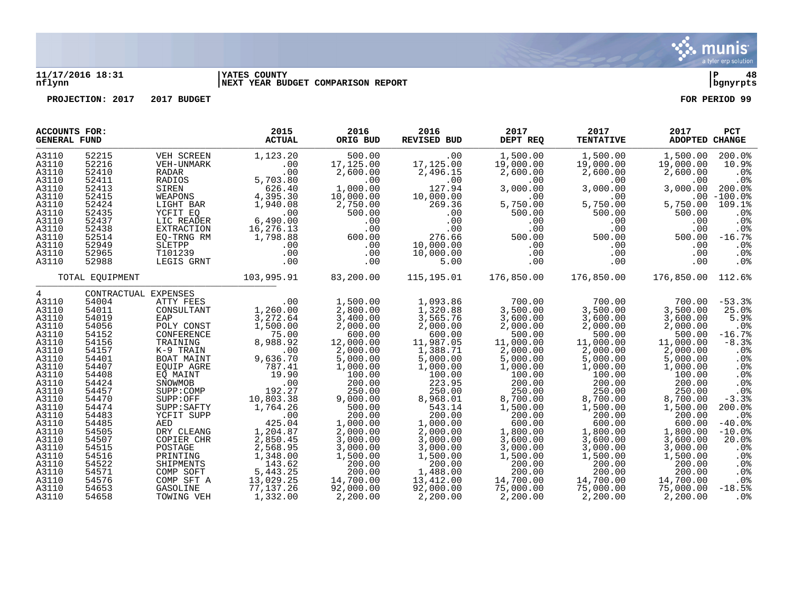

#### **11/17/2016 18:31 |YATES COUNTY |P 48 nflynn |NEXT YEAR BUDGET COMPARISON REPORT |bgnyrpts**

| <b>ACCOUNTS FOR:</b><br><b>GENERAL FUND</b>                                                                                                                                                                               |                                                                                                                                                                                                                      |                                                                                                                                                                                                                                                                                                                                   | 2015<br><b>ACTUAL</b>                                                                                                                                                                                                                                                     | 2016<br>ORIG BUD                                                                                                                                                                                                                                                                | 2016<br><b>REVISED BUD</b>                                                                                                                                                                                                                                                        | 2017<br>DEPT REQ                                                                                                                                                                                                                                                              | 2017<br><b>TENTATIVE</b>                                                                                                                                                                                                                                                      | 2017<br>ADOPTED CHANGE                                                                                                                                                                                                                                                        | <b>PCT</b>                                                                                                                                                                                                                                                       |
|---------------------------------------------------------------------------------------------------------------------------------------------------------------------------------------------------------------------------|----------------------------------------------------------------------------------------------------------------------------------------------------------------------------------------------------------------------|-----------------------------------------------------------------------------------------------------------------------------------------------------------------------------------------------------------------------------------------------------------------------------------------------------------------------------------|---------------------------------------------------------------------------------------------------------------------------------------------------------------------------------------------------------------------------------------------------------------------------|---------------------------------------------------------------------------------------------------------------------------------------------------------------------------------------------------------------------------------------------------------------------------------|-----------------------------------------------------------------------------------------------------------------------------------------------------------------------------------------------------------------------------------------------------------------------------------|-------------------------------------------------------------------------------------------------------------------------------------------------------------------------------------------------------------------------------------------------------------------------------|-------------------------------------------------------------------------------------------------------------------------------------------------------------------------------------------------------------------------------------------------------------------------------|-------------------------------------------------------------------------------------------------------------------------------------------------------------------------------------------------------------------------------------------------------------------------------|------------------------------------------------------------------------------------------------------------------------------------------------------------------------------------------------------------------------------------------------------------------|
| A3110<br>A3110<br>A3110<br>A3110<br>A3110<br>A3110<br>A3110<br>A3110<br>A3110<br>A3110<br>A3110<br>A3110<br>A3110<br>A3110                                                                                                | 52215<br>52216<br>52410<br>52411<br>52413<br>52415<br>52424<br>52435<br>52437<br>52438<br>52514<br>52949<br>52965<br>52988                                                                                           | VEH SCREEN<br>VEH-UNMARK<br>RADAR<br>RADIOS<br>SIREN<br>WEAPONS<br>LIGHT BAR<br>YCFIT EO<br>LIC READER<br><b>EXTRACTION</b><br>EQ-TRNG RM<br>SLETPP<br>T101239<br>LEGIS GRNT                                                                                                                                                      | 1,123.20<br>.00<br>.00<br>5,703.80<br>626.40<br>4,395.30<br>1,940.08<br>.00<br>6,490.00<br>16,276.13<br>1,798.88<br>.00<br>.00<br>.00                                                                                                                                     | 500.00<br>17,125.00<br>2,600.00<br>.00<br>1,000.00<br>10,000.00<br>2,750.00<br>500.00<br>.00<br>.00<br>600.00<br>.00<br>.00<br>.00                                                                                                                                              | .00<br>17,125.00<br>2,496.15<br>.00<br>127.94<br>10,000.00<br>269.36<br>.00<br>.00<br>.00<br>276.66<br>10,000.00<br>10,000.00<br>5.00                                                                                                                                             | 1,500.00<br>19,000.00<br>2,600.00<br>.00<br>3,000.00<br>.00<br>5,750.00<br>500.00<br>.00<br>.00<br>500.00<br>.00<br>.00<br>.00                                                                                                                                                | 1,500.00<br>19,000.00<br>2,600.00<br>.00<br>3,000.00<br>.00<br>5,750.00<br>500.00<br>.00<br>.00<br>500.00<br>$.00 \,$<br>$.00 \,$<br>.00                                                                                                                                      | 1,500.00<br>19,000.00<br>2,600.00<br>.00<br>3,000.00<br>5,750.00<br>500.00<br>.00<br>.00<br>500.00<br>.00<br>$.00 \,$<br>.00                                                                                                                                                  | 200.0%<br>10.9%<br>.0%<br>.0%<br>200.0%<br>$.00 - 100.0$<br>109.1%<br>.0 <sub>8</sub><br>.0%<br>.0%<br>$-16.7%$<br>$.0\%$<br>$.0\%$<br>.0%                                                                                                                       |
|                                                                                                                                                                                                                           | TOTAL EQUIPMENT                                                                                                                                                                                                      |                                                                                                                                                                                                                                                                                                                                   | 103,995.91                                                                                                                                                                                                                                                                | 83,200.00                                                                                                                                                                                                                                                                       | 115,195.01                                                                                                                                                                                                                                                                        | 176,850.00                                                                                                                                                                                                                                                                    | 176,850.00                                                                                                                                                                                                                                                                    | 176,850.00 112.6%                                                                                                                                                                                                                                                             |                                                                                                                                                                                                                                                                  |
| 4<br>A3110<br>A3110<br>A3110<br>A3110<br>A3110<br>A3110<br>A3110<br>A3110<br>A3110<br>A3110<br>A3110<br>A3110<br>A3110<br>A3110<br>A3110<br>A3110<br>A3110<br>A3110<br>A3110<br>A3110<br>A3110<br>A3110<br>A3110<br>A3110 | 54004<br>54011<br>54019<br>54056<br>54152<br>54156<br>54157<br>54401<br>54407<br>54408<br>54424<br>54457<br>54470<br>54474<br>54483<br>54485<br>54505<br>54507<br>54515<br>54516<br>54522<br>54571<br>54576<br>54653 | CONTRACTUAL EXPENSES<br>ATTY FEES<br>CONSULTANT<br>EAP<br>POLY CONST<br>CONFERENCE<br>TRAINING<br>K-9 TRAIN<br>BOAT MAINT<br>EQUIP AGRE<br>EO MAINT<br>SNOWMOB<br>SUPP:COMP<br>SUPP:OFF<br>SUPP:SAFTY<br>YCFIT SUPP<br>AED<br>DRY CLEANG<br>COPIER CHR<br>POSTAGE<br>PRINTING<br>SHIPMENTS<br>COMP SOFT<br>COMP SFT A<br>GASOLINE | .00<br>1,260.00<br>3,272.64<br>1,500.00<br>75.00<br>8,988.92<br>.00<br>9,636.70<br>787.41<br>19.90<br>.00<br>192.27<br>10,803.38<br>1,764.26<br>$.00$<br>425.04<br>425.04<br>1,204.87<br>2,850.45<br>2,568.95<br>1,348.00<br>143.62<br>5,443.25<br>13,029.25<br>77,137.26 | 1,500.00<br>2,800.00<br>3,400.00<br>2,000.00<br>600.00<br>12,000.00<br>2,000.00<br>5,000.00<br>1,000.00<br>100.00<br>200.00<br>250.00<br>9,000.00<br>500.00<br>200.00<br>1,000.00<br>2,000.00<br>3,000.00<br>3,000.00<br>1,500.00<br>200.00<br>200.00<br>14,700.00<br>92,000.00 | 1,093.86<br>1,320.88<br>3,565.76<br>2,000.00<br>600.00<br>11,987.05<br>1,388.71<br>5,000.00<br>1,000.00<br>100.00<br>223.95<br>250.00<br>8,968.01<br>543.14<br>200.00<br>1,000.00<br>2,000.00<br>3,000.00<br>3,000.00<br>1,500.00<br>200.00<br>1,488.00<br>13,412.00<br>92,000.00 | 700.00<br>3,500.00<br>3,600.00<br>2,000.00<br>500.00<br>11,000.00<br>2,000.00<br>5,000.00<br>1,000.00<br>100.00<br>200.00<br>250.00<br>8,700.00<br>1,500.00<br>200.00<br>600.00<br>1,800.00<br>3,600.00<br>3,000.00<br>1,500.00<br>200.00<br>200.00<br>14,700.00<br>75,000.00 | 700.00<br>3,500.00<br>3,600.00<br>2,000.00<br>500.00<br>11,000.00<br>2,000.00<br>5,000.00<br>1,000.00<br>100.00<br>200.00<br>250.00<br>8,700.00<br>1,500.00<br>200.00<br>600.00<br>1,800.00<br>3,600.00<br>3,000.00<br>1,500.00<br>200.00<br>200.00<br>14,700.00<br>75,000.00 | 700.00<br>3,500.00<br>3,600.00<br>2,000.00<br>500.00<br>11,000.00<br>2,000.00<br>5,000.00<br>1,000.00<br>100.00<br>200.00<br>250.00<br>8,700.00<br>1,500.00<br>200.00<br>600.00<br>1,800.00<br>3,600.00<br>3,000.00<br>1,500.00<br>200.00<br>200.00<br>14,700.00<br>75,000.00 | $-53.3%$<br>25.0%<br>5.9%<br>$.0\%$<br>$-16.7%$<br>$-8.3%$<br>.0%<br>.0%<br>.0%<br>$.0\%$<br>.0 <sub>8</sub><br>.0%<br>$-3.3%$<br>200.0%<br>$.0\%$<br>$-40.0%$<br>$-10.0%$<br>20.0%<br>.0 <sub>8</sub><br>.0 <sub>8</sub><br>$.0\%$<br>.0%<br>$.0\%$<br>$-18.5%$ |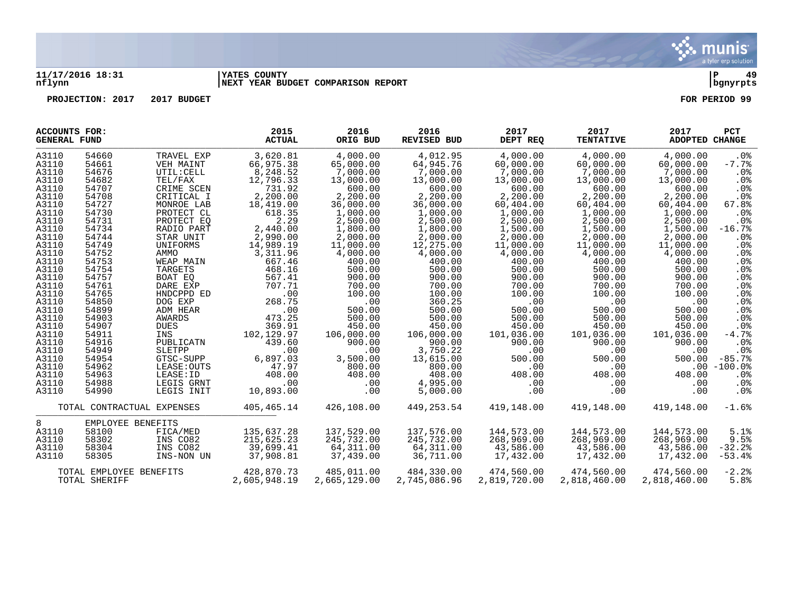

#### **11/17/2016 18:31 |YATES COUNTY |P 49 nflynn |NEXT YEAR BUDGET COMPARISON REPORT |bgnyrpts**

| <b>ACCOUNTS FOR:</b><br><b>GENERAL FUND</b> |                         |                            | 2015<br><b>ACTUAL</b> | 2016<br>ORIG BUD | 2016<br><b>REVISED BUD</b> | 2017<br>DEPT REQ | 2017<br><b>TENTATIVE</b> | 2017<br>ADOPTED CHANGE | <b>PCT</b>      |
|---------------------------------------------|-------------------------|----------------------------|-----------------------|------------------|----------------------------|------------------|--------------------------|------------------------|-----------------|
| A3110                                       | 54660                   | TRAVEL EXP                 | 3,620.81              | 4,000.00         | 4,012.95                   | 4,000.00         | 4,000.00                 | 4,000.00               | .0 <sub>8</sub> |
| A3110                                       | 54661                   | VEH MAINT                  | 66,975.38             | 65,000.00        | 64,945.76                  | 60,000.00        | 60,000.00                | 60,000.00              | $-7.7%$         |
| A3110                                       | 54676                   | UTIL: CELL                 | 8,248.52              | 7,000.00         | 7,000.00                   | 7,000.00         | 7,000.00                 | 7,000.00               | .0%             |
| A3110                                       | 54682                   | TEL/FAX                    | 12,796.33             | 13,000.00        | 13,000.00                  | 13,000.00        | 13,000.00                | 13,000.00              | $.0\%$          |
| A3110                                       | 54707                   | CRIME SCEN                 | 731.92                | 600.00           | 600.00                     | 600.00           | 600.00                   | 600.00                 | .0%             |
| A3110                                       | 54708                   | CRITICAL I                 | 2,200.00              | 2,200.00         | 2,200.00                   | 2,200.00         | 2,200.00                 | 2,200.00               | $.0\%$          |
| A3110                                       | 54727                   | MONROE LAB                 | 18,419.00             | 36,000.00        | 36,000.00                  | 60,404.00        | 60,404.00                | 60,404.00              | 67.8%           |
| A3110                                       | 54730                   | PROTECT CL                 | 618.35                | 1,000.00         | 1,000.00                   | 1,000.00         | 1,000.00                 | 1,000.00               | .0%             |
| A3110                                       | 54731                   | PROTECT EQ                 | 2.29                  | 2,500.00         | 2,500.00                   | 2,500.00         | 2,500.00                 | 2,500.00               | .0%             |
| A3110                                       | 54734                   | RADIO PART                 | 2,440.00              | 1,800.00         | 1,800.00                   | 1,500.00         | 1,500.00                 | 1,500.00               | $-16.7%$        |
| A3110                                       | 54744                   | STAR UNIT                  | 2,990.00              | 2,000.00         | 2,000.00                   | 2,000.00         | 2,000.00                 | 2,000.00               | .0 <sub>8</sub> |
| A3110                                       | 54749                   | UNIFORMS                   | 14,989.19             | 11,000.00        | 12,275.00                  | 11,000.00        | 11,000.00                | 11,000.00              | .0%             |
| A3110                                       | 54752                   | AMMO                       | 3,311.96              | 4,000.00         | 4,000.00                   | 4,000.00         | 4,000.00                 | 4,000.00               | .0%             |
| A3110                                       | 54753                   | WEAP MAIN                  | 667.46                | 400.00           | 400.00                     | 400.00           | 400.00                   | 400.00                 | .0 <sub>8</sub> |
| A3110                                       | 54754                   | <b>TARGETS</b>             | 468.16                | 500.00           | 500.00                     | 500.00           | 500.00                   | 500.00                 | .0%             |
| A3110                                       | 54757                   | BOAT EO                    | 567.41                | 900.00           | 900.00                     | 900.00           | 900.00                   | 900.00                 | $.0\%$          |
| A3110                                       | 54761                   | DARE EXP                   | 707.71                | 700.00           | 700.00                     | 700.00           | 700.00                   | 700.00                 | .0 <sub>8</sub> |
| A3110                                       | 54765                   | HNDCPPD ED                 | .00                   | 100.00           | 100.00                     | 100.00           | 100.00                   | 100.00                 | .0 <sub>8</sub> |
| A3110                                       | 54850                   | DOG EXP                    | 268.75                | .00              | 360.25                     | .00              | .00                      | .00                    | .0%             |
| A3110                                       | 54899                   | ADM HEAR                   | .00                   | 500.00           | 500.00                     | 500.00           | 500.00                   | 500.00                 | .0%             |
| A3110                                       | 54903                   | AWARDS                     | 473.25                | 500.00           | 500.00                     | 500.00           | 500.00                   | 500.00                 | .0 <sub>8</sub> |
| A3110                                       | 54907                   | <b>DUES</b>                | 369.91                | 450.00           | 450.00                     | 450.00           | 450.00                   | 450.00                 | .0%             |
| A3110                                       | 54911                   | INS                        | 102,129.97            | 106,000.00       | 106,000.00                 | 101,036.00       | 101,036.00               | 101,036.00             | $-4.7%$         |
| A3110                                       | 54916                   | PUBLICATN                  | 439.60                | 900.00           | 900.00                     | 900.00           | 900.00                   | 900.00                 | .0%             |
| A3110                                       | 54949                   | SLETPP                     | .00                   | .00              | 3,750.22                   | .00              | .00                      | .00                    | $.0\%$          |
| A3110                                       | 54954                   | GTSC-SUPP                  | 6,897.03              | 3,500.00         | 13,615.00                  | 500.00           | 500.00                   | 500.00                 | $-85.7%$        |
| A3110                                       | 54962                   | LEASE: OUTS                | 47.97                 | 800.00           | 800.00                     | .00              | .00                      |                        | $.00 - 100.0$   |
| A3110                                       | 54963                   | LEASE: ID                  | 408.00                | 408.00           | 408.00                     | 408.00           | 408.00                   | 408.00                 | $.0\%$          |
| A3110                                       | 54988                   | LEGIS GRNT                 | .00                   | .00              | 4,995.00                   | .00              | $.00 \,$                 | .00                    | $.0\%$          |
| A3110                                       | 54990                   | LEGIS INIT                 | 10,893.00             | .00              | 5,000.00                   | .00              | .00                      | .00                    | .0%             |
|                                             |                         | TOTAL CONTRACTUAL EXPENSES | 405,465.14            | 426,108.00       | 449,253.54                 | 419,148.00       | 419,148.00               | 419,148.00             | $-1.6%$         |
| 8                                           | EMPLOYEE BENEFITS       |                            |                       |                  |                            |                  |                          |                        |                 |
| A3110                                       | 58100                   | FICA/MED                   | 135,637.28            | 137,529.00       | 137,576.00                 | 144,573.00       | 144,573.00               | 144,573.00             | 5.1%            |
| A3110                                       | 58302                   | INS CO82                   | 215,625.23            | 245,732.00       | 245,732.00                 | 268,969.00       | 268,969.00               | 268,969.00             | 9.5%            |
| A3110                                       | 58304                   | INS CO82                   | 39,699.41             | 64,311.00        | 64,311.00                  | 43,586.00        | 43,586.00                | 43,586.00              | $-32.2%$        |
| A3110                                       | 58305                   | INS-NON UN                 | 37,908.81             | 37,439.00        | 36,711.00                  | 17,432.00        | 17,432.00                | 17,432.00              | $-53.4%$        |
|                                             | TOTAL EMPLOYEE BENEFITS |                            | 428,870.73            | 485,011.00       | 484,330.00                 | 474,560.00       | 474,560.00               | 474,560.00             | $-2.2%$         |
|                                             | TOTAL SHERIFF           |                            | 2,605,948.19          | 2,665,129.00     | 2,745,086.96               | 2,819,720.00     | 2,818,460.00             | 2,818,460.00           | 5.8%            |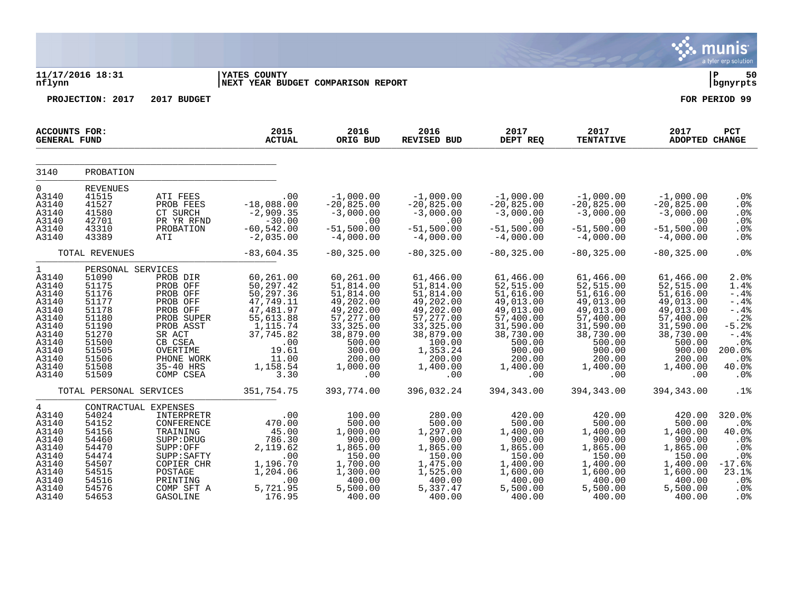|                                                                                                                        |                                                                                                                                        |                                                                                                                                                              |                                                                                                                                                   |                                                                                                                                                        |                                                                                                                                                            |                                                                                                                                                       |                                                                                                                                                       |                                                                                                                                                       | <b>munis</b><br>a tyler erp solution                                                                                            |
|------------------------------------------------------------------------------------------------------------------------|----------------------------------------------------------------------------------------------------------------------------------------|--------------------------------------------------------------------------------------------------------------------------------------------------------------|---------------------------------------------------------------------------------------------------------------------------------------------------|--------------------------------------------------------------------------------------------------------------------------------------------------------|------------------------------------------------------------------------------------------------------------------------------------------------------------|-------------------------------------------------------------------------------------------------------------------------------------------------------|-------------------------------------------------------------------------------------------------------------------------------------------------------|-------------------------------------------------------------------------------------------------------------------------------------------------------|---------------------------------------------------------------------------------------------------------------------------------|
| nflynn                                                                                                                 | 11/17/2016 18:31                                                                                                                       |                                                                                                                                                              | <b>IYATES COUNTY</b><br>NEXT YEAR BUDGET COMPARISON REPORT                                                                                        |                                                                                                                                                        |                                                                                                                                                            |                                                                                                                                                       |                                                                                                                                                       |                                                                                                                                                       | ∣ P<br>50<br>bgnyrpts                                                                                                           |
|                                                                                                                        | PROJECTION: 2017                                                                                                                       | 2017 BUDGET                                                                                                                                                  |                                                                                                                                                   |                                                                                                                                                        |                                                                                                                                                            |                                                                                                                                                       |                                                                                                                                                       |                                                                                                                                                       | FOR PERIOD 99                                                                                                                   |
| <b>ACCOUNTS FOR:</b><br><b>GENERAL FUND</b>                                                                            |                                                                                                                                        |                                                                                                                                                              | 2015<br><b>ACTUAL</b>                                                                                                                             | 2016<br>ORIG BUD                                                                                                                                       | 2016<br><b>REVISED BUD</b>                                                                                                                                 | 2017<br>DEPT REQ                                                                                                                                      | 2017<br><b>TENTATIVE</b>                                                                                                                              | 2017<br>ADOPTED CHANGE                                                                                                                                | <b>PCT</b>                                                                                                                      |
| 3140                                                                                                                   | PROBATION                                                                                                                              |                                                                                                                                                              |                                                                                                                                                   |                                                                                                                                                        |                                                                                                                                                            |                                                                                                                                                       |                                                                                                                                                       |                                                                                                                                                       |                                                                                                                                 |
| $\overline{0}$<br>A3140<br>A3140<br>A3140<br>A3140<br>A3140<br>A3140                                                   | REVENUES<br>41515<br>41527<br>41580<br>42701<br>43310<br>43389                                                                         | ATI FEES<br>PROB FEES<br>CT SURCH<br>PR YR RFND<br>PROBATION<br>ATI                                                                                          | .00<br>$-18,088.00$<br>$-2,909.35$<br>$-30.00$<br>$-60, 542.00$<br>$-2,035.00$                                                                    | $-1,000.00$<br>$-20,825.00$<br>$-3,000.00$<br>.00<br>$-51,500.00$<br>$-4,000.00$                                                                       | $-1,000.00$<br>$-20,825.00$<br>$-3,000.00$<br>.00<br>$-51,500.00$<br>$-4,000.00$                                                                           | $-1,000.00$<br>$-20,825.00$<br>$-3,000.00$<br>.00<br>$-51,500.00$<br>$-4,000.00$                                                                      | $-1,000.00$<br>$-20,825.00$<br>$-3,000.00$<br>.00<br>$-51,500.00$<br>$-4,000.00$                                                                      | $-1,000.00$<br>$-20,825.00$<br>$-3,000.00$<br>.00<br>$-51,500.00$<br>$-4,000.00$                                                                      | .0%<br>$.0\%$<br>.0%<br>.0%<br>.0%<br>.0%                                                                                       |
|                                                                                                                        | TOTAL REVENUES                                                                                                                         |                                                                                                                                                              | $-83,604.35$                                                                                                                                      | $-80, 325.00$                                                                                                                                          | $-80, 325.00$                                                                                                                                              | $-80, 325.00$                                                                                                                                         | $-80, 325.00$                                                                                                                                         | $-80, 325.00$                                                                                                                                         | .0 <sup>8</sup>                                                                                                                 |
| 1<br>A3140<br>A3140<br>A3140<br>A3140<br>A3140<br>A3140<br>A3140<br>A3140<br>A3140<br>A3140<br>A3140<br>A3140<br>A3140 | PERSONAL SERVICES<br>51090<br>51175<br>51176<br>51177<br>51178<br>51180<br>51190<br>51270<br>51500<br>51505<br>51506<br>51508<br>51509 | PROB DIR<br>PROB OFF<br>PROB OFF<br>PROB OFF<br>PROB OFF<br>PROB SUPER<br>PROB ASST<br>SR ACT<br>CB CSEA<br>OVERTIME<br>PHONE WORK<br>35-40 HRS<br>COMP CSEA | 60,261.00<br>50, 297.42<br>50,297.36<br>47,749.11<br>47,481.97<br>55,613.88<br>1,115.74<br>37,745.82<br>.00<br>19.61<br>11.00<br>1,158.54<br>3.30 | 60,261.00<br>51,814.00<br>51,814.00<br>49,202.00<br>49,202.00<br>57,277.00<br>33, 325.00<br>38,879.00<br>500.00<br>300.00<br>200.00<br>1,000.00<br>.00 | 61,466.00<br>51,814.00<br>51,814.00<br>49,202.00<br>49, 202.00<br>57, 277.00<br>33, 325.00<br>38,879.00<br>100.00<br>1,353.24<br>200.00<br>1,400.00<br>.00 | 61,466.00<br>52,515.00<br>51,616.00<br>49,013.00<br>49,013.00<br>57,400.00<br>31,590.00<br>38,730.00<br>500.00<br>900.00<br>200.00<br>1,400.00<br>.00 | 61,466.00<br>52,515.00<br>51,616.00<br>49,013.00<br>49,013.00<br>57,400.00<br>31,590.00<br>38,730.00<br>500.00<br>900.00<br>200.00<br>1,400.00<br>.00 | 61,466.00<br>52,515.00<br>51,616.00<br>49,013.00<br>49,013.00<br>57,400.00<br>31,590.00<br>38,730.00<br>500.00<br>900.00<br>200.00<br>1,400.00<br>.00 | 2.0%<br>1.4%<br>$-.4%$<br>$- .4%$<br>$- .4%$<br>.2%<br>$-5.2%$<br>$-.4%$<br>.0%<br>200.0%<br>$.0\%$<br>40.0%<br>.0 <sub>8</sub> |
|                                                                                                                        | TOTAL PERSONAL SERVICES                                                                                                                |                                                                                                                                                              | 351,754.75                                                                                                                                        | 393,774.00                                                                                                                                             | 396,032.24                                                                                                                                                 | 394, 343.00                                                                                                                                           | 394, 343.00                                                                                                                                           | 394, 343.00                                                                                                                                           | .1%                                                                                                                             |
| $4\overline{ }$<br>A3140<br>A3140<br>A3140<br>A3140<br>A3140<br>A3140<br>A3140<br>A3140<br>A3140<br>A3140<br>A3140     | CONTRACTUAL EXPENSES<br>54024<br>54152<br>54156<br>54460<br>54470<br>54474<br>54507<br>54515<br>54516<br>54576<br>54653                | INTERPRETR<br>CONFERENCE<br>TRAINING<br>SUPP: DRUG<br>SUPP:OFF<br>SUPP: SAFTY<br>COPIER CHR<br>POSTAGE<br>PRINTING<br>COMP SFT A<br>GASOLINE                 | .00<br>470.00<br>45.00<br>786.30<br>2,119.62<br>.00<br>1,196.70<br>1,204.06<br>.00<br>5,721.95<br>176.95                                          | 100.00<br>500.00<br>1,000.00<br>900.00<br>1,865.00<br>150.00<br>1,700.00<br>1,300.00<br>400.00<br>5,500.00<br>400.00                                   | 280.00<br>500.00<br>1,297.00<br>900.00<br>1,865.00<br>150.00<br>1,475.00<br>1,525.00<br>400.00<br>5,337.47<br>400.00                                       | 420.00<br>500.00<br>1,400.00<br>900.00<br>1,865.00<br>150.00<br>1,400.00<br>1,600.00<br>400.00<br>5,500.00<br>400.00                                  | 420.00<br>500.00<br>1,400.00<br>900.00<br>1,865.00<br>150.00<br>1,400.00<br>1,600.00<br>400.00<br>5,500.00<br>400.00                                  | 420.00<br>500.00<br>1,400.00<br>900.00<br>1,865.00<br>150.00<br>1,400.00<br>1,600.00<br>400.00<br>5,500.00<br>400.00                                  | 320.0%<br>.0%<br>40.0%<br>.0 <sub>8</sub><br>.0%<br>.0%<br>$-17.6%$<br>23.1%<br>.0%<br>.0%<br>.0 <sub>8</sub>                   |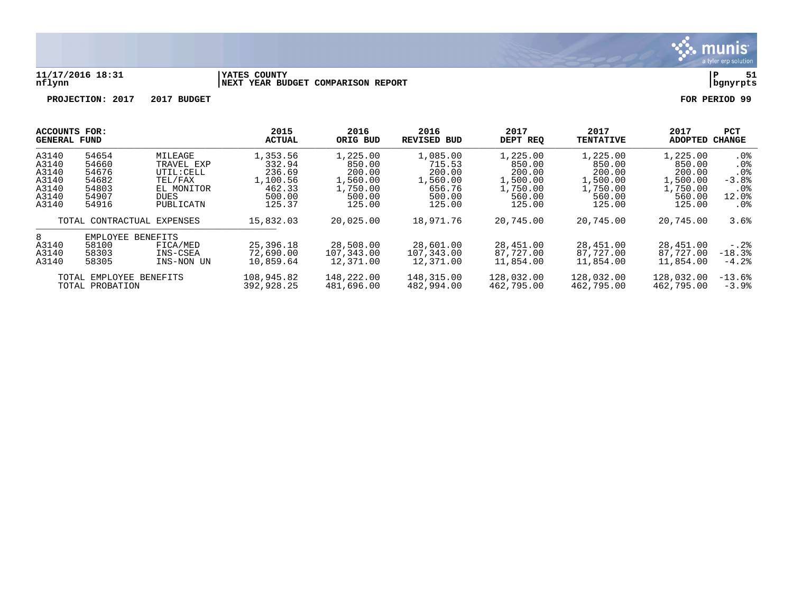

#### **11/17/2016 18:31 |YATES COUNTY |P 51 nflynn |NEXT YEAR BUDGET COMPARISON REPORT |bgnyrpts**

| ACCOUNTS FOR:<br><b>GENERAL FUND</b> |                         |                            | 2015<br>ACTUAL | 2016<br>ORIG BUD | 2016<br><b>REVISED BUD</b> | 2017<br>DEPT REO | 2017<br><b>TENTATIVE</b> | 2017<br>ADOPTED | <b>PCT</b><br>CHANGE |
|--------------------------------------|-------------------------|----------------------------|----------------|------------------|----------------------------|------------------|--------------------------|-----------------|----------------------|
| A3140                                | 54654                   | MILEAGE                    | 1,353.56       | 1,225.00         | 1,085.00                   | 1,225.00         | 1,225.00                 | 1,225.00        | . 0 %                |
| A3140                                | 54660                   | TRAVEL EXP                 | 332.94         | 850.00           | 715.53                     | 850.00           | 850.00                   | 850.00          | $.0\%$               |
| A3140                                | 54676                   | UTIL: CELL                 | 236.69         | 200.00           | 200.00                     | 200.00           | 200.00                   | 200.00          | . 0%                 |
| A3140                                | 54682                   | TEL/FAX                    | 1,100.56       | 1,560.00         | 1,560.00                   | 1,500.00         | 1,500.00                 | 1,500.00        | $-3.8%$              |
| A3140                                | 54803                   | EL MONITOR                 | 462.33         | 1,750.00         | 656.76                     | 1,750.00         | 1,750.00                 | 1,750.00        | . 0%                 |
| A3140                                | 54907                   | <b>DUES</b>                | 500.00         | 500.00           | 500.00                     | 560.00           | 560.00                   | 560.00          | 12.0%                |
| A3140                                | 54916                   | PUBLICATN                  | 125.37         | 125.00           | 125.00                     | 125.00           | 125.00                   | 125.00          | $.0\%$               |
|                                      |                         | TOTAL CONTRACTUAL EXPENSES | 15,832.03      | 20,025.00        | 18,971.76                  | 20,745.00        | 20,745.00                | 20,745.00       | 3.6%                 |
| 8                                    | EMPLOYEE                | <b>BENEFITS</b>            |                |                  |                            |                  |                          |                 |                      |
| A3140                                | 58100                   | FICA/MED                   | 25,396.18      | 28,508.00        | 28,601.00                  | 28,451.00        | 28,451.00                | 28,451.00       | $-0.2\%$             |
| A3140                                | 58303                   | INS-CSEA                   | 72,690.00      | 107,343.00       | 107,343.00                 | 87,727.00        | 87,727.00                | 87,727.00       | $-18.3%$             |
| A3140                                | 58305                   | INS-NON UN                 | 10,859.64      | 12,371.00        | 12,371.00                  | 11,854.00        | 11,854.00                | 11,854.00       | $-4.2%$              |
|                                      | TOTAL EMPLOYEE BENEFITS |                            | 108,945.82     | 148,222.00       | 148,315.00                 | 128,032.00       | 128,032.00               | 128,032.00      | $-13.6%$             |
|                                      | TOTAL PROBATION         |                            | 392,928.25     | 481,696.00       | 482,994.00                 | 462,795.00       | 462,795.00               | 462,795.00      | $-3.9%$              |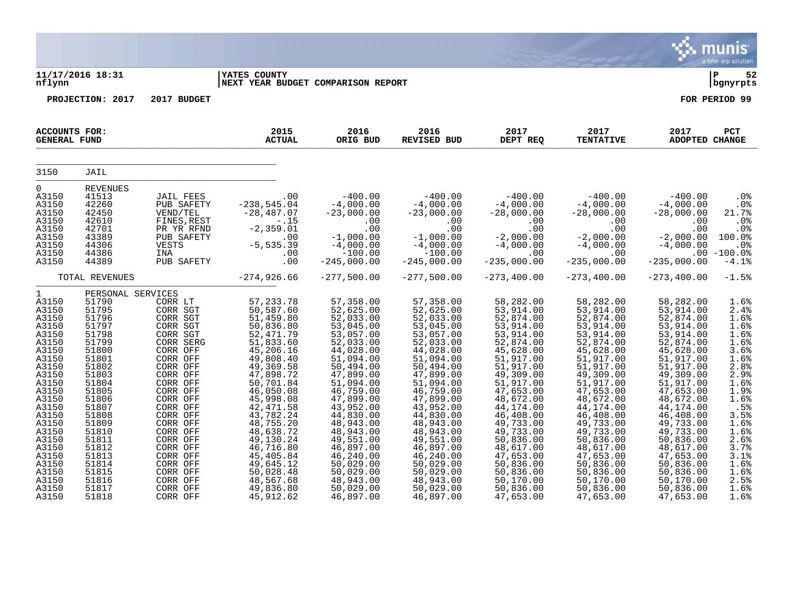|                                                                                                                                                                                                                                      |                                                                                                                                                                                                                                           |                                                                                                                                                                                                                                                                                              |                                                                                                                                                                                                                                                                                                                           |                                                                                                                                                                                                                                                                                                                      |                                                                                                                                                                                                                                                                                                                      |                                                                                                                                                                                                                                                                                                                      |                                                                                                                                                                                                                                                                                                                       |                                                                                                                                                                                                                                                                                                                      | munis<br>a tyler erp solution                                                                                                                                                                     |
|--------------------------------------------------------------------------------------------------------------------------------------------------------------------------------------------------------------------------------------|-------------------------------------------------------------------------------------------------------------------------------------------------------------------------------------------------------------------------------------------|----------------------------------------------------------------------------------------------------------------------------------------------------------------------------------------------------------------------------------------------------------------------------------------------|---------------------------------------------------------------------------------------------------------------------------------------------------------------------------------------------------------------------------------------------------------------------------------------------------------------------------|----------------------------------------------------------------------------------------------------------------------------------------------------------------------------------------------------------------------------------------------------------------------------------------------------------------------|----------------------------------------------------------------------------------------------------------------------------------------------------------------------------------------------------------------------------------------------------------------------------------------------------------------------|----------------------------------------------------------------------------------------------------------------------------------------------------------------------------------------------------------------------------------------------------------------------------------------------------------------------|-----------------------------------------------------------------------------------------------------------------------------------------------------------------------------------------------------------------------------------------------------------------------------------------------------------------------|----------------------------------------------------------------------------------------------------------------------------------------------------------------------------------------------------------------------------------------------------------------------------------------------------------------------|---------------------------------------------------------------------------------------------------------------------------------------------------------------------------------------------------|
| nflynn                                                                                                                                                                                                                               | 11/17/2016 18:31                                                                                                                                                                                                                          |                                                                                                                                                                                                                                                                                              | <b>YATES COUNTY</b><br>NEXT YEAR BUDGET COMPARISON REPORT                                                                                                                                                                                                                                                                 |                                                                                                                                                                                                                                                                                                                      |                                                                                                                                                                                                                                                                                                                      |                                                                                                                                                                                                                                                                                                                      |                                                                                                                                                                                                                                                                                                                       |                                                                                                                                                                                                                                                                                                                      | l P<br>52<br>bgnyrpts                                                                                                                                                                             |
|                                                                                                                                                                                                                                      | PROJECTION: 2017                                                                                                                                                                                                                          | 2017 BUDGET                                                                                                                                                                                                                                                                                  |                                                                                                                                                                                                                                                                                                                           |                                                                                                                                                                                                                                                                                                                      |                                                                                                                                                                                                                                                                                                                      |                                                                                                                                                                                                                                                                                                                      |                                                                                                                                                                                                                                                                                                                       |                                                                                                                                                                                                                                                                                                                      | FOR PERIOD 99                                                                                                                                                                                     |
| <b>ACCOUNTS FOR:</b><br><b>GENERAL FUND</b>                                                                                                                                                                                          |                                                                                                                                                                                                                                           |                                                                                                                                                                                                                                                                                              | 2015<br><b>ACTUAL</b>                                                                                                                                                                                                                                                                                                     | 2016<br>ORIG BUD                                                                                                                                                                                                                                                                                                     | 2016<br>REVISED BUD                                                                                                                                                                                                                                                                                                  | 2017<br>DEPT REQ                                                                                                                                                                                                                                                                                                     | 2017<br><b>TENTATIVE</b>                                                                                                                                                                                                                                                                                              | 2017<br>ADOPTED CHANGE                                                                                                                                                                                                                                                                                               | <b>PCT</b>                                                                                                                                                                                        |
| 3150                                                                                                                                                                                                                                 | JAIL                                                                                                                                                                                                                                      |                                                                                                                                                                                                                                                                                              |                                                                                                                                                                                                                                                                                                                           |                                                                                                                                                                                                                                                                                                                      |                                                                                                                                                                                                                                                                                                                      |                                                                                                                                                                                                                                                                                                                      |                                                                                                                                                                                                                                                                                                                       |                                                                                                                                                                                                                                                                                                                      |                                                                                                                                                                                                   |
| $\Omega$<br>A3150<br>A3150<br>A3150<br>A3150<br>A3150<br>A3150<br>A3150<br>A3150<br>A3150                                                                                                                                            | <b>REVENUES</b><br>41513<br>42260<br>42450<br>42610<br>42701<br>43389<br>44306<br>44386<br>44389                                                                                                                                          | <b>JAIL FEES</b><br>PUB SAFETY<br>VEND/TEL<br>FINES, REST<br>PR YR RFND<br>PUB SAFETY<br>VESTS<br>INA<br>PUB SAFETY                                                                                                                                                                          | .00<br>$-238, 545.04$<br>$-28, 487.07$<br>$-.15$<br>$-2, 359.01$<br>.00<br>$-5, 535.39$<br>.00<br>.00                                                                                                                                                                                                                     | $-400.00$<br>$-4,000.00$<br>$-23,000.00$<br>.00<br>.00<br>$-1,000.00$<br>$-4,000.00$<br>$-100.00$<br>$-245,000.00$                                                                                                                                                                                                   | $-400.00$<br>$-4,000.00$<br>$-23,000.00$<br>.00<br>.00<br>$-1,000.00$<br>$-4,000.00$<br>$-100.00$<br>$-245,000.00$                                                                                                                                                                                                   | $-400.00$<br>$-4,000.00$<br>$-28,000.00$<br>.00<br>.00<br>$-2,000.00$<br>$-4,000.00$<br>.00<br>$-235,000.00$                                                                                                                                                                                                         | $-400.00$<br>$-4,000.00$<br>$-28,000.00$<br>$.00 \,$<br>.00<br>$-2,000.00$<br>$-4,000.00$<br>.00<br>$-235,000.00$                                                                                                                                                                                                     | $-400.00$<br>$-4,000.00$<br>$-28,000.00$<br>.00<br>.00<br>$-2,000.00$<br>$-4,000.00$<br>$-235,000.00$                                                                                                                                                                                                                | .0 <sub>8</sub><br>.0%<br>21.7%<br>.0%<br>.0%<br>100.0%<br>.0%<br>$.00 - 100.0$<br>$-4.1%$                                                                                                        |
|                                                                                                                                                                                                                                      | TOTAL REVENUES                                                                                                                                                                                                                            |                                                                                                                                                                                                                                                                                              | $-274,926.66$                                                                                                                                                                                                                                                                                                             | $-277,500.00$                                                                                                                                                                                                                                                                                                        | $-277,500.00$                                                                                                                                                                                                                                                                                                        | $-273, 400.00$                                                                                                                                                                                                                                                                                                       | $-273, 400.00$                                                                                                                                                                                                                                                                                                        | $-273, 400.00$                                                                                                                                                                                                                                                                                                       | $-1.5%$                                                                                                                                                                                           |
| $\mathbf{1}$<br>A3150<br>A3150<br>A3150<br>A3150<br>A3150<br>A3150<br>A3150<br>A3150<br>A3150<br>A3150<br>A3150<br>A3150<br>A3150<br>A3150<br>A3150<br>A3150<br>A3150<br>A3150<br>A3150<br>A3150<br>A3150<br>A3150<br>A3150<br>A3150 | PERSONAL SERVICES<br>51790<br>51795<br>51796<br>51797<br>51798<br>51799<br>51800<br>51801<br>51802<br>51803<br>51804<br>51805<br>51806<br>51807<br>51808<br>51809<br>51810<br>51811<br>51812<br>51813<br>51814<br>51815<br>51816<br>51817 | CORR LT<br>CORR SGT<br>CORR SGT<br>CORR SGT<br>CORR SGT<br>CORR SERG<br>CORR OFF<br>CORR OFF<br>CORR OFF<br>CORR OFF<br>CORR OFF<br>CORR OFF<br>CORR OFF<br>CORR OFF<br>CORR OFF<br>CORR OFF<br>CORR OFF<br>CORR OFF<br>CORR OFF<br>CORR OFF<br>CORR OFF<br>CORR OFF<br>CORR OFF<br>CORR OFF | 57, 233.78<br>50, 587.60<br>51, 459.80<br>50,836.80<br>52, 471.79<br>51,833.60<br>45,206.16<br>49,808.40<br>49,369.58<br>47,898.72<br>50,701.84<br>46,050.08<br>45,998.08<br>42, 471.58<br>43,782.24<br>48,755.20<br>48,638.72<br>49,130.24<br>46,716.80<br>45,405.84<br>49,645.12<br>50,028.48<br>48,567.68<br>49,836.80 | 57,358.00<br>52,625.00<br>52,033.00<br>53,045.00<br>53,057.00<br>52,033.00<br>44,028.00<br>51,094.00<br>50,494.00<br>47,899.00<br>51,094.00<br>46,759.00<br>47,899.00<br>43,952.00<br>44,830.00<br>48,943.00<br>48,943.00<br>49,551.00<br>46,897.00<br>46,240.00<br>50,029.00<br>50,029.00<br>48,943.00<br>50,029.00 | 57,358.00<br>52,625.00<br>52,033.00<br>53,045.00<br>53,057.00<br>52,033.00<br>44,028.00<br>51,094.00<br>50,494.00<br>47,899.00<br>51,094.00<br>46,759.00<br>47,899.00<br>43,952.00<br>44,830.00<br>48,943.00<br>48,943.00<br>49,551.00<br>46,897.00<br>46,240.00<br>50,029.00<br>50,029.00<br>48,943.00<br>50,029.00 | 58,282.00<br>53,914.00<br>52,874.00<br>53,914.00<br>53,914.00<br>52,874.00<br>45,628.00<br>51,917.00<br>51,917.00<br>49,309.00<br>51,917.00<br>47,653.00<br>48,672.00<br>44,174.00<br>46,408.00<br>49,733.00<br>49,733.00<br>50,836.00<br>48,617.00<br>47,653.00<br>50,836.00<br>50,836.00<br>50,170.00<br>50,836.00 | 58,282.00<br>53,914.00<br>52,874.00<br>53,914.00<br>53,914.00<br>52,874.00<br>45,628.00<br>51,917.00<br>51,917.00<br>49,309.00<br>51,917.00<br>47,653.00<br>48,672.00<br>44,174.00<br>46,408.00<br>49,733.00<br>49,733.00<br>50,836.00<br>48,617.00<br>47,653.00<br>50,836.00<br>50,836.00<br>50, 170.00<br>50,836.00 | 58,282.00<br>53,914.00<br>52,874.00<br>53,914.00<br>53,914.00<br>52,874.00<br>45,628.00<br>51,917.00<br>51,917.00<br>49,309.00<br>51,917.00<br>47,653.00<br>48,672.00<br>44,174.00<br>46,408.00<br>49,733.00<br>49,733.00<br>50,836.00<br>48,617.00<br>47,653.00<br>50,836.00<br>50,836.00<br>50,170.00<br>50,836.00 | 1.6%<br>2.4%<br>1.6%<br>1.6%<br>1.6%<br>1.6%<br>3.6%<br>1.6%<br>2.8%<br>2.9%<br>1.6%<br>$1.9%$<br>$1.6%$<br>.5%<br>3.5%<br>1.6%<br>$1.6%$<br>2.6%<br>3.7%<br>3.1%<br>1.6%<br>1.6%<br>2.5%<br>1.6% |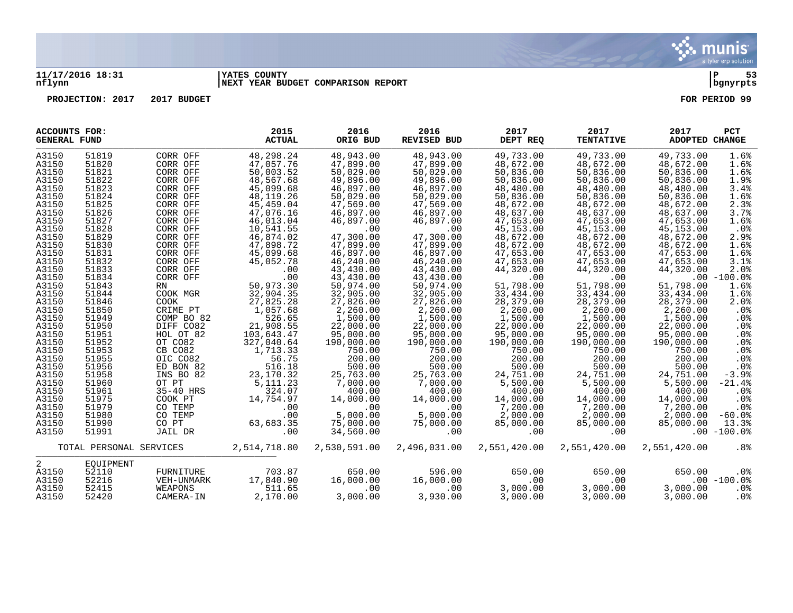

#### **11/17/2016 18:31 |YATES COUNTY |P 53 nflynn |NEXT YEAR BUDGET COMPARISON REPORT |bgnyrpts**

| ACCOUNTS FOR:<br><b>GENERAL FUND</b> |                         |            | 2015<br><b>ACTUAL</b> | 2016<br>ORIG BUD | 2016<br><b>REVISED BUD</b> | 2017<br>DEPT REQ | 2017<br><b>TENTATIVE</b> | 2017<br>ADOPTED CHANGE | <b>PCT</b>      |
|--------------------------------------|-------------------------|------------|-----------------------|------------------|----------------------------|------------------|--------------------------|------------------------|-----------------|
| A3150                                | 51819                   | CORR OFF   | 48,298.24             | 48,943.00        | 48,943.00                  | 49,733.00        | 49,733.00                | 49,733.00              | 1.6%            |
| A3150                                | 51820                   | CORR OFF   | 47,057.76             | 47,899.00        | 47,899.00                  | 48,672.00        | 48,672.00                | 48,672.00              | 1.6%            |
| A3150                                | 51821                   | CORR OFF   | 50,003.52             | 50,029.00        | 50,029.00                  | 50,836.00        | 50,836.00                | 50,836.00              | 1.6%            |
| A3150                                | 51822                   | CORR OFF   | 48,567.68             | 49,896.00        | 49,896.00                  | 50,836.00        | 50,836.00                | 50,836.00              | 1.9%            |
| A3150                                | 51823                   | CORR OFF   | 45,099.68             | 46,897.00        | 46,897.00                  | 48,480.00        | 48,480.00                | 48,480.00              | 3.4%            |
| A3150                                | 51824                   | CORR OFF   | 48,119.26             | 50,029.00        | 50,029.00                  | 50,836.00        | 50,836.00                | 50,836.00              | 1.6%            |
| A3150                                | 51825                   | CORR OFF   | 45,459.04             | 47,569.00        | 47,569.00                  | 48,672.00        | 48,672.00                | 48,672.00              | 2.3%            |
| A3150                                | 51826                   | CORR OFF   | 47,076.16             | 46,897.00        | 46,897.00                  | 48,637.00        | 48,637.00                | 48,637.00              | 3.7%            |
| A3150                                | 51827                   | CORR OFF   | 46,013.04             | 46,897.00        | 46,897.00                  | 47,653.00        | 47,653.00                | 47,653.00              | 1.6%            |
| A3150                                | 51828                   | CORR OFF   | 10,541.55             | .00              | .00                        | 45, 153.00       | 45, 153.00               | 45,153.00              | $.0\%$          |
| A3150                                | 51829                   | CORR OFF   | 46,874.02             | 47,300.00        | 47,300.00                  | 48,672.00        | 48,672.00                | 48,672.00              | 2.9%            |
| A3150                                | 51830                   | CORR OFF   | 47,898.72             | 47,899.00        | 47,899.00                  | 48,672.00        | 48,672.00                | 48,672.00              | 1.6%            |
|                                      | 51831                   | CORR OFF   | 45,099.68             | 46,897.00        | 46,897.00                  | 47,653.00        | 47,653.00                |                        |                 |
| A3150                                |                         |            |                       |                  |                            |                  |                          | 47,653.00              | 1.6%            |
| A3150                                | 51832                   | CORR OFF   | 45,052.78             | 46,240.00        | 46,240.00                  | 47,653.00        | 47,653.00                | 47,653.00              | 3.1%            |
| A3150                                | 51833                   | CORR OFF   | .00                   | 43,430.00        | 43,430.00                  | 44,320.00        | 44,320.00                | 44,320.00              | 2.0%            |
| A3150                                | 51834                   | CORR OFF   | .00                   | 43,430.00        | 43,430.00                  | .00              | .00                      |                        | $.00 - 100.0%$  |
| A3150                                | 51843                   | RN         | 50,973.30             | 50,974.00        | 50,974.00                  | 51,798.00        | 51,798.00                | 51,798.00              | 1.6%            |
| A3150                                | 51844                   | COOK MGR   | 32,904.35             | 32,905.00        | 32,905.00                  | 33,434.00        | 33,434.00                | 33,434.00              | 1.6%            |
| A3150                                | 51846                   | COOK       | 27,825.28             | 27,826.00        | 27,826.00                  | 28,379.00        | 28,379.00                | 28,379.00              | 2.0%            |
| A3150                                | 51850                   | CRIME PT   | 1,057.68              | 2,260.00         | 2,260.00                   | 2,260.00         | 2,260.00                 | 2,260.00               | .0%             |
| A3150                                | 51949                   | COMP BO 82 | 526.65                | 1,500.00         | 1,500.00                   | 1,500.00         | 1,500.00                 | 1,500.00               | .0%             |
| A3150                                | 51950                   | DIFF CO82  | 21,908.55             | 22,000.00        | 22,000.00                  | 22,000.00        | 22,000.00                | 22,000.00              | .0%             |
| A3150                                | 51951                   | HOL OT 82  | 103,643.47            | 95,000.00        | 95,000.00                  | 95,000.00        | 95,000.00                | 95,000.00              | .0%             |
| A3150                                | 51952                   | OT CO82    | 327,040.64            | 190,000.00       | 190,000.00                 | 190,000.00       | 190,000.00               | 190,000.00             | .0 <sub>8</sub> |
| A3150                                | 51953                   | CB CO82    | 1,713.33              | 750.00           | 750.00                     | 750.00           | 750.00                   | 750.00                 | .0%             |
| A3150                                | 51955                   | OIC CO82   | 56.75                 | 200.00           | 200.00                     | 200.00           | 200.00                   | 200.00                 | .0%             |
| A3150                                | 51956                   | ED BON 82  | 516.18                | 500.00           | 500.00                     | 500.00           | 500.00                   | 500.00                 | .0%             |
| A3150                                | 51958                   | INS BO 82  | 23,170.32             | 25,763.00        | 25,763.00                  | 24,751.00        | 24,751.00                | 24,751.00              | $-3.9%$         |
| A3150                                | 51960                   | OT PT      | 5, 111. 23            | 7,000.00         | 7,000.00                   | 5,500.00         | 5,500.00                 | 5,500.00               | $-21.4%$        |
| A3150                                | 51961                   | 35-40 HRS  | 324.07                | 400.00           | 400.00                     | 400.00           | 400.00                   | 400.00                 | .0%             |
| A3150                                | 51975                   | COOK PT    | 14,754.97             | 14,000.00        | 14,000.00                  | 14,000.00        | 14,000.00                | 14,000.00              | .0%             |
| A3150                                | 51979                   | CO TEMP    | .00                   | .00              | .00                        | 7,200.00         | 7,200.00                 | 7,200.00               | .0%             |
| A3150                                | 51980                   | CO TEMP    | .00                   | 5,000.00         | 5,000.00                   | 2,000.00         | 2,000.00                 | 2,000.00               | $-60.0$ %       |
| A3150                                | 51990                   | CO PT      | 63,683.35             | 75,000.00        | 75,000.00                  | 85,000.00        | 85,000.00                | 85,000.00              | 13.3%           |
| A3150                                | 51991                   | JAIL DR    | .00                   | 34,560.00        | .00                        | .00              | .00                      |                        | $.00 - 100.0$   |
|                                      | TOTAL PERSONAL SERVICES |            | 2,514,718.80          | 2,530,591.00     | 2,496,031.00               | 2,551,420.00     | 2,551,420.00             | 2,551,420.00           | $.8\%$          |
| 2                                    | EOUIPMENT               |            |                       |                  |                            |                  |                          |                        |                 |
| A3150                                | 52110                   | FURNITURE  | 703.87                | 650.00           | 596.00                     | 650.00           | 650.00                   | 650.00                 | .0%             |
| A3150                                | 52216                   | VEH-UNMARK | 17,840.90             | 16,000.00        | 16,000.00                  | .00              | .00                      |                        | $.00 - 100.0$   |
| A3150                                | 52415                   | WEAPONS    | 511.65                | .00              | .00                        | 3,000.00         | 3,000.00                 | 3,000.00               | .0%             |
| A3150                                | 52420                   | CAMERA-IN  | 2,170.00              | 3,000.00         | 3,930.00                   | 3,000.00         | 3,000.00                 | 3,000.00               | $.0\%$          |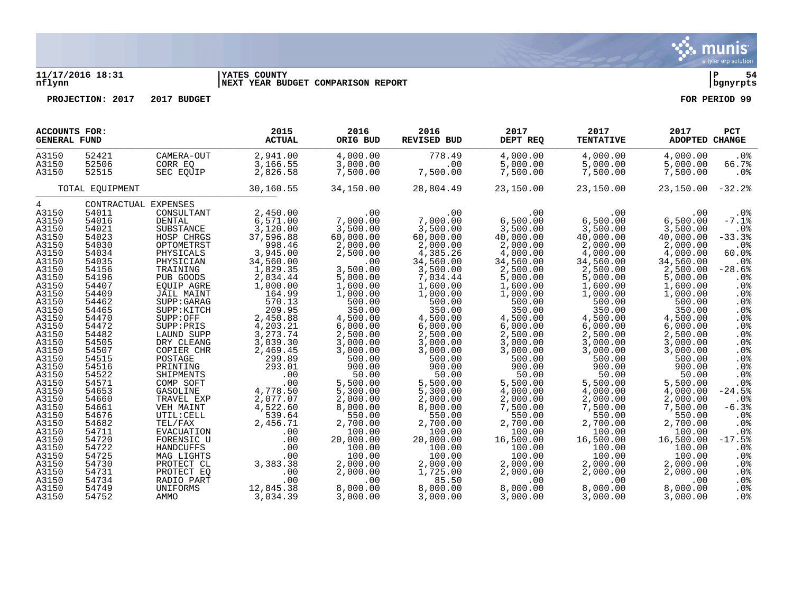#### **11/17/2016 18:31 |YATES COUNTY |P 54 nflynn |NEXT YEAR BUDGET COMPARISON REPORT |bgnyrpts**

**PROJECTION: 2017 2017 BUDGET FOR PERIOD 99**

| ACCOUNTS FOR:<br><b>GENERAL FUND</b>                                                                                                                                                                                                   |                                                                                                                                                                                                                                        |                                                                                                                                                                                                                                                                                                                                                      | 2015<br><b>ACTUAL</b>                                                                                                                                                                                                                                                                            | 2016<br>ORIG BUD                                                                                                                                                                                                                                                                               | 2016<br><b>REVISED BUD</b>                                                                                                                                                                                                                                                                           | 2017<br>DEPT REQ                                                                                                                                                                                                                                                                                     | 2017<br><b>TENTATIVE</b>                                                                                                                                                                                                                                                                                     | 2017<br>ADOPTED CHANGE                                                                                                                                                                                                                                                                               | <b>PCT</b>                                                                                                                                                                                                                                                                                                                               |
|----------------------------------------------------------------------------------------------------------------------------------------------------------------------------------------------------------------------------------------|----------------------------------------------------------------------------------------------------------------------------------------------------------------------------------------------------------------------------------------|------------------------------------------------------------------------------------------------------------------------------------------------------------------------------------------------------------------------------------------------------------------------------------------------------------------------------------------------------|--------------------------------------------------------------------------------------------------------------------------------------------------------------------------------------------------------------------------------------------------------------------------------------------------|------------------------------------------------------------------------------------------------------------------------------------------------------------------------------------------------------------------------------------------------------------------------------------------------|------------------------------------------------------------------------------------------------------------------------------------------------------------------------------------------------------------------------------------------------------------------------------------------------------|------------------------------------------------------------------------------------------------------------------------------------------------------------------------------------------------------------------------------------------------------------------------------------------------------|--------------------------------------------------------------------------------------------------------------------------------------------------------------------------------------------------------------------------------------------------------------------------------------------------------------|------------------------------------------------------------------------------------------------------------------------------------------------------------------------------------------------------------------------------------------------------------------------------------------------------|------------------------------------------------------------------------------------------------------------------------------------------------------------------------------------------------------------------------------------------------------------------------------------------------------------------------------------------|
| A3150<br>A3150<br>A3150                                                                                                                                                                                                                | 52421<br>52506<br>52515                                                                                                                                                                                                                | CAMERA-OUT<br>CORR EO<br>SEC EOUIP                                                                                                                                                                                                                                                                                                                   | 2,941.00<br>3,166.55<br>2,826.58                                                                                                                                                                                                                                                                 | 4,000.00<br>3,000.00<br>7,500.00                                                                                                                                                                                                                                                               | 778.49<br>.00<br>7,500.00                                                                                                                                                                                                                                                                            | 4,000.00<br>5,000.00<br>7,500.00                                                                                                                                                                                                                                                                     | 4,000.00<br>5,000.00<br>7,500.00                                                                                                                                                                                                                                                                             | 4,000.00<br>5,000.00<br>7,500.00                                                                                                                                                                                                                                                                     | .0%<br>66.7%<br>.0%                                                                                                                                                                                                                                                                                                                      |
|                                                                                                                                                                                                                                        | TOTAL EQUIPMENT                                                                                                                                                                                                                        |                                                                                                                                                                                                                                                                                                                                                      | 30,160.55                                                                                                                                                                                                                                                                                        | 34,150.00                                                                                                                                                                                                                                                                                      | 28,804.49                                                                                                                                                                                                                                                                                            | 23,150.00                                                                                                                                                                                                                                                                                            | 23,150.00                                                                                                                                                                                                                                                                                                    | 23,150.00                                                                                                                                                                                                                                                                                            | $-32.2$                                                                                                                                                                                                                                                                                                                                  |
| 4                                                                                                                                                                                                                                      |                                                                                                                                                                                                                                        | CONTRACTUAL EXPENSES                                                                                                                                                                                                                                                                                                                                 |                                                                                                                                                                                                                                                                                                  |                                                                                                                                                                                                                                                                                                |                                                                                                                                                                                                                                                                                                      |                                                                                                                                                                                                                                                                                                      |                                                                                                                                                                                                                                                                                                              |                                                                                                                                                                                                                                                                                                      |                                                                                                                                                                                                                                                                                                                                          |
| A3150<br>A3150<br>A3150<br>A3150<br>A3150<br>A3150<br>A3150<br>A3150<br>A3150<br>A3150<br>A3150<br>A3150<br>A3150<br>A3150<br>A3150<br>A3150<br>A3150<br>A3150<br>A3150<br>A3150<br>A3150<br>A3150<br>A3150<br>A3150<br>A3150<br>A3150 | 54011<br>54016<br>54021<br>54023<br>54030<br>54034<br>54035<br>54156<br>54196<br>54407<br>54409<br>54462<br>54465<br>54470<br>54472<br>54482<br>54505<br>54507<br>54515<br>54516<br>54522<br>54571<br>54653<br>54660<br>54661<br>54676 | CONSULTANT<br>DENTAL<br>SUBSTANCE<br>HOSP CHRGS<br>OPTOMETRST<br>PHYSICALS<br>PHYSICIAN<br>TRAINING<br>PUB GOODS<br>EOUIP AGRE<br>JAIL MAINT<br>SUPP: GARAG<br>SUPP: KITCH<br>SUPP:OFF<br>SUPP: PRIS<br>LAUND SUPP<br>DRY CLEANG<br>COPIER CHR<br>POSTAGE<br>PRINTING<br>SHIPMENTS<br>COMP SOFT<br>GASOLINE<br>TRAVEL EXP<br>VEH MAINT<br>UTIL: CELL | 2,450.00<br>6,571.00<br>3,120.00<br>37,596.88<br>998.46<br>3,945.00<br>34,560.00<br>1,829.35<br>2,034.44<br>1,000.00<br>164.99<br>570.13<br>209.95<br>2,450.88<br>4,203.21<br>3, 273. 74<br>3,039.30<br>2,469.45<br>299.89<br>293.01<br>.00<br>.00<br>4,778.50<br>2,077.07<br>4,522.60<br>539.64 | .00<br>7,000.00<br>3,500.00<br>60,000.00<br>2,000.00<br>2,500.00<br>.00<br>3,500.00<br>5,000.00<br>1,600.00<br>1,000.00<br>500.00<br>350.00<br>4,500.00<br>6,000.00<br>2,500.00<br>3,000.00<br>3,000.00<br>500.00<br>900.00<br>50.00<br>5,500.00<br>5,300.00<br>2,000.00<br>8,000.00<br>550.00 | .00<br>7,000.00<br>3,500.00<br>60,000.00<br>2,000.00<br>4,385.26<br>34,560.00<br>3,500.00<br>7,034.44<br>1,600.00<br>1,000.00<br>500.00<br>350.00<br>4,500.00<br>6,000.00<br>2,500.00<br>3,000.00<br>3,000.00<br>500.00<br>900.00<br>50.00<br>5,500.00<br>5,300.00<br>2,000.00<br>8,000.00<br>550.00 | .00<br>6,500.00<br>3,500.00<br>40,000.00<br>2,000.00<br>4,000.00<br>34,560.00<br>2,500.00<br>5,000.00<br>1,600.00<br>1,000.00<br>500.00<br>350.00<br>4,500.00<br>6,000.00<br>2,500.00<br>3,000.00<br>3,000.00<br>500.00<br>900.00<br>50.00<br>5,500.00<br>4,000.00<br>2,000.00<br>7,500.00<br>550.00 | $.00 \ \rm$<br>6,500.00<br>3,500.00<br>40,000.00<br>2,000.00<br>4,000.00<br>34,560.00<br>2,500.00<br>5,000.00<br>1,600.00<br>1,000.00<br>500.00<br>350.00<br>4,500.00<br>6,000.00<br>2,500.00<br>3,000.00<br>3,000.00<br>500.00<br>900.00<br>50.00<br>5,500.00<br>4,000.00<br>2,000.00<br>7,500.00<br>550.00 | .00<br>6,500.00<br>3,500.00<br>40,000.00<br>2,000.00<br>4,000.00<br>34,560.00<br>2,500.00<br>5,000.00<br>1,600.00<br>1,000.00<br>500.00<br>350.00<br>4,500.00<br>6,000.00<br>2,500.00<br>3,000.00<br>3,000.00<br>500.00<br>900.00<br>50.00<br>5,500.00<br>4,000.00<br>2,000.00<br>7,500.00<br>550.00 | $.0\%$<br>$-7.1%$<br>$.0\%$<br>$-33.3%$<br>$.0\%$<br>60.0%<br>$.0\%$<br>$-28.6%$<br>.0%<br>.0 <sub>8</sub><br>.0%<br>.0 <sub>8</sub><br>.0%<br>.0 <sub>8</sub><br>.0 <sub>8</sub><br>.0%<br>.0 <sub>8</sub><br>.0 <sub>8</sub><br>.0 <sub>8</sub><br>.0 <sub>8</sub><br>.0%<br>.0 <sub>8</sub><br>$-24.5%$<br>.0 <sub>8</sub><br>$-6.3%$ |
| A3150<br>A3150<br>A3150<br>A3150<br>A3150<br>A3150<br>A3150<br>A3150<br>A3150<br>A3150                                                                                                                                                 | 54682<br>54711<br>54720<br>54722<br>54725<br>54730<br>54731<br>54734<br>54749<br>54752                                                                                                                                                 | TEL/FAX<br>EVACUATION<br>FORENSIC U<br>HANDCUFFS<br>MAG LIGHTS<br>PROTECT CL<br>PROTECT EO<br>RADIO PART<br>UNIFORMS<br>AMMO                                                                                                                                                                                                                         | 2,456.71<br>.00<br>.00<br>.00<br>.00<br>3,383.38<br>.00<br>.00<br>12,845.38<br>3,034.39                                                                                                                                                                                                          | 2,700.00<br>100.00<br>20,000.00<br>100.00<br>100.00<br>2,000.00<br>2,000.00<br>.00<br>8,000.00<br>3,000.00                                                                                                                                                                                     | 2,700.00<br>100.00<br>20,000.00<br>100.00<br>100.00<br>2,000.00<br>1,725.00<br>85.50<br>8,000.00<br>3,000.00                                                                                                                                                                                         | 2,700.00<br>100.00<br>16,500.00<br>100.00<br>100.00<br>2,000.00<br>2,000.00<br>.00<br>8,000.00<br>3,000.00                                                                                                                                                                                           | 2,700.00<br>100.00<br>16,500.00<br>100.00<br>100.00<br>2,000.00<br>2,000.00<br>.00<br>8,000.00<br>3,000.00                                                                                                                                                                                                   | 2,700.00<br>100.00<br>16,500.00<br>100.00<br>100.00<br>2,000.00<br>2,000.00<br>.00<br>8,000.00<br>3,000.00                                                                                                                                                                                           | $.0\%$<br>.0%<br>.0%<br>$-17.5%$<br>.0 <sub>8</sub><br>$.0\%$<br>.0%<br>$.0\%$<br>$.0\%$<br>$.0\%$<br>.0%                                                                                                                                                                                                                                |

munis a tyler erp solution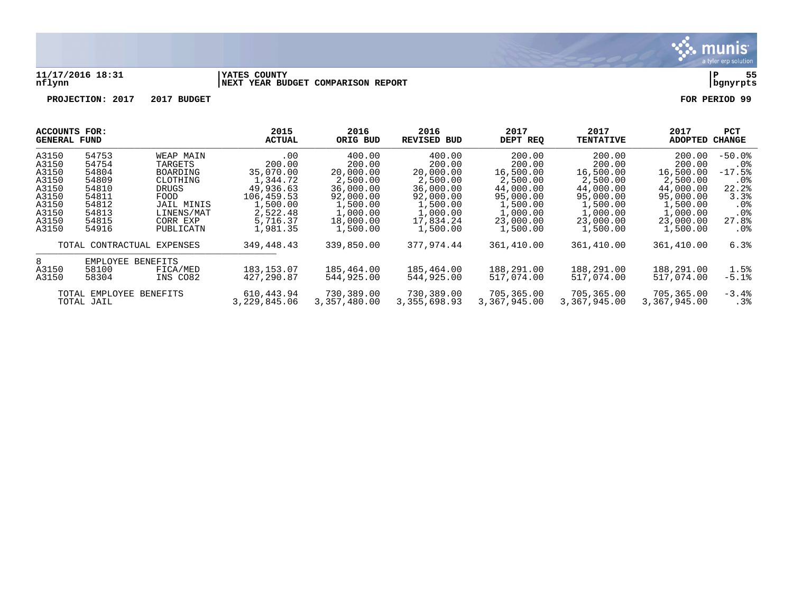

#### **11/17/2016 18:31 |YATES COUNTY |P 55 nflynn |NEXT YEAR BUDGET COMPARISON REPORT |bgnyrpts**

| ACCOUNTS FOR:<br><b>GENERAL FUND</b> |                            | 2015<br>ACTUAL | 2016<br>ORIG BUD | 2016<br>REVISED BUD | 2017<br>DEPT REQ | 2017<br><b>TENTATIVE</b> | 2017<br><b>ADOPTED</b> | PCT<br><b>CHANGE</b> |           |
|--------------------------------------|----------------------------|----------------|------------------|---------------------|------------------|--------------------------|------------------------|----------------------|-----------|
| A3150                                | 54753                      | WEAP MAIN      | .00              | 400.00              | 400.00           | 200.00                   | 200.00                 | 200.00               | $-50.0$ . |
| A3150                                | 54754                      | TARGETS        | 200.00           | 200.00              | 200.00           | 200.00                   | 200.00                 | 200.00               | $.0\%$    |
| A3150                                | 54804                      | BOARDING       | 35,070.00        | 20,000.00           | 20,000.00        | 16,500.00                | 16,500.00              | 16,500.00            | $-17.5%$  |
| A3150                                | 54809                      | CLOTHING       | 1,344.72         | 2,500.00            | 2,500.00         | 2,500.00                 | 2,500.00               | 2,500.00             | .0%       |
| A3150                                | 54810                      | DRUGS          | 49,936.63        | 36,000.00           | 36,000.00        | 44,000.00                | 44,000.00              | 44,000.00            | 22.2%     |
| A3150                                | 54811                      | FOOD           | 106,459.53       | 92,000.00           | 92,000.00        | 95,000.00                | 95,000.00              | 95,000.00            | 3.3%      |
| A3150                                | 54812                      | JAIL MINIS     | 1,500.00         | 1,500.00            | 1,500.00         | 1,500.00                 | 1,500.00               | 1,500.00             | $.0\%$    |
| A3150                                | 54813                      | LINENS/MAT     | 2,522.48         | 1,000.00            | 1,000.00         | 1,000.00                 | 1,000.00               | 1,000.00             | $.0\%$    |
| A3150                                | 54815                      | CORR EXP       | 5,716.37         | 18,000.00           | 17,834.24        | 23,000.00                | 23,000.00              | 23,000.00            | 27.8%     |
| A3150                                | 54916                      | PUBLICATN      | 1,981.35         | 1,500.00            | 1,500.00         | 1,500.00                 | 1,500.00               | 1,500.00             | $.0\%$    |
|                                      | TOTAL CONTRACTUAL EXPENSES |                | 349,448.43       | 339,850.00          | 377,974.44       | 361,410.00               | 361,410.00             | 361,410.00           | 6.3%      |
| 8                                    | EMPLOYEE BENEFITS          |                |                  |                     |                  |                          |                        |                      |           |
| A3150                                | 58100                      | FICA/MED       | 183, 153.07      | 185,464.00          | 185,464.00       | 188,291.00               | 188,291.00             | 188,291.00           | 1.5%      |
| A3150                                | 58304                      | INS CO82       | 427,290.87       | 544,925.00          | 544,925.00       | 517,074.00               | 517,074.00             | 517,074.00           | $-5.1%$   |
|                                      | TOTAL EMPLOYEE             | BENEFITS       | 610,443.94       | 730,389.00          | 730,389.00       | 705,365.00               | 705,365.00             | 705,365.00           | $-3.4%$   |
|                                      | TOTAL JAIL                 |                | 3,229,845.06     | 3,357,480.00        | 3,355,698.93     | 3,367,945.00             | 3,367,945.00           | 3,367,945.00         | .3%       |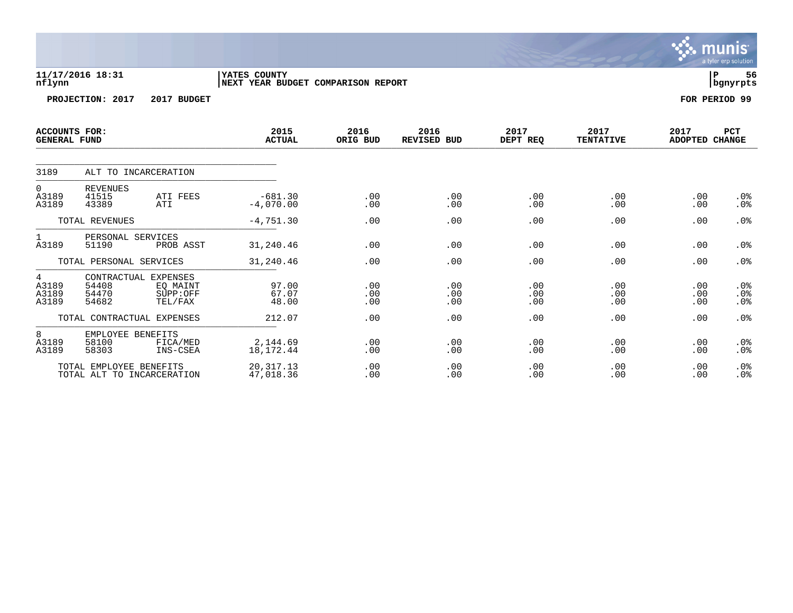|                                             |                                                       |                                 |                                                    |                   |                     |                   |                          |                        | <b>munis</b><br>a tyler erp solution |
|---------------------------------------------|-------------------------------------------------------|---------------------------------|----------------------------------------------------|-------------------|---------------------|-------------------|--------------------------|------------------------|--------------------------------------|
| nflynn                                      | 11/17/2016 18:31                                      |                                 | YATES COUNTY<br>NEXT YEAR BUDGET COMPARISON REPORT |                   |                     |                   |                          |                        | lР<br>56<br>  bgnyrpts               |
|                                             | PROJECTION: 2017                                      | 2017 BUDGET                     |                                                    |                   |                     |                   |                          |                        | FOR PERIOD 99                        |
| <b>ACCOUNTS FOR:</b><br><b>GENERAL FUND</b> |                                                       |                                 | 2015<br><b>ACTUAL</b>                              | 2016<br>ORIG BUD  | 2016<br>REVISED BUD | 2017<br>DEPT REQ  | 2017<br><b>TENTATIVE</b> | 2017<br>ADOPTED CHANGE | PCT                                  |
| 3189                                        | ALT TO INCARCERATION                                  |                                 |                                                    |                   |                     |                   |                          |                        |                                      |
| 0<br>A3189<br>A3189                         | <b>REVENUES</b><br>41515<br>43389                     | ATI FEES<br>ATI                 | $-681.30$<br>$-4,070.00$                           | .00<br>.00        | .00<br>.00          | .00<br>.00        | .00<br>.00               | .00<br>.00             | $.0\%$<br>.0%                        |
|                                             | TOTAL REVENUES                                        |                                 | $-4,751.30$                                        | .00               | .00                 | .00               | .00                      | .00                    | .0%                                  |
| 1<br>A3189                                  | PERSONAL SERVICES<br>51190                            | PROB ASST                       | 31,240.46                                          | .00               | .00                 | .00               | .00                      | .00                    | .0%                                  |
|                                             | TOTAL PERSONAL SERVICES                               |                                 | 31,240.46                                          | .00               | .00                 | .00               | .00                      | .00                    | .0%                                  |
| $\overline{4}$<br>A3189<br>A3189<br>A3189   | CONTRACTUAL EXPENSES<br>54408<br>54470<br>54682       | EQ MAINT<br>SUPP:OFF<br>TEL/FAX | 97.00<br>67.07<br>48.00                            | .00<br>.00<br>.00 | .00<br>.00<br>.00   | .00<br>.00<br>.00 | .00<br>.00<br>.00        | .00<br>.00<br>.00      | $.0\%$<br>.0%<br>.0 <sub>8</sub>     |
|                                             | TOTAL CONTRACTUAL EXPENSES                            |                                 | 212.07                                             | .00               | .00                 | .00               | .00                      | .00                    | .0%                                  |
| 8<br>A3189<br>A3189                         | EMPLOYEE BENEFITS<br>58100<br>58303                   | FICA/MED<br>INS-CSEA            | 2,144.69<br>18,172.44                              | .00<br>.00        | .00<br>.00          | .00<br>.00        | .00<br>.00               | .00<br>.00             | $.0\%$<br>.0%                        |
|                                             | TOTAL EMPLOYEE BENEFITS<br>TOTAL ALT TO INCARCERATION |                                 | 20, 317. 13<br>47,018.36                           | .00<br>.00        | .00<br>.00          | .00<br>.00        | .00<br>.00               | .00<br>.00             | .0%<br>.0%                           |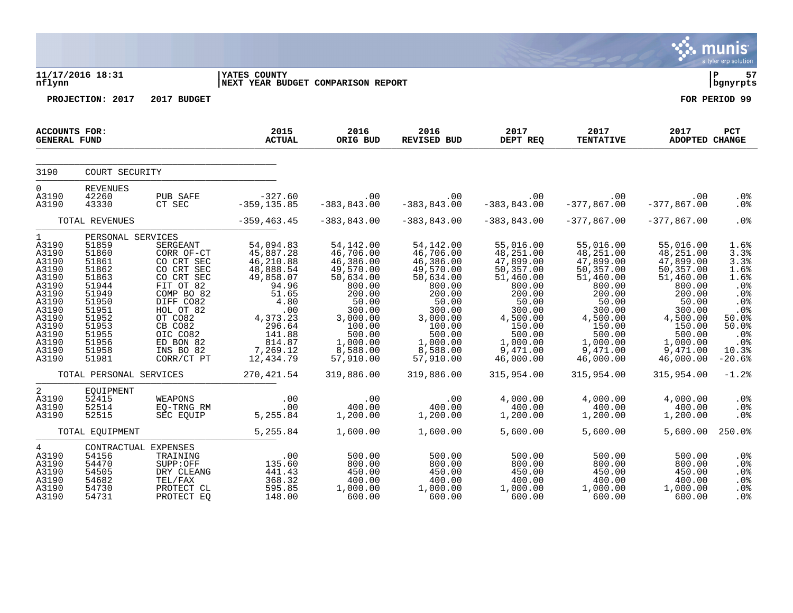|                                                                                                                                          |                                                                                                                                                          |                                                                                                                                                                                                 |                                                                                                                                                                         |                                                                                                                                                                           |                                                                                                                                                                           |                                                                                                                                                                            |                                                                                                                                                                              |                                                                                                                                                                              | munis <sup>®</sup><br>a tyler erp solution                                                                               |
|------------------------------------------------------------------------------------------------------------------------------------------|----------------------------------------------------------------------------------------------------------------------------------------------------------|-------------------------------------------------------------------------------------------------------------------------------------------------------------------------------------------------|-------------------------------------------------------------------------------------------------------------------------------------------------------------------------|---------------------------------------------------------------------------------------------------------------------------------------------------------------------------|---------------------------------------------------------------------------------------------------------------------------------------------------------------------------|----------------------------------------------------------------------------------------------------------------------------------------------------------------------------|------------------------------------------------------------------------------------------------------------------------------------------------------------------------------|------------------------------------------------------------------------------------------------------------------------------------------------------------------------------|--------------------------------------------------------------------------------------------------------------------------|
| nflynn                                                                                                                                   | 11/17/2016 18:31                                                                                                                                         |                                                                                                                                                                                                 | <b>YATES COUNTY</b><br>NEXT YEAR BUDGET COMPARISON REPORT                                                                                                               |                                                                                                                                                                           |                                                                                                                                                                           |                                                                                                                                                                            |                                                                                                                                                                              |                                                                                                                                                                              | l P<br>57<br>bgnyrpts                                                                                                    |
|                                                                                                                                          | PROJECTION: 2017                                                                                                                                         | 2017 BUDGET                                                                                                                                                                                     |                                                                                                                                                                         |                                                                                                                                                                           |                                                                                                                                                                           |                                                                                                                                                                            |                                                                                                                                                                              |                                                                                                                                                                              | FOR PERIOD 99                                                                                                            |
| ACCOUNTS FOR:<br><b>GENERAL FUND</b>                                                                                                     |                                                                                                                                                          |                                                                                                                                                                                                 | 2015<br><b>ACTUAL</b>                                                                                                                                                   | 2016<br>ORIG BUD                                                                                                                                                          | 2016<br>REVISED BUD                                                                                                                                                       | 2017<br>DEPT REQ                                                                                                                                                           | 2017<br><b>TENTATIVE</b>                                                                                                                                                     | 2017<br>ADOPTED CHANGE                                                                                                                                                       | PCT                                                                                                                      |
| 3190                                                                                                                                     | COURT SECURITY                                                                                                                                           |                                                                                                                                                                                                 |                                                                                                                                                                         |                                                                                                                                                                           |                                                                                                                                                                           |                                                                                                                                                                            |                                                                                                                                                                              |                                                                                                                                                                              |                                                                                                                          |
| $\overline{0}$<br>A3190<br>A3190                                                                                                         | <b>REVENUES</b><br>42260<br>43330                                                                                                                        | PUB SAFE<br>CT SEC                                                                                                                                                                              | $-327.60$<br>$-359, 135.85$                                                                                                                                             | .00<br>$-383, 843.00$                                                                                                                                                     | .00<br>$-383, 843.00$                                                                                                                                                     | .00<br>$-383, 843.00$                                                                                                                                                      | .00<br>$-377,867.00$                                                                                                                                                         | .00<br>$-377,867.00$                                                                                                                                                         | .0 <sub>8</sub><br>.0%                                                                                                   |
|                                                                                                                                          | TOTAL REVENUES                                                                                                                                           |                                                                                                                                                                                                 | $-359, 463.45$                                                                                                                                                          | $-383, 843.00$                                                                                                                                                            | $-383, 843.00$                                                                                                                                                            | $-383, 843.00$                                                                                                                                                             | $-377,867.00$                                                                                                                                                                | $-377,867.00$                                                                                                                                                                | .0%                                                                                                                      |
| 1<br>A3190<br>A3190<br>A3190<br>A3190<br>A3190<br>A3190<br>A3190<br>A3190<br>A3190<br>A3190<br>A3190<br>A3190<br>A3190<br>A3190<br>A3190 | PERSONAL SERVICES<br>51859<br>51860<br>51861<br>51862<br>51863<br>51944<br>51949<br>51950<br>51951<br>51952<br>51953<br>51955<br>51956<br>51958<br>51981 | SERGEANT<br>CORR OF-CT<br>CO CRT SEC<br>CO CRT SEC<br>CO CRT SEC<br>FIT OT 82<br>COMP BO 82<br>DIFF CO82<br>HOL OT 82<br>OT CO82<br>CB CO82<br>OIC CO82<br>ED BON 82<br>INS BO 82<br>CORR/CT PT | 54,094.83<br>45,887.28<br>46,210.88<br>48,888.54<br>49,858.07<br>94.96<br>51.65<br>4.80<br>.00<br>4,373.23<br>$296.64$<br>$141.88$<br>$814.87$<br>7,269.12<br>12,434.79 | 54,142.00<br>46,706.00<br>46,386.00<br>49,570.00<br>50,634.00<br>800.00<br>200.00<br>50.00<br>300.00<br>3,000.00<br>100.00<br>500.00<br>1,000.00<br>8,588.00<br>57,910.00 | 54,142.00<br>46,706.00<br>46,386.00<br>49,570.00<br>50,634.00<br>800.00<br>200.00<br>50.00<br>300.00<br>3,000.00<br>100.00<br>500.00<br>1,000.00<br>8,588.00<br>57,910.00 | 55,016.00<br>48,251.00<br>47,899.00<br>50, 357.00<br>51,460.00<br>800.00<br>200.00<br>50.00<br>300.00<br>4,500.00<br>150.00<br>500.00<br>1,000.00<br>9,471.00<br>46,000.00 | 55,016.00<br>48, 251.00<br>47, 899.00<br>50, 357.00<br>51,460.00<br>800.00<br>200.00<br>50.00<br>300.00<br>4,500.00<br>150.00<br>500.00<br>1,000.00<br>9,471.00<br>46,000.00 | 55,016.00<br>48, 251.00<br>47, 899.00<br>50, 357.00<br>51,460.00<br>800.00<br>200.00<br>50.00<br>300.00<br>4,500.00<br>150.00<br>500.00<br>1,000.00<br>9,471.00<br>46,000.00 | 1.6%<br>3.3%<br>3.3%<br>1.6%<br>1.6%<br>.0%<br>.0%<br>.0%<br>.0%<br>50.0%<br>50.0%<br>.0%<br>$.0\%$<br>10.3%<br>$-20.6%$ |
|                                                                                                                                          | TOTAL PERSONAL SERVICES                                                                                                                                  |                                                                                                                                                                                                 | 270, 421.54                                                                                                                                                             | 319,886.00                                                                                                                                                                | 319,886.00                                                                                                                                                                | 315,954.00                                                                                                                                                                 | 315,954.00                                                                                                                                                                   | 315,954.00                                                                                                                                                                   | $-1.2%$                                                                                                                  |
| $\overline{a}$<br>A3190<br>A3190<br>A3190                                                                                                | EQUIPMENT<br>52415<br>52514<br>52515                                                                                                                     | WEAPONS<br>EQ-TRNG RM<br>SEC EOUIP                                                                                                                                                              | .00<br>.00<br>5,255.84                                                                                                                                                  | .00<br>400.00<br>1,200.00                                                                                                                                                 | .00<br>400.00<br>1,200.00                                                                                                                                                 | 4,000.00<br>400.00<br>1,200.00                                                                                                                                             | 4,000.00<br>400.00<br>1,200.00                                                                                                                                               | 4,000.00<br>400.00<br>1,200.00                                                                                                                                               | .0%<br>.0%<br>.0 <sub>8</sub>                                                                                            |
|                                                                                                                                          | TOTAL EQUIPMENT                                                                                                                                          |                                                                                                                                                                                                 | 5,255.84                                                                                                                                                                | 1,600.00                                                                                                                                                                  | 1,600.00                                                                                                                                                                  | 5,600.00                                                                                                                                                                   | 5,600.00                                                                                                                                                                     | 5,600.00                                                                                                                                                                     | 250.0%                                                                                                                   |
| $4\degree$<br>A3190<br>A3190<br>A3190<br>A3190<br>A3190<br>A3190                                                                         | CONTRACTUAL EXPENSES<br>54156<br>54470<br>54505<br>54682<br>54730<br>54731                                                                               | TRAINING<br>SUPP:OFF<br>DRY CLEANG<br>TEL/FAX<br>PROTECT CL<br>PROTECT EO                                                                                                                       | $.00$<br>135.60<br>441.43<br>368.32<br>595.85<br>148.00                                                                                                                 | 500.00<br>800.00<br>450.00<br>400.00<br>1,000.00<br>600.00                                                                                                                | 500.00<br>800.00<br>450.00<br>400.00<br>1,000.00<br>600.00                                                                                                                | 500.00<br>800.00<br>450.00<br>400.00<br>1,000.00<br>600.00                                                                                                                 | 500.00<br>800.00<br>450.00<br>400.00<br>1,000.00<br>600.00                                                                                                                   | 500.00<br>800.00<br>450.00<br>400.00<br>1,000.00<br>600.00                                                                                                                   | .0%<br>.0%<br>.0%<br>.0%<br>.0%<br>.0 <sub>8</sub>                                                                       |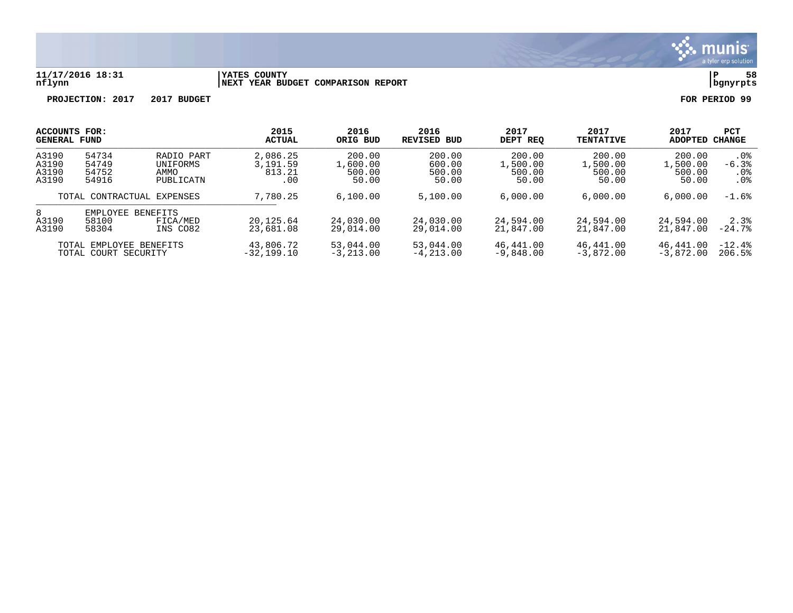

#### **11/17/2016 18:31 |YATES COUNTY |P 58 nflynn |NEXT YEAR BUDGET COMPARISON REPORT |bgnyrpts**

| ACCOUNTS FOR:<br><b>GENERAL FUND</b>                                                         |                                  |                                             | 2015<br><b>ACTUAL</b>                 | 2016<br>ORIG BUD<br>200.00<br>1,600.00<br>500.00<br>50.00 | 2016<br>REVISED BUD<br>200.00<br>600.00<br>500.00<br>50.00 | 2017<br>DEPT REO<br>200.00<br>1,500.00<br>500.00<br>50.00 | 2017<br><b>TENTATIVE</b><br>200.00<br>1,500.00<br>500.00<br>50.00 | 2017<br>ADOPTED<br>200.00<br>1,500.00<br>500.00<br>50.00 | <b>PCT</b><br>CHANGE            |
|----------------------------------------------------------------------------------------------|----------------------------------|---------------------------------------------|---------------------------------------|-----------------------------------------------------------|------------------------------------------------------------|-----------------------------------------------------------|-------------------------------------------------------------------|----------------------------------------------------------|---------------------------------|
| A3190<br>A3190<br>A3190<br>A3190                                                             | 54734<br>54749<br>54752<br>54916 | RADIO PART<br>UNIFORMS<br>AMMO<br>PUBLICATN | 2,086.25<br>3,191.59<br>813.21<br>.00 |                                                           |                                                            |                                                           |                                                                   |                                                          | . 0 %<br>$-6.3%$<br>. 0%<br>.0% |
| TOTAL CONTRACTUAL EXPENSES                                                                   |                                  | 7,780.25                                    | 6,100.00                              | 5,100.00                                                  | 6,000.00                                                   | 6,000.00                                                  | 6,000.00                                                          | $-1.6%$                                                  |                                 |
| 8<br>EMPLOYEE<br><b>BENEFITS</b><br>A3190<br>58100<br>FICA/MED<br>A3190<br>58304<br>INS CO82 |                                  | 20,125.64<br>23,681.08                      | 24,030.00<br>29,014.00                | 24,030.00<br>29,014.00                                    | 24,594.00<br>21,847.00                                     | 24,594.00<br>21,847.00                                    | 24,594.00<br>21,847.00                                            | 2.3%<br>$-24.7%$                                         |                                 |
| TOTAL EMPLOYEE BENEFITS<br>TOTAL COURT SECURITY                                              |                                  | 43,806.72<br>$-32,199.10$                   | 53,044.00<br>$-3, 213, 00$            | 53,044.00<br>$-4, 213, 00$                                | 46,441.00<br>$-9,848,00$                                   | 46,441.00<br>$-3,872,00$                                  | 46,441.00<br>$-3,872.00$                                          | $-12.4%$<br>206.5%                                       |                                 |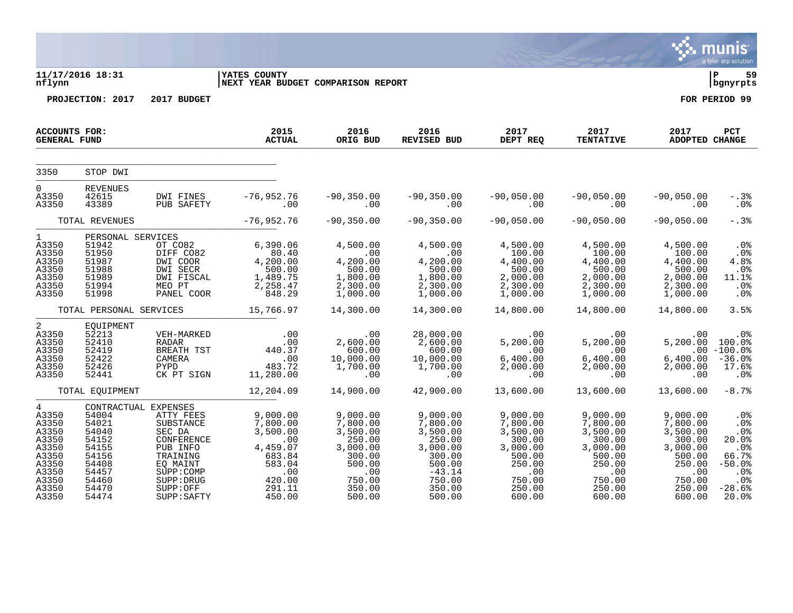|                                                                                                                   |                                                                                                                         |                                                                                                                                           |                                                                                                              |                                                                                                                 |                                                                                                                      |                                                                                                                 |                                                                                                                 |                                                                                                                                | a tyler erp solution                                                                                     |
|-------------------------------------------------------------------------------------------------------------------|-------------------------------------------------------------------------------------------------------------------------|-------------------------------------------------------------------------------------------------------------------------------------------|--------------------------------------------------------------------------------------------------------------|-----------------------------------------------------------------------------------------------------------------|----------------------------------------------------------------------------------------------------------------------|-----------------------------------------------------------------------------------------------------------------|-----------------------------------------------------------------------------------------------------------------|--------------------------------------------------------------------------------------------------------------------------------|----------------------------------------------------------------------------------------------------------|
| nflynn                                                                                                            | 11/17/2016 18:31                                                                                                        |                                                                                                                                           | <b>YATES COUNTY</b><br>NEXT YEAR BUDGET COMPARISON REPORT                                                    |                                                                                                                 |                                                                                                                      |                                                                                                                 |                                                                                                                 |                                                                                                                                | l P-<br>59<br>bgnyrpts                                                                                   |
|                                                                                                                   | PROJECTION: 2017                                                                                                        | 2017 BUDGET                                                                                                                               |                                                                                                              |                                                                                                                 |                                                                                                                      |                                                                                                                 |                                                                                                                 |                                                                                                                                | FOR PERIOD 99                                                                                            |
| <b>ACCOUNTS FOR:</b><br><b>GENERAL FUND</b>                                                                       |                                                                                                                         |                                                                                                                                           | 2015<br><b>ACTUAL</b>                                                                                        | 2016<br>ORIG BUD                                                                                                | 2016<br>REVISED BUD                                                                                                  |                                                                                                                 |                                                                                                                 | 2017<br>ADOPTED CHANGE                                                                                                         | PCT                                                                                                      |
| 3350                                                                                                              | STOP DWI                                                                                                                |                                                                                                                                           |                                                                                                              |                                                                                                                 |                                                                                                                      |                                                                                                                 |                                                                                                                 |                                                                                                                                |                                                                                                          |
| $\Omega$<br>A3350<br>A3350                                                                                        | <b>REVENUES</b><br>42615<br>43389                                                                                       | DWI FINES<br>PUB SAFETY                                                                                                                   | $-76,952.76$<br>.00                                                                                          | $-90, 350.00$<br>.00                                                                                            | $-90, 350.00$<br>$\sim$ 00                                                                                           | -90,050.00<br>00.                                                                                               | $-90,050.00$<br>.00                                                                                             | $-90,050.00$<br>.00                                                                                                            | $-.3%$<br>$.0\%$                                                                                         |
|                                                                                                                   | TOTAL REVENUES                                                                                                          |                                                                                                                                           | $-76,952.76$                                                                                                 | $-90, 350.00$                                                                                                   | $-90, 350.00$                                                                                                        | $-90,050.00$                                                                                                    | $-90,050.00$                                                                                                    | $-90,050.00$                                                                                                                   | $-.3%$                                                                                                   |
| $1 \quad \blacksquare$<br>A3350<br>A3350<br>A3350<br>A3350<br>A3350<br>A3350<br>A3350                             | PERSONAL SERVICES<br>51942<br>51950<br>51987<br>51988<br>51989<br>51994<br>51998                                        | OT CO82<br>DIFF CO82<br>DWI COOR<br>DWI SECR<br>DWI FISCAL<br>MEO PT<br>PANEL COOR                                                        | 6,390.06<br>80.40<br>4,200.00<br>500.00<br>1,489.75<br>2,258.47<br>2,258.47<br>848.29                        | 4,500.00<br>$\sim$ 00<br>4,200.00<br>500.00<br>1,800.00<br>2,300.00<br>1,000.00                                 | 4,500.00<br>.00<br>4,200.00<br>500.00<br>1,800.00<br>2,300.00<br>1,000.00                                            | 4,500.00<br>100.00<br>4,400.00<br>$500.00$<br>2,000.00<br>2,300.00<br>1,000.00                                  | 4,500.00<br>100.00<br>4,400.00<br>500.00<br>2,000.00<br>2,300.00<br>1,000.00                                    | 4,500.00<br>100.00<br>4,400.00<br>500.00<br>2,000.00<br>2,300.00<br>1,000.00                                                   | $.0\%$<br>.0%<br>4.8%<br>.0%<br>11.1%<br>.0%<br>.0%                                                      |
|                                                                                                                   |                                                                                                                         | TOTAL PERSONAL SERVICES                                                                                                                   | 15,766.97                                                                                                    | 14,300.00                                                                                                       | 14,300.00                                                                                                            | 14,800.00                                                                                                       | 14,800.00                                                                                                       | 14,800.00                                                                                                                      | 3.5%                                                                                                     |
| 2<br>A3350<br>A3350<br>A3350<br>A3350<br>A3350<br>A3350                                                           | EQUIPMENT<br>52213<br>52410<br>52419<br>52422<br>52426<br>52441                                                         | VEH-MARKED<br>RADAR<br>BREATH TST<br>CAMERA<br>PYPD<br>CK PT SIGN                                                                         | .00<br>.00<br>00.<br>440.37<br>$.00$<br>$483.72$<br>$11,280.00$                                              | .00<br>2,600.00<br>600.00<br>10,000.00<br>1,700.00<br>.00                                                       | 28,000.00<br>2,600.00<br>600.00<br>10,000.00<br>1,700.00<br>$\sim 00$                                                | $5,200.00$<br>5, 200.00<br>6, 400.00 6<br>$6,400.00$<br>$2,000.00$<br>.00                                       | .00<br>5,200.00<br>.00<br>6,400.00<br>2,000.00<br>.00                                                           | .00<br>5,200.00<br>6,400.00<br>2,000.00<br>.00                                                                                 | $.0\%$<br>100.0%<br>$.00 - 100.0$<br>$-36.0%$<br>17.6%<br>.0%                                            |
|                                                                                                                   | TOTAL EQUIPMENT                                                                                                         |                                                                                                                                           | 12,204.09                                                                                                    | 14,900.00                                                                                                       | 42,900.00                                                                                                            | 13,600.00                                                                                                       | 13,600.00                                                                                                       | 13,600.00                                                                                                                      | $-8.7%$                                                                                                  |
| $\overline{4}$<br>A3350<br>A3350<br>A3350<br>A3350<br>A3350<br>A3350<br>A3350<br>A3350<br>A3350<br>A3350<br>A3350 | CONTRACTUAL EXPENSES<br>54004<br>54021<br>54040<br>54152<br>54155<br>54156<br>54408<br>54457<br>54460<br>54470<br>54474 | ATTY FEES<br>SUBSTANCE<br>SEC DA<br>CONFERENCE<br>PUB INFO<br>TRAINING<br>EQ MAINT<br>SUPP: COMP<br>SUPP: DRUG<br>SUPP:OFF<br>SUPP: SAFTY | 9,000.00<br>7,800.00<br>3,500.00<br>.00<br>4,459.07<br>683.84<br>583.04<br>.00<br>420.00<br>291.11<br>450.00 | 9,000.00<br>7,800.00<br>3,500.00<br>250.00<br>3,000.00<br>300.00<br>500.00<br>.00<br>750.00<br>350.00<br>500.00 | 9,000.00<br>7,800.00<br>3,500.00<br>250.00<br>3,000.00<br>300.00<br>500.00<br>$-43.14$<br>750.00<br>350.00<br>500.00 | 9,000.00<br>7,800.00<br>3,500.00<br>300.00<br>3,000.00<br>500.00<br>250.00<br>.00<br>750.00<br>250.00<br>600.00 | 9,000.00<br>7,800.00<br>3,500.00<br>300.00<br>3,000.00<br>500.00<br>250.00<br>.00<br>750.00<br>250.00<br>600.00 | 9,000.00<br>7,800.00<br>3,500.00<br>300.00<br>3,000.00<br>500.00<br>250.00<br>$\overline{a}$ .00<br>750.00<br>250.00<br>600.00 | .0%<br>.0 <sub>8</sub><br>.0%<br>20.0%<br>$.0\%$<br>66.7%<br>$-50.0%$<br>.0%<br>.0%<br>$-28.6%$<br>20.0% |

 $\ddot{\ddot{\mathbf{u}}}$  munis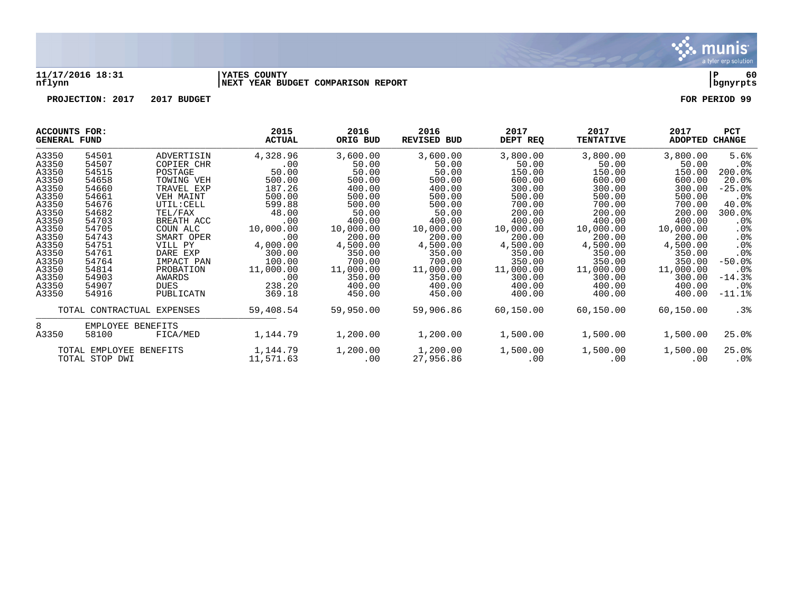

#### **11/17/2016 18:31 |YATES COUNTY |P 60 nflynn |NEXT YEAR BUDGET COMPARISON REPORT |bgnyrpts**

|       | ACCOUNTS FOR:<br><b>GENERAL FUND</b>      |             | 2015<br><b>ACTUAL</b> | 2016<br>ORIG BUD | 2016<br><b>REVISED BUD</b> | 2017<br>DEPT REQ | 2017<br><b>TENTATIVE</b> | 2017<br>ADOPTED | PCT<br><b>CHANGE</b> |
|-------|-------------------------------------------|-------------|-----------------------|------------------|----------------------------|------------------|--------------------------|-----------------|----------------------|
| A3350 | 54501                                     | ADVERTISIN  | 4,328.96              | 3,600.00         | 3,600.00                   | 3,800.00         | 3,800.00                 | 3,800.00        | 5.6%                 |
| A3350 | 54507                                     | COPIER CHR  | .00                   | 50.00            | 50.00                      | 50.00            | 50.00                    | 50.00           | .0 <sub>8</sub>      |
| A3350 | 54515                                     | POSTAGE     | 50.00                 | 50.00            | 50.00                      | 150.00           | 150.00                   | 150.00          | 200.0%               |
| A3350 | 54658                                     | TOWING VEH  | 500.00                | 500.00           | 500.00                     | 600.00           | 600.00                   | 600.00          | 20.0%                |
| A3350 | 54660                                     | TRAVEL EXP  | 187.26                | 400.00           | 400.00                     | 300.00           | 300.00                   | 300.00          | $-25.0%$             |
| A3350 | 54661                                     | VEH MAINT   | 500.00                | 500.00           | 500.00                     | 500.00           | 500.00                   | 500.00          | .0%                  |
| A3350 | 54676                                     | UTIL: CELL  | 599.88                | 500.00           | 500.00                     | 700.00           | 700.00                   | 700.00          | 40.0%                |
| A3350 | 54682                                     | TEL/FAX     | 48.00                 | 50.00            | 50.00                      | 200.00           | 200.00                   | 200.00          | 300.0%               |
| A3350 | 54703                                     | BREATH ACC  | $.00 \,$              | 400.00           | 400.00                     | 400.00           | 400.00                   | 400.00          | $.0\%$               |
| A3350 | 54705                                     | COUN ALC    | 10,000.00             | 10,000.00        | 10,000.00                  | 10,000.00        | 10,000.00                | 10,000.00       | $.0\%$               |
| A3350 | 54743                                     | SMART OPER  | .00                   | 200.00           | 200.00                     | 200.00           | 200.00                   | 200.00          | $.0\%$               |
| A3350 | 54751                                     | VILL PY     | 4,000.00              | 4,500.00         | 4,500.00                   | 4,500.00         | 4,500.00                 | 4,500.00        | .0%                  |
| A3350 | 54761                                     | DARE EXP    | 300.00                | 350.00           | 350.00                     | 350.00           | 350.00                   | 350.00          | .0 <sub>8</sub>      |
| A3350 | 54764                                     | IMPACT PAN  | 100.00                | 700.00           | 700.00                     | 350.00           | 350.00                   | 350.00          | $-50.0%$             |
| A3350 | 54814                                     | PROBATION   | 11,000.00             | 11,000.00        | 11,000.00                  | 11,000.00        | 11,000.00                | 11,000.00       | $.0\%$               |
| A3350 | 54903                                     | AWARDS      | .00                   | 350.00           | 350.00                     | 300.00           | 300.00                   | 300.00          | $-14.3%$             |
| A3350 | 54907                                     | <b>DUES</b> | 238.20                | 400.00           | 400.00                     | 400.00           | 400.00                   | 400.00          | $.0\%$               |
| A3350 | 54916                                     | PUBLICATN   | 369.18                | 450.00           | 450.00                     | 400.00           | 400.00                   | 400.00          | $-11.1$ %            |
|       | TOTAL CONTRACTUAL                         | EXPENSES    | 59,408.54             | 59,950.00        | 59,906.86                  | 60,150.00        | 60,150.00                | 60,150.00       | $.3\%$               |
| 8     | EMPLOYEE BENEFITS                         |             |                       |                  |                            |                  |                          |                 |                      |
| A3350 | 58100                                     | FICA/MED    | 1,144.79              | 1,200.00         | 1,200.00                   | 1,500.00         | 1,500.00                 | 1,500.00        | 25.0%                |
|       | TOTAL EMPLOYEE BENEFITS<br>TOTAL STOP DWI |             | 1,144.79<br>11,571.63 | 1,200.00<br>.00  | 1,200.00<br>27,956.86      | 1,500.00<br>.00  | 1,500.00<br>.00          | 1,500.00<br>.00 | 25.0%<br>$.0\%$      |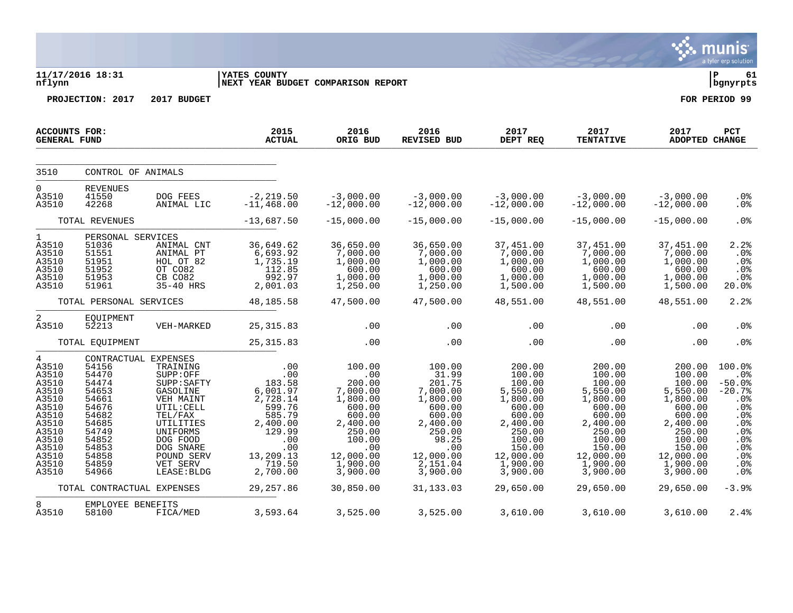|                                                                                                                                 |                                                                                                                                                                                  |                                                                                                                                                                                  |                                                                                                                                                       |                                                                                                                                                              |                                                                                                                                                                |                                                                                                                                                                    |                                                                                                                                                                    |                                                                                                                                                                    | munis<br>a tyler erp solution                                                                                                      |
|---------------------------------------------------------------------------------------------------------------------------------|----------------------------------------------------------------------------------------------------------------------------------------------------------------------------------|----------------------------------------------------------------------------------------------------------------------------------------------------------------------------------|-------------------------------------------------------------------------------------------------------------------------------------------------------|--------------------------------------------------------------------------------------------------------------------------------------------------------------|----------------------------------------------------------------------------------------------------------------------------------------------------------------|--------------------------------------------------------------------------------------------------------------------------------------------------------------------|--------------------------------------------------------------------------------------------------------------------------------------------------------------------|--------------------------------------------------------------------------------------------------------------------------------------------------------------------|------------------------------------------------------------------------------------------------------------------------------------|
| nflynn                                                                                                                          | 11/17/2016 18:31                                                                                                                                                                 |                                                                                                                                                                                  | <b>YATES COUNTY</b><br>NEXT YEAR BUDGET COMPARISON REPORT                                                                                             |                                                                                                                                                              |                                                                                                                                                                |                                                                                                                                                                    |                                                                                                                                                                    |                                                                                                                                                                    | ΙP<br>61<br>  bgnyrpts                                                                                                             |
|                                                                                                                                 | PROJECTION: 2017                                                                                                                                                                 | 2017 BUDGET                                                                                                                                                                      |                                                                                                                                                       |                                                                                                                                                              |                                                                                                                                                                |                                                                                                                                                                    |                                                                                                                                                                    |                                                                                                                                                                    | FOR PERIOD 99                                                                                                                      |
| ACCOUNTS FOR:<br><b>GENERAL FUND</b>                                                                                            |                                                                                                                                                                                  |                                                                                                                                                                                  | 2015<br><b>ACTUAL</b>                                                                                                                                 | 2016<br>ORIG BUD                                                                                                                                             | 2016<br><b>REVISED BUD</b>                                                                                                                                     | 2017<br>DEPT REQ                                                                                                                                                   | 2017<br><b>TENTATIVE</b>                                                                                                                                           | 2017<br><b>ADOPTED CHANGE</b>                                                                                                                                      | PCT                                                                                                                                |
| 3510                                                                                                                            | CONTROL OF ANIMALS                                                                                                                                                               |                                                                                                                                                                                  |                                                                                                                                                       |                                                                                                                                                              |                                                                                                                                                                |                                                                                                                                                                    |                                                                                                                                                                    |                                                                                                                                                                    |                                                                                                                                    |
| 0<br>A3510<br>A3510                                                                                                             | REVENUES<br>41550<br>42268                                                                                                                                                       | DOG FEES<br>ANIMAL LIC                                                                                                                                                           | $-2, 219.50$<br>$-11, 468.00$                                                                                                                         | $-3,000.00$<br>$-12,000.00$                                                                                                                                  | $-3,000.00$<br>$-12,000.00$                                                                                                                                    | $-3,000.00$<br>$-12,000.00$                                                                                                                                        | $-3,000.00$<br>$-12,000.00$                                                                                                                                        | $-3,000.00$<br>$-12,000.00$                                                                                                                                        | .0%<br>.0 <sub>8</sub>                                                                                                             |
|                                                                                                                                 | TOTAL REVENUES                                                                                                                                                                   |                                                                                                                                                                                  | $-13,687.50$                                                                                                                                          | $-15,000.00$                                                                                                                                                 | $-15,000.00$                                                                                                                                                   | $-15,000.00$                                                                                                                                                       | $-15,000.00$                                                                                                                                                       | $-15,000.00$                                                                                                                                                       | .0%                                                                                                                                |
| $\mathbf{1}$<br>A3510<br>A3510<br>A3510<br>A3510<br>A3510<br>A3510                                                              | PERSONAL SERVICES<br>51036<br>51551<br>51951<br>51952<br>51953<br>51961                                                                                                          | ANIMAL CNT<br>ANIMAL PT<br>HOL OT 82<br>OT CO82<br>CB CO82<br>35-40 HRS                                                                                                          | 36,649.62<br>6,693.92<br>1,735.19<br>112.85<br>992.97<br>2,001.03                                                                                     | 36,650.00<br>7,000.00<br>1,000.00<br>600.00<br>1,000.00<br>1,250.00                                                                                          | 36,650.00<br>7,000.00<br>1,000.00<br>600.00<br>1,000.00<br>1,250.00                                                                                            | 37,451.00<br>7,000.00<br>1,000.00<br>600.00<br>1,000.00<br>1,500.00                                                                                                | 37,451.00<br>7,000.00<br>1,000.00<br>600.00<br>1,000.00<br>1,500.00                                                                                                | 37,451.00<br>7,000.00<br>1,000.00<br>600.00<br>1,000.00<br>1,500.00                                                                                                | 2.2<br>.0%<br>.0%<br>.0%<br>.0%<br>20.0%                                                                                           |
|                                                                                                                                 | TOTAL PERSONAL SERVICES                                                                                                                                                          |                                                                                                                                                                                  | 48,185.58                                                                                                                                             | 47,500.00                                                                                                                                                    | 47,500.00                                                                                                                                                      | 48,551.00                                                                                                                                                          | 48,551.00                                                                                                                                                          | 48,551.00                                                                                                                                                          | 2.2%                                                                                                                               |
| 2<br>A3510                                                                                                                      | EQUIPMENT<br>52213                                                                                                                                                               | VEH-MARKED                                                                                                                                                                       | 25, 315.83                                                                                                                                            | .00                                                                                                                                                          | .00                                                                                                                                                            | .00                                                                                                                                                                | .00                                                                                                                                                                | .00                                                                                                                                                                | .0%                                                                                                                                |
|                                                                                                                                 | TOTAL EQUIPMENT                                                                                                                                                                  |                                                                                                                                                                                  | 25, 315.83                                                                                                                                            | .00                                                                                                                                                          | .00                                                                                                                                                            | .00                                                                                                                                                                | .00                                                                                                                                                                | .00                                                                                                                                                                | .0%                                                                                                                                |
| 4<br>A3510<br>A3510<br>A3510<br>A3510<br>A3510<br>A3510<br>A3510<br>A3510<br>A3510<br>A3510<br>A3510<br>A3510<br>A3510<br>A3510 | CONTRACTUAL EXPENSES<br>54156<br>54470<br>54474<br>54653<br>54661<br>54676<br>54682<br>54685<br>54749<br>54852<br>54853<br>54858<br>54859<br>54966<br>TOTAL CONTRACTUAL EXPENSES | TRAINING<br>SUPP:OFF<br>SUPP: SAFTY<br>GASOLINE<br>VEH MAINT<br>UTIL: CELL<br>TEL/FAX<br>UTILITIES<br>UNIFORMS<br>DOG FOOD<br>DOG SNARE<br>POUND SERV<br>VET SERV<br>LEASE: BLDG | .00<br>.00<br>183.58<br>6,001.97<br>2,728.14<br>599.76<br>585.79<br>2,400.00<br>129.99<br>.00<br>.00<br>13,209.13<br>719.50<br>2,700.00<br>29, 257.86 | 100.00<br>.00<br>200.00<br>7,000.00<br>1,800.00<br>600.00<br>600.00<br>2,400.00<br>250.00<br>100.00<br>.00<br>12,000.00<br>1,900.00<br>3,900.00<br>30,850.00 | 100.00<br>31.99<br>201.75<br>7,000.00<br>1,800.00<br>600.00<br>600.00<br>2,400.00<br>250.00<br>98.25<br>.00<br>12,000.00<br>2,151.04<br>3,900.00<br>31, 133.03 | 200.00<br>100.00<br>100.00<br>5,550.00<br>1,800.00<br>600.00<br>600.00<br>2,400.00<br>250.00<br>100.00<br>150.00<br>12,000.00<br>1,900.00<br>3,900.00<br>29,650.00 | 200.00<br>100.00<br>100.00<br>5,550.00<br>1,800.00<br>600.00<br>600.00<br>2,400.00<br>250.00<br>100.00<br>150.00<br>12,000.00<br>1,900.00<br>3,900.00<br>29,650.00 | 200.00<br>100.00<br>100.00<br>5,550.00<br>1,800.00<br>600.00<br>600.00<br>2,400.00<br>250.00<br>100.00<br>150.00<br>12,000.00<br>1,900.00<br>3,900.00<br>29,650.00 | 100.0%<br>.0%<br>$-50.0%$<br>$-20.7%$<br>.0%<br>.0 <sub>8</sub><br>.0%<br>.0%<br>.0%<br>.0%<br>.0%<br>.0%<br>.0%<br>.0%<br>$-3.9%$ |
| 8                                                                                                                               |                                                                                                                                                                                  |                                                                                                                                                                                  |                                                                                                                                                       |                                                                                                                                                              |                                                                                                                                                                |                                                                                                                                                                    |                                                                                                                                                                    |                                                                                                                                                                    |                                                                                                                                    |
| A3510                                                                                                                           | EMPLOYEE BENEFITS<br>58100                                                                                                                                                       | FICA/MED                                                                                                                                                                         | 3,593.64                                                                                                                                              | 3,525.00                                                                                                                                                     | 3,525.00                                                                                                                                                       | 3,610.00                                                                                                                                                           | 3,610.00                                                                                                                                                           | 3,610.00                                                                                                                                                           | 2.4%                                                                                                                               |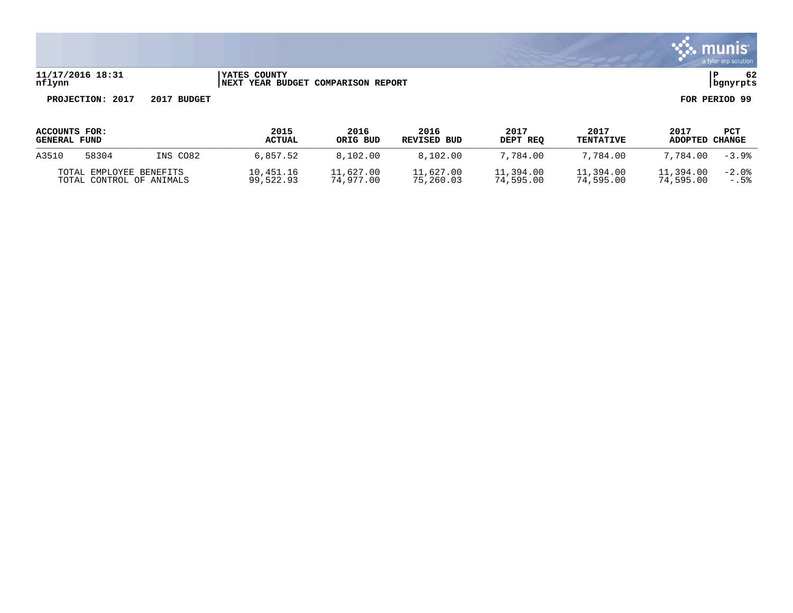

#### **11/17/2016 18:31 |YATES COUNTY |P 62 nflynn |NEXT YEAR BUDGET COMPARISON REPORT |bgnyrpts**

| ACCOUNTS FOR:<br><b>GENERAL FUND</b>                |       |                        | 2015<br><b>ACTUAL</b>  | 2016<br>ORIG BUD<br>8.102.00 | 2016<br>REVISED BUD<br>8.102.00 | 2017<br>DEPT REO<br>7,784.00 | 2017<br><b>TENTATIVE</b><br>7.784.00 | 2017<br>ADOPTED   | PCT<br>CHANGE<br>$-3.9%$ |
|-----------------------------------------------------|-------|------------------------|------------------------|------------------------------|---------------------------------|------------------------------|--------------------------------------|-------------------|--------------------------|
| A3510                                               | 58304 | INS CO82               | 6,857.52               |                              |                                 |                              |                                      | 7,784.00          |                          |
| TOTAL EMPLOYEE BENEFITS<br>TOTAL CONTROL OF ANIMALS |       | 10,451.16<br>99,522.93 | 11,627.00<br>74,977.00 | 11,627.00<br>75,260.03       | 11,394.00<br>74,595.00          | 11,394.00<br>74,595.00       | 11,394.00<br>74,595.00               | $-2.0%$<br>$-.5%$ |                          |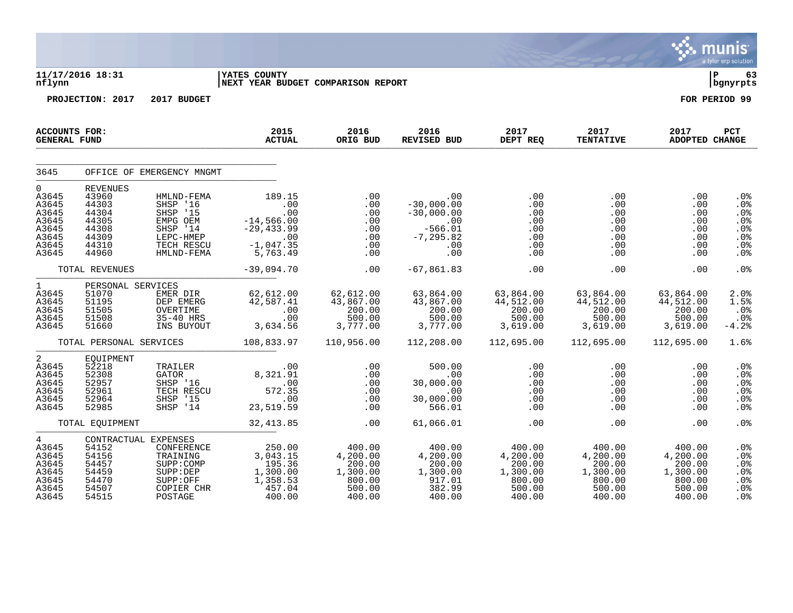|                                                                                        |                                                                                         |                                                                                                              |                                                                                               |                                                                        |                                                                                      |                                                                                        |                                                                        |                                                                        | <b>munis</b><br>a tyler erp solution                 |
|----------------------------------------------------------------------------------------|-----------------------------------------------------------------------------------------|--------------------------------------------------------------------------------------------------------------|-----------------------------------------------------------------------------------------------|------------------------------------------------------------------------|--------------------------------------------------------------------------------------|----------------------------------------------------------------------------------------|------------------------------------------------------------------------|------------------------------------------------------------------------|------------------------------------------------------|
| nflynn                                                                                 | 11/17/2016 18:31                                                                        |                                                                                                              | <b>IYATES COUNTY</b><br>NEXT YEAR BUDGET COMPARISON REPORT                                    |                                                                        |                                                                                      |                                                                                        |                                                                        |                                                                        | l P<br>63<br>  bgnyrpts                              |
|                                                                                        | PROJECTION: 2017                                                                        | 2017 BUDGET                                                                                                  |                                                                                               |                                                                        |                                                                                      |                                                                                        |                                                                        |                                                                        | FOR PERIOD 99                                        |
| <b>ACCOUNTS FOR:</b><br><b>GENERAL FUND</b>                                            |                                                                                         |                                                                                                              | 2015<br><b>ACTUAL</b>                                                                         | 2016<br>ORIG BUD                                                       | 2016<br>REVISED BUD                                                                  | 2017<br>DEPT REQ                                                                       | 2017<br><b>TENTATIVE</b>                                               | 2017<br>ADOPTED CHANGE                                                 | PCT                                                  |
| 3645                                                                                   |                                                                                         | OFFICE OF EMERGENCY MNGMT                                                                                    |                                                                                               |                                                                        |                                                                                      |                                                                                        |                                                                        |                                                                        |                                                      |
| $\overline{0}$<br>A3645<br>A3645<br>A3645<br>A3645<br>A3645<br>A3645<br>A3645<br>A3645 | <b>REVENUES</b><br>43960<br>44303<br>44304<br>44305<br>44308<br>44309<br>44310<br>44960 | HMLND-FEMA<br>SHSP '16<br>SHSP '15<br>EMPG OEM<br>SHSP '14<br>LEPC-HMEP<br>TECH RESCU<br>HMLND-FEMA          | $189.15$<br>.00<br>.00<br>$-14,566.00$<br>$-29, 433.99$<br>$-1,047.35$<br>5,763.49            |                                                                        | .00.<br>^^ ^00.00 -<br>$-30,000.00$<br>$-566.01$<br>$-7,295.82$<br>$0$<br>$0$<br>$0$ | $\begin{array}{c} 0.00 \\ -0.00 \end{array}$<br>.00<br>.00<br>.00<br>.00<br>.00<br>.00 | .00<br>.00<br>.00<br>.00<br>.00<br>.00<br>$.00 \,$<br>.00              | .00<br>.00<br>.00<br>.00<br>.00<br>.00<br>.00<br>.00                   | .0%<br>.0%<br>.0%<br>.0%<br>.0%<br>.0%<br>.0%<br>.0% |
|                                                                                        | TOTAL REVENUES                                                                          |                                                                                                              | $-39,094.70$                                                                                  | .00                                                                    | $-67,861.83$                                                                         | .00                                                                                    | .00                                                                    | .00                                                                    | .0 <sup>8</sup>                                      |
| $1 \quad \blacksquare$<br>A3645<br>A3645<br>A3645<br>A3645<br>A3645                    | PERSONAL SERVICES<br>51070<br>51195<br>51505<br>51508<br>51660                          | EMER DIR                                                                                                     | 62,612.00                                                                                     | 62,612.00<br>43,867.00<br>$200.00$<br>500.00<br>3,777.00               | 63,864.00<br>43,867.00<br>200.00<br>500.00<br>3,777.00                               | 63,864.00<br>44,512.00<br>200.00<br>500.00<br>3,619.00                                 | 63,864.00<br>44,512.00<br>200.00<br>500.00<br>3,619.00                 | 63,864.00<br>44,512.00<br>200.00<br>500.00<br>3,619.00                 | 2.0%<br>1.5%<br>.0%<br>.0%<br>$-4.2%$                |
|                                                                                        | TOTAL PERSONAL SERVICES                                                                 |                                                                                                              | 108,833.97                                                                                    | 110,956.00                                                             | 112,208.00                                                                           | 112,695.00                                                                             | 112,695.00                                                             | 112,695.00                                                             | 1.6%                                                 |
| $2 \left( \frac{1}{2} \right)$<br>A3645<br>A3645<br>A3645<br>A3645<br>A3645<br>A3645   | EQUIPMENT<br>52218<br>52308<br>52957<br>52961<br>52964<br>52985                         |                                                                                                              | TRAILER .00<br>GATOR<br>SHSP '16 .00<br>TECH RESCU .00<br>SHSP '15 .00<br>SHSP '14 .23,519.59 | .00<br>$\begin{array}{c} .00 \\ .00 \end{array}$<br>.00<br>.00<br>.00  | $500.00$<br>00.00<br>30,000.00<br>.00<br>30,000.00<br>566.01                         | $.00$<br>.00<br>.00<br>.00<br>.00<br>.00                                               | .00<br>.00<br>.00<br>.00<br>.00<br>.00                                 | .00<br>.00<br>.00<br>.00<br>.00<br>.00                                 | .0%<br>.0%<br>.0%<br>.0%<br>.0%<br>.0 <sup>8</sup>   |
|                                                                                        | TOTAL EOUIPMENT                                                                         |                                                                                                              | 32, 413.85                                                                                    | .00                                                                    | 61,066.01                                                                            | .00                                                                                    | $.00 \,$                                                               | .00                                                                    | . 0%                                                 |
| $\overline{4}$<br>A3645<br>A3645<br>A3645<br>A3645<br>A3645<br>A3645<br>A3645          | 54152<br>54156<br>54457<br>54459<br>54470<br>54507<br>54515                             | CONTRACTUAL EXPENSES<br>CONFERENCE<br>TRAINING<br>SUPP:COMP<br>SUPP:DEP<br>SUPP:OFF<br>COPIER CHR<br>POSTAGE | 250.00<br>3,043.15<br>195.36<br>1,300.00<br>1,358.53<br>457.04<br>400.00                      | 400.00<br>4,200.00<br>200.00<br>1,300.00<br>800.00<br>500.00<br>400.00 | 400.00<br>4,200.00<br>200.00<br>1,300.00<br>917.01<br>382.99<br>400.00               | 400.00<br>$4, 200.00$<br>200.00<br>1,300.00<br>800.00<br>500.00<br>400.00              | 400.00<br>4,200.00<br>200.00<br>1,300.00<br>800.00<br>500.00<br>400.00 | 400.00<br>4,200.00<br>200.00<br>1,300.00<br>800.00<br>500.00<br>400.00 | .0%<br>.0%<br>.0%<br>.0%<br>.0%<br>.0%<br>.0%        |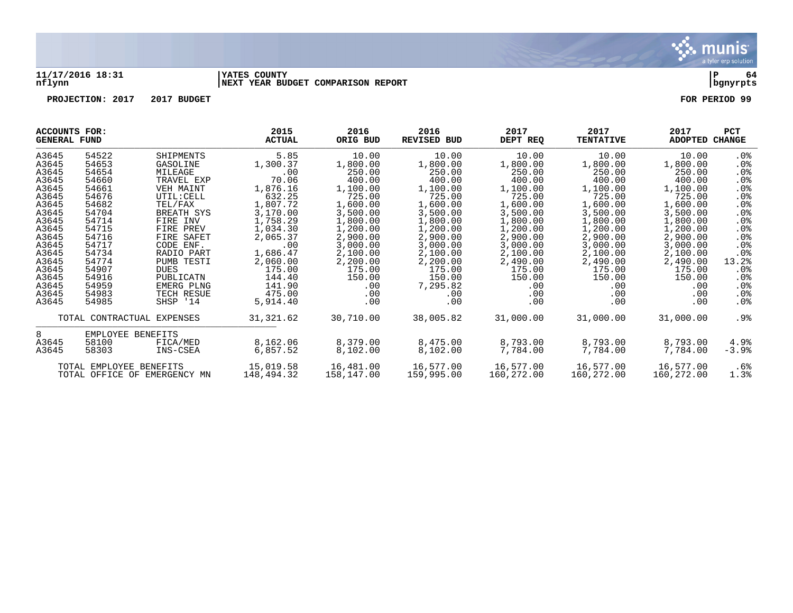

#### **11/17/2016 18:31 |YATES COUNTY |P 64 nflynn |NEXT YEAR BUDGET COMPARISON REPORT |bgnyrpts**

|       | <b>ACCOUNTS FOR:</b><br><b>GENERAL FUND</b>             |                            | 2015<br><b>ACTUAL</b> | 2016<br>ORIG BUD | 2016<br><b>REVISED BUD</b> | 2017<br>DEPT REQ | 2017<br><b>TENTATIVE</b> | 2017<br><b>ADOPTED</b> | <b>PCT</b><br>CHANGE |
|-------|---------------------------------------------------------|----------------------------|-----------------------|------------------|----------------------------|------------------|--------------------------|------------------------|----------------------|
| A3645 | 54522                                                   | SHIPMENTS                  | 5.85                  | 10.00            | 10.00                      | 10.00            | 10.00                    | 10.00                  | .0%                  |
| A3645 | 54653                                                   | GASOLINE                   | 1,300.37              | 1,800.00         | 1,800.00                   | 1,800.00         | 1,800.00                 | 1,800.00               | $.0\%$               |
| A3645 | 54654                                                   | MILEAGE                    | .00                   | 250.00           | 250.00                     | 250.00           | 250.00                   | 250.00                 | .0%                  |
| A3645 | 54660                                                   | TRAVEL EXP                 | 70.06                 | 400.00           | 400.00                     | 400.00           | 400.00                   | 400.00                 | .0%                  |
| A3645 | 54661                                                   | VEH MAINT                  | 1,876.16              | 1,100.00         | 1,100.00                   | 1,100.00         | 1,100.00                 | 1,100.00               | .0%                  |
| A3645 | 54676                                                   | UTIL: CELL                 | 632.25                | 725.00           | 725.00                     | 725.00           | 725.00                   | 725.00                 | .0%                  |
| A3645 | 54682                                                   | TEL/FAX                    | 1,807.72              | 1,600.00         | 1,600.00                   | 1,600.00         | 1,600.00                 | 1,600.00               | .0%                  |
| A3645 | 54704                                                   | BREATH SYS                 | 3,170.00              | 3,500.00         | 3,500.00                   | 3,500.00         | 3,500.00                 | 3,500.00               | .0%                  |
| A3645 | 54714                                                   | FIRE INV                   | 1,758.29              | 1,800.00         | 1,800.00                   | 1,800.00         | 1,800.00                 | 1,800.00               | .0%                  |
| A3645 | 54715                                                   | FIRE PREV                  | 1,034.30              | 1,200.00         | 1,200.00                   | 1,200.00         | 1,200.00                 | 1,200.00               | .0%                  |
| A3645 | 54716                                                   | FIRE SAFET                 | 2,065.37              | 2,900.00         | 2,900.00                   | 2,900.00         | 2,900.00                 | 2,900.00               | .0%                  |
| A3645 | 54717                                                   | CODE ENF.                  | .00                   | 3,000.00         | 3,000.00                   | 3,000.00         | 3,000.00                 | 3,000.00               | $.0\%$               |
| A3645 | 54734                                                   | RADIO PART                 | 1,686.47              | 2,100.00         | 2,100.00                   | 2,100.00         | 2,100.00                 | 2,100.00               | $.0\%$               |
| A3645 | 54774                                                   | PUMB TESTI                 | 2,060.00              | 2,200.00         | 2,200.00                   | 2,490.00         | 2,490.00                 | 2,490.00               | 13.2%                |
| A3645 | 54907                                                   | <b>DUES</b>                | 175.00                | 175.00           | 175.00                     | 175.00           | 175.00                   | 175.00                 | $.0\%$               |
| A3645 | 54916                                                   | PUBLICATN                  | 144.40                | 150.00           | 150.00                     | 150.00           | 150.00                   | 150.00                 | .0%                  |
| A3645 | 54959                                                   | EMERG PLNG                 | 141.90                | .00              | 7,295.82                   | .00              | .00                      | .00                    | .0%                  |
| A3645 | 54983                                                   | TECH RESUE                 | 475.00                | .00              | .00                        | .00              | .00                      | .00                    | $.0\%$               |
| A3645 | 54985                                                   | SHSP '14                   | 5,914.40              | .00              | .00                        | .00              | .00                      | .00                    | .0%                  |
|       |                                                         | TOTAL CONTRACTUAL EXPENSES | 31, 321.62            | 30,710.00        | 38,005.82                  | 31,000.00        | 31,000.00                | 31,000.00              | .9%                  |
| 8     | EMPLOYEE BENEFITS                                       |                            |                       |                  |                            |                  |                          |                        |                      |
| A3645 | 58100                                                   | FICA/MED                   | 8,162.06              | 8,379.00         | 8,475.00                   | 8,793.00         | 8,793.00                 | 8,793.00               | 4.9%                 |
| A3645 | 58303                                                   | INS-CSEA                   | 6,857.52              | 8,102.00         | 8,102.00                   | 7,784.00         | 7,784.00                 | 7,784.00               | $-3.9%$              |
|       |                                                         |                            | 15,019.58             | 16,481.00        | 16,577.00                  | 16,577.00        | 16,577.00                | 16,577.00              | .6%                  |
|       | TOTAL EMPLOYEE BENEFITS<br>TOTAL OFFICE OF EMERGENCY MN |                            | 148,494.32            | 158,147.00       | 159,995.00                 | 160,272.00       | 160,272.00               | 160,272.00             | 1.3%                 |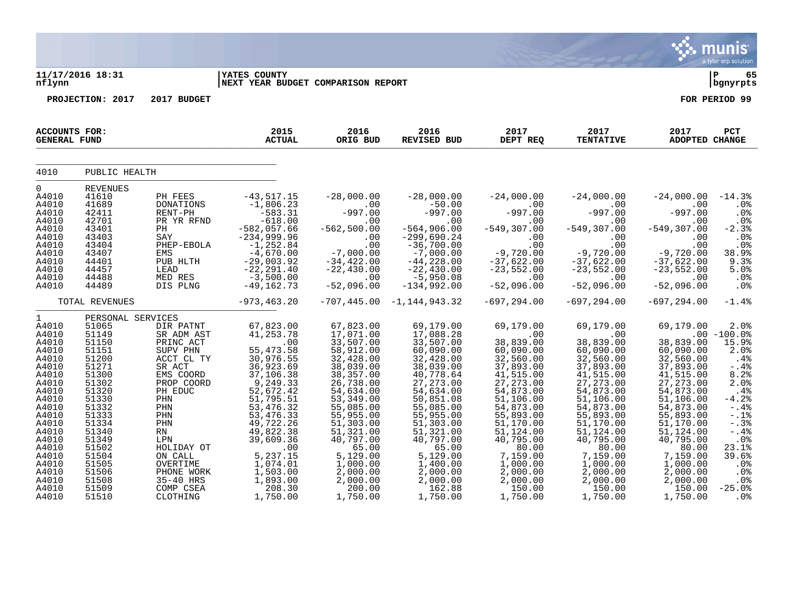|                                                                                                                                                                                                          |                                                                                                                                                                                                                |                                                                                                                                                                                                                                      |                                                                                                                                                                                                                                                               |                                                                                                                                                                                                                                                                    |                                                                                                                                                                                                                                                                     |                                                                                                                                                                                                                                                               |                                                                                                                                                                                                                                                               |                                                                                                                                                                                                                                                        | munis<br>a tyler erp solution                                                                                                                                                                                 |
|----------------------------------------------------------------------------------------------------------------------------------------------------------------------------------------------------------|----------------------------------------------------------------------------------------------------------------------------------------------------------------------------------------------------------------|--------------------------------------------------------------------------------------------------------------------------------------------------------------------------------------------------------------------------------------|---------------------------------------------------------------------------------------------------------------------------------------------------------------------------------------------------------------------------------------------------------------|--------------------------------------------------------------------------------------------------------------------------------------------------------------------------------------------------------------------------------------------------------------------|---------------------------------------------------------------------------------------------------------------------------------------------------------------------------------------------------------------------------------------------------------------------|---------------------------------------------------------------------------------------------------------------------------------------------------------------------------------------------------------------------------------------------------------------|---------------------------------------------------------------------------------------------------------------------------------------------------------------------------------------------------------------------------------------------------------------|--------------------------------------------------------------------------------------------------------------------------------------------------------------------------------------------------------------------------------------------------------|---------------------------------------------------------------------------------------------------------------------------------------------------------------------------------------------------------------|
| nflynn                                                                                                                                                                                                   | 11/17/2016 18:31                                                                                                                                                                                               |                                                                                                                                                                                                                                      | YATES COUNTY<br><b>NEXT YEAR BUDGET COMPARISON REPORT</b>                                                                                                                                                                                                     |                                                                                                                                                                                                                                                                    |                                                                                                                                                                                                                                                                     |                                                                                                                                                                                                                                                               |                                                                                                                                                                                                                                                               |                                                                                                                                                                                                                                                        | ∣ P<br>65<br>bgnyrpts                                                                                                                                                                                         |
|                                                                                                                                                                                                          | PROJECTION: 2017                                                                                                                                                                                               | 2017 BUDGET                                                                                                                                                                                                                          |                                                                                                                                                                                                                                                               |                                                                                                                                                                                                                                                                    |                                                                                                                                                                                                                                                                     |                                                                                                                                                                                                                                                               |                                                                                                                                                                                                                                                               |                                                                                                                                                                                                                                                        | FOR PERIOD 99                                                                                                                                                                                                 |
| <b>ACCOUNTS FOR:</b><br><b>GENERAL FUND</b>                                                                                                                                                              |                                                                                                                                                                                                                |                                                                                                                                                                                                                                      | 2015<br><b>ACTUAL</b>                                                                                                                                                                                                                                         | 2016<br>ORIG BUD                                                                                                                                                                                                                                                   | 2016<br><b>REVISED BUD</b>                                                                                                                                                                                                                                          | 2017<br>DEPT REQ                                                                                                                                                                                                                                              | 2017<br><b>TENTATIVE</b>                                                                                                                                                                                                                                      | 2017<br>ADOPTED CHANGE                                                                                                                                                                                                                                 | PCT                                                                                                                                                                                                           |
| 4010                                                                                                                                                                                                     | PUBLIC HEALTH                                                                                                                                                                                                  |                                                                                                                                                                                                                                      |                                                                                                                                                                                                                                                               |                                                                                                                                                                                                                                                                    |                                                                                                                                                                                                                                                                     |                                                                                                                                                                                                                                                               |                                                                                                                                                                                                                                                               |                                                                                                                                                                                                                                                        |                                                                                                                                                                                                               |
| 0<br>A4010<br>A4010<br>A4010<br>A4010<br>A4010<br>A4010<br>A4010<br>A4010<br>A4010<br>A4010<br>A4010<br>A4010                                                                                            | <b>REVENUES</b><br>41610<br>41689<br>42411<br>42701<br>43401<br>43403<br>43404<br>43407<br>44401<br>44457<br>44488<br>44489                                                                                    | PH FEES<br>DONATIONS<br>RENT-PH<br>PR YR RFND<br>PH<br>SAY<br>PHEP-EBOLA<br>EMS<br>PUB HLTH<br>LEAD<br>MED RES<br>DIS PLNG                                                                                                           | $-43,517.15$<br>$-1,806.23$<br>$-583.31$<br>$-618.00$<br>$-582,057.66$<br>$-234,999.96$<br>$-1, 252.84$<br>$-4,670.00$<br>$-29,003.92$<br>$-22, 291.40$<br>$-3,500.00$<br>$-49, 162.73$                                                                       | $-28,000.00$<br>.00<br>$-997.00$<br>.00<br>$-562, 500.00$<br>.00<br>.00<br>$-7,000.00$<br>$-34,422.00$<br>$-22, 430.00$<br>.00<br>$-52,096.00$                                                                                                                     | $-28,000.00$<br>$-50.00$<br>$-997.00$<br>.00<br>$-564,906.00$<br>$-299,690.24$<br>$-36,700.00$<br>$-7,000.00$<br>$-44,228.00$<br>$-22, 430.00$<br>$-5,950.08$<br>$-134,992.00$                                                                                      | $-24,000.00$<br>.00<br>$-997.00$<br>.00<br>$-549, 307.00$<br>.00<br>.00<br>$-9,720.00$<br>$-37,622.00$<br>$-23,552.00$<br>.00<br>$-52,096.00$                                                                                                                 | $-24,000.00$<br>.00<br>$-997.00$<br>.00<br>$-549, 307.00$<br>.00<br>.00<br>$-9,720.00$<br>$-37,622.00$<br>$-23,552.00$<br>.00<br>$-52,096.00$                                                                                                                 | $-24,000.00$<br>.00<br>$-997.00$<br>.00<br>$-549, 307.00$<br>.00<br>.00<br>$-9,720.00$<br>$-37,622.00$<br>$-23,552.00$<br>.00<br>$-52,096.00$                                                                                                          | $-14.3%$<br>.0%<br>.0%<br>.0%<br>$-2.3%$<br>.0%<br>.0%<br>38.9%<br>9.3%<br>5.0%<br>.0%<br>.0%                                                                                                                 |
|                                                                                                                                                                                                          | TOTAL REVENUES                                                                                                                                                                                                 |                                                                                                                                                                                                                                      | $-973, 463.20$                                                                                                                                                                                                                                                | $-707, 445.00$                                                                                                                                                                                                                                                     | $-1, 144, 943.32$                                                                                                                                                                                                                                                   | $-697, 294.00$                                                                                                                                                                                                                                                | $-697, 294.00$                                                                                                                                                                                                                                                | $-697, 294.00$                                                                                                                                                                                                                                         | $-1.4%$                                                                                                                                                                                                       |
| $\mathbf 1$<br>A4010<br>A4010<br>A4010<br>A4010<br>A4010<br>A4010<br>A4010<br>A4010<br>A4010<br>A4010<br>A4010<br>A4010<br>A4010<br>A4010<br>A4010<br>A4010<br>A4010<br>A4010<br>A4010<br>A4010<br>A4010 | PERSONAL SERVICES<br>51065<br>51149<br>51150<br>51151<br>51200<br>51271<br>51300<br>51302<br>51320<br>51330<br>51332<br>51333<br>51334<br>51340<br>51349<br>51502<br>51504<br>51505<br>51506<br>51508<br>51509 | DIR PATNT<br>SR ADM AST<br>PRINC ACT<br>SUPV PHN<br>ACCT CL TY<br>SR ACT<br>EMS COORD<br>PROP COORD<br>PH EDUC<br>PHN<br>PHN<br>PHN<br>PHN<br>RN<br>LPN<br>HOLIDAY OT<br>ON CALL<br>OVERTIME<br>PHONE WORK<br>35-40 HRS<br>COMP CSEA | 67,823.00<br>41, 253.78<br>.00<br>55, 473.58<br>30,976.55<br>36,923.69<br>37,106.38<br>9,249.33<br>52,672.42<br>51,795.51<br>53, 476.32<br>53, 476.33<br>49,722.26<br>49,822.38<br>39,609.36<br>.00<br>5,237.15<br>1,074.01<br>1,503.00<br>1,893.00<br>208.30 | 67,823.00<br>17,071.00<br>33,507.00<br>58,912.00<br>32,428.00<br>38,039.00<br>38,357.00<br>26,738.00<br>54,634.00<br>53,349.00<br>55,085.00<br>55,955.00<br>51,303.00<br>51,321.00<br>40,797.00<br>65.00<br>5,129.00<br>1,000.00<br>2,000.00<br>2,000.00<br>200.00 | 69,179.00<br>17,088.28<br>33,507.00<br>60,090.00<br>32,428.00<br>38,039.00<br>40,778.64<br>27, 273.00<br>54,634.00<br>50,851.08<br>55,085.00<br>55,955.00<br>51,303.00<br>51,321.00<br>40,797.00<br>65.00<br>5,129.00<br>1,400.00<br>2,000.00<br>2,000.00<br>162.88 | 69,179.00<br>.00<br>38,839.00<br>60,090.00<br>32,560.00<br>37,893.00<br>41,515.00<br>27, 273.00<br>54,873.00<br>51,106.00<br>54,873.00<br>55,893.00<br>51,170.00<br>51,124.00<br>40,795.00<br>80.00<br>7,159.00<br>1,000.00<br>2,000.00<br>2,000.00<br>150.00 | 69,179.00<br>.00<br>38,839.00<br>60,090.00<br>32,560.00<br>37,893.00<br>41,515.00<br>27, 273.00<br>54,873.00<br>51,106.00<br>54,873.00<br>55,893.00<br>51,170.00<br>51,124.00<br>40,795.00<br>80.00<br>7,159.00<br>1,000.00<br>2,000.00<br>2,000.00<br>150.00 | 69,179.00<br>38,839.00<br>60,090.00<br>32,560.00<br>37,893.00<br>41,515.00<br>27, 273.00<br>54,873.00<br>51,106.00<br>54,873.00<br>55,893.00<br>51,170.00<br>51,124.00<br>40,795.00<br>80.00<br>7,159.00<br>1,000.00<br>2,000.00<br>2,000.00<br>150.00 | 2.0%<br>$.00 - 100.0$<br>15.9%<br>2.0%<br>.4%<br>$- .4%$<br>8.2%<br>2.0%<br>$.4\%$<br>$-4.2%$<br>$-.4%$<br>$-.1$ %<br>$-0.3%$<br>$-.4%$<br>.0%<br>23.1%<br>39.6%<br>.0%<br>.0 <sub>8</sub><br>.0%<br>$-25.0%$ |

A4010 51510 CLOTHING 1,750.00 1,750.00 1,750.00 1,750.00 1,750.00 1,750.00 .0%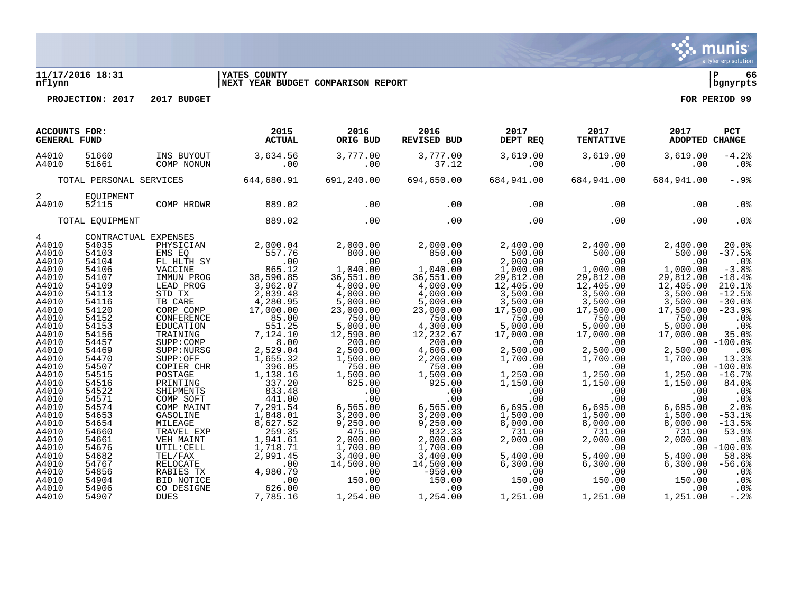

## **11/17/2016 18:31 |YATES COUNTY |P 66 nflynn |NEXT YEAR BUDGET COMPARISON REPORT |bgnyrpts**

| <b>ACCOUNTS FOR:</b><br><b>GENERAL FUND</b> |                         |                          | 2015<br><b>ACTUAL</b> | 2016<br>ORIG BUD | 2016<br><b>REVISED BUD</b> | 2017<br>DEPT REQ | 2017<br><b>TENTATIVE</b> | 2017<br><b>ADOPTED CHANGE</b> | <b>PCT</b>      |
|---------------------------------------------|-------------------------|--------------------------|-----------------------|------------------|----------------------------|------------------|--------------------------|-------------------------------|-----------------|
| A4010<br>A4010                              | 51660<br>51661          | INS BUYOUT<br>COMP NONUN | 3,634.56<br>.00       | 3,777.00<br>.00  | 3,777.00<br>37.12          | 3,619.00<br>.00  | 3,619.00<br>.00          | 3,619.00<br>.00               | $-4.2%$<br>.0%  |
|                                             | TOTAL PERSONAL SERVICES |                          | 644,680.91            | 691,240.00       | 694,650.00                 | 684,941.00       | 684,941.00               | 684,941.00                    | $-.9$           |
| 2<br>A4010                                  | EOUIPMENT<br>52115      | COMP HRDWR               | 889.02                | .00              | .00                        | .00              | .00                      | .00                           | .0 <sub>8</sub> |
|                                             |                         |                          |                       |                  |                            |                  |                          |                               |                 |
|                                             | TOTAL EQUIPMENT         |                          | 889.02                | .00              | .00                        | .00              | .00                      | .00                           | .0%             |
| $4\overline{ }$                             |                         | CONTRACTUAL EXPENSES     |                       |                  |                            |                  |                          |                               |                 |
| A4010                                       | 54035                   | PHYSICIAN                | 2,000.04              | 2,000.00         | 2,000.00                   | 2,400.00         | 2,400.00                 | 2,400.00                      | 20.0%           |
| A4010                                       | 54103                   | EMS EO                   | 557.76                | 800.00           | 850.00                     | 500.00           | 500.00                   | 500.00                        | $-37.5%$        |
| A4010                                       | 54104                   | FL HLTH SY               | .00                   | .00              | .00                        | 2,000.00         | .00                      | .00                           | .0%             |
| A4010                                       | 54106                   | VACCINE                  | 865.12                | 1,040.00         | 1,040.00                   | 1,000.00         | 1,000.00                 | 1,000.00                      | $-3.8%$         |
| A4010                                       | 54107                   | IMMUN PROG               | 38,590.85             | 36,551.00        | 36,551.00                  | 29,812.00        | 29,812.00                | 29,812.00                     | $-18.4%$        |
| A4010                                       | 54109                   | LEAD PROG                | 3,962.07              | 4,000.00         | 4,000.00                   | 12,405.00        | 12,405.00                | 12,405.00                     | 210.1%          |
| A4010                                       | 54113                   | STD TX                   | 2,839.48              | 4,000.00         | 4,000.00                   | 3,500.00         | 3,500.00                 | 3,500.00                      | $-12.5%$        |
| A4010                                       | 54116                   | TB CARE                  | 4,280.95              | 5,000.00         | 5,000.00                   | 3,500.00         | 3,500.00                 | 3,500.00                      | $-30.0%$        |
| A4010                                       | 54120                   | CORP COMP                | 17,000.00             | 23,000.00        | 23,000.00                  | 17,500.00        | 17,500.00                | 17,500.00                     | $-23.9%$        |
| A4010                                       | 54152                   | CONFERENCE               | 85.00                 | 750.00           | 750.00                     | 750.00           | 750.00                   | 750.00                        | .0 <sub>8</sub> |
| A4010                                       | 54153                   | EDUCATION                | 551.25                | 5,000.00         | 4,300.00                   | 5,000.00         | 5,000.00                 | 5,000.00                      | .0 <sup>8</sup> |
| A4010                                       | 54156                   | TRAINING                 | 7,124.10              | 12,590.00        | 12,232.67                  | 17,000.00        | 17,000.00                | 17,000.00                     | 35.0%           |
| A4010                                       | 54457                   | SUPP: COMP               | 8.00                  | 200.00           | 200.00                     | .00              | .00                      |                               | $.00 - 100.0%$  |
| A4010                                       | 54469                   | SUPP: NURSG              | 2,529.04              | 2,500.00         | 4,606.00                   | 2,500.00         | 2,500.00                 | 2,500.00                      | $.0\%$          |
| A4010                                       | 54470                   | SUPP:OFF                 | 1,655.32              | 1,500.00         | 2,200.00                   | 1,700.00         | 1,700.00                 | 1,700.00                      | 13.3%           |
| A4010                                       | 54507                   | COPIER CHR               | 396.05                | 750.00           | 750.00                     | .00              | .00                      |                               | $.00 - 100.0%$  |
| A4010                                       | 54515                   | POSTAGE                  | 1,138.16              | 1,500.00         | 1,500.00                   | 1,250.00         | 1,250.00                 | 1,250.00                      | $-16.7%$        |
| A4010                                       | 54516                   | PRINTING                 | 337.20                | 625.00           | 925.00                     | 1,150.00         | 1,150.00                 | 1,150.00                      | 84.0%           |
| A4010                                       | 54522                   | SHIPMENTS                | 833.48                | .00              | .00                        | .00              | .00                      | .00                           | .0 <sub>8</sub> |
| A4010                                       | 54571                   | COMP SOFT                | 441.00                | .00              | .00                        | .00              | .00                      | .00                           | $.0\%$          |
| A4010                                       | 54574                   | COMP MAINT               | 7,291.54              | 6,565.00         | 6,565.00                   | 6,695.00         | 6,695.00                 | 6,695.00                      | 2.0%            |
| A4010                                       | 54653                   | GASOLINE                 | 1,848.01              | 3,200.00         | 3,200.00                   | 1,500.00         | 1,500.00                 | 1,500.00                      | $-53.1%$        |
| A4010                                       | 54654                   | MILEAGE                  | 8,627.52              | 9,250.00         | 9,250.00                   | 8,000.00         | 8,000.00                 | 8,000.00                      | $-13.5%$        |
| A4010                                       | 54660                   | TRAVEL EXP               | 259.35                | 475.00           | 832.33                     | 731.00           | 731.00                   | 731.00                        | 53.9%           |
| A4010                                       | 54661                   | VEH MAINT                | 1,941.61              | 2,000.00         | 2,000.00                   | 2,000.00         | 2,000.00                 | 2,000.00                      | $.0\%$          |
| A4010                                       | 54676                   | UTIL: CELL               | 1,718.71              | 1,700.00         | 1,700.00                   | .00              | .00                      |                               | $.00 - 100.0$   |
| A4010                                       | 54682                   | TEL/FAX                  | 2,991.45              | 3,400.00         | 3,400.00                   | 5,400.00         | 5,400.00                 | 5,400.00                      | 58.8%           |
| A4010                                       | 54767                   | <b>RELOCATE</b>          | $.00 \,$              | 14,500.00        | 14,500.00                  | 6, 300.00        | 6, 300.00                | 6, 300.00                     | $-56.6%$        |
| A4010                                       | 54856                   | RABIES TX                | 4,980.79              | .00              | $-950.00$                  | .00              | .00                      | .00                           | . 0 %           |
| A4010                                       | 54904                   | BID NOTICE               | .00                   | 150.00           | 150.00                     | 150.00           | 150.00                   | 150.00                        | .0%             |
| A4010                                       | 54906                   | CO DESIGNE               | 626.00                | .00              | .00                        | .00              | .00                      | .00                           | .0%             |
| A4010                                       | 54907                   | <b>DUES</b>              | 7.785.16              | 1,254.00         | 1,254.00                   | 1,251.00         | 1,251.00                 | 1,251.00                      | $-.2$ .         |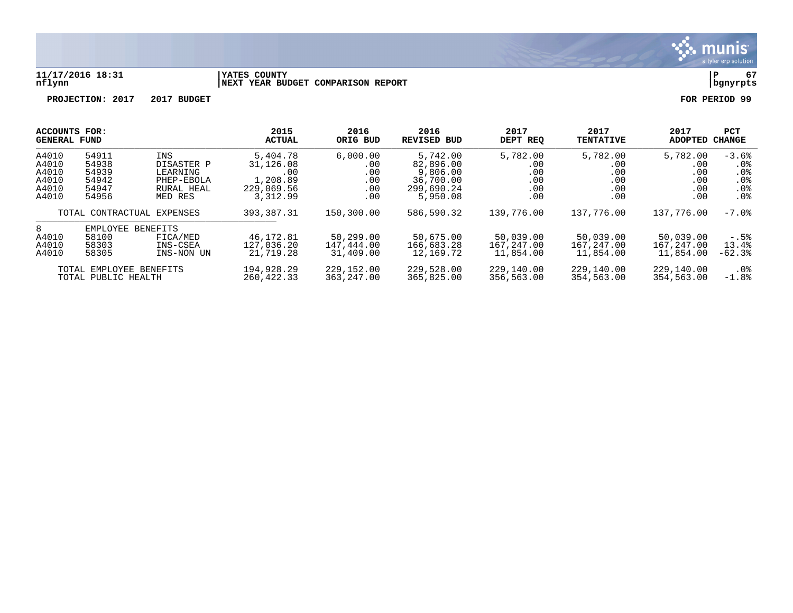

#### **11/17/2016 18:31 |YATES COUNTY |P 67 nflynn |NEXT YEAR BUDGET COMPARISON REPORT |bgnyrpts**

|                                                                                                                       | ACCOUNTS FOR: |                                      | 2015                                 | 2016                                 | 2016                                 | 2017                                 | 2017                                 | 2017                        | <b>PCT</b>      |
|-----------------------------------------------------------------------------------------------------------------------|---------------|--------------------------------------|--------------------------------------|--------------------------------------|--------------------------------------|--------------------------------------|--------------------------------------|-----------------------------|-----------------|
|                                                                                                                       | GENERAL FUND  |                                      | <b>ACTUAL</b>                        | ORIG BUD                             | <b>REVISED BUD</b>                   | DEPT REO                             | <b>TENTATIVE</b>                     | <b>ADOPTED</b>              | CHANGE          |
| A4010                                                                                                                 | 54911         | INS                                  | 5,404.78                             | 6,000.00                             | 5,742.00                             | 5,782.00                             | 5,782.00                             | 5,782.00                    | $-3.6%$         |
| A4010                                                                                                                 | 54938         | DISASTER P                           | 31,126.08                            | .00                                  | 82,896.00                            | .00                                  | .00                                  | .00                         | $.0\%$          |
| A4010                                                                                                                 | 54939         | LEARNING                             | .00                                  | .00                                  | 9,806.00                             | .00                                  | .00                                  | .00                         | .0 <sub>8</sub> |
| A4010                                                                                                                 | 54942         | PHEP-EBOLA                           | 1,208.89                             | .00                                  | 36,700.00                            | .00                                  | .00                                  | .00                         | .0 <sub>8</sub> |
| A4010                                                                                                                 | 54947         | RURAL HEAL                           | 229,069.56                           | .00                                  | 299,690.24                           | .00                                  | .00                                  | .00                         | .0 <sub>8</sub> |
| A4010                                                                                                                 | 54956         | MED RES                              | 3,312.99                             | .00                                  | 5,950.08                             | .00                                  | .00                                  | .00                         | $.0\%$          |
| TOTAL CONTRACTUAL EXPENSES                                                                                            |               | 393, 387. 31                         | 150,300.00                           | 586,590.32                           | 139,776.00                           | 137,776.00                           | 137,776.00                           | $-7.0\%$                    |                 |
| 8<br>EMPLOYEE<br>BENEFITS<br>58100<br>A4010<br>FICA/MED<br>A4010<br>58303<br>INS-CSEA<br>A4010<br>58305<br>INS-NON UN |               | 46,172.81<br>127,036.20<br>21,719.28 | 50,299.00<br>147,444.00<br>31,409.00 | 50,675.00<br>166,683.28<br>12,169.72 | 50,039.00<br>167,247.00<br>11,854.00 | 50,039.00<br>167,247.00<br>11,854.00 | 50,039.00<br>167,247.00<br>11,854.00 | $-.5%$<br>13.4%<br>$-62.3%$ |                 |
| TOTAL EMPLOYEE BENEFITS                                                                                               |               | 194,928.29                           | 229,152.00                           | 229,528.00                           | 229,140.00                           | 229,140.00                           | 229,140.00                           | $.0\%$                      |                 |
| TOTAL PUBLIC HEALTH                                                                                                   |               | 260, 422.33                          | 363, 247, 00                         | 365,825.00                           | 356,563.00                           | 354,563.00                           | 354,563.00                           | $-1.8%$                     |                 |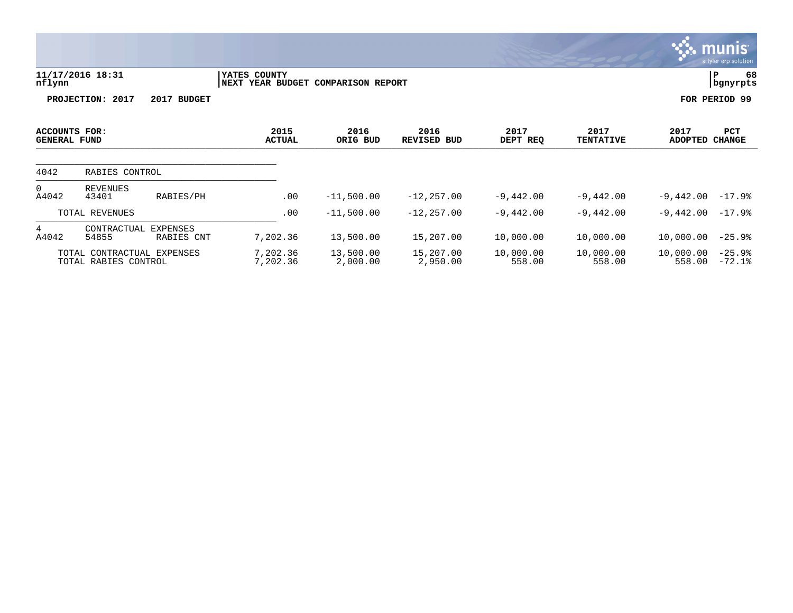|                                      |                                                    |                               |                                  |                          |                            |                     |                          |                        | <b>munis</b><br>a tyler erp solution |
|--------------------------------------|----------------------------------------------------|-------------------------------|----------------------------------|--------------------------|----------------------------|---------------------|--------------------------|------------------------|--------------------------------------|
| nflynn                               | 11/17/2016 18:31                                   |                               | YATES COUNTY<br>NEXT YEAR BUDGET | <b>COMPARISON REPORT</b> |                            |                     |                          |                        | 68<br> P<br>  bgnyrpts               |
|                                      | PROJECTION: 2017                                   | 2017 BUDGET                   |                                  |                          |                            |                     |                          |                        | FOR PERIOD 99                        |
| ACCOUNTS FOR:<br><b>GENERAL FUND</b> |                                                    |                               | 2015<br><b>ACTUAL</b>            | 2016<br>ORIG BUD         | 2016<br><b>REVISED BUD</b> | 2017<br>DEPT REQ    | 2017<br><b>TENTATIVE</b> | 2017<br><b>ADOPTED</b> | PCT<br><b>CHANGE</b>                 |
| 4042                                 | RABIES CONTROL                                     |                               |                                  |                          |                            |                     |                          |                        |                                      |
| $\Omega$<br>A4042                    | <b>REVENUES</b><br>43401                           | RABIES/PH                     | .00                              | $-11,500.00$             | $-12, 257.00$              | $-9,442.00$         | $-9,442.00$              | $-9,442.00$            | $-17.9%$                             |
|                                      | TOTAL REVENUES                                     |                               | .00                              | $-11,500.00$             | $-12, 257.00$              | $-9,442.00$         | $-9,442.00$              | $-9,442.00$            | $-17.9%$                             |
| 4<br>A4042                           | CONTRACTUAL<br>54855                               | <b>EXPENSES</b><br>RABIES CNT | 7,202.36                         | 13,500.00                | 15,207.00                  | 10,000.00           | 10,000.00                | 10,000.00              | $-25.9%$                             |
|                                      | TOTAL CONTRACTUAL EXPENSES<br>TOTAL RABIES CONTROL |                               | 7,202.36<br>7,202.36             | 13,500.00<br>2,000.00    | 15,207.00<br>2,950.00      | 10,000.00<br>558.00 | 10,000.00<br>558.00      | 10,000.00<br>558.00    | $-25.9%$<br>$-72.1%$                 |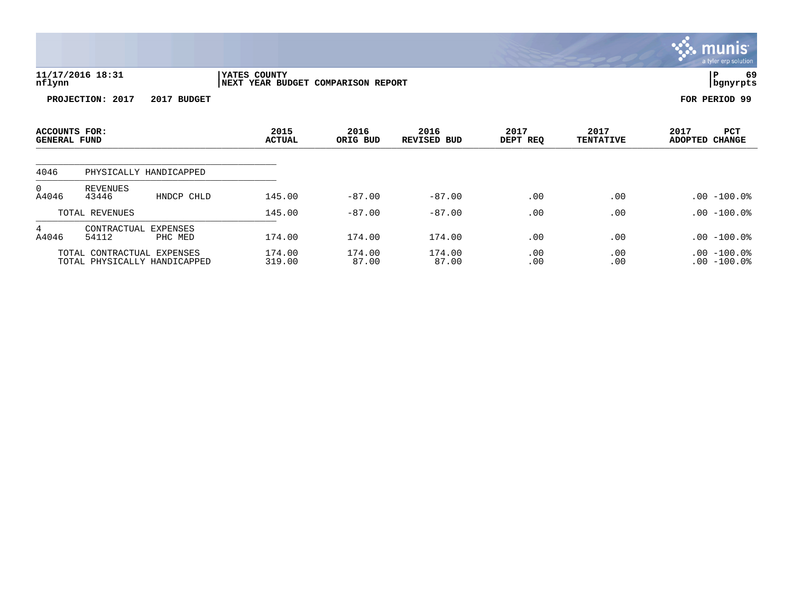|                                      |                               |                        |                                                    |                  |                            |                  |                          | a tyler erp solution                 |
|--------------------------------------|-------------------------------|------------------------|----------------------------------------------------|------------------|----------------------------|------------------|--------------------------|--------------------------------------|
| nflynn                               | 11/17/2016 18:31              |                        | YATES COUNTY<br>NEXT YEAR BUDGET COMPARISON REPORT |                  |                            |                  |                          | 69<br>P<br>bgnyrpts                  |
|                                      | PROJECTION: 2017              | 2017 BUDGET            |                                                    |                  |                            |                  |                          | FOR PERIOD 99                        |
| ACCOUNTS FOR:<br><b>GENERAL FUND</b> |                               |                        | 2015<br><b>ACTUAL</b>                              | 2016<br>ORIG BUD | 2016<br><b>REVISED BUD</b> | 2017<br>DEPT REQ | 2017<br><b>TENTATIVE</b> | 2017<br><b>PCT</b><br>ADOPTED CHANGE |
| 4046                                 |                               | PHYSICALLY HANDICAPPED |                                                    |                  |                            |                  |                          |                                      |
| $\mathbf 0$<br>A4046                 | REVENUES<br>43446             | HNDCP CHLD             | 145.00                                             | $-87.00$         | $-87.00$                   | .00              | .00                      | $.00 - 100.0$                        |
|                                      | TOTAL REVENUES                |                        | 145.00                                             | $-87.00$         | $-87.00$                   | .00              | .00                      | $.00 - 100.0$                        |
| $4\overline{ }$<br>A4046             | CONTRACTUAL EXPENSES<br>54112 | PHC MED                | 174.00                                             | 174.00           | 174.00                     | .00              | .00                      | .00 -100.0%                          |

 $\ddot{\ddot{\mathbf{w}}}$  munis

TOTAL CONTRACTUAL EXPENSES 174.00 174.00 174.00 .00 .00 .00 -100.0% TOTAL PHYSICALLY HANDICAPPED 319.00 87.00 87.00 .00 .00 .00 -100.0%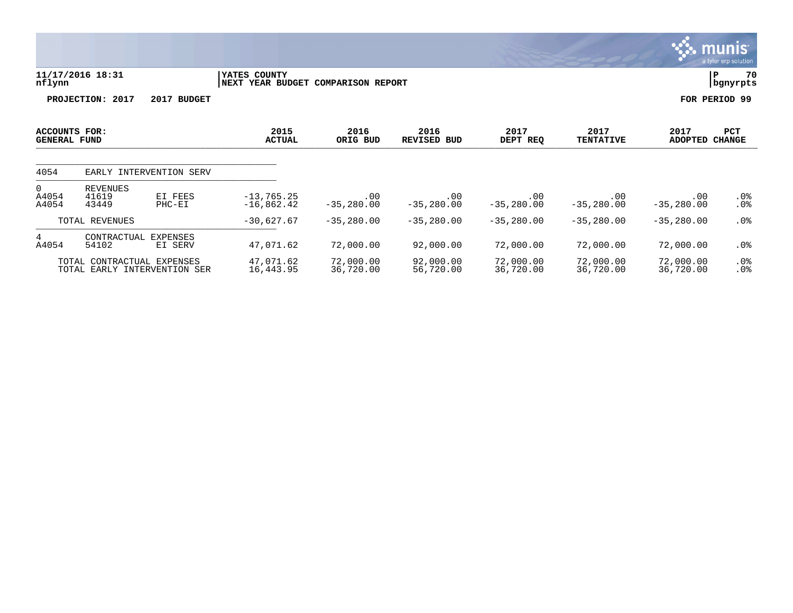|                               |                                                            |                     |                                  |                          |                            |                        |                             |                        | a crisi sip solution        |
|-------------------------------|------------------------------------------------------------|---------------------|----------------------------------|--------------------------|----------------------------|------------------------|-----------------------------|------------------------|-----------------------------|
| nflynn                        | 11/17/2016 18:31                                           |                     | YATES COUNTY<br>NEXT YEAR BUDGET | <b>COMPARISON REPORT</b> |                            |                        |                             |                        | 70<br>P<br>  bgnyrpts       |
|                               | PROJECTION: 2017                                           | 2017 BUDGET         |                                  |                          |                            |                        |                             |                        | FOR PERIOD 99               |
| ACCOUNTS FOR:<br>GENERAL FUND |                                                            |                     | 2015<br><b>ACTUAL</b>            | 2016<br>ORIG BUD         | 2016<br><b>REVISED BUD</b> | 2017<br>DEPT REQ       | 2017<br><b>TENTATIVE</b>    | 2017<br><b>ADOPTED</b> | <b>PCT</b><br><b>CHANGE</b> |
| 4054                          | EARLY INTERVENTION SERV                                    |                     |                                  |                          |                            |                        |                             |                        |                             |
| 0<br>A4054<br>A4054           | REVENUES<br>41619<br>43449                                 | EI FEES<br>$PHC-EI$ | $-13, 765.25$<br>$-16,862.42$    | .00<br>$-35,280.00$      | .00<br>$-35, 280.00$       | .00<br>$-35,280.00$    | $.00 \ \rm$<br>$-35,280.00$ | .00<br>$-35, 280.00$   | $.0\%$<br>.0%               |
|                               | TOTAL REVENUES                                             |                     | $-30,627.67$                     | $-35,280.00$             | $-35,280.00$               | $-35,280.00$           | $-35,280.00$                | $-35,280.00$           | $.0\%$                      |
| 4<br>A4054                    | CONTRACTUAL<br>54102                                       | EXPENSES<br>EI SERV | 47,071.62                        | 72,000.00                | 92,000.00                  | 72,000.00              | 72,000.00                   | 72,000.00              | $.0\%$                      |
|                               | TOTAL CONTRACTUAL EXPENSES<br>TOTAL EARLY INTERVENTION SER |                     | 47,071.62<br>16,443.95           | 72,000.00<br>36,720.00   | 92,000.00<br>56,720.00     | 72,000.00<br>36,720.00 | 72,000.00<br>36,720.00      | 72,000.00<br>36,720.00 | .0%<br>.0%                  |

 $\ddot{\mathbf{w}}$  munis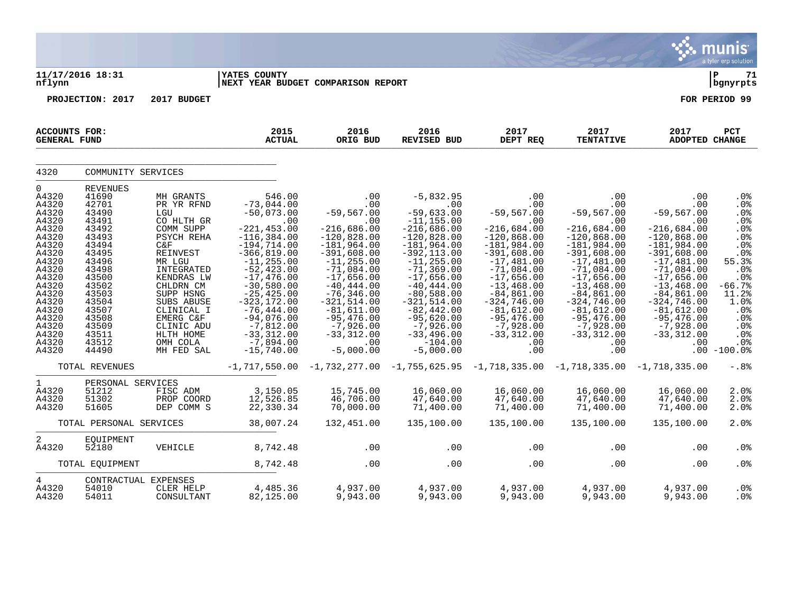|                                                                                                                                                                                                 |                                                                                                                                                                                                     |                                                                                                                                                                                                                                                          |                                                                                                                                                                                                                                                                                                                            |                                                                                                                                                                                                                                                                                                  |                                                                                                                                                                                                                                                                                                                          |                                                                                                                                                                                                                                                                                            |                                                                                                                                                                                                                                                                                            |                                                                                                                                                                                                                                                                                 | a tyler erp solution                                                                                                                                                                               |
|-------------------------------------------------------------------------------------------------------------------------------------------------------------------------------------------------|-----------------------------------------------------------------------------------------------------------------------------------------------------------------------------------------------------|----------------------------------------------------------------------------------------------------------------------------------------------------------------------------------------------------------------------------------------------------------|----------------------------------------------------------------------------------------------------------------------------------------------------------------------------------------------------------------------------------------------------------------------------------------------------------------------------|--------------------------------------------------------------------------------------------------------------------------------------------------------------------------------------------------------------------------------------------------------------------------------------------------|--------------------------------------------------------------------------------------------------------------------------------------------------------------------------------------------------------------------------------------------------------------------------------------------------------------------------|--------------------------------------------------------------------------------------------------------------------------------------------------------------------------------------------------------------------------------------------------------------------------------------------|--------------------------------------------------------------------------------------------------------------------------------------------------------------------------------------------------------------------------------------------------------------------------------------------|---------------------------------------------------------------------------------------------------------------------------------------------------------------------------------------------------------------------------------------------------------------------------------|----------------------------------------------------------------------------------------------------------------------------------------------------------------------------------------------------|
| nflynn                                                                                                                                                                                          | 11/17/2016 18:31                                                                                                                                                                                    |                                                                                                                                                                                                                                                          | <b>YATES COUNTY</b><br>NEXT YEAR BUDGET COMPARISON REPORT                                                                                                                                                                                                                                                                  |                                                                                                                                                                                                                                                                                                  |                                                                                                                                                                                                                                                                                                                          |                                                                                                                                                                                                                                                                                            |                                                                                                                                                                                                                                                                                            |                                                                                                                                                                                                                                                                                 | Þ<br>71<br>  bgnyrpts                                                                                                                                                                              |
|                                                                                                                                                                                                 | PROJECTION: 2017                                                                                                                                                                                    | 2017 BUDGET                                                                                                                                                                                                                                              |                                                                                                                                                                                                                                                                                                                            |                                                                                                                                                                                                                                                                                                  |                                                                                                                                                                                                                                                                                                                          |                                                                                                                                                                                                                                                                                            |                                                                                                                                                                                                                                                                                            |                                                                                                                                                                                                                                                                                 | FOR PERIOD 99                                                                                                                                                                                      |
| <b>ACCOUNTS FOR:</b><br><b>GENERAL FUND</b>                                                                                                                                                     |                                                                                                                                                                                                     |                                                                                                                                                                                                                                                          | 2015<br><b>ACTUAL</b>                                                                                                                                                                                                                                                                                                      | 2016<br>ORIG BUD                                                                                                                                                                                                                                                                                 | 2016<br>REVISED BUD                                                                                                                                                                                                                                                                                                      | 2017<br>DEPT REQ                                                                                                                                                                                                                                                                           | 2017<br><b>TENTATIVE</b>                                                                                                                                                                                                                                                                   | 2017<br>ADOPTED CHANGE                                                                                                                                                                                                                                                          | PCT                                                                                                                                                                                                |
| 4320                                                                                                                                                                                            | COMMUNITY SERVICES                                                                                                                                                                                  |                                                                                                                                                                                                                                                          |                                                                                                                                                                                                                                                                                                                            |                                                                                                                                                                                                                                                                                                  |                                                                                                                                                                                                                                                                                                                          |                                                                                                                                                                                                                                                                                            |                                                                                                                                                                                                                                                                                            |                                                                                                                                                                                                                                                                                 |                                                                                                                                                                                                    |
| $\mathbf 0$<br>A4320<br>A4320<br>A4320<br>A4320<br>A4320<br>A4320<br>A4320<br>A4320<br>A4320<br>A4320<br>A4320<br>A4320<br>A4320<br>A4320<br>A4320<br>A4320<br>A4320<br>A4320<br>A4320<br>A4320 | <b>REVENUES</b><br>41690<br>42701<br>43490<br>43491<br>43492<br>43493<br>43494<br>43495<br>43496<br>43498<br>43500<br>43502<br>43503<br>43504<br>43507<br>43508<br>43509<br>43511<br>43512<br>44490 | MH GRANTS<br>PR YR RFND<br>LGU<br>CO HLTH GR<br>COMM SUPP<br>PSYCH REHA<br>C&F<br>REINVEST<br>MR LGU<br>INTEGRATED<br>KENDRAS LW<br>CHLDRN CM<br>SUPP HSNG<br>SUBS ABUSE<br>CLINICAL I<br>EMERG C&F<br>CLINIC ADU<br>HLTH HOME<br>OMH COLA<br>MH FED SAL | 546.00<br>$-73,044.00$<br>$-50,073.00$<br>.00<br>$-221, 453.00$<br>$-116, 384.00$<br>$-194, 714.00$<br>$-366, 819.00$<br>$-11, 255.00$<br>$-52, 423.00$<br>$-17,476.00$<br>$-30,580.00$<br>$-25, 425.00$<br>$-323, 172.00$<br>$-76, 444.00$<br>$-94,076.00$<br>$-7,812.00$<br>$-33, 312.00$<br>$-7,894.00$<br>$-15,740.00$ | .00<br>.00<br>$-59, 567.00$<br>.00<br>$-216,686.00$<br>$-120,828.00$<br>$-181,964.00$<br>$-391,608.00$<br>$-11, 255.00$<br>$-71,084.00$<br>$-17,656.00$<br>$-40, 444.00$<br>$-76, 346.00$<br>$-321,514.00$<br>$-81,611.00$<br>$-95,476.00$<br>$-7,926.00$<br>$-33, 312.00$<br>.00<br>$-5,000.00$ | $-5,832.95$<br>.00<br>$-59,633.00$<br>$-11, 155.00$<br>$-216,686.00$<br>$-120,828.00$<br>$-181,964.00$<br>$-392, 113.00$<br>$-11, 255.00$<br>$-71, 369.00$<br>$-17,656.00$<br>$-40, 444.00$<br>$-80,588.00$<br>$-321, 514.00$<br>$-82,442.00$<br>$-95,620.00$<br>$-7,926.00$<br>$-33,496.00$<br>$-104.00$<br>$-5,000.00$ | $.00 \,$<br>.00<br>$-59,567.00$<br>.00<br>$-216,684.00$<br>$-120,868.00$<br>$-181,984.00$<br>$-391,608.00$<br>$-17,481.00$<br>$-71,084.00$<br>$-17,656.00$<br>$-13, 468.00$<br>$-84, 861.00$<br>$-324,746.00$<br>$-81,612.00$<br>$-95,476.00$<br>$-7,928.00$<br>$-33,312.00$<br>.00<br>.00 | $.00 \,$<br>.00<br>$-59,567.00$<br>.00<br>$-216,684.00$<br>$-120,868.00$<br>$-181,984.00$<br>$-391,608.00$<br>$-17,481.00$<br>$-71,084.00$<br>$-17,656.00$<br>$-13,468.00$<br>$-84, 861.00$<br>$-324,746.00$<br>$-81,612.00$<br>$-95,476.00$<br>$-7,928.00$<br>$-33, 312.00$<br>.00<br>.00 | .00<br>.00<br>$-59,567.00$<br>.00<br>$-216,684.00$<br>$-120,868.00$<br>$-181,984.00$<br>$-391,608.00$<br>$-17,481.00$<br>$-71,084.00$<br>$-17,656.00$<br>$-13, 468.00$<br>$-84, 861.00$<br>$-324,746.00$<br>$-81,612.00$<br>$-95,476.00$<br>$-7,928.00$<br>$-33, 312.00$<br>.00 | .0%<br>.0%<br>.0%<br>.0%<br>.0%<br>.0%<br>.0 <sub>8</sub><br>$.0%$<br>55.3%<br>.0 <sub>8</sub><br>.0 <sub>8</sub><br>$-66.7%$<br>11.2%<br>1.0%<br>.0%<br>.0%<br>.0%<br>.0%<br>.0%<br>$.00 - 100.0$ |
|                                                                                                                                                                                                 | TOTAL REVENUES                                                                                                                                                                                      |                                                                                                                                                                                                                                                          | $-1,717,550.00$                                                                                                                                                                                                                                                                                                            |                                                                                                                                                                                                                                                                                                  | $-1, 732, 277.00$ $-1, 755, 625.95$ $-1, 718, 335.00$ $-1, 718, 335.00$ $-1, 718, 335.00$                                                                                                                                                                                                                                |                                                                                                                                                                                                                                                                                            |                                                                                                                                                                                                                                                                                            |                                                                                                                                                                                                                                                                                 | $-0.88$                                                                                                                                                                                            |
| $\mathbf 1$<br>A4320<br>A4320<br>A4320                                                                                                                                                          | PERSONAL SERVICES<br>51212<br>51302<br>51605                                                                                                                                                        | FISC ADM<br>PROP COORD<br>DEP COMM S                                                                                                                                                                                                                     | 3,150.05<br>12,526.85<br>22,330.34                                                                                                                                                                                                                                                                                         | 15,745.00<br>46,706.00<br>70,000.00                                                                                                                                                                                                                                                              | 16,060.00<br>47,640.00<br>71,400.00                                                                                                                                                                                                                                                                                      | 16,060.00<br>47,640.00<br>71,400.00                                                                                                                                                                                                                                                        | 16,060.00<br>47,640.00<br>71,400.00                                                                                                                                                                                                                                                        | 16,060.00<br>47,640.00<br>71,400.00                                                                                                                                                                                                                                             | 2.0%<br>2.0%<br>2.0%                                                                                                                                                                               |
|                                                                                                                                                                                                 | TOTAL PERSONAL SERVICES                                                                                                                                                                             |                                                                                                                                                                                                                                                          | 38,007.24                                                                                                                                                                                                                                                                                                                  | 132,451.00                                                                                                                                                                                                                                                                                       | 135,100.00                                                                                                                                                                                                                                                                                                               | 135,100.00                                                                                                                                                                                                                                                                                 | 135,100.00                                                                                                                                                                                                                                                                                 | 135,100.00                                                                                                                                                                                                                                                                      | 2.0%                                                                                                                                                                                               |
| 2<br>A4320                                                                                                                                                                                      | EQUIPMENT<br>52180                                                                                                                                                                                  | VEHICLE                                                                                                                                                                                                                                                  | 8,742.48                                                                                                                                                                                                                                                                                                                   | .00                                                                                                                                                                                                                                                                                              | .00                                                                                                                                                                                                                                                                                                                      | $.00 \,$                                                                                                                                                                                                                                                                                   | .00                                                                                                                                                                                                                                                                                        | .00                                                                                                                                                                                                                                                                             | .0%                                                                                                                                                                                                |
|                                                                                                                                                                                                 | TOTAL EOUIPMENT                                                                                                                                                                                     |                                                                                                                                                                                                                                                          | 8,742.48                                                                                                                                                                                                                                                                                                                   | .00                                                                                                                                                                                                                                                                                              | .00                                                                                                                                                                                                                                                                                                                      | .00                                                                                                                                                                                                                                                                                        | .00                                                                                                                                                                                                                                                                                        | .00                                                                                                                                                                                                                                                                             | .0%                                                                                                                                                                                                |
| 4<br>A4320<br>A4320                                                                                                                                                                             | CONTRACTUAL EXPENSES<br>54010<br>54011                                                                                                                                                              | CLER HELP<br>CONSULTANT                                                                                                                                                                                                                                  | 4,485.36<br>82,125.00                                                                                                                                                                                                                                                                                                      | 4,937.00<br>9,943.00                                                                                                                                                                                                                                                                             | 4,937.00<br>9,943.00                                                                                                                                                                                                                                                                                                     | 4,937.00<br>9,943.00                                                                                                                                                                                                                                                                       | 4,937.00<br>9,943.00                                                                                                                                                                                                                                                                       | 4,937.00<br>9,943.00                                                                                                                                                                                                                                                            | .0 <sub>8</sub><br>.0 <sub>8</sub>                                                                                                                                                                 |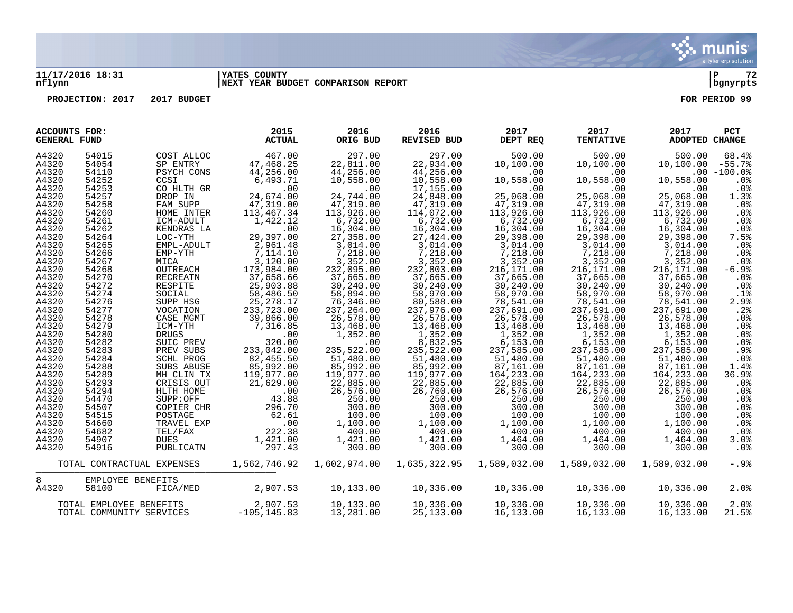munis a tyler erp solution

## **11/17/2016 18:31 |YATES COUNTY |P 72 nflynn |NEXT YEAR BUDGET COMPARISON REPORT |bgnyrpts**

**PROJECTION: 2017 2017 BUDGET FOR PERIOD 99**

| <b>ACCOUNTS FOR:</b><br><b>GENERAL FUND</b> |                          |                            | 2015<br><b>ACTUAL</b>         | 2016<br>ORIG BUD       | 2016<br>REVISED BUD       | 2017<br>DEPT REQ        | 2017<br><b>TENTATIVE</b> | 2017<br>ADOPTED CHANGE | <b>PCT</b>                |
|---------------------------------------------|--------------------------|----------------------------|-------------------------------|------------------------|---------------------------|-------------------------|--------------------------|------------------------|---------------------------|
| A4320                                       | 54015                    | COST ALLOC                 | 467.00                        | 297.00                 | 297.00                    | 500.00                  | 500.00                   | 500.00                 | 68.4%                     |
| A4320<br>A4320                              | 54054<br>54110           | SP ENTRY                   | 47,468.25<br>44,256.00        | 22,811.00<br>44,256.00 | 22,934.00<br>44,256.00    | 10,100.00               | 10,100.00                | 10,100.00              | $-55.7%$<br>$.00 - 100.0$ |
| A4320                                       | 54252                    | PSYCH CONS<br>CCSI         | 6,493.71                      | 10,558.00              | 10,558.00                 | .00<br>10,558.00        | .00<br>10,558.00         | 10,558.00              | .0%                       |
| A4320                                       | 54253                    | CO HLTH GR                 | .00                           | .00                    | 17,155.00                 | .00                     | $.00 \,$                 | $.00 \,$               | .0%                       |
| A4320                                       | 54257                    | DROP IN                    | 24,674.00                     | 24,744.00              | 24,848.00                 | 25,068.00               | 25,068.00                | 25,068.00              | 1.3%                      |
| A4320                                       | 54258                    | FAM SUPP                   | 47,319.00                     | 47,319.00              | 47,319.00                 | 47,319.00               | 47,319.00                | 47,319.00              | .0%                       |
| A4320                                       | 54260                    | HOME INTER                 | 113,467.34                    | 113,926.00             | 114,072.00                | 113,926.00              | 113,926.00               | 113,926.00             | .0%                       |
| A4320                                       | 54261                    | ICM-ADULT                  | 1,422.12                      | 6,732.00               | 6,732.00                  | 6,732.00                | 6,732.00                 | 6,732.00               | .0%                       |
| A4320                                       | 54262                    | KENDRAS LA                 | .00                           | 16,304.00              | 16,304.00                 | 16,304.00               | 16,304.00                | 16,304.00              | $.0\%$                    |
| A4320                                       | 54264                    | LOC-YTH                    | 29,397.00                     | 27,358.00              | 27,424.00                 | 29,398.00               | 29,398.00                | 29,398.00              | 7.5%                      |
| A4320                                       | 54265                    | EMPL-ADULT                 | 2,961.48                      | 3,014.00               | 3,014.00                  | 3,014.00                | 3,014.00                 | 3,014.00               | .0%                       |
| A4320                                       | 54266                    | EMP-YTH                    | 7,114.10                      | 7,218.00               | 7,218.00                  | 7,218.00                | 7,218.00                 | 7,218.00               | .0%                       |
| A4320                                       | 54267                    | MICA                       | 3,120.00                      | 3,352.00               | 3,352.00                  | 3,352.00                | 3,352.00                 | 3,352.00               | .0%                       |
| A4320                                       | 54268                    | OUTREACH                   | 173,984.00                    | 232,095.00             | 232,803.00                | 216,171.00              | 216,171.00               | 216,171.00             | $-6.9%$                   |
| A4320                                       | 54270                    | RECREATN                   | 37,658.66                     | 37,665.00              | 37,665.00                 | 37,665.00               | 37,665.00                | 37,665.00              | .0%                       |
| A4320                                       | 54272                    | RESPITE                    | 25,903.88                     | 30,240.00              | 30,240.00                 | 30,240.00               | 30,240.00                | 30,240.00              | $.0\%$                    |
| A4320                                       | 54274                    | SOCIAL                     | 58,486.50                     | 58,894.00              | 58,970.00                 | 58,970.00               | 58,970.00                | 58,970.00              | .1%                       |
| A4320                                       | 54276                    | SUPP HSG                   | 25, 278.17                    | 76,346.00              | 80,588.00                 | 78,541.00               | 78,541.00                | 78,541.00              | 2.9%                      |
| A4320                                       | 54277                    | VOCATION                   | 233,723.00                    | 237,264.00             | 237,976.00                | 237,691.00              | 237,691.00               | 237,691.00             | .2%                       |
| A4320                                       | 54278                    | CASE MGMT                  | 39,866.00                     | 26,578.00              | 26,578.00                 | 26,578.00               | 26,578.00                | 26,578.00              | $.0\%$                    |
| A4320                                       | 54279                    | ICM-YTH                    | 7,316.85                      | 13,468.00              | 13,468.00                 | 13,468.00               | 13,468.00                | 13,468.00              | .0%                       |
| A4320<br>A4320                              | 54280<br>54282           | DRUGS<br>SUIC PREV         | .00<br>320.00                 | 1,352.00<br>$.00 \,$   | 1,352.00                  | 1,352.00                | 1,352.00                 | 1,352.00<br>6, 153.00  | .0%                       |
| A4320                                       | 54283                    | PREV SUBS                  | 233,042.00                    | 235,522.00             | 8,832.95<br>235,522.00    | 6, 153.00<br>237,585.00 | 6, 153.00<br>237,585.00  | 237,585.00             | .0%<br>.9%                |
| A4320                                       | 54284                    | SCHL PROG                  | 82,455.50                     | 51,480.00              | 51,480.00                 | 51,480.00               | 51,480.00                | 51,480.00              | .0%                       |
| A4320                                       | 54288                    | SUBS ABUSE                 | 85,992.00                     | 85,992.00              | 85,992.00                 | 87,161.00               | 87,161.00                | 87,161.00              | 1.4%                      |
| A4320                                       | 54289                    | MH CLIN TX                 | 119,977.00                    | 119,977.00             | 119,977.00                | 164,233.00              | 164,233.00               | 164,233.00             | 36.9%                     |
| A4320                                       | 54293                    | CRISIS OUT                 | 21,629.00                     | 22,885.00              | 22,885.00                 | 22,885.00               | 22,885.00                | 22,885.00              | $.0\%$                    |
| A4320                                       | 54294                    | HLTH HOME                  | .00                           | 26,576.00              | 26,760.00                 | 26,576.00               | 26,576.00                | 26,576.00              | .0%                       |
| A4320                                       | 54470                    | SUPP:OFF                   | 43.88                         | 250.00                 | 250.00                    | 250.00                  | 250.00                   | 250.00                 | $.0\%$                    |
| A4320                                       | 54507                    | COPIER CHR                 | 296.70                        | 300.00                 | 300.00                    | 300.00                  | 300.00                   | 300.00                 | $.0\%$                    |
| A4320                                       | 54515                    | POSTAGE                    | 62.61                         | 100.00                 | 100.00                    | 100.00                  | 100.00                   | 100.00                 | .0%                       |
| A4320                                       | 54660                    | TRAVEL EXP                 | .00                           | 1,100.00               | 1,100.00                  | 1,100.00                | 1,100.00                 | 1,100.00               | .0%                       |
| A4320                                       | 54682                    | TEL/FAX                    | 222.38                        | 400.00                 | 400.00                    | 400.00                  | 400.00                   | 400.00                 | $.0\%$                    |
| A4320                                       | 54907                    | DUES                       | 1,421.00                      | 1,421.00               | 1,421.00                  | 1,464.00                | 1,464.00                 | 1,464.00               | 3.0%                      |
| A4320                                       | 54916                    | PUBLICATN                  | 297.43                        | 300.00                 | 300.00                    | 300.00                  | 300.00                   | 300.00                 | $.0\%$                    |
|                                             |                          | TOTAL CONTRACTUAL EXPENSES | 1,562,746.92                  |                        | 1,602,974.00 1,635,322.95 | 1,589,032.00            | 1,589,032.00             | 1,589,032.00           | $-.9%$                    |
| 8                                           | EMPLOYEE BENEFITS        |                            |                               |                        |                           |                         |                          |                        |                           |
| A4320                                       | 58100                    | FICA/MED                   | 2,907.53                      | 10,133.00              | 10,336.00                 | 10,336.00               | 10,336.00                | 10,336.00              | 2.0%                      |
|                                             | TOTAL EMPLOYEE BENEFITS  |                            | $2,907.53$<br>S $-105,145.83$ | 10,133.00              | 10,336.00                 | 10,336.00               | 10,336.00                | 10,336.00              | 2.0%                      |
|                                             | TOTAL COMMUNITY SERVICES |                            |                               | 13,281.00              | 25,133.00                 | 16,133.00               | 16,133.00                | 16,133.00              | 21.5%                     |

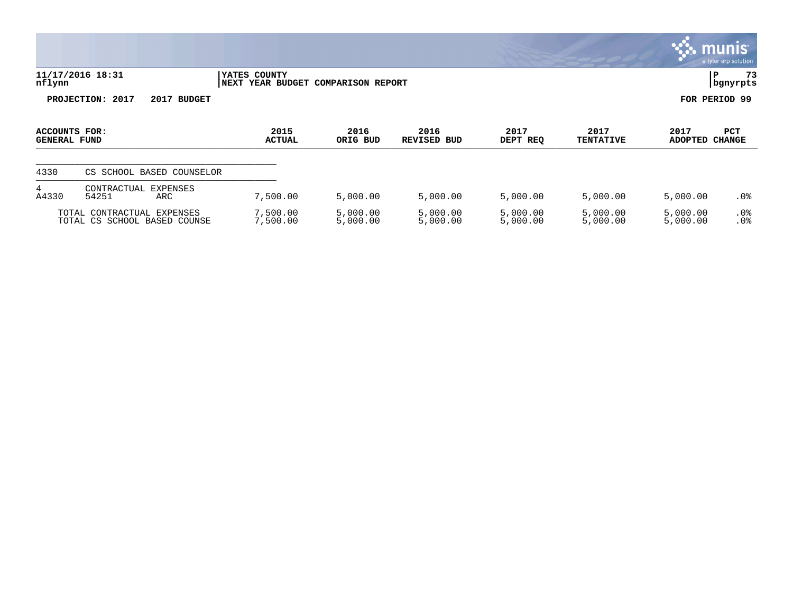|                                      |                                                            |                                                       |                      |                            |                      |                          |                      | <u>munis </u><br>a tyler erp solution |
|--------------------------------------|------------------------------------------------------------|-------------------------------------------------------|----------------------|----------------------------|----------------------|--------------------------|----------------------|---------------------------------------|
| nflynn                               | 11/17/2016 18:31                                           | YATES COUNTY<br>YEAR BUDGET COMPARISON REPORT<br>NEXT |                      |                            |                      |                          | l P                  | 73<br>  bgnyrpts                      |
|                                      | PROJECTION: 2017<br>2017<br><b>BUDGET</b>                  |                                                       |                      |                            |                      |                          | FOR PERIOD 99        |                                       |
| ACCOUNTS FOR:<br><b>GENERAL FUND</b> |                                                            | 2015<br><b>ACTUAL</b>                                 | 2016<br>ORIG BUD     | 2016<br><b>REVISED BUD</b> | 2017<br>DEPT REQ     | 2017<br><b>TENTATIVE</b> | 2017<br>ADOPTED      | PCT<br><b>CHANGE</b>                  |
| 4330                                 | CS SCHOOL BASED COUNSELOR                                  |                                                       |                      |                            |                      |                          |                      |                                       |
| 4<br>A4330                           | CONTRACTUAL<br><b>EXPENSES</b><br>54251<br>ARC             | 7,500.00                                              | 5,000.00             | 5,000.00                   | 5,000.00             | 5,000.00                 | 5,000.00             | $.0\%$                                |
|                                      | TOTAL CONTRACTUAL EXPENSES<br>TOTAL CS SCHOOL BASED COUNSE | 7,500.00<br>7,500.00                                  | 5,000.00<br>5,000.00 | 5,000.00<br>5,000.00       | 5,000.00<br>5,000.00 | 5,000.00<br>5,000.00     | 5,000.00<br>5,000.00 | $.0\%$<br>.0%                         |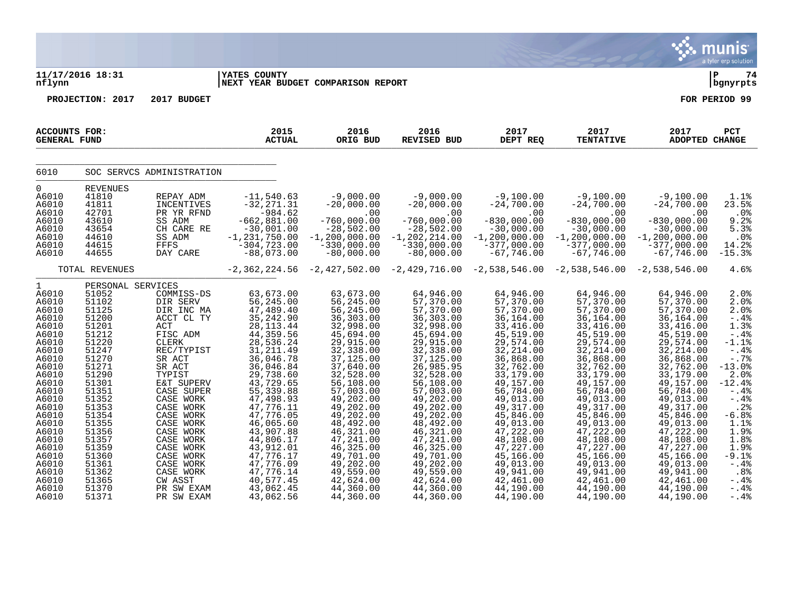|                                                                                                                                                                                                                                               |                                                                                                                                                                                                                                                    |                                                                                                                                                                                                                                                                                                                   |                                                                                                                                                                                                                                                                                                                                        |                                                                                                                                                                                                                                                                                                                                   |                                                                                                                                                                                                                                                                                                                                      |                                                                                                                                                                                                                                                                                                                                     |                                                                                                                                                                                                                                                                                                                                    |                                                                                                                                                                                                                                                                                                                                     | a tyler erp solution                                                                                                                                                                                                                    |
|-----------------------------------------------------------------------------------------------------------------------------------------------------------------------------------------------------------------------------------------------|----------------------------------------------------------------------------------------------------------------------------------------------------------------------------------------------------------------------------------------------------|-------------------------------------------------------------------------------------------------------------------------------------------------------------------------------------------------------------------------------------------------------------------------------------------------------------------|----------------------------------------------------------------------------------------------------------------------------------------------------------------------------------------------------------------------------------------------------------------------------------------------------------------------------------------|-----------------------------------------------------------------------------------------------------------------------------------------------------------------------------------------------------------------------------------------------------------------------------------------------------------------------------------|--------------------------------------------------------------------------------------------------------------------------------------------------------------------------------------------------------------------------------------------------------------------------------------------------------------------------------------|-------------------------------------------------------------------------------------------------------------------------------------------------------------------------------------------------------------------------------------------------------------------------------------------------------------------------------------|------------------------------------------------------------------------------------------------------------------------------------------------------------------------------------------------------------------------------------------------------------------------------------------------------------------------------------|-------------------------------------------------------------------------------------------------------------------------------------------------------------------------------------------------------------------------------------------------------------------------------------------------------------------------------------|-----------------------------------------------------------------------------------------------------------------------------------------------------------------------------------------------------------------------------------------|
| nflynn                                                                                                                                                                                                                                        | 11/17/2016 18:31                                                                                                                                                                                                                                   |                                                                                                                                                                                                                                                                                                                   | YATES COUNTY<br><b>NEXT YEAR BUDGET COMPARISON REPORT</b>                                                                                                                                                                                                                                                                              |                                                                                                                                                                                                                                                                                                                                   |                                                                                                                                                                                                                                                                                                                                      |                                                                                                                                                                                                                                                                                                                                     |                                                                                                                                                                                                                                                                                                                                    |                                                                                                                                                                                                                                                                                                                                     | l P<br>74<br>  bgnyrpts                                                                                                                                                                                                                 |
|                                                                                                                                                                                                                                               | PROJECTION: 2017                                                                                                                                                                                                                                   | 2017 BUDGET                                                                                                                                                                                                                                                                                                       |                                                                                                                                                                                                                                                                                                                                        |                                                                                                                                                                                                                                                                                                                                   |                                                                                                                                                                                                                                                                                                                                      |                                                                                                                                                                                                                                                                                                                                     |                                                                                                                                                                                                                                                                                                                                    |                                                                                                                                                                                                                                                                                                                                     | FOR PERIOD 99                                                                                                                                                                                                                           |
| <b>ACCOUNTS FOR:</b><br><b>GENERAL FUND</b>                                                                                                                                                                                                   |                                                                                                                                                                                                                                                    |                                                                                                                                                                                                                                                                                                                   | 2015<br><b>ACTUAL</b>                                                                                                                                                                                                                                                                                                                  | 2016<br>ORIG BUD                                                                                                                                                                                                                                                                                                                  | 2016<br><b>REVISED BUD</b>                                                                                                                                                                                                                                                                                                           | 2017<br>DEPT REQ                                                                                                                                                                                                                                                                                                                    | 2017<br><b>TENTATIVE</b>                                                                                                                                                                                                                                                                                                           | 2017<br>ADOPTED CHANGE                                                                                                                                                                                                                                                                                                              | PCT                                                                                                                                                                                                                                     |
| 6010                                                                                                                                                                                                                                          |                                                                                                                                                                                                                                                    | SOC SERVCS ADMINISTRATION                                                                                                                                                                                                                                                                                         |                                                                                                                                                                                                                                                                                                                                        |                                                                                                                                                                                                                                                                                                                                   |                                                                                                                                                                                                                                                                                                                                      |                                                                                                                                                                                                                                                                                                                                     |                                                                                                                                                                                                                                                                                                                                    |                                                                                                                                                                                                                                                                                                                                     |                                                                                                                                                                                                                                         |
| $\overline{0}$<br>A6010<br>A6010<br>A6010<br>A6010<br>A6010<br>A6010<br>A6010<br>A6010                                                                                                                                                        | REVENUES<br>41810<br>41811<br>42701<br>43610<br>43654<br>44610<br>44615<br>44655                                                                                                                                                                   | REPAY ADM<br>INCENTIVES<br>PR YR RFND<br>SS ADM<br>CH CARE RE<br>SS ADM<br>FFFS<br>DAY CARE                                                                                                                                                                                                                       | $-11,540.63$<br>$-32, 271.31$<br>$-984.62$<br>$-662, 881.00$<br>$-30,001.00$<br>$-1, 231, 750.00$<br>$-304, 723.00$<br>$-88,073.00$                                                                                                                                                                                                    | $-9,000.00$<br>$-20,000.00$<br>.00<br>$-760,000.00$<br>$-28,502.00$<br>$-1, 200, 000.00$<br>$-330,000.00$<br>$-80,000.00$                                                                                                                                                                                                         | $-9,000.00$<br>$-20,000.00$<br>.00<br>$-760,000.00$<br>$-28,502.00$<br>$-1, 202, 214.00$<br>$-330,000.00$<br>$-80,000.00$                                                                                                                                                                                                            | $-9,100.00$<br>$-24,700.00$<br>.00<br>$-830,000.00$<br>$-30,000.00$<br>$-1, 200, 000.00$<br>$-377,000.00$<br>$-67,746.00$                                                                                                                                                                                                           | $-9,100.00$<br>$-24,700.00$<br>.00<br>$-830,000.00$<br>$-30,000.00$<br>$-1, 200, 000.00$<br>$-377,000.00$<br>$-67,746.00$                                                                                                                                                                                                          | $-9,100.00$<br>$-24,700.00$<br>.00<br>$-830,000.00$<br>$-30,000.00$<br>$-1, 200, 000.00$<br>$-377,000.00$<br>$-67,746.00$                                                                                                                                                                                                           | 1.1%<br>23.5%<br>$.0\%$<br>9.2%<br>5.3%<br>.0%<br>14.2%<br>$-15.3%$                                                                                                                                                                     |
|                                                                                                                                                                                                                                               | TOTAL REVENUES                                                                                                                                                                                                                                     |                                                                                                                                                                                                                                                                                                                   |                                                                                                                                                                                                                                                                                                                                        |                                                                                                                                                                                                                                                                                                                                   | $-2,362,224.56$ $-2,427,502.00$ $-2,429,716.00$ $-2,538,546.00$                                                                                                                                                                                                                                                                      |                                                                                                                                                                                                                                                                                                                                     | $-2,538,546.00 -2,538,546.00$                                                                                                                                                                                                                                                                                                      |                                                                                                                                                                                                                                                                                                                                     | 4.6%                                                                                                                                                                                                                                    |
| $\mathbf{1}$<br>A6010<br>A6010<br>A6010<br>A6010<br>A6010<br>A6010<br>A6010<br>A6010<br>A6010<br>A6010<br>A6010<br>A6010<br>A6010<br>A6010<br>A6010<br>A6010<br>A6010<br>A6010<br>A6010<br>A6010<br>A6010<br>A6010<br>A6010<br>A6010<br>A6010 | PERSONAL SERVICES<br>51052<br>51102<br>51125<br>51200<br>51201<br>51212<br>51220<br>51247<br>51270<br>51271<br>51290<br>51301<br>51351<br>51352<br>51353<br>51354<br>51355<br>51356<br>51357<br>51359<br>51360<br>51361<br>51362<br>51365<br>51370 | COMMISS-DS<br>DIR SERV<br>DIR INC MA<br>ACCT CL TY<br>ACT<br>FISC ADM<br>CLERK<br>REC/TYPIST<br>SR ACT<br>SR ACT<br>TYPIST<br>E&T SUPERV<br>CASE SUPER<br>CASE WORK<br>CASE WORK<br>CASE WORK<br>CASE WORK<br>CASE WORK<br>CASE WORK<br>CASE WORK<br>CASE WORK<br>CASE WORK<br>CASE WORK<br>CW ASST<br>PR SW EXAM | 63,673.00<br>56, 245.00<br>47,489.40<br>35, 242.90<br>28, 113.44<br>44,359.56<br>28,536.24<br>31, 211.49<br>36,046.78<br>36,046.84<br>29,738.60<br>43,729.65<br>55, 339.88<br>47,498.93<br>47,776.11<br>47,776.05<br>46,065.60<br>43,907.88<br>44,806.17<br>43,912.01<br>47,776.17<br>47,776.09<br>47,776.14<br>40,577.45<br>43,062.45 | 63,673.00<br>56,245.00<br>56,245.00<br>36,303.00<br>32,998.00<br>45,694.00<br>29,915.00<br>32,338.00<br>37,125.00<br>37,640.00<br>32,528.00<br>56,108.00<br>57,003.00<br>49,202.00<br>49,202.00<br>49,202.00<br>48,492.00<br>46,321.00<br>47,241.00<br>46,325.00<br>49,701.00<br>49,202.00<br>49,559.00<br>42,624.00<br>44,360.00 | 64,946.00<br>57,370.00<br>57,370.00<br>36, 303.00<br>32,998.00<br>45,694.00<br>29,915.00<br>32,338.00<br>37, 125.00<br>26,985.95<br>32,528.00<br>56,108.00<br>57,003.00<br>49,202.00<br>49,202.00<br>49,202.00<br>48,492.00<br>46,321.00<br>47,241.00<br>46, 325.00<br>49,701.00<br>49,202.00<br>49,559.00<br>42,624.00<br>44,360.00 | 64,946.00<br>57,370.00<br>57,370.00<br>36,164.00<br>33,416.00<br>45,519.00<br>29,574.00<br>32, 214.00<br>36,868.00<br>32,762.00<br>33,179.00<br>49,157.00<br>56,784.00<br>49,013.00<br>49, 317.00<br>45,846.00<br>49,013.00<br>47,222.00<br>48,108.00<br>47,227.00<br>45,166.00<br>49,013.00<br>49,941.00<br>42,461.00<br>44,190.00 | 64,946.00<br>57,370.00<br>57,370.00<br>36,164.00<br>33,416.00<br>45,519.00<br>29,574.00<br>32, 214.00<br>36,868.00<br>32,762.00<br>33,179.00<br>49,157.00<br>56,784.00<br>49,013.00<br>49,317.00<br>45,846.00<br>49,013.00<br>47,222.00<br>48,108.00<br>47,227.00<br>45,166.00<br>49,013.00<br>49,941.00<br>42,461.00<br>44,190.00 | 64,946.00<br>57,370.00<br>57,370.00<br>36,164.00<br>33,416.00<br>45,519.00<br>29,574.00<br>32, 214.00<br>36,868.00<br>32,762.00<br>33,179.00<br>49,157.00<br>56,784.00<br>49,013.00<br>49, 317.00<br>45,846.00<br>49,013.00<br>47,222.00<br>48,108.00<br>47,227.00<br>45,166.00<br>49,013.00<br>49,941.00<br>42,461.00<br>44,190.00 | 2.0%<br>2.0%<br>2.0%<br>$-.4%$<br>1.3%<br>$-.4%$<br>$-1.1%$<br>$-.4%$<br>$-.7%$<br>$-13.0%$<br>2.0%<br>$-12.4%$<br>$-.4%$<br>$- .4%$<br>.2%<br>$-6.8%$<br>1.1%<br>1.9%<br>1.8%<br>1.9%<br>$-9.1%$<br>$-.4%$<br>.8%<br>$- .4%$<br>$-.4%$ |

 $\therefore$  munis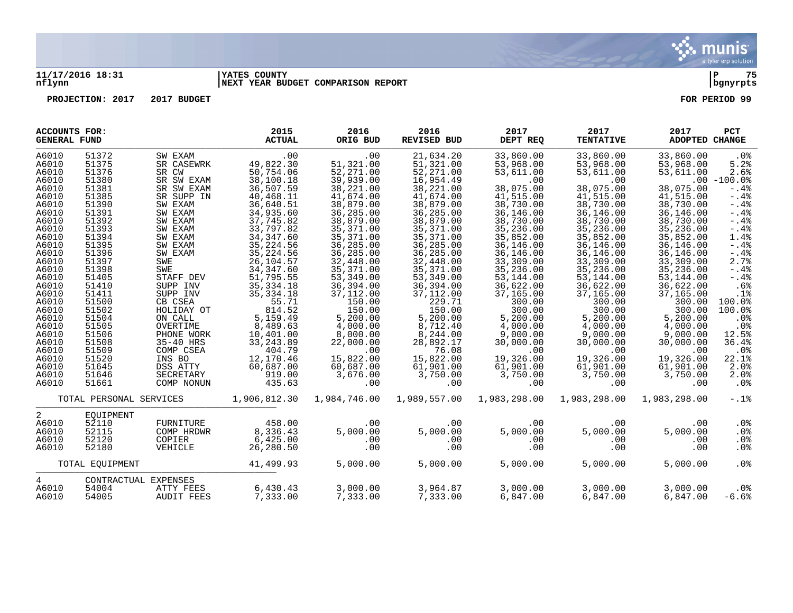

## **11/17/2016 18:31 |YATES COUNTY |P 75 nflynn |NEXT YEAR BUDGET COMPARISON REPORT |bgnyrpts**

**PROJECTION: 2017 2017 BUDGET FOR PERIOD 99**

| <b>ACCOUNTS FOR:</b><br><b>GENERAL FUND</b> |                         |                   | 2015<br><b>ACTUAL</b> | 2016<br>ORIG BUD | 2016<br><b>REVISED BUD</b> | 2017<br>DEPT REQ | 2017<br><b>TENTATIVE</b> | 2017<br>ADOPTED CHANGE | PCT             |
|---------------------------------------------|-------------------------|-------------------|-----------------------|------------------|----------------------------|------------------|--------------------------|------------------------|-----------------|
| A6010                                       | 51372                   | SW EXAM           | .00                   | .00              | 21,634.20                  | 33,860.00        | 33,860.00                | 33,860.00              | .0%             |
| A6010                                       | 51375                   | SR CASEWRK        | 49,822.30             | 51,321.00        | 51,321.00                  | 53,968.00        | 53,968.00                | 53,968.00              | 5.2%            |
| A6010                                       | 51376                   | SR CW             | 50,754.06             | 52,271.00        | 52,271.00                  | 53,611.00        | 53,611.00                | 53,611.00              | 2.6%            |
| A6010                                       | 51380                   | SR SW EXAM        | 38,100.18             | 39,939.00        | 16,954.49                  | .00              | .00                      |                        | $.00 - 100.0%$  |
| A6010                                       | 51381                   | SR SW EXAM        | 36,507.59             | 38,221.00        | 38,221.00                  | 38,075.00        | 38,075.00                | 38,075.00              | $-.4%$          |
| A6010                                       | 51385                   | SR SUPP IN        | 40,468.11             | 41,674.00        | 41,674.00                  | 41,515.00        | 41,515.00                | 41,515.00              | $-0.4%$         |
| A6010                                       | 51390                   | SW EXAM           | 36,640.51             | 38,879.00        | 38,879.00                  | 38,730.00        | 38,730.00                | 38,730.00              | $-.4%$          |
| A6010                                       | 51391                   | SW EXAM           | 34,935.60             | 36,285.00        | 36,285.00                  | 36,146.00        | 36,146.00                | 36,146.00              | $-0.4%$         |
| A6010                                       | 51392                   | SW EXAM           | 37,745.82             | 38,879.00        | 38,879.00                  | 38,730.00        | 38,730.00                | 38,730.00              | $-0.4%$         |
| A6010                                       | 51393                   | SW EXAM           | 33,797.82             | 35,371.00        | 35, 371.00                 | 35,236.00        | 35,236.00                | 35,236.00              | $-.4%$          |
| A6010                                       | 51394                   | SW EXAM           | 34, 347.60            | 35,371.00        | 35, 371.00                 | 35,852.00        | 35,852.00                | 35,852.00              | 1.4%            |
| A6010                                       | 51395                   | SW EXAM           | 35, 224.56            | 36,285.00        | 36,285.00                  | 36,146.00        | 36,146.00                | 36,146.00              | $-0.4%$         |
| A6010                                       | 51396                   | SW EXAM           | 35, 224.56            | 36,285.00        | 36,285.00                  | 36,146.00        | 36,146.00                | 36,146.00              | $-.4%$          |
| A6010                                       | 51397                   | SWE               | 26,104.57             | 32,448.00        | 32,448.00                  | 33,309.00        | 33,309.00                | 33,309.00              | 2.7%            |
| A6010                                       | 51398                   | SWE               | 34, 347.60            | 35,371.00        | 35,371.00                  | 35,236.00        | 35,236.00                | 35,236.00              | $-0.4%$         |
| A6010                                       | 51405                   | STAFF DEV         | 51,795.55             | 53,349.00        | 53,349.00                  | 53,144.00        | 53,144.00                | 53,144.00              | $-.4%$          |
| A6010                                       | 51410                   | SUPP INV          | 35, 334. 18           | 36,394.00        | 36,394.00                  | 36,622.00        | 36,622.00                | 36,622.00              | .6%             |
| A6010                                       | 51411                   | SUPP INV          | 35, 334. 18           | 37,112.00        | 37,112.00                  | 37,165.00        | 37,165.00                | 37,165.00              | .1%             |
| A6010                                       | 51500                   | CB CSEA           | 55.71                 | 150.00           | 229.71                     | 300.00           | 300.00                   | 300.00                 | 100.0%          |
| A6010                                       | 51502                   | HOLIDAY OT        | 814.52                | 150.00           | 150.00                     | 300.00           | 300.00                   | 300.00                 | 100.0%          |
| A6010                                       | 51504                   | ON CALL           | 5,159.49              | 5,200.00         | 5,200.00                   | 5,200.00         | 5,200.00                 | 5,200.00               | .0%             |
| A6010                                       | 51505                   | OVERTIME          | 8,489.63              | 4,000.00         | 8,712.40                   | 4,000.00         | 4,000.00                 | 4,000.00               | .0%             |
| A6010                                       | 51506                   | PHONE WORK        | 10,401.00             | 8,000.00         | 8,244.00                   | 9,000.00         | 9,000.00                 | 9,000.00               | 12.5%           |
| A6010                                       | 51508                   | 35-40 HRS         | 33, 243.89            | 22,000.00        | 28,892.17                  | 30,000.00        | 30,000.00                | 30,000.00              | 36.4%           |
| A6010                                       | 51509                   | COMP CSEA         | 404.79                | .00              | 76.08                      | .00              | .00                      | .00                    | .0%             |
| A6010                                       | 51520                   | INS BO            | 12,170.46             | 15,822.00        | 15,822.00                  | 19,326.00        | 19,326.00                | 19,326.00              | 22.1%           |
| A6010                                       | 51645                   | DSS ATTY          | 60,687.00             | 60,687.00        | 61,901.00                  | 61,901.00        | 61,901.00                | 61,901.00              | 2.0%            |
| A6010                                       | 51646                   | SECRETARY         | 919.00                | 3,676.00         | 3,750.00                   | 3,750.00         | 3,750.00                 | 3,750.00               | 2.0%            |
| A6010                                       | 51661                   | COMP NONUN        | 435.63                | .00              | .00                        | .00              | .00                      | .00                    | .0%             |
|                                             |                         |                   |                       |                  |                            |                  |                          |                        |                 |
|                                             | TOTAL PERSONAL SERVICES |                   | 1,906,812.30          | 1,984,746.00     | 1,989,557.00               | 1,983,298.00     | 1,983,298.00             | 1,983,298.00           | $-.1$ $%$       |
| 2                                           | EOUIPMENT               |                   |                       |                  |                            |                  |                          |                        |                 |
| A6010                                       | 52110                   | FURNITURE         | 458.00                | .00              | .00                        | .00              | .00                      | .00                    | $.0\%$          |
| A6010                                       | 52115                   | COMP HRDWR        | 8,336.43              | 5,000.00         | 5,000.00                   | 5,000.00         | 5,000.00                 | 5,000.00               | .0%             |
| A6010                                       | 52120                   | COPIER            | 6,425.00              | .00              | .00                        | .00              | .00                      | .00                    | $.0\%$          |
| A6010                                       | 52180                   | VEHICLE           | 26,280.50             | .00              | .00                        | .00              | .00                      | .00                    | .0 <sub>8</sub> |
|                                             | TOTAL EOUIPMENT         |                   | 41,499.93             | 5,000.00         | 5,000.00                   | 5,000.00         | 5,000.00                 | 5,000.00               | .0%             |
| 4                                           | CONTRACTUAL EXPENSES    |                   |                       |                  |                            |                  |                          |                        |                 |
| A6010                                       | 54004                   | ATTY FEES         | 6,430.43              | 3,000.00         | 3,964.87                   | 3,000.00         | 3,000.00                 | 3,000.00               | .0%             |
| A6010                                       | 54005                   | <b>AUDIT FEES</b> | 7,333,00              | 7,333,00         | 7,333,00                   | 6,847.00         | 6,847.00                 | 6.847.00               | $-6.6%$         |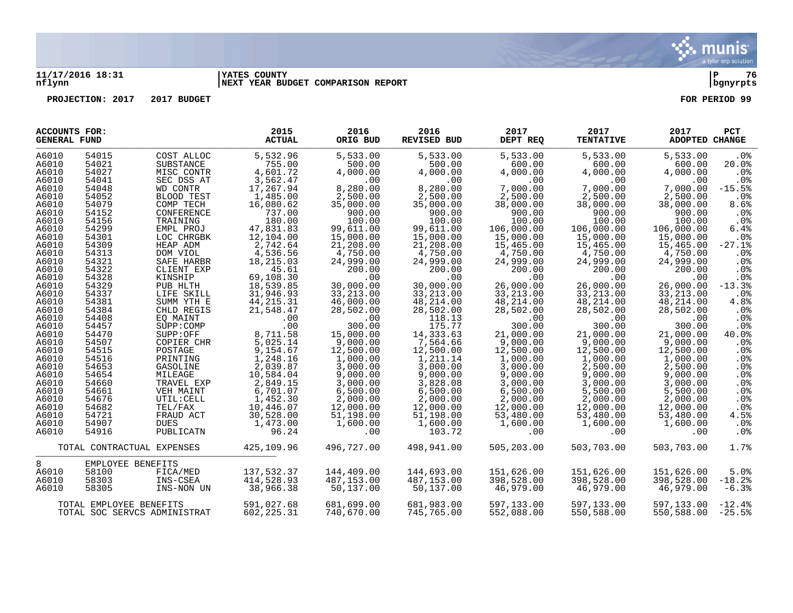

## **11/17/2016 18:31 |YATES COUNTY |P 76 nflynn |NEXT YEAR BUDGET COMPARISON REPORT |bgnyrpts**

**PROJECTION:** 2017 2017 BUDGET FOR PERIOD 99

| <b>ACCOUNTS FOR:</b><br><b>GENERAL FUND</b> |                         |                              | 2015<br><b>ACTUAL</b> | 2016<br>ORIG BUD | 2016<br><b>REVISED BUD</b> | 2017<br>DEPT REQ | 2017<br><b>TENTATIVE</b> | 2017<br><b>ADOPTED CHANGE</b> | <b>PCT</b>      |
|---------------------------------------------|-------------------------|------------------------------|-----------------------|------------------|----------------------------|------------------|--------------------------|-------------------------------|-----------------|
| A6010                                       | 54015                   | COST ALLOC                   | 5,532.96              | 5,533.00         | 5,533.00                   | 5,533.00         | 5,533.00                 | 5,533.00                      | .0%             |
| A6010                                       | 54021                   | SUBSTANCE                    | 755.00                | 500.00           | 500.00                     | 600.00           | 600.00                   | 600.00                        | 20.0%           |
| A6010                                       | 54027                   | MISC CONTR                   | 4,601.72              | 4,000.00         | 4,000.00                   | 4,000.00         | 4,000.00                 | 4,000.00                      | .0%             |
| A6010                                       | 54041                   | SEC DSS AT                   | 3,562.47              | $.00 \,$         | $.00 \,$                   | .00              | .00                      | .00.                          | .0%             |
| A6010                                       | 54048                   | WD CONTR                     | 17,267.94             | 8,280.00         | 8,280.00                   | 7,000.00         | 7,000.00                 | 7,000.00                      | $-15.5%$        |
| A6010                                       | 54052                   | BLOOD TEST                   | 1,485.00              | 2,500.00         | 2,500.00                   | 2,500.00         | 2,500.00                 | 2,500.00                      | .0 <sub>8</sub> |
| A6010                                       | 54079                   | COMP TECH                    | 16,080.62             | 35,000.00        | 35,000.00                  | 38,000.00        | 38,000.00                | 38,000.00                     | 8.6%            |
| A6010                                       | 54152                   | CONFERENCE                   | 737.00                | 900.00           | 900.00                     | 900.00           | 900.00                   | 900.00                        | $.0\%$          |
| A6010                                       | 54156                   | TRAINING                     | 180.00                | 100.00           | 100.00                     | 100.00           | 100.00                   | 100.00                        | .0%             |
| A6010                                       | 54299                   | EMPL PROJ                    | 47,831.83             | 99,611.00        | 99,611.00                  | 106,000.00       | 106,000.00               | 106,000.00                    | 6.4%            |
| A6010                                       | 54301                   | LOC CHRGBK                   | 12,104.00             | 15,000.00        | 15,000.00                  | 15,000.00        | 15,000.00                | 15,000.00                     | .0%             |
| A6010                                       | 54309                   | HEAP ADM                     | 2,742.64              | 21,208.00        | 21,208.00                  | 15,465.00        | 15,465.00                | 15,465.00                     | $-27.1%$        |
| A6010                                       | 54313                   | DOM VIOL                     | 4,536.56              | 4,750.00         | 4,750.00                   | 4,750.00         | 4,750.00                 | 4,750.00                      | .0 <sub>8</sub> |
| A6010                                       | 54321                   | SAFE HARBR                   | 18,215.03             | 24,999.00        | 24,999.00                  | 24,999.00        | 24,999.00                | 24,999.00                     | .0%             |
| A6010                                       | 54322                   | CLIENT EXP                   | 45.61                 | 200.00           | 200.00                     | 200.00           | 200.00                   | 200.00                        | $.0\%$          |
| A6010                                       | 54328                   | KINSHIP                      | 69,108.30             | .00              | .00                        | .00              | .00                      | .00                           | $.0\%$          |
| A6010                                       | 54329                   | PUB HLTH                     | 18,539.85             | 30,000.00        | 30,000.00                  | 26,000.00        | 26,000.00                | 26,000.00                     | $-13.3%$        |
| A6010                                       | 54337                   | LIFE SKILL                   | 31,946.93             | 33, 213.00       | 33, 213.00                 | 33, 213.00       | 33, 213.00               | 33, 213, 00                   | .0%             |
| A6010                                       | 54381                   | SUMM YTH E                   | 44, 215. 31           | 46,000.00        | 48,214.00                  | 48,214.00        | 48, 214.00               | 48,214.00                     | 4.8%            |
| A6010                                       | 54384                   | CHLD REGIS                   | 21,548.47             | 28,502.00        | 28,502.00                  | 28,502.00        | 28,502.00                | 28,502.00                     | .0 <sub>8</sub> |
| A6010                                       | 54408                   | EO MAINT                     | .00                   | .00              | 118.13                     | .00              | .00                      | .00                           | .0%             |
| A6010                                       | 54457                   | SUPP: COMP                   | .00                   | 300.00           | 175.77                     | 300.00           | 300.00                   | 300.00                        | .0%             |
| A6010                                       | 54470                   | SUPP:OFF                     | 8,711.58              | 15,000.00        | 14,333.63                  | 21,000.00        | 21,000.00                | 21,000.00                     | 40.0%           |
| A6010                                       | 54507                   | COPIER CHR                   | 5,025.14              | 9,000.00         | 7,564.66                   | 9,000.00         | 9,000.00                 | 9,000.00                      | .0 <sub>8</sub> |
| A6010                                       | 54515                   | POSTAGE                      | 9,154.67              | 12,500.00        | 12,500.00                  | 12,500.00        | 12,500.00                | 12,500.00                     | .0 <sub>8</sub> |
| A6010                                       | 54516                   | PRINTING                     | 1,248.16              | 1,000.00         | 1,211.14                   | 1,000.00         | 1,000.00                 | 1,000.00                      | $.0\%$          |
| A6010                                       | 54653                   | GASOLINE                     | 2,039.87              | 3,000.00         | 3,000.00                   | 3,000.00         | 2,500.00                 | 2,500.00                      | .0%             |
| A6010                                       | 54654                   | MILEAGE                      | 10,584.04             | 9,000.00         | 9,000.00                   | 9,000.00         | 9,000.00                 | 9.000.00                      | .0%             |
| A6010                                       | 54660                   | TRAVEL EXP                   | 2,849.15              | 3,000.00         | 3,828.08                   | 3,000.00         | 3,000.00                 | 3,000.00                      | .0%             |
| A6010                                       | 54661                   | VEH MAINT                    | 6,701.07              | 6,500.00         | 6,500.00                   | 6,500.00         | 5,500.00                 | 5,500.00                      | .0%             |
| A6010                                       | 54676                   | UTIL: CELL                   | 1,452.30              | 2,000.00         | 2,000.00                   | 2,000.00         | 2,000.00                 | 2,000.00                      | .0 <sub>8</sub> |
| A6010                                       | 54682                   | TEL/FAX                      | 10,446.07             | 12,000.00        | 12,000.00                  | 12,000.00        | 12,000.00                | 12,000.00                     | $.0\%$          |
| A6010                                       | 54721                   | FRAUD ACT                    | 30,528.00             | 51,198.00        | 51,198.00                  | 53,480.00        | 53,480.00                | 53,480.00                     | 4.5%            |
| A6010                                       | 54907                   | <b>DUES</b>                  | 1,473.00              | 1,600.00         | 1,600.00                   | 1,600.00         | 1,600.00                 | 1,600.00                      | $.0\%$          |
| A6010                                       | 54916                   | PUBLICATN                    | 96.24                 | $.00 \,$         | 103.72                     | .00.             | .00                      | .00                           | .0 <sub>8</sub> |
|                                             |                         | TOTAL CONTRACTUAL EXPENSES   | 425,109.96            | 496,727.00       | 498,941.00                 | 505,203.00       | 503,703.00               | 503,703.00                    | 1.7%            |
| 8                                           | EMPLOYEE BENEFITS       |                              |                       |                  |                            |                  |                          |                               |                 |
| A6010                                       | 58100                   | FICA/MED                     | 137,532.37            | 144,409.00       | 144,693.00                 | 151,626.00       | 151,626.00               | 151,626.00                    | 5.0%            |
| A6010                                       | 58303                   | INS-CSEA                     | 414,528.93            | 487,153.00       | 487,153.00                 | 398,528.00       | 398,528.00               | 398,528.00                    | $-18.2$         |
| A6010                                       | 58305                   | INS-NON UN                   | 38,966.38             | 50,137.00        | 50,137.00                  | 46,979.00        | 46,979.00                | 46,979.00                     | $-6.3%$         |
|                                             | TOTAL EMPLOYEE BENEFITS |                              | 591,027.68            | 681,699.00       | 681,983.00                 | 597,133.00       | 597,133.00               | 597,133.00                    | $-12.4%$        |
|                                             |                         | TOTAL SOC SERVCS ADMINISTRAT | 602, 225.31           | 740,670.00       | 745,765.00                 | 552,088.00       | 550,588.00               | 550,588.00                    | $-25.5%$        |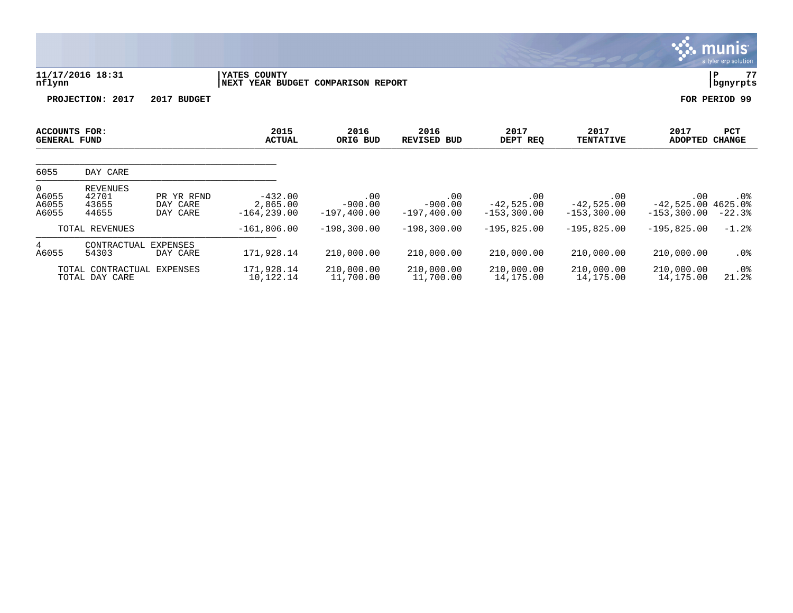|                                             |                                              |                                    |                                                    |                                    |                                    |                                      |                                       |                                               | <u>munis </u><br>a tyler erp solution |
|---------------------------------------------|----------------------------------------------|------------------------------------|----------------------------------------------------|------------------------------------|------------------------------------|--------------------------------------|---------------------------------------|-----------------------------------------------|---------------------------------------|
| nflynn                                      | 11/17/2016 18:31                             |                                    | YATES COUNTY<br>NEXT YEAR BUDGET COMPARISON REPORT |                                    |                                    |                                      |                                       |                                               | 77<br>P<br>bgnyrpts                   |
|                                             | PROJECTION: 2017                             | 2017 BUDGET                        |                                                    |                                    |                                    |                                      |                                       |                                               | FOR PERIOD 99                         |
| <b>ACCOUNTS FOR:</b><br><b>GENERAL FUND</b> |                                              |                                    | 2015<br><b>ACTUAL</b>                              | 2016<br>ORIG BUD                   | 2016<br><b>REVISED BUD</b>         | 2017<br>DEPT REQ                     | 2017<br><b>TENTATIVE</b>              | 2017<br><b>ADOPTED</b>                        | PCT<br><b>CHANGE</b>                  |
| 6055                                        | DAY CARE                                     |                                    |                                                    |                                    |                                    |                                      |                                       |                                               |                                       |
| $\overline{0}$<br>A6055<br>A6055<br>A6055   | <b>REVENUES</b><br>42701<br>43655<br>44655   | PR YR RFND<br>DAY CARE<br>DAY CARE | $-432.00$<br>2,865.00<br>$-164, 239.00$            | .00<br>$-900.00$<br>$-197, 400.00$ | .00<br>$-900.00$<br>$-197, 400.00$ | .00<br>$-42,525.00$<br>$-153,300.00$ | .00<br>$-42,525.00$<br>$-153, 300.00$ | .00<br>$-42,525.00$ 4625.0%<br>$-153, 300.00$ | $.0\%$<br>$-22.3%$                    |
|                                             | TOTAL REVENUES                               |                                    | $-161,806.00$                                      | $-198,300.00$                      | $-198,300.00$                      | $-195,825.00$                        | $-195,825.00$                         | $-195,825.00$                                 | $-1.2%$                               |
| 4<br>A6055                                  | CONTRACTUAL<br>54303                         | EXPENSES<br>DAY CARE               | 171,928.14                                         | 210,000.00                         | 210,000.00                         | 210,000.00                           | 210,000.00                            | 210,000.00                                    | $.0\%$                                |
|                                             | TOTAL CONTRACTUAL EXPENSES<br>TOTAL DAY CARE |                                    | 171,928.14<br>10,122.14                            | 210,000.00<br>11,700.00            | 210,000.00<br>11,700.00            | 210,000.00<br>14,175.00              | 210,000.00<br>14,175.00               | 210,000.00<br>14,175.00                       | $.0\%$<br>21.2%                       |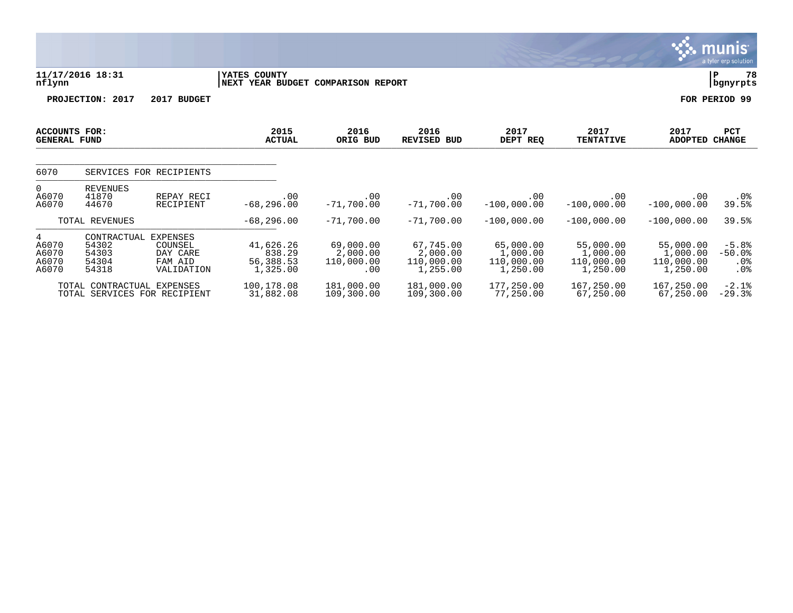|                                                     |                                                 |                                                          |                                              |                                            |                                                 |                                                 |                                                 |                                                 | a tyre cip solution                     |
|-----------------------------------------------------|-------------------------------------------------|----------------------------------------------------------|----------------------------------------------|--------------------------------------------|-------------------------------------------------|-------------------------------------------------|-------------------------------------------------|-------------------------------------------------|-----------------------------------------|
| nflynn                                              | 11/17/2016 18:31                                |                                                          | YATES COUNTY<br><b>NEXT YEAR BUDGET</b>      | <b>COMPARISON REPORT</b>                   |                                                 |                                                 |                                                 |                                                 | 78<br>P<br>bgnyrpts                     |
|                                                     | PROJECTION: 2017                                | 2017 BUDGET                                              |                                              |                                            |                                                 |                                                 |                                                 |                                                 | FOR PERIOD 99                           |
| <b>ACCOUNTS FOR:</b><br><b>GENERAL FUND</b>         |                                                 |                                                          | 2015<br><b>ACTUAL</b>                        | 2016<br>ORIG BUD                           | 2016<br><b>REVISED BUD</b>                      | 2017<br>DEPT REQ                                | 2017<br><b>TENTATIVE</b>                        | 2017<br>ADOPTED                                 | PCT<br><b>CHANGE</b>                    |
| 6070                                                |                                                 | SERVICES FOR RECIPIENTS                                  |                                              |                                            |                                                 |                                                 |                                                 |                                                 |                                         |
| 0<br>A6070<br>A6070                                 | <b>REVENUES</b><br>41870<br>44670               | REPAY RECI<br>RECIPIENT                                  | .00<br>$-68, 296.00$                         | .00<br>$-71,700.00$                        | .00<br>$-71,700.00$                             | .00<br>$-100,000.00$                            | .00<br>$-100,000.00$                            | .00<br>$-100,000.00$                            | $.0\%$<br>39.5%                         |
|                                                     | TOTAL REVENUES                                  |                                                          | $-68, 296.00$                                | $-71,700.00$                               | $-71,700.00$                                    | $-100,000.00$                                   | $-100,000.00$                                   | $-100,000.00$                                   | 39.5%                                   |
| $4\overline{ }$<br>A6070<br>A6070<br>A6070<br>A6070 | CONTRACTUAL<br>54302<br>54303<br>54304<br>54318 | EXPENSES<br>COUNSEL<br>DAY CARE<br>FAM AID<br>VALIDATION | 41,626.26<br>838.29<br>56,388.53<br>1,325.00 | 69,000.00<br>2,000.00<br>110,000.00<br>.00 | 67,745.00<br>2,000.00<br>110,000.00<br>1,255.00 | 65,000.00<br>1,000.00<br>110,000.00<br>1,250.00 | 55,000.00<br>1,000.00<br>110,000.00<br>1,250.00 | 55,000.00<br>1,000.00<br>110,000.00<br>1,250.00 | $-5.8%$<br>$-50.0%$<br>$.0\%$<br>$.0\%$ |
|                                                     | TOTAL CONTRACTUAL EXPENSES                      |                                                          | 100,178.08                                   | 181,000.00                                 | 181,000.00                                      | 177,250.00                                      | 167,250.00                                      | 167,250.00                                      | $-2.1%$                                 |

 $\ddot{\mathbf{w}}$  munis

TOTAL SERVICES FOR RECIPIENT 31,882.08 109,300.00 109,300.00 77,250.00 67,250.00 67,250.00 -29.3%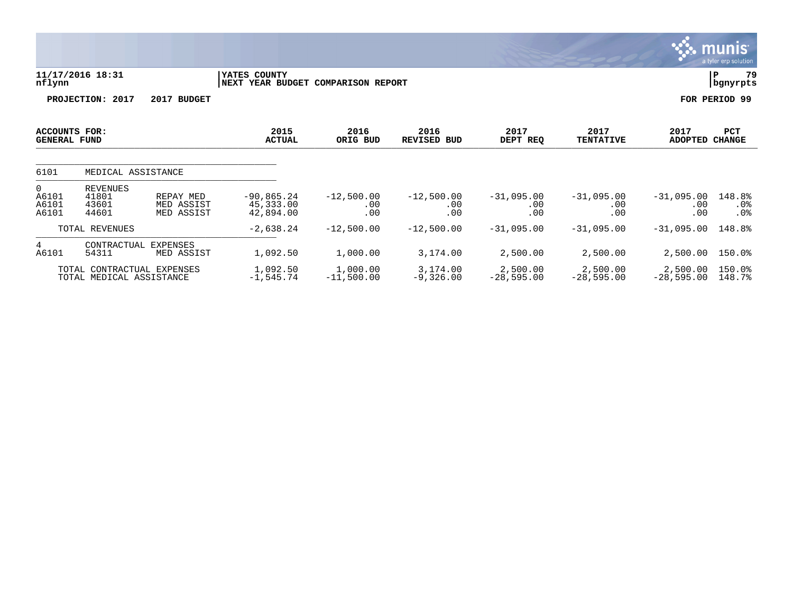|                                           |                                                        |                                       |                                                    |                            |                            |                                 |                            |                            | a tyler erp solution        |
|-------------------------------------------|--------------------------------------------------------|---------------------------------------|----------------------------------------------------|----------------------------|----------------------------|---------------------------------|----------------------------|----------------------------|-----------------------------|
| nflynn                                    | 11/17/2016 18:31                                       |                                       | YATES COUNTY<br>NEXT YEAR BUDGET COMPARISON REPORT |                            |                            |                                 |                            |                            | 79<br>P<br>bgnyrpts         |
|                                           | PROJECTION: 2017                                       | 2017 BUDGET                           |                                                    |                            |                            |                                 |                            |                            | FOR PERIOD 99               |
| ACCOUNTS FOR:<br><b>GENERAL FUND</b>      |                                                        |                                       | 2015<br><b>ACTUAL</b>                              | 2016<br>ORIG BUD           | 2016<br><b>REVISED BUD</b> | 2017<br>DEPT REQ                | 2017<br><b>TENTATIVE</b>   | 2017<br><b>ADOPTED</b>     | <b>PCT</b><br><b>CHANGE</b> |
| 6101                                      | MEDICAL ASSISTANCE                                     |                                       |                                                    |                            |                            |                                 |                            |                            |                             |
| $\overline{0}$<br>A6101<br>A6101<br>A6101 | REVENUES<br>41801<br>43601<br>44601                    | REPAY MED<br>MED ASSIST<br>MED ASSIST | $-90,865.24$<br>45,333.00<br>42,894.00             | $-12,500.00$<br>.00<br>.00 | $-12,500.00$<br>.00<br>.00 | $-31,095.00$<br>$.00 \,$<br>.00 | $-31,095.00$<br>.00<br>.00 | $-31,095.00$<br>.00<br>.00 | 148.8%<br>$.0\%$<br>.0%     |
|                                           | TOTAL REVENUES                                         |                                       | $-2,638.24$                                        | $-12,500.00$               | $-12,500.00$               | $-31,095.00$                    | $-31,095.00$               | $-31,095.00$               | 148.8%                      |
| 4<br>A6101                                | CONTRACTUAL<br>EXPENSES<br>54311                       | MED ASSIST                            | 1,092.50                                           | 1,000.00                   | 3,174.00                   | 2,500.00                        | 2,500.00                   | 2,500.00                   | 150.0%                      |
|                                           | TOTAL CONTRACTUAL EXPENSES<br>TOTAL MEDICAL ASSISTANCE |                                       | 1,092.50<br>$-1,545.74$                            | 1,000.00<br>$-11,500.00$   | 3,174.00<br>$-9,326.00$    | 2,500.00<br>$-28,595.00$        | 2,500.00<br>$-28,595.00$   | 2,500.00<br>$-28,595.00$   | 150.0%<br>148.7%            |

 $\sqrt{\frac{1}{2}}$  munis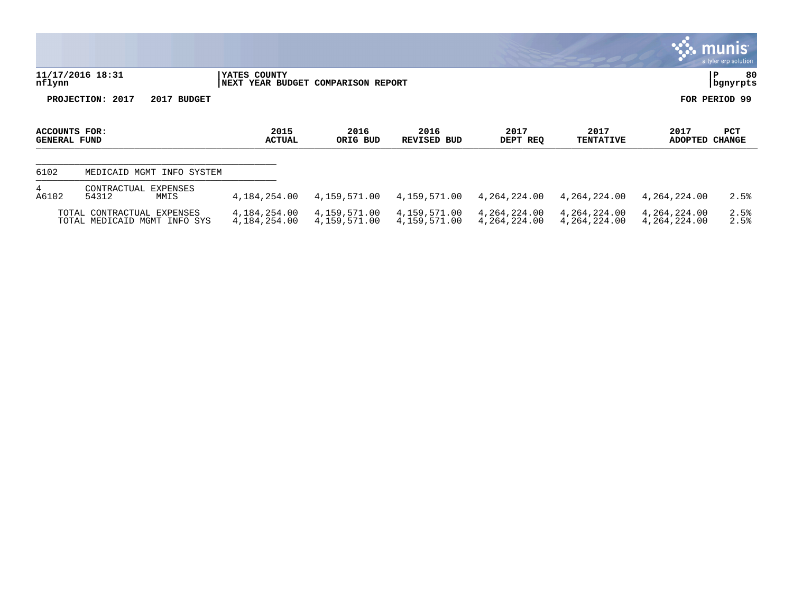|                                      |                                                            |                                                    |                              |                              |                              |                              |                              | <u>se inumst</u><br>a tyler erp solution |
|--------------------------------------|------------------------------------------------------------|----------------------------------------------------|------------------------------|------------------------------|------------------------------|------------------------------|------------------------------|------------------------------------------|
| nflynn                               | 11/17/2016 18:31                                           | YATES COUNTY<br>NEXT YEAR BUDGET COMPARISON REPORT |                              |                              |                              |                              |                              | 80<br>l P<br>  bgnyrpts                  |
|                                      | PROJECTION: 2017<br>2017 BUDGET                            |                                                    |                              |                              |                              |                              |                              | FOR PERIOD 99                            |
| ACCOUNTS FOR:<br><b>GENERAL FUND</b> |                                                            | 2015<br><b>ACTUAL</b>                              | 2016<br>ORIG BUD             | 2016<br>REVISED BUD          | 2017<br>DEPT REQ             | 2017<br><b>TENTATIVE</b>     | 2017<br>ADOPTED              | PCT<br><b>CHANGE</b>                     |
| 6102                                 | MEDICAID MGMT<br>INFO SYSTEM                               |                                                    |                              |                              |                              |                              |                              |                                          |
| 4<br>A6102                           | CONTRACTUAL EXPENSES<br>54312<br>MMIS                      | 4,184,254.00                                       | 4,159,571.00                 | 4,159,571.00                 | 4,264,224.00                 | 4,264,224.00                 | 4,264,224.00                 | 2.5%                                     |
|                                      | TOTAL CONTRACTUAL EXPENSES<br>TOTAL MEDICAID MGMT INFO SYS | 4,184,254.00<br>4,184,254.00                       | 4,159,571.00<br>4,159,571.00 | 4,159,571.00<br>4,159,571.00 | 4,264,224.00<br>4,264,224.00 | 4,264,224.00<br>4,264,224.00 | 4,264,224.00<br>4,264,224.00 | 2.5%<br>2.5%                             |

 $\ddot{\mathbf{r}}$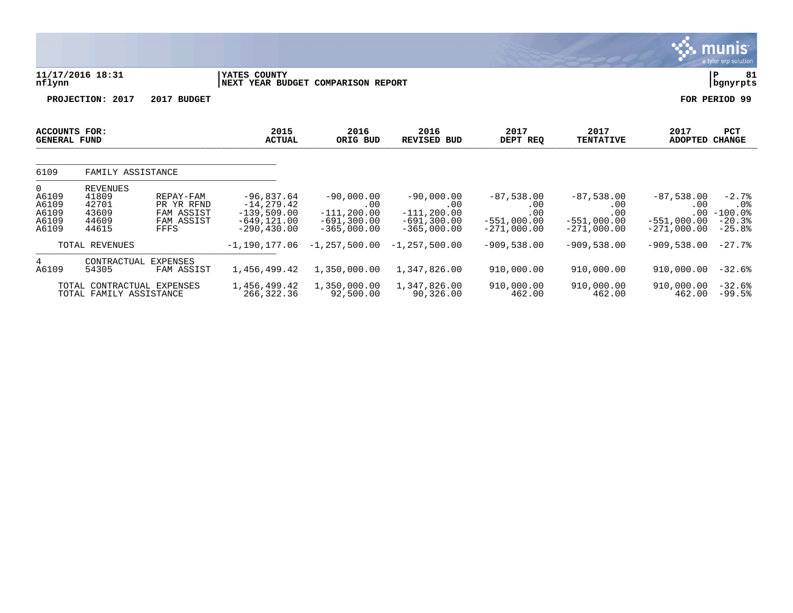|                                                |                                                                               |                                                             |                                                                                    |                                                                         |                                                                          |                                                              |                                                              |                                                       | $\overline{\mathsf{m} \mathsf{u}}$ nıs $\overline{\phantom{a}}$<br>a tyler erp solution |
|------------------------------------------------|-------------------------------------------------------------------------------|-------------------------------------------------------------|------------------------------------------------------------------------------------|-------------------------------------------------------------------------|--------------------------------------------------------------------------|--------------------------------------------------------------|--------------------------------------------------------------|-------------------------------------------------------|-----------------------------------------------------------------------------------------|
| nflynn                                         | 11/17/2016 18:31                                                              |                                                             | YATES COUNTY<br>NEXT YEAR BUDGET COMPARISON REPORT                                 |                                                                         |                                                                          |                                                              |                                                              |                                                       | ΙP<br>81<br>bgnyrpts                                                                    |
|                                                | PROJECTION: 2017                                                              | 2017 BUDGET                                                 |                                                                                    |                                                                         |                                                                          |                                                              |                                                              |                                                       | FOR PERIOD 99                                                                           |
| <b>ACCOUNTS FOR:</b><br><b>GENERAL FUND</b>    |                                                                               |                                                             | 2015<br><b>ACTUAL</b>                                                              | 2016<br>ORIG BUD                                                        | 2016<br><b>REVISED BUD</b>                                               | 2017<br>DEPT REQ                                             | 2017<br><b>TENTATIVE</b>                                     | 2017<br><b>ADOPTED</b>                                | <b>PCT</b><br><b>CHANGE</b>                                                             |
| 6109                                           | FAMILY ASSISTANCE                                                             |                                                             |                                                                                    |                                                                         |                                                                          |                                                              |                                                              |                                                       |                                                                                         |
| 0<br>A6109<br>A6109<br>A6109<br>A6109<br>A6109 | <b>REVENUES</b><br>41809<br>42701<br>43609<br>44609<br>44615                  | REPAY-FAM<br>PR YR RFND<br>FAM ASSIST<br>FAM ASSIST<br>FFFS | $-96,837.64$<br>$-14, 279.42$<br>$-139,509.00$<br>$-649, 121.00$<br>$-290, 430.00$ | $-90,000.00$<br>.00<br>$-111, 200.00$<br>$-691,300.00$<br>$-365.000.00$ | $-90,000.00$<br>.00<br>$-111, 200.00$<br>$-691, 300.00$<br>$-365.000.00$ | $-87,538.00$<br>.00<br>.00<br>$-551.000.00$<br>$-271.000.00$ | $-87,538.00$<br>.00<br>.00<br>$-551,000.00$<br>$-271.000.00$ | $-87,538.00$<br>.00<br>$-551,000.00$<br>$-271.000.00$ | $-2.7%$<br>$.0\%$<br>$.00 - 100.0$<br>$-20.3%$<br>$-25.8%$                              |
|                                                | TOTAL REVENUES                                                                |                                                             | $-1, 190, 177.06$                                                                  | $-1, 257, 500.00$                                                       | $-1,257,500.00$                                                          | $-909,538.00$                                                | $-909,538.00$                                                | $-909,538.00$                                         | $-27.7%$                                                                                |
| 4<br>A6109                                     | CONTRACTUAL<br>54305<br>TOTAL CONTRACTUAL EXPENSES<br>TOTAL FAMILY ASSISTANCE | <b>EXPENSES</b><br>FAM ASSIST                               | 1,456,499.42<br>1,456,499.42<br>266,322.36                                         | 1,350,000.00<br>1,350,000.00<br>92,500.00                               | 1,347,826.00<br>1,347,826.00<br>90,326.00                                | 910,000.00<br>910,000.00<br>462.00                           | 910,000.00<br>910,000.00<br>462.00                           | 910,000.00<br>910,000.00<br>462.00                    | $-32.6%$<br>$-32.6%$<br>$-99.5%$                                                        |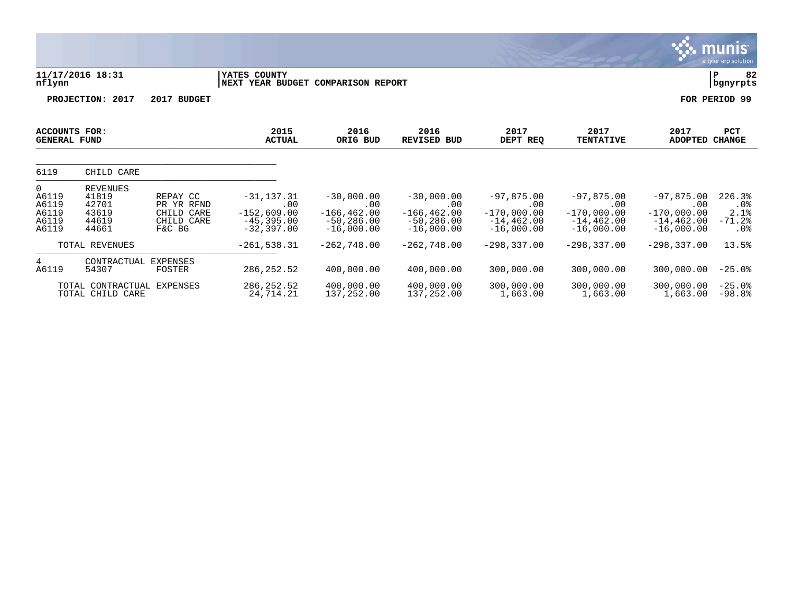|                                                |                                                       |                                                              |                                                                         |                                                                        |                                                                        |                                                                       |                                                                       |                                                                       | a tyler erp solution                        |
|------------------------------------------------|-------------------------------------------------------|--------------------------------------------------------------|-------------------------------------------------------------------------|------------------------------------------------------------------------|------------------------------------------------------------------------|-----------------------------------------------------------------------|-----------------------------------------------------------------------|-----------------------------------------------------------------------|---------------------------------------------|
| nflynn                                         | 11/17/2016 18:31                                      |                                                              | YATES COUNTY<br>NEXT YEAR BUDGET COMPARISON REPORT                      |                                                                        |                                                                        |                                                                       |                                                                       |                                                                       | 82<br>lР<br>bgnyrpts                        |
|                                                | PROJECTION: 2017                                      | 2017 BUDGET                                                  |                                                                         |                                                                        |                                                                        |                                                                       |                                                                       |                                                                       | FOR PERIOD 99                               |
| ACCOUNTS FOR:<br><b>GENERAL FUND</b>           |                                                       |                                                              | 2015<br><b>ACTUAL</b>                                                   | 2016<br>ORIG BUD                                                       | 2016<br><b>REVISED BUD</b>                                             | 2017<br>DEPT REQ                                                      | 2017<br><b>TENTATIVE</b>                                              | 2017<br><b>ADOPTED</b>                                                | PCT<br><b>CHANGE</b>                        |
| 6119                                           | CHILD CARE                                            |                                                              |                                                                         |                                                                        |                                                                        |                                                                       |                                                                       |                                                                       |                                             |
| 0<br>A6119<br>A6119<br>A6119<br>A6119<br>A6119 | REVENUES<br>41819<br>42701<br>43619<br>44619<br>44661 | REPAY CC<br>PR YR RFND<br>CHILD CARE<br>CHILD CARE<br>F&C BG | $-31, 137.31$<br>.00<br>$-152,609.00$<br>$-45, 395.00$<br>$-32, 397.00$ | $-30,000.00$<br>.00<br>$-166, 462.00$<br>$-50, 286.00$<br>$-16,000.00$ | $-30,000.00$<br>.00<br>$-166, 462.00$<br>$-50, 286.00$<br>$-16,000.00$ | $-97,875.00$<br>.00<br>$-170,000.00$<br>$-14, 462.00$<br>$-16,000.00$ | $-97,875.00$<br>.00<br>$-170,000.00$<br>$-14, 462.00$<br>$-16,000.00$ | $-97,875.00$<br>.00<br>$-170,000.00$<br>$-14, 462.00$<br>$-16,000.00$ | 226.3%<br>$.0\%$<br>2.1%<br>$-71.2%$<br>.0% |
|                                                | TOTAL REVENUES                                        |                                                              | $-261, 538.31$                                                          | $-262,748.00$                                                          | $-262,748.00$                                                          | $-298, 337.00$                                                        | $-298, 337.00$                                                        | $-298, 337.00$                                                        | 13.5%                                       |
| 4<br>A6119                                     | CONTRACTUAL<br>54307                                  | EXPENSES<br>FOSTER                                           | 286, 252.52                                                             | 400,000.00                                                             | 400,000.00                                                             | 300,000.00                                                            | 300,000.00                                                            | 300,000.00                                                            | $-25.0%$                                    |
|                                                | TOTAL CONTRACTUAL<br>TOTAL CHILD CARE                 | EXPENSES                                                     | 286, 252.52<br>24,714.21                                                | 400,000.00<br>137,252.00                                               | 400,000.00<br>137,252.00                                               | 300,000.00<br>1,663.00                                                | 300,000.00<br>1,663.00                                                | 300,000.00<br>1,663.00                                                | $-25.0%$<br>$-98.8%$                        |

 $\sqrt{3}$ . munis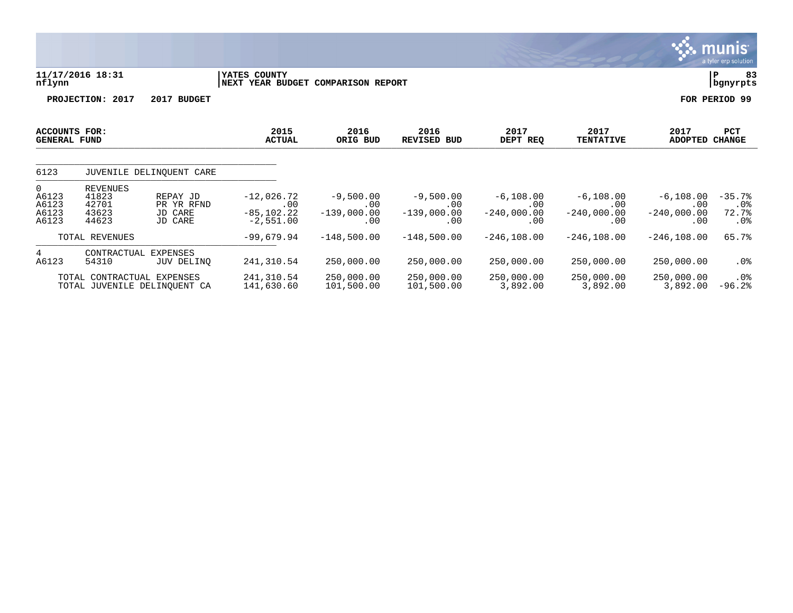|                                                            |                                                                                              |                                                     |                                            |                                            |                                            |                                             |                                             | a tyler erp solution                           |
|------------------------------------------------------------|----------------------------------------------------------------------------------------------|-----------------------------------------------------|--------------------------------------------|--------------------------------------------|--------------------------------------------|---------------------------------------------|---------------------------------------------|------------------------------------------------|
| nflynn                                                     | 11/17/2016 18:31                                                                             | YATES COUNTY<br>NEXT YEAR BUDGET COMPARISON REPORT  |                                            |                                            |                                            |                                             |                                             | 83<br>P<br>bgnyrpts                            |
|                                                            | PROJECTION: 2017<br>2017 BUDGET                                                              |                                                     |                                            |                                            |                                            |                                             |                                             | FOR PERIOD 99                                  |
| <b>ACCOUNTS FOR:</b><br><b>GENERAL FUND</b>                |                                                                                              | 2015<br><b>ACTUAL</b>                               | 2016<br>ORIG BUD                           | 2016<br><b>REVISED BUD</b>                 | 2017<br>DEPT REQ                           | 2017<br><b>TENTATIVE</b>                    | 2017<br>ADOPTED                             | PCT<br><b>CHANGE</b>                           |
| 6123                                                       | JUVENILE DELINOUENT CARE                                                                     |                                                     |                                            |                                            |                                            |                                             |                                             |                                                |
| $\mathbf{0}$<br>A6123<br>A6123<br>A6123<br>A6123           | REVENUES<br>41823<br>REPAY JD<br>42701<br>PR YR RFND<br>JD CARE<br>43623<br>44623<br>JD CARE | $-12,026.72$<br>.00<br>$-85, 102.22$<br>$-2,551.00$ | $-9,500.00$<br>.00<br>$-139,000.00$<br>.00 | $-9,500.00$<br>.00<br>$-139,000.00$<br>.00 | $-6,108.00$<br>.00<br>$-240,000.00$<br>.00 | $-6, 108.00$<br>.00<br>$-240,000.00$<br>.00 | $-6, 108.00$<br>.00<br>$-240,000.00$<br>.00 | $-35.7%$<br>$.0\%$<br>72.7%<br>.0 <sub>8</sub> |
|                                                            | TOTAL REVENUES                                                                               | $-99,679.94$                                        | $-148,500.00$                              | $-148,500.00$                              | $-246, 108.00$                             | $-246, 108.00$                              | $-246, 108.00$                              | 65.7%                                          |
| 4<br>A6123                                                 | CONTRACTUAL EXPENSES<br>54310<br>JUV DELINO                                                  | 241,310.54                                          | 250,000.00                                 | 250,000.00                                 | 250,000.00                                 | 250,000.00                                  | 250,000.00                                  | $.0\%$                                         |
| TOTAL CONTRACTUAL EXPENSES<br>TOTAL JUVENILE DELINQUENT CA |                                                                                              | 241,310.54<br>141,630.60                            | 250,000.00<br>101,500.00                   | 250,000.00<br>101,500.00                   | 250,000.00<br>3,892.00                     | 250,000.00<br>3,892.00                      | 250,000.00<br>3,892.00                      | .0%<br>$-96.2%$                                |

 $\ddot{\mathbf{w}}$  munis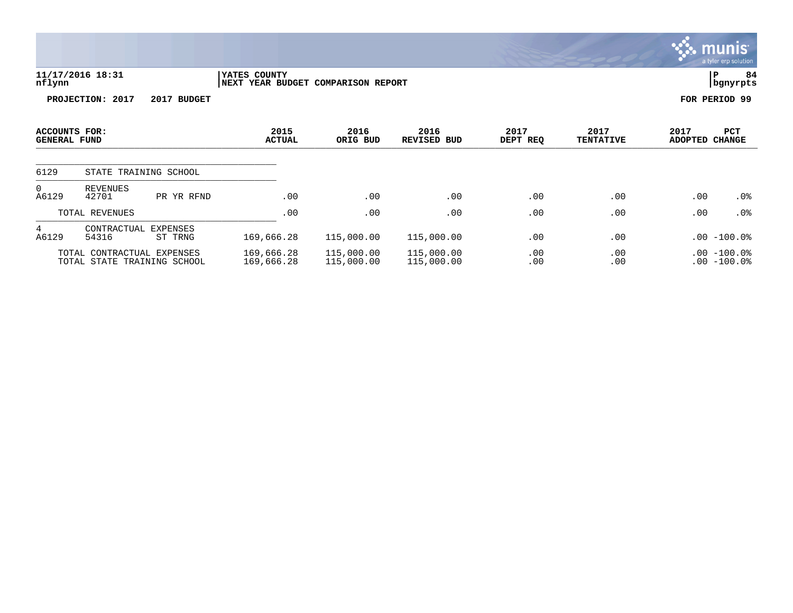|                                             |                                                           |                            |                                                    |                          |                          |                  |                          |                        | a tyler erp solution           |
|---------------------------------------------|-----------------------------------------------------------|----------------------------|----------------------------------------------------|--------------------------|--------------------------|------------------|--------------------------|------------------------|--------------------------------|
| nflynn                                      | 11/17/2016 18:31                                          |                            | YATES COUNTY<br>NEXT YEAR BUDGET COMPARISON REPORT |                          |                          |                  |                          |                        | 84<br>∣P<br>  bgnyrpts         |
|                                             | PROJECTION: 2017                                          | 2017 BUDGET                |                                                    |                          |                          |                  |                          |                        | FOR PERIOD 99                  |
| <b>ACCOUNTS FOR:</b><br><b>GENERAL FUND</b> |                                                           |                            | 2015<br><b>ACTUAL</b>                              | 2016<br>ORIG BUD         | 2016<br>REVISED BUD      | 2017<br>DEPT REQ | 2017<br><b>TENTATIVE</b> | 2017<br><b>ADOPTED</b> | PCT<br><b>CHANGE</b>           |
| 6129                                        |                                                           | STATE TRAINING SCHOOL      |                                                    |                          |                          |                  |                          |                        |                                |
| 0<br>A6129                                  | <b>REVENUES</b><br>42701                                  | PR YR RFND                 | .00                                                | .00                      | .00                      | .00              | .00                      | .00                    | $.0\%$                         |
|                                             | TOTAL REVENUES                                            |                            | .00                                                | .00                      | .00                      | .00              | .00                      | .00                    | $.0\%$                         |
| 4<br>A6129                                  | CONTRACTUAL<br>54316                                      | <b>EXPENSES</b><br>ST TRNG | 169,666.28                                         | 115,000.00               | 115,000.00               | .00              | .00                      |                        | $.00 - 100.0$                  |
|                                             | TOTAL CONTRACTUAL EXPENSES<br>TOTAL STATE TRAINING SCHOOL |                            | 169,666.28<br>169,666.28                           | 115,000.00<br>115,000.00 | 115,000.00<br>115,000.00 | .00<br>.00       | .00<br>.00               |                        | $.00 - 100.0$<br>$.00 - 100.0$ |

 $\therefore$  munis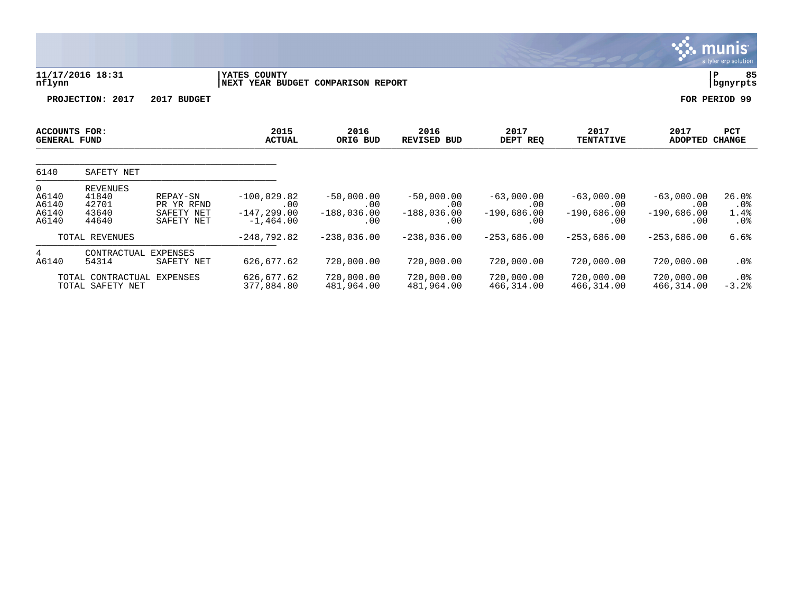|                                       |                                                     |                                                    |                                                       |                                             |                                             |                                             |                                             |                                             | munis<br>a tyler erp solution     |
|---------------------------------------|-----------------------------------------------------|----------------------------------------------------|-------------------------------------------------------|---------------------------------------------|---------------------------------------------|---------------------------------------------|---------------------------------------------|---------------------------------------------|-----------------------------------|
| nflynn                                | 11/17/2016 18:31                                    |                                                    | YATES COUNTY<br>NEXT YEAR BUDGET COMPARISON REPORT    |                                             |                                             |                                             |                                             |                                             | 85<br>$\, {\bf P}$<br>bgnyrpts    |
|                                       | PROJECTION: 2017                                    | 2017 BUDGET                                        |                                                       |                                             |                                             |                                             |                                             |                                             | FOR PERIOD 99                     |
| ACCOUNTS FOR:<br><b>GENERAL FUND</b>  |                                                     |                                                    | 2015<br><b>ACTUAL</b>                                 | 2016<br>ORIG BUD                            | 2016<br><b>REVISED BUD</b>                  | 2017<br>DEPT REQ                            | 2017<br><b>TENTATIVE</b>                    | 2017<br><b>ADOPTED</b>                      | PCT<br><b>CHANGE</b>              |
| 6140                                  | SAFETY NET                                          |                                                    |                                                       |                                             |                                             |                                             |                                             |                                             |                                   |
| 0<br>A6140<br>A6140<br>A6140<br>A6140 | <b>REVENUES</b><br>41840<br>42701<br>43640<br>44640 | REPAY-SN<br>PR YR RFND<br>SAFETY NET<br>SAFETY NET | $-100,029.82$<br>.00<br>$-147, 299.00$<br>$-1,464.00$ | $-50,000.00$<br>.00<br>$-188,036.00$<br>.00 | $-50,000.00$<br>.00<br>$-188,036.00$<br>.00 | $-63,000.00$<br>.00<br>$-190,686.00$<br>.00 | $-63,000.00$<br>.00<br>$-190,686.00$<br>.00 | $-63,000.00$<br>.00<br>$-190,686.00$<br>.00 | 26.0%<br>$.0\%$<br>1.4%<br>$.0\%$ |
|                                       | TOTAL REVENUES                                      |                                                    | $-248,792.82$                                         | $-238,036.00$                               | $-238,036.00$                               | $-253,686.00$                               | $-253,686.00$                               | $-253,686.00$                               | 6.6%                              |
| 4<br>A6140                            | CONTRACTUAL<br>54314                                | <b>EXPENSES</b><br>SAFETY NET                      | 626,677.62                                            | 720,000.00                                  | 720,000.00                                  | 720,000.00                                  | 720,000.00                                  | 720,000.00                                  | .0%                               |
|                                       | TOTAL CONTRACTUAL<br>TOTAL SAFETY NET               | EXPENSES                                           | 626,677.62<br>377,884.80                              | 720,000.00<br>481,964.00                    | 720,000.00<br>481,964.00                    | 720,000.00<br>466,314.00                    | 720,000.00<br>466,314.00                    | 720,000.00<br>466,314.00                    | $.0\%$<br>$-3.2%$                 |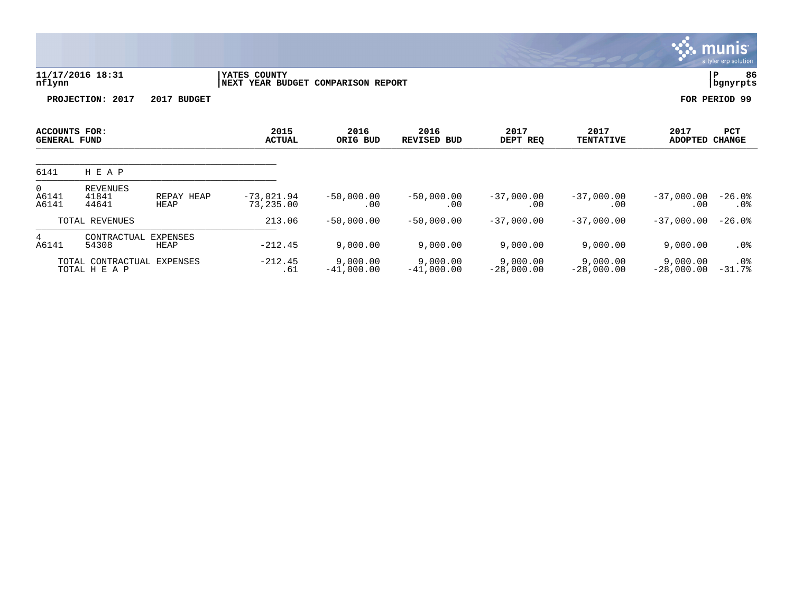|                                      |                                    |                    |                                                    |                          |                          |                          |                          |                          | munis'<br>a tyler erp solution |
|--------------------------------------|------------------------------------|--------------------|----------------------------------------------------|--------------------------|--------------------------|--------------------------|--------------------------|--------------------------|--------------------------------|
| nflynn                               | 11/17/2016 18:31                   |                    | YATES COUNTY<br>NEXT YEAR BUDGET COMPARISON REPORT |                          |                          |                          |                          |                          | ${\bf P}$<br>86<br>bgnyrpts    |
|                                      | PROJECTION: 2017                   | 2017 BUDGET        |                                                    |                          |                          |                          |                          |                          | FOR PERIOD 99                  |
| ACCOUNTS FOR:<br><b>GENERAL FUND</b> |                                    |                    | 2015<br><b>ACTUAL</b>                              | 2016<br>ORIG BUD         | 2016<br>REVISED BUD      | 2017<br>DEPT REQ         | 2017<br><b>TENTATIVE</b> | 2017<br><b>ADOPTED</b>   | PCT<br><b>CHANGE</b>           |
| 6141                                 | H E A P                            |                    |                                                    |                          |                          |                          |                          |                          |                                |
| 0<br>A6141<br>A6141                  | <b>REVENUES</b><br>41841<br>44641  | REPAY HEAP<br>HEAP | $-73,021.94$<br>73,235.00                          | $-50,000.00$<br>.00      | $-50,000.00$<br>.00      | $-37,000.00$<br>.00      | $-37,000.00$<br>.00      | $-37,000.00$<br>.00      | $-26.0%$<br>$.0\%$             |
|                                      | TOTAL REVENUES                     |                    | 213.06                                             | $-50,000.00$             | $-50,000.00$             | $-37,000.00$             | $-37,000.00$             | $-37,000.00$             | $-26.0%$                       |
| 4<br>A6141                           | CONTRACTUAL<br>54308               | EXPENSES<br>HEAP   | $-212.45$                                          | 9,000.00                 | 9,000.00                 | 9,000.00                 | 9,000.00                 | 9,000.00                 | $.0\%$                         |
|                                      | TOTAL CONTRACTUAL<br>TOTAL H E A P | EXPENSES           | $-212.45$<br>.61                                   | 9,000.00<br>$-41,000.00$ | 9,000.00<br>$-41,000.00$ | 9,000.00<br>$-28,000.00$ | 9,000.00<br>$-28,000.00$ | 9,000.00<br>$-28,000.00$ | $.0\%$<br>$-31.7%$             |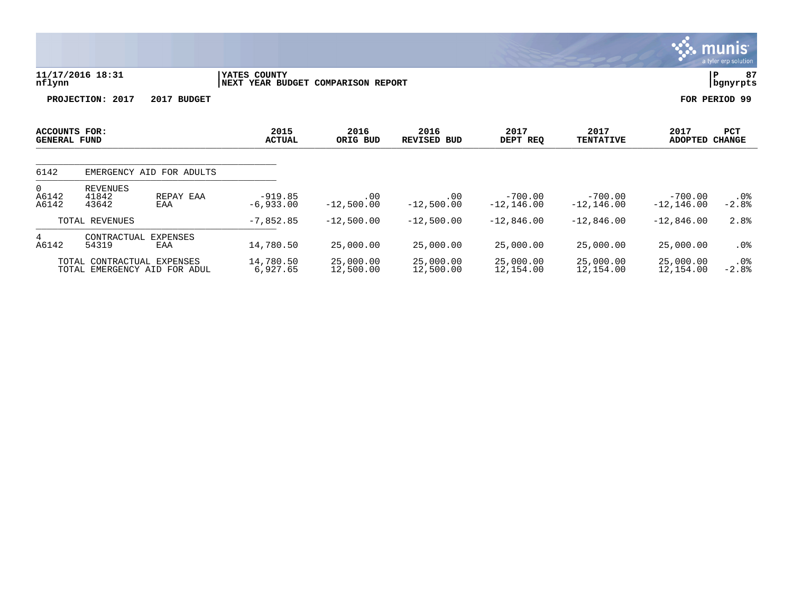|                                                               |                                                |                                                    |                        |                               |                            |                            |                            | a tyler erp sulution |
|---------------------------------------------------------------|------------------------------------------------|----------------------------------------------------|------------------------|-------------------------------|----------------------------|----------------------------|----------------------------|----------------------|
| nflynn                                                        | 11/17/2016 18:31                               | YATES COUNTY<br>NEXT YEAR BUDGET COMPARISON REPORT |                        |                               |                            |                            |                            | 87<br>Р<br>bgnyrpts  |
|                                                               | PROJECTION: 2017<br>2017 BUDGET                |                                                    |                        |                               |                            |                            |                            | FOR PERIOD 99        |
| ACCOUNTS FOR:<br><b>GENERAL FUND</b>                          |                                                | 2015<br><b>ACTUAL</b>                              | 2016<br>ORIG BUD       | 2016<br><b>REVISED</b><br>BUD | 2017<br>DEPT REQ           | 2017<br><b>TENTATIVE</b>   | 2017<br><b>ADOPTED</b>     | PCT<br><b>CHANGE</b> |
| 6142                                                          | EMERGENCY AID FOR ADULTS                       |                                                    |                        |                               |                            |                            |                            |                      |
| $\mathbf 0$<br>A6142<br>A6142                                 | REVENUES<br>41842<br>REPAY EAA<br>43642<br>EAA | $-919.85$<br>$-6,933.00$                           | .00<br>$-12,500.00$    | .00<br>$-12,500.00$           | $-700.00$<br>$-12, 146.00$ | $-700.00$<br>$-12, 146.00$ | $-700.00$<br>$-12, 146.00$ | .0%<br>$-2.8%$       |
|                                                               | TOTAL REVENUES                                 | $-7,852.85$                                        | $-12,500.00$           | $-12,500.00$                  | $-12,846.00$               | $-12,846.00$               | $-12,846.00$               | 2.8%                 |
| 4<br>A6142                                                    | EXPENSES<br>CONTRACTUAL<br>54319<br>EAA        | 14,780.50                                          | 25,000.00              | 25,000.00                     | 25,000.00                  | 25,000.00                  | 25,000.00                  | $.0\%$               |
| CONTRACTUAL EXPENSES<br>TOTAL<br>TOTAL EMERGENCY AID FOR ADUL |                                                | 14,780.50<br>6,927.65                              | 25,000.00<br>12,500.00 | 25,000.00<br>12,500.00        | 25,000.00<br>12,154.00     | 25,000.00<br>12,154.00     | 25,000.00<br>12,154.00     | $.0\%$<br>$-2.8%$    |

 $\ddot{\ddot{\mathbf{w}}}$  munis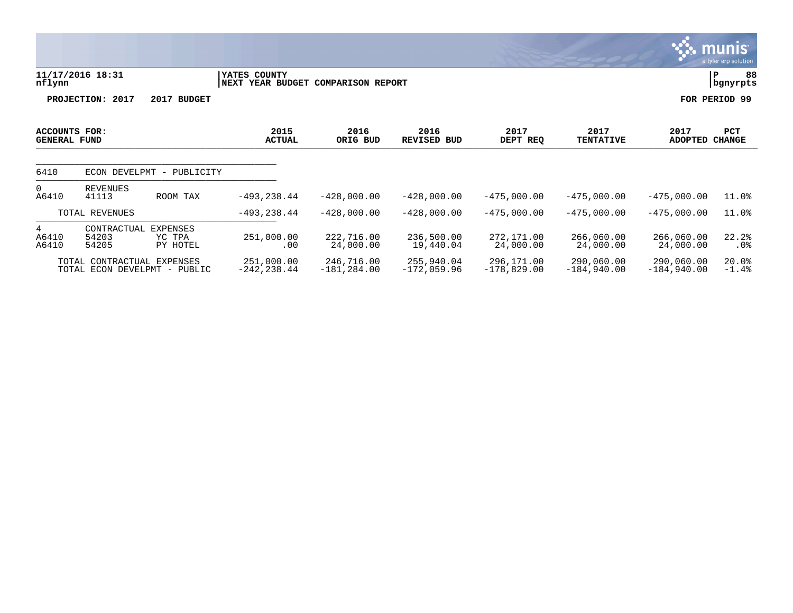11/17/2016 18:31 **| YATES COUNTY** | P 88<br>| NEXT YEAR BUDGET COMPARISON REPORT **| P 88**<br>| Dgnyrpts **nflynn |NEXT YEAR BUDGET COMPARISON REPORT |bgnyrpts PROJECTION: 2017 2017 BUDGET FOR PERIOD 99 ACCOUNTS FOR: 2015 2016 2016 2017 2017 2017 PCT GENERAL FUND ACTUAL ORIG BUD REVISED BUD DEPT REQ TENTATIVE ADOPTED CHANGE**  ARISPERSE LOUD ACTORE ONLY NOT RESIDENCE OF THIS INVESTIGATION ON A REPORT OF THE CHANGE \_\_\_\_\_\_\_\_\_\_\_\_\_\_\_\_\_\_\_\_\_\_\_\_\_\_\_\_\_\_\_\_\_\_\_\_\_\_\_\_\_\_\_\_ 6410 ECON DEVELPMT - PUBLICITY 0 REVENUES<br>A6410 41113 A6410 41113 ROOM TAX -493,238.44 -428,000.00 -428,000.00 -475,000.00 -475,000.00 -475,000.00 11.0% TOTAL REVENUES -493,238.44 -428,000.00 -428,000.00 -475,000.00 -475,000.00 -475,000.00 11.0%

munis a tyler erp solution

\_\_\_\_\_\_\_\_\_\_\_\_\_\_\_\_\_\_\_\_\_\_\_\_\_\_\_\_\_\_\_\_\_\_\_\_\_\_\_\_\_\_\_\_ 4 CONTRACTUAL EXPENSES<br>
A6410 54203 YC TPA<br>
A6410 54205 PY HOTEL A6410 54203 YC TPA 251,000.00 222,716.00 236,500.00 272,171.00 266,060.00 266,060.00 22.2% A6410 54205 PY HOTEL .00 24,000.00 19,440.04 24,000.00 24,000.00 24,000.00 .0% TOTAL CONTRACTUAL EXPENSES 251,000.00 246,716.00 255,940.04 296,171.00 290,060.00 290,060.00 20.0%

TOTAL ECON DEVELPMT - PUBLIC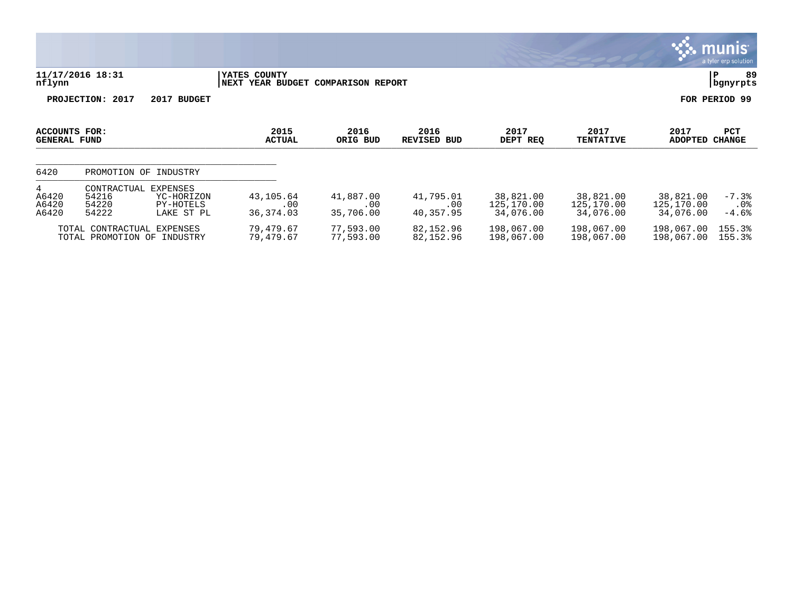|                                      |                                                                                          |                                     |                               |                               |                                      |                                      |                                      | munis'<br>a tyler erp solution |
|--------------------------------------|------------------------------------------------------------------------------------------|-------------------------------------|-------------------------------|-------------------------------|--------------------------------------|--------------------------------------|--------------------------------------|--------------------------------|
| nflynn                               | 11/17/2016 18:31                                                                         | YATES COUNTY<br>NEXT YEAR BUDGET    | <b>COMPARISON REPORT</b>      |                               |                                      |                                      |                                      | 89<br>P<br>bgnyrpts            |
|                                      | PROJECTION: 2017<br>2017 BUDGET                                                          |                                     |                               |                               |                                      |                                      |                                      | FOR PERIOD 99                  |
| ACCOUNTS FOR:<br><b>GENERAL FUND</b> |                                                                                          | 2015<br><b>ACTUAL</b>               | 2016<br>ORIG BUD              | 2016<br><b>REVISED</b><br>BUD | 2017<br>DEPT REQ                     | 2017<br><b>TENTATIVE</b>             | 2017<br><b>ADOPTED</b>               | <b>PCT</b><br><b>CHANGE</b>    |
| 6420                                 | PROMOTION OF<br>INDUSTRY                                                                 |                                     |                               |                               |                                      |                                      |                                      |                                |
| 4<br>A6420<br>A6420<br>A6420         | CONTRACTUAL EXPENSES<br>54216<br>YC-HORIZON<br>54220<br>PY-HOTELS<br>54222<br>LAKE ST PL | 43,105.64<br>$.00 \,$<br>36, 374.03 | 41,887.00<br>.00<br>35,706.00 | 41,795.01<br>.00<br>40,357.95 | 38,821.00<br>125,170.00<br>34,076.00 | 38,821.00<br>125,170.00<br>34,076.00 | 38,821.00<br>125,170.00<br>34,076.00 | $-7.3%$<br>.0%<br>$-4.6%$      |
|                                      | TOTAL CONTRACTUAL<br>EXPENSES<br>TOTAL PROMOTION OF<br>INDUSTRY                          | 79,479.67<br>79,479.67              | 77,593.00<br>77,593.00        | 82,152.96<br>82,152.96        | 198,067.00<br>198,067.00             | 198,067.00<br>198,067.00             | 198,067.00<br>198,067.00             | 155.3%<br>155.3%               |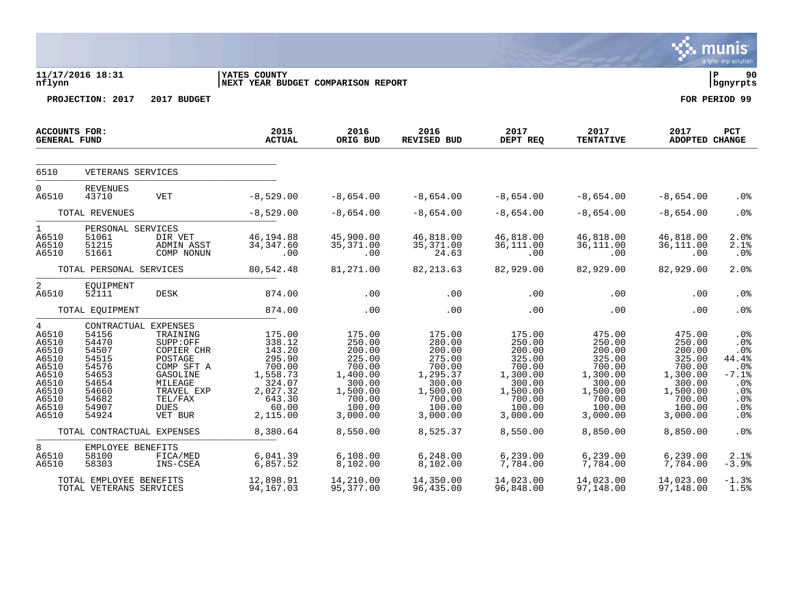|                                                                                                      |                                                                                                                                                       |                                                                                                                                       |                                                                                                                             |                                                                                                                              |                                                                                                                              |                                                                                                                              |                                                                                                                              |                                                                                                                              | munis<br>a tyler erp solution                                                                      |
|------------------------------------------------------------------------------------------------------|-------------------------------------------------------------------------------------------------------------------------------------------------------|---------------------------------------------------------------------------------------------------------------------------------------|-----------------------------------------------------------------------------------------------------------------------------|------------------------------------------------------------------------------------------------------------------------------|------------------------------------------------------------------------------------------------------------------------------|------------------------------------------------------------------------------------------------------------------------------|------------------------------------------------------------------------------------------------------------------------------|------------------------------------------------------------------------------------------------------------------------------|----------------------------------------------------------------------------------------------------|
| nflynn                                                                                               | 11/17/2016 18:31<br>PROJECTION: 2017                                                                                                                  | 2017 BUDGET                                                                                                                           | <b>IYATES COUNTY</b><br><b> NEXT YEAR BUDGET COMPARISON REPORT</b>                                                          |                                                                                                                              |                                                                                                                              |                                                                                                                              |                                                                                                                              |                                                                                                                              | l P<br>90<br>  bgnyrpts<br>FOR PERIOD 99                                                           |
|                                                                                                      |                                                                                                                                                       |                                                                                                                                       |                                                                                                                             |                                                                                                                              |                                                                                                                              |                                                                                                                              |                                                                                                                              |                                                                                                                              |                                                                                                    |
| ACCOUNTS FOR:<br><b>GENERAL FUND</b>                                                                 |                                                                                                                                                       |                                                                                                                                       | 2015<br><b>ACTUAL</b>                                                                                                       | 2016<br>ORIG BUD                                                                                                             | 2016<br>REVISED BUD                                                                                                          | 2017<br>DEPT REQ                                                                                                             | 2017<br><b>TENTATIVE</b>                                                                                                     | 2017<br>ADOPTED CHANGE                                                                                                       | <b>PCT</b>                                                                                         |
| 6510                                                                                                 | VETERANS SERVICES                                                                                                                                     |                                                                                                                                       |                                                                                                                             |                                                                                                                              |                                                                                                                              |                                                                                                                              |                                                                                                                              |                                                                                                                              |                                                                                                    |
| $\overline{0}$<br>A6510                                                                              | <b>REVENUES</b><br>43710                                                                                                                              | <b>VET</b>                                                                                                                            | $-8,529.00$                                                                                                                 | $-8,654.00$                                                                                                                  | $-8,654.00$                                                                                                                  | $-8,654.00$                                                                                                                  | $-8,654.00$                                                                                                                  | $-8,654.00$                                                                                                                  | .0 <sub>8</sub>                                                                                    |
|                                                                                                      | TOTAL REVENUES                                                                                                                                        |                                                                                                                                       | $-8,529.00$                                                                                                                 | $-8,654.00$                                                                                                                  | $-8,654.00$                                                                                                                  | $-8,654.00$                                                                                                                  | $-8,654.00$                                                                                                                  | $-8,654.00$                                                                                                                  | .0 <sub>8</sub>                                                                                    |
| $\mathbf{1}$<br>A6510<br>A6510<br>A6510                                                              | PERSONAL SERVICES<br>51061<br>51215<br>51661                                                                                                          | DIR VET<br>ADMIN ASST<br>COMP NONUN                                                                                                   | 46,194.88<br>34, 347.60<br>.00                                                                                              | 45,900.00<br>35,371.00<br>.00                                                                                                | 46,818.00<br>35, 371.00<br>24.63                                                                                             | 46,818.00<br>36,111.00<br>.00                                                                                                | 46,818.00<br>36,111.00<br>.00                                                                                                | 46,818.00<br>36,111.00<br>.00                                                                                                | 2.0%<br>$2.1$ %<br>.0%                                                                             |
|                                                                                                      | TOTAL PERSONAL SERVICES                                                                                                                               |                                                                                                                                       | 80,542.48                                                                                                                   | 81,271.00                                                                                                                    | 82, 213.63                                                                                                                   | 82,929.00                                                                                                                    | 82,929.00                                                                                                                    | 82,929.00                                                                                                                    | 2.0%                                                                                               |
| $\overline{2}$<br>A6510                                                                              | EQUIPMENT<br>52111                                                                                                                                    | DESK                                                                                                                                  | 874.00                                                                                                                      | .00                                                                                                                          | .00                                                                                                                          | .00                                                                                                                          | .00                                                                                                                          | .00                                                                                                                          | .0%                                                                                                |
|                                                                                                      | TOTAL EQUIPMENT                                                                                                                                       |                                                                                                                                       | 874.00                                                                                                                      | .00                                                                                                                          | .00                                                                                                                          | .00                                                                                                                          | .00                                                                                                                          | .00                                                                                                                          | .0 <sub>8</sub>                                                                                    |
| 4<br>A6510<br>A6510<br>A6510<br>A6510<br>A6510<br>A6510<br>A6510<br>A6510<br>A6510<br>A6510<br>A6510 | CONTRACTUAL EXPENSES<br>54156<br>54470<br>54507<br>54515<br>54576<br>54653<br>54654<br>54660<br>54682<br>54907<br>54924<br>TOTAL CONTRACTUAL EXPENSES | TRAINING<br>SUPP:OFF<br>COPIER CHR<br>POSTAGE<br>COMP SFT A<br>GASOLINE<br>MILEAGE<br>TRAVEL EXP<br>TEL/FAX<br><b>DUES</b><br>VET BUR | 175.00<br>338.12<br>143.20<br>295.90<br>700.00<br>1,558.73<br>324.07<br>2,027.32<br>643.30<br>60.00<br>2,115.00<br>8,380.64 | 175.00<br>250.00<br>200.00<br>225.00<br>700.00<br>1,400.00<br>300.00<br>1,500.00<br>700.00<br>100.00<br>3,000.00<br>8,550.00 | 175.00<br>280.00<br>200.00<br>275.00<br>700.00<br>1,295.37<br>300.00<br>1,500.00<br>700.00<br>100.00<br>3,000.00<br>8,525.37 | 175.00<br>250.00<br>200.00<br>325.00<br>700.00<br>1,300.00<br>300.00<br>1,500.00<br>700.00<br>100.00<br>3,000.00<br>8,550.00 | 475.00<br>250.00<br>200.00<br>325.00<br>700.00<br>1,300.00<br>300.00<br>1,500.00<br>700.00<br>100.00<br>3,000.00<br>8,850.00 | 475.00<br>250.00<br>200.00<br>325.00<br>700.00<br>1,300.00<br>300.00<br>1,500.00<br>700.00<br>100.00<br>3,000.00<br>8,850.00 | .0%<br>.0%<br>.0%<br>44.4%<br>.0%<br>$-7.1%$<br>.0%<br>.0 <sub>8</sub><br>.0%<br>.0%<br>.0%<br>.0% |
| 8                                                                                                    | EMPLOYEE BENEFITS                                                                                                                                     |                                                                                                                                       |                                                                                                                             |                                                                                                                              |                                                                                                                              |                                                                                                                              |                                                                                                                              |                                                                                                                              |                                                                                                    |
| A6510<br>A6510                                                                                       | 58100<br>58303                                                                                                                                        | FICA/MED<br>INS-CSEA                                                                                                                  | 6,041.39<br>6,857.52                                                                                                        | 6,108.00<br>8,102.00                                                                                                         | 6, 248.00<br>8,102.00                                                                                                        | 6, 239.00<br>7,784.00                                                                                                        | 6, 239.00<br>7,784.00                                                                                                        | 6, 239.00<br>7,784.00                                                                                                        | 2.1%<br>$-3.9%$                                                                                    |
|                                                                                                      | TOTAL EMPLOYEE BENEFITS<br>TOTAL VETERANS SERVICES                                                                                                    |                                                                                                                                       | 12,898.91<br>94,167.03                                                                                                      | 14,210.00<br>95,377.00                                                                                                       | 14,350.00<br>96,435.00                                                                                                       | 14,023.00<br>96,848.00                                                                                                       | 14,023.00<br>97,148.00                                                                                                       | 14,023.00<br>97,148.00                                                                                                       | $-1.3%$<br>1.5%                                                                                    |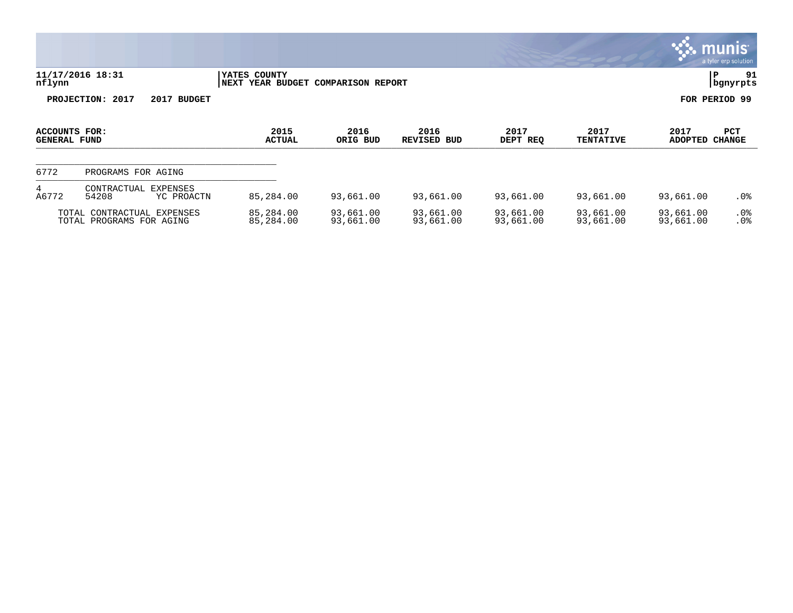|                                      |                                                        |                                                    |                        |                            |                        |                          |                        | munis<br>a tyler erp solution |
|--------------------------------------|--------------------------------------------------------|----------------------------------------------------|------------------------|----------------------------|------------------------|--------------------------|------------------------|-------------------------------|
| nflynn                               | 11/17/2016 18:31                                       | YATES COUNTY<br>NEXT YEAR BUDGET COMPARISON REPORT |                        |                            |                        |                          | P.                     | 91<br>  bgnyrpts              |
|                                      | PROJECTION: 2017<br>2017 BUDGET                        |                                                    |                        |                            |                        |                          | FOR PERIOD 99          |                               |
| ACCOUNTS FOR:<br><b>GENERAL FUND</b> |                                                        | 2015<br><b>ACTUAL</b>                              | 2016<br>ORIG BUD       | 2016<br><b>REVISED BUD</b> | 2017<br>DEPT REQ       | 2017<br><b>TENTATIVE</b> | 2017<br>ADOPTED        | PCT<br><b>CHANGE</b>          |
| 6772                                 | PROGRAMS FOR AGING                                     |                                                    |                        |                            |                        |                          |                        |                               |
| 4<br>A6772                           | CONTRACTUAL<br>EXPENSES<br>54208<br>YC PROACTN         | 85,284.00                                          | 93,661.00              | 93,661.00                  | 93,661.00              | 93,661.00                | 93,661.00              | $.0\%$                        |
|                                      | TOTAL CONTRACTUAL EXPENSES<br>TOTAL PROGRAMS FOR AGING | 85,284.00<br>85,284.00                             | 93,661.00<br>93,661.00 | 93,661.00<br>93,661.00     | 93,661.00<br>93,661.00 | 93,661.00<br>93,661.00   | 93,661.00<br>93,661.00 | $.0\%$<br>.0%                 |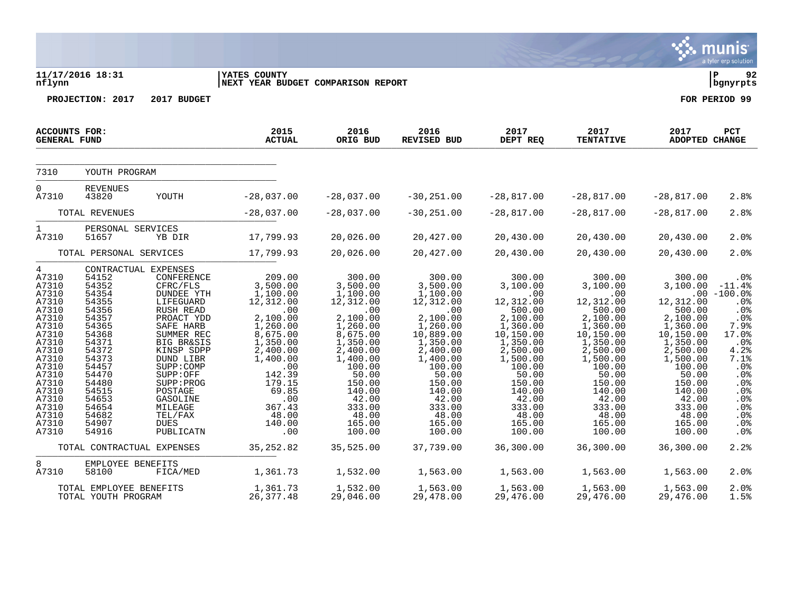| 2017 BUDGET<br>PROJECTION: 2017                                                                                                                                                                                       |                                                                                                                                                                |                                                                                                                                                                   |                                                                                                                                                                    |                                                                                                                                                                  |                                                                                                                                                                  |                                                                                                                                                           |                                                                                                                                                       |
|-----------------------------------------------------------------------------------------------------------------------------------------------------------------------------------------------------------------------|----------------------------------------------------------------------------------------------------------------------------------------------------------------|-------------------------------------------------------------------------------------------------------------------------------------------------------------------|--------------------------------------------------------------------------------------------------------------------------------------------------------------------|------------------------------------------------------------------------------------------------------------------------------------------------------------------|------------------------------------------------------------------------------------------------------------------------------------------------------------------|-----------------------------------------------------------------------------------------------------------------------------------------------------------|-------------------------------------------------------------------------------------------------------------------------------------------------------|
|                                                                                                                                                                                                                       |                                                                                                                                                                |                                                                                                                                                                   |                                                                                                                                                                    |                                                                                                                                                                  |                                                                                                                                                                  |                                                                                                                                                           | FOR PERIOD 99                                                                                                                                         |
|                                                                                                                                                                                                                       | 2015<br><b>ACTUAL</b>                                                                                                                                          | 2016<br>ORIG BUD                                                                                                                                                  | 2016<br><b>REVISED BUD</b>                                                                                                                                         | 2017<br>DEPT REQ                                                                                                                                                 | 2017<br><b>TENTATIVE</b>                                                                                                                                         | 2017<br>ADOPTED CHANGE                                                                                                                                    | <b>PCT</b>                                                                                                                                            |
|                                                                                                                                                                                                                       |                                                                                                                                                                |                                                                                                                                                                   |                                                                                                                                                                    |                                                                                                                                                                  |                                                                                                                                                                  |                                                                                                                                                           |                                                                                                                                                       |
| YOUTH                                                                                                                                                                                                                 | $-28,037.00$                                                                                                                                                   | $-28,037.00$                                                                                                                                                      | $-30, 251.00$                                                                                                                                                      | $-28,817.00$                                                                                                                                                     | $-28,817.00$                                                                                                                                                     | $-28,817.00$                                                                                                                                              | 2.8%                                                                                                                                                  |
|                                                                                                                                                                                                                       | $-28,037.00$                                                                                                                                                   | $-28,037.00$                                                                                                                                                      | $-30, 251.00$                                                                                                                                                      | $-28,817.00$                                                                                                                                                     | $-28,817.00$                                                                                                                                                     | $-28,817.00$                                                                                                                                              | 2.8%                                                                                                                                                  |
| YB DIR                                                                                                                                                                                                                | 17,799.93                                                                                                                                                      | 20,026.00                                                                                                                                                         | 20,427.00                                                                                                                                                          | 20,430.00                                                                                                                                                        | 20,430.00                                                                                                                                                        | 20,430.00                                                                                                                                                 | 2.0%                                                                                                                                                  |
|                                                                                                                                                                                                                       | 17,799.93                                                                                                                                                      | 20,026.00                                                                                                                                                         | 20,427.00                                                                                                                                                          | 20,430.00                                                                                                                                                        | 20,430.00                                                                                                                                                        | 20,430.00                                                                                                                                                 | 2.0%                                                                                                                                                  |
| CONFERENCE<br>CFRC/FLS<br><b>DUNDEE YTH</b><br>LIFEGUARD<br>RUSH READ<br>PROACT YDD<br>SAFE HARB<br>SUMMER REC<br><b>BIG BR&amp;SIS</b><br>KINSP SDPP<br>DUND LIBR<br>SUPP: COMP<br>SUPP:OFF<br>SUPP: PROG<br>POSTAGE | 209.00<br>3,500.00<br>1,100.00<br>12,312.00<br>.00<br>2,100.00<br>1,260.00<br>8,675.00<br>1,350.00<br>2,400.00<br>1,400.00<br>.00<br>142.39<br>179.15<br>69.85 | 300.00<br>3,500.00<br>1,100.00<br>12,312.00<br>.00<br>2,100.00<br>1,260.00<br>8,675.00<br>1,350.00<br>2,400.00<br>1,400.00<br>100.00<br>50.00<br>150.00<br>140.00 | 300.00<br>3,500.00<br>1,100.00<br>12,312.00<br>.00<br>2,100.00<br>1,260.00<br>10,889.00<br>1,350.00<br>2,400.00<br>1,400.00<br>100.00<br>50.00<br>150.00<br>140.00 | 300.00<br>3,100.00<br>.00<br>12,312.00<br>500.00<br>2,100.00<br>1,360.00<br>10,150.00<br>1,350.00<br>2,500.00<br>1,500.00<br>100.00<br>50.00<br>150.00<br>140.00 | 300.00<br>3,100.00<br>.00<br>12,312.00<br>500.00<br>2,100.00<br>1,360.00<br>10,150.00<br>1,350.00<br>2,500.00<br>1,500.00<br>100.00<br>50.00<br>150.00<br>140.00 | 300.00<br>3,100.00<br>12,312.00<br>500.00<br>2,100.00<br>1,360.00<br>10,150.00<br>1,350.00<br>2,500.00<br>1,500.00<br>100.00<br>50.00<br>150.00<br>140.00 | . 0 %<br>$-11.4%$<br>$.00 - 100.0$<br>. 0 %<br>.0%<br>.0%<br>7.9%<br>17.0%<br>.0 <sub>8</sub><br>4.2%<br>7.1%<br>.0%<br>.0 <sub>8</sub><br>.0%<br>.0% |
|                                                                                                                                                                                                                       | YOUTH PROGRAM<br><b>REVENUES</b><br>TOTAL REVENUES<br>PERSONAL SERVICES<br>TOTAL PERSONAL SERVICES<br>CONTRACTUAL EXPENSES<br>GASOLINE<br>MILEAGE              | .00                                                                                                                                                               | 42.00                                                                                                                                                              | 42.00<br>367.43<br>333.00<br>333.00                                                                                                                              | 42.00                                                                                                                                                            | 42.00                                                                                                                                                     | 42.00<br>333.00<br>333.00<br>333.00                                                                                                                   |

 $\mathbf{\mathcal{C}}$  . munis

A7310 54682 TEL/FAX 48.00 48.00 48.00 48.00 48.00 48.00 .0% A7310 54907 DUES 140.00 165.00 165.00 165.00 165.00 165.00 .0% A7310 54916 PUBLICATN .00 100.00 100.00 100.00 100.00 100.00 .0% TOTAL CONTRACTUAL EXPENSES 35,252.82 35,525.00 37,739.00 36,300.00 36,300.00 36,300.00 36,300.00 2.2%

A7310 58100 FICA/MED 1,361.73 1,532.00 1,563.00 1,563.00 1,563.00 1,563.00 2.0%

TOTAL EMPLOYEE BENEFITS 1,361.73 1,532.00 1,563.00 1,563.00 1,563.00 1,563.00 2.0%

8 EMPLOYEE BENEFITS<br>A7310 58100 FICA/MED

TOTAL YOUTH PROGRAM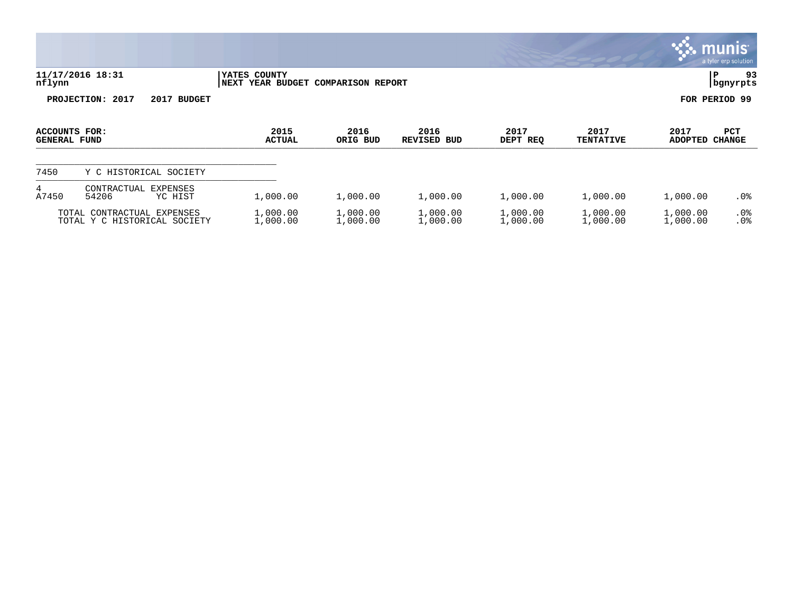|                                      |                                                            |                        |                               |                      |                      |                          |                      | <u>munis l</u><br>a tyler erp solution |
|--------------------------------------|------------------------------------------------------------|------------------------|-------------------------------|----------------------|----------------------|--------------------------|----------------------|----------------------------------------|
| nflynn                               | 11/17/2016 18:31                                           | YATES COUNTY<br>  NEXT | YEAR BUDGET COMPARISON REPORT |                      |                      |                          | P                    | 93<br>  bgnyrpts                       |
|                                      | PROJECTION: 2017<br>2017 BUDGET                            |                        |                               |                      |                      |                          | FOR PERIOD 99        |                                        |
| ACCOUNTS FOR:<br><b>GENERAL FUND</b> |                                                            | 2015<br><b>ACTUAL</b>  | 2016<br>ORIG BUD              | 2016<br>REVISED BUD  | 2017<br>DEPT REQ     | 2017<br><b>TENTATIVE</b> | 2017<br>ADOPTED      | PCT<br><b>CHANGE</b>                   |
| 7450                                 | Y C HISTORICAL SOCIETY                                     |                        |                               |                      |                      |                          |                      |                                        |
| 4<br>A7450                           | CONTRACTUAL<br><b>EXPENSES</b><br>54206<br>YC HIST         | 1,000.00               | 1,000.00                      | 1,000.00             | 1,000.00             | 1,000.00                 | 1,000.00             | $.0\%$                                 |
|                                      | TOTAL CONTRACTUAL EXPENSES<br>TOTAL Y C HISTORICAL SOCIETY | 1,000.00<br>1,000.00   | 1,000.00<br>1,000.00          | 1,000.00<br>1,000.00 | 1,000.00<br>1,000.00 | 1,000.00<br>1,000.00     | 1,000.00<br>1,000.00 | $.0\%$<br>.0%                          |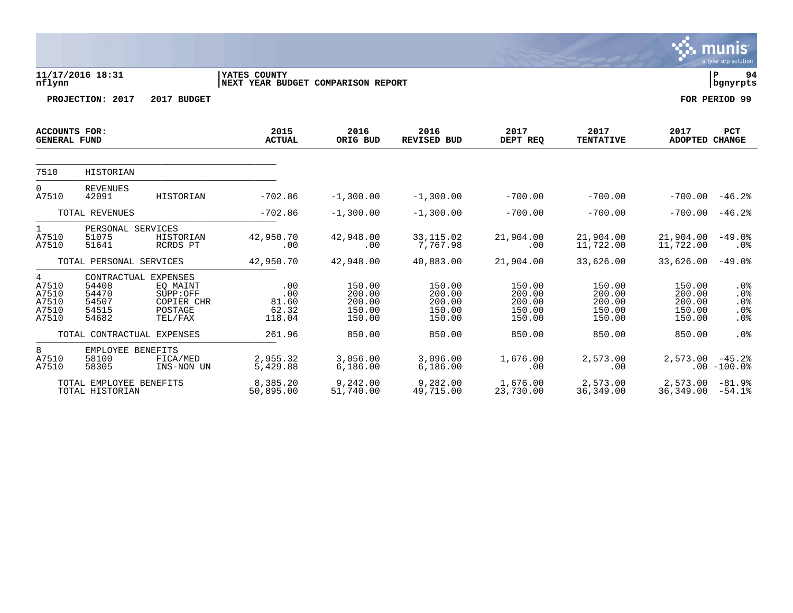|                                                             |                                                                   |                                                          |                                                    |                                                |                                                |                                                |                                                |                                                | a tyler erp solution               |
|-------------------------------------------------------------|-------------------------------------------------------------------|----------------------------------------------------------|----------------------------------------------------|------------------------------------------------|------------------------------------------------|------------------------------------------------|------------------------------------------------|------------------------------------------------|------------------------------------|
| nflynn                                                      | 11/17/2016 18:31                                                  |                                                          | YATES COUNTY<br>NEXT YEAR BUDGET COMPARISON REPORT |                                                |                                                |                                                |                                                |                                                | ΙP<br>94<br>  bgnyrpts             |
|                                                             | PROJECTION: 2017                                                  | 2017 BUDGET                                              |                                                    |                                                |                                                |                                                |                                                |                                                | FOR PERIOD 99                      |
| <b>ACCOUNTS FOR:</b><br><b>GENERAL FUND</b>                 |                                                                   |                                                          | 2015<br><b>ACTUAL</b>                              | 2016<br>ORIG BUD                               | 2016<br>REVISED BUD                            | 2017<br>DEPT REQ                               | 2017<br><b>TENTATIVE</b>                       | 2017<br><b>ADOPTED</b>                         | <b>PCT</b><br><b>CHANGE</b>        |
| 7510                                                        | <b>HISTORIAN</b>                                                  |                                                          |                                                    |                                                |                                                |                                                |                                                |                                                |                                    |
| $\Omega$<br>A7510                                           | <b>REVENUES</b><br>42091                                          | <b>HISTORIAN</b>                                         | $-702.86$                                          | $-1,300.00$                                    | $-1,300.00$                                    | $-700.00$                                      | $-700.00$                                      | $-700.00$                                      | $-46.2%$                           |
| TOTAL REVENUES                                              |                                                                   | $-702.86$                                                | $-1,300.00$                                        | $-1,300.00$                                    | $-700.00$                                      | $-700.00$                                      | $-700.00$                                      | $-46.2%$                                       |                                    |
| $\mathbf{1}$<br>A7510<br>A7510                              | PERSONAL SERVICES<br>51075<br>51641                               | <b>HISTORIAN</b><br>RCRDS PT                             | 42,950.70<br>.00                                   | 42,948.00<br>.00                               | 33, 115.02<br>7,767.98                         | 21,904.00<br>.00                               | 21,904.00<br>11,722.00                         | 21,904.00<br>11,722.00                         | $-49.0%$<br>$.0\%$                 |
|                                                             | TOTAL PERSONAL SERVICES                                           |                                                          | 42,950.70                                          | 42,948.00                                      | 40,883.00                                      | 21,904.00                                      | 33,626.00                                      | 33,626.00                                      | $-49.0%$                           |
| $\overline{4}$<br>A7510<br>A7510<br>A7510<br>A7510<br>A7510 | CONTRACTUAL EXPENSES<br>54408<br>54470<br>54507<br>54515<br>54682 | EO MAINT<br>SUPP:OFF<br>COPIER CHR<br>POSTAGE<br>TEL/FAX | .00<br>.00<br>81.60<br>62.32<br>118.04             | 150.00<br>200.00<br>200.00<br>150.00<br>150.00 | 150.00<br>200.00<br>200.00<br>150.00<br>150.00 | 150.00<br>200.00<br>200.00<br>150.00<br>150.00 | 150.00<br>200.00<br>200.00<br>150.00<br>150.00 | 150.00<br>200.00<br>200.00<br>150.00<br>150.00 | $.0\%$<br>.0%<br>.0%<br>.0%<br>.0% |
|                                                             | TOTAL CONTRACTUAL EXPENSES                                        |                                                          | 261.96                                             | 850.00                                         | 850.00                                         | 850.00                                         | 850.00                                         | 850.00                                         | .0%                                |
| 8<br>A7510<br>A7510                                         | EMPLOYEE BENEFITS<br>58100<br>58305                               | FICA/MED<br>INS-NON UN                                   | 2,955.32<br>5,429.88                               | 3,056.00<br>6,186.00                           | 3,096.00<br>6,186.00                           | 1,676.00<br>.00                                | 2,573.00<br>.00                                | 2,573.00                                       | $-45.2%$<br>$.00 - 100.0$          |
|                                                             | TOTAL EMPLOYEE BENEFITS<br>TOTAL HISTORIAN                        |                                                          | 8,385.20<br>50,895.00                              | 9,242.00<br>51,740.00                          | 9,282.00<br>49,715.00                          | 1,676.00<br>23,730.00                          | 2,573.00<br>36, 349.00                         | 2,573.00<br>36,349.00                          | $-81.9%$<br>$-54.1%$               |

S. munis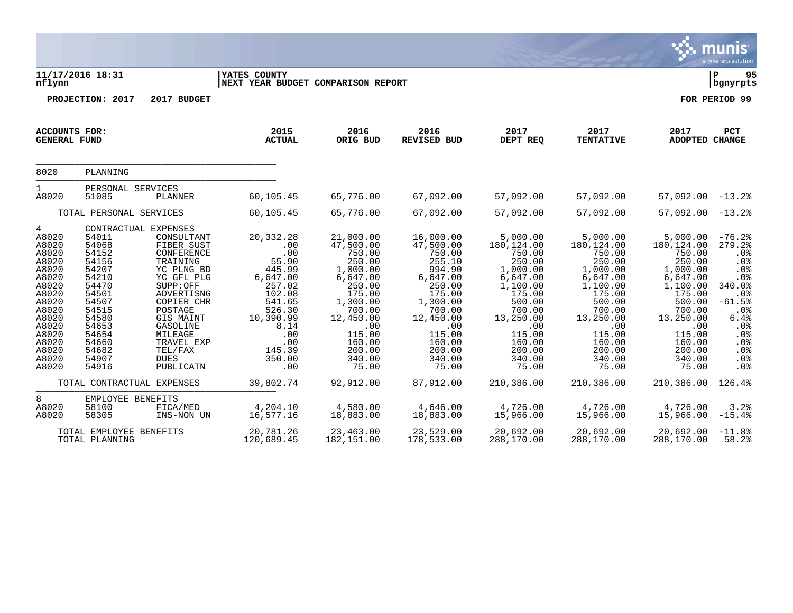|                                                                                                                                                            |                                                                                                                                                                               |                                                                                                                                                                                                                            |                                                                                                                                                              |                                                                                                                                                                                     |                                                                                                                                                                                 |                                                                                                                                                                                   |                                                                                                                                                                                     |                                                                                                                                                                                   | munis<br>a tyler erp solution                                                                                                                                      |
|------------------------------------------------------------------------------------------------------------------------------------------------------------|-------------------------------------------------------------------------------------------------------------------------------------------------------------------------------|----------------------------------------------------------------------------------------------------------------------------------------------------------------------------------------------------------------------------|--------------------------------------------------------------------------------------------------------------------------------------------------------------|-------------------------------------------------------------------------------------------------------------------------------------------------------------------------------------|---------------------------------------------------------------------------------------------------------------------------------------------------------------------------------|-----------------------------------------------------------------------------------------------------------------------------------------------------------------------------------|-------------------------------------------------------------------------------------------------------------------------------------------------------------------------------------|-----------------------------------------------------------------------------------------------------------------------------------------------------------------------------------|--------------------------------------------------------------------------------------------------------------------------------------------------------------------|
| nflynn                                                                                                                                                     | 11/17/2016 18:31                                                                                                                                                              |                                                                                                                                                                                                                            | YATES COUNTY<br>NEXT YEAR BUDGET COMPARISON REPORT                                                                                                           |                                                                                                                                                                                     |                                                                                                                                                                                 |                                                                                                                                                                                   |                                                                                                                                                                                     |                                                                                                                                                                                   | l P<br>95<br>  bgnyrpts                                                                                                                                            |
|                                                                                                                                                            | PROJECTION: 2017                                                                                                                                                              | 2017 BUDGET                                                                                                                                                                                                                |                                                                                                                                                              |                                                                                                                                                                                     |                                                                                                                                                                                 |                                                                                                                                                                                   |                                                                                                                                                                                     |                                                                                                                                                                                   | FOR PERIOD 99                                                                                                                                                      |
| ACCOUNTS FOR:<br><b>GENERAL FUND</b>                                                                                                                       |                                                                                                                                                                               |                                                                                                                                                                                                                            | 2015<br><b>ACTUAL</b>                                                                                                                                        | 2016<br>ORIG BUD                                                                                                                                                                    | 2016<br><b>REVISED BUD</b>                                                                                                                                                      | 2017<br>DEPT REQ                                                                                                                                                                  | 2017<br><b>TENTATIVE</b>                                                                                                                                                            | 2017<br>ADOPTED CHANGE                                                                                                                                                            | PCT                                                                                                                                                                |
| 8020                                                                                                                                                       | PLANNING                                                                                                                                                                      |                                                                                                                                                                                                                            |                                                                                                                                                              |                                                                                                                                                                                     |                                                                                                                                                                                 |                                                                                                                                                                                   |                                                                                                                                                                                     |                                                                                                                                                                                   |                                                                                                                                                                    |
| $\mathbf 1$<br>A8020                                                                                                                                       | PERSONAL SERVICES<br>51085                                                                                                                                                    | PLANNER                                                                                                                                                                                                                    | 60,105.45                                                                                                                                                    | 65,776.00                                                                                                                                                                           | 67,092.00                                                                                                                                                                       | 57,092.00                                                                                                                                                                         | 57,092.00                                                                                                                                                                           | $57,092.00 -13.2$                                                                                                                                                                 |                                                                                                                                                                    |
|                                                                                                                                                            | TOTAL PERSONAL SERVICES                                                                                                                                                       |                                                                                                                                                                                                                            | 60,105.45                                                                                                                                                    | 65,776.00                                                                                                                                                                           | 67,092.00                                                                                                                                                                       | 57,092.00                                                                                                                                                                         | 57,092.00                                                                                                                                                                           | $57,092.00 -13.2$                                                                                                                                                                 |                                                                                                                                                                    |
| 4<br>A8020<br>A8020<br>A8020<br>A8020<br>A8020<br>A8020<br>A8020<br>A8020<br>A8020<br>A8020<br>A8020<br>A8020<br>A8020<br>A8020<br>A8020<br>A8020<br>A8020 | CONTRACTUAL EXPENSES<br>54011<br>54068<br>54152<br>54156<br>54207<br>54210<br>54470<br>54501<br>54507<br>54515<br>54580<br>54653<br>54654<br>54660<br>54682<br>54907<br>54916 | CONSULTANT<br>FIBER SUST<br>CONFERENCE<br>TRAINING<br>YC PLNG BD<br>YC GFL PLG<br>SUPP:OFF<br>ADVERTISNG<br>COPIER CHR<br>POSTAGE<br>GIS MAINT<br>GASOLINE<br>MILEAGE<br>TRAVEL EXP<br>TEL/FAX<br><b>DUES</b><br>PUBLICATN | 20,332.28<br>.00<br>.00<br>55.90<br>445.99<br>6,647.00<br>257.02<br>102.08<br>541.65<br>526.30<br>10,390.99<br>8.14<br>.00<br>.00<br>145.39<br>350.00<br>.00 | 21,000.00<br>47,500.00<br>750.00<br>250.00<br>$1,000.00$<br>6,647.00<br>250.00<br>175.00<br>1,300.00<br>700.00<br>12,450.00<br>.00<br>115.00<br>160.00<br>200.00<br>340.00<br>75.00 | 16,000.00<br>47,500.00<br>750.00<br>255.10<br>994.90<br>6,647.00<br>250.00<br>175.00<br>1,300.00<br>700.00<br>12,450.00<br>.00<br>115.00<br>160.00<br>200.00<br>340.00<br>75.00 | 5,000.00<br>180,124.00<br>750.00<br>250.00<br>1,000.00<br>6,647.00<br>1,100.00<br>175.00<br>500.00<br>700.00<br>13,250.00<br>.00<br>115.00<br>160.00<br>200.00<br>340.00<br>75.00 | 5,000.00<br>180,124.00<br>750.00<br>250.00<br>$1,000.00$<br>6,647.00<br>1,100.00<br>175.00<br>500.00<br>700.00<br>13,250.00<br>.00<br>115.00<br>160.00<br>200.00<br>340.00<br>75.00 | 5,000.00<br>180,124.00<br>750.00<br>250.00<br>1,000.00<br>6,647.00<br>1,100.00<br>175.00<br>500.00<br>700.00<br>13,250.00<br>.00<br>115.00<br>160.00<br>200.00<br>340.00<br>75.00 | $-76.2%$<br>279.2%<br>.0%<br>.0%<br>.0%<br>.0 <sub>8</sub><br>340.0%<br>.0%<br>$-61.5%$<br>.0 <sub>8</sub><br>6.4%<br>.0%<br>.0%<br>$.0\%$<br>.0%<br>$.0\%$<br>.0% |
|                                                                                                                                                            | TOTAL CONTRACTUAL EXPENSES                                                                                                                                                    |                                                                                                                                                                                                                            | 39,802.74                                                                                                                                                    | 92,912.00                                                                                                                                                                           | 87,912.00                                                                                                                                                                       | 210,386.00                                                                                                                                                                        | 210,386.00                                                                                                                                                                          | 210,386.00                                                                                                                                                                        | 126.4%                                                                                                                                                             |
| 8<br>A8020<br>A8020                                                                                                                                        | EMPLOYEE BENEFITS<br>58100<br>58305                                                                                                                                           | FICA/MED<br>INS-NON UN                                                                                                                                                                                                     | 4,204.10<br>16,577.16                                                                                                                                        | 4,580.00<br>18,883.00                                                                                                                                                               | 4,646.00<br>18,883.00                                                                                                                                                           | 4,726.00<br>15,966.00                                                                                                                                                             | 4,726.00<br>15,966.00                                                                                                                                                               | 4,726.00<br>15,966.00                                                                                                                                                             | 3.2%<br>$-15.4%$                                                                                                                                                   |
|                                                                                                                                                            | TOTAL EMPLOYEE BENEFITS<br>TOTAL PLANNING                                                                                                                                     |                                                                                                                                                                                                                            | 20,781.26<br>120,689.45                                                                                                                                      | 23,463.00<br>182,151.00                                                                                                                                                             | 23,529.00<br>178,533.00                                                                                                                                                         | 20,692.00<br>288,170.00                                                                                                                                                           | 20,692.00<br>288,170.00                                                                                                                                                             | 20,692.00<br>288,170.00                                                                                                                                                           | $-11.8%$<br>58.2%                                                                                                                                                  |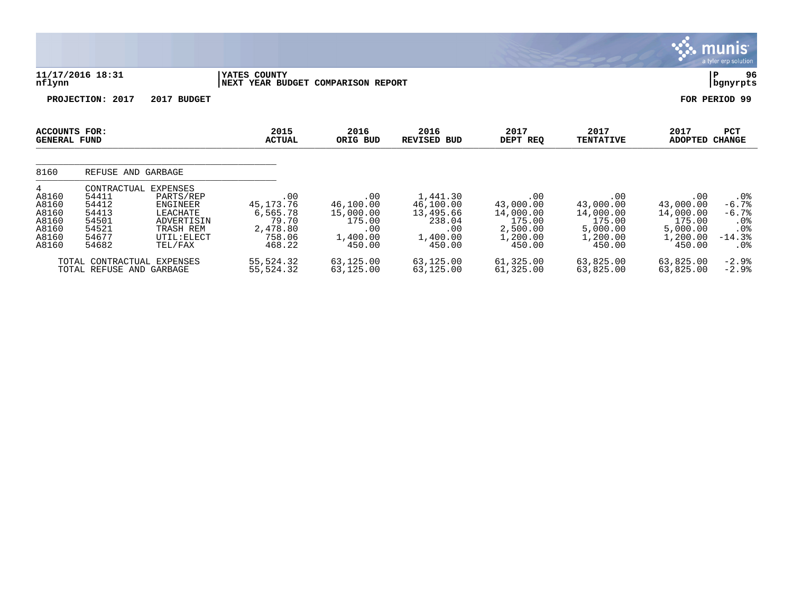|                                                                  |                                                                            |                                                                                                                  |                                                                       |                                                                      |                                                                           |                                                                                |                                                                           | <b>munis</b>                                                              | a tyler erp solution                                                |
|------------------------------------------------------------------|----------------------------------------------------------------------------|------------------------------------------------------------------------------------------------------------------|-----------------------------------------------------------------------|----------------------------------------------------------------------|---------------------------------------------------------------------------|--------------------------------------------------------------------------------|---------------------------------------------------------------------------|---------------------------------------------------------------------------|---------------------------------------------------------------------|
| nflynn                                                           | 11/17/2016 18:31                                                           |                                                                                                                  | YATES COUNTY<br>NEXT YEAR BUDGET COMPARISON REPORT                    |                                                                      |                                                                           |                                                                                |                                                                           | P                                                                         | 96<br>bgnyrpts                                                      |
|                                                                  | <b>PROJECTION:</b><br>2017                                                 | 2017 BUDGET                                                                                                      |                                                                       |                                                                      |                                                                           |                                                                                |                                                                           | FOR PERIOD 99                                                             |                                                                     |
| ACCOUNTS FOR:<br><b>GENERAL FUND</b>                             |                                                                            |                                                                                                                  | 2015<br><b>ACTUAL</b>                                                 | 2016<br>ORIG BUD                                                     | 2016<br><b>REVISED BUD</b>                                                | 2017<br>DEPT REQ                                                               | 2017<br><b>TENTATIVE</b>                                                  | 2017<br><b>ADOPTED</b>                                                    | PCT<br><b>CHANGE</b>                                                |
| 8160                                                             | REFUSE AND GARBAGE                                                         |                                                                                                                  |                                                                       |                                                                      |                                                                           |                                                                                |                                                                           |                                                                           |                                                                     |
| 4<br>A8160<br>A8160<br>A8160<br>A8160<br>A8160<br>A8160<br>A8160 | CONTRACTUAL<br>54411<br>54412<br>54413<br>54501<br>54521<br>54677<br>54682 | <b>EXPENSES</b><br>PARTS/REP<br><b>ENGINEER</b><br>LEACHATE<br>ADVERTISIN<br>TRASH REM<br>UTIL: ELECT<br>TEL/FAX | .00<br>45,173.76<br>6,565.78<br>79.70<br>2,478.80<br>758.06<br>468.22 | .00<br>46,100.00<br>15,000.00<br>175.00<br>.00<br>1,400.00<br>450.00 | 1,441.30<br>46,100.00<br>13,495.66<br>238.04<br>.00<br>1,400.00<br>450.00 | $.00 \,$<br>43,000.00<br>14,000.00<br>175.00<br>2,500.00<br>1,200.00<br>450.00 | .00<br>43,000.00<br>14,000.00<br>175.00<br>5,000.00<br>1,200.00<br>450.00 | .00<br>43,000.00<br>14,000.00<br>175.00<br>5,000.00<br>1,200.00<br>450.00 | $.0\%$<br>$-6.7%$<br>$-6.7%$<br>$.0\%$<br>.0%<br>$-14.3%$<br>$.0\%$ |
|                                                                  | TOTAL CONTRACTUAL<br>TOTAL REFUSE AND GARBAGE                              | <b>EXPENSES</b>                                                                                                  | 55,524.32<br>55,524.32                                                | 63,125.00<br>63,125.00                                               | 63,125.00<br>63,125.00                                                    | 61,325.00<br>61,325.00                                                         | 63,825.00<br>63,825.00                                                    | 63,825.00<br>63,825.00                                                    | $-2.9%$<br>$-2.9%$                                                  |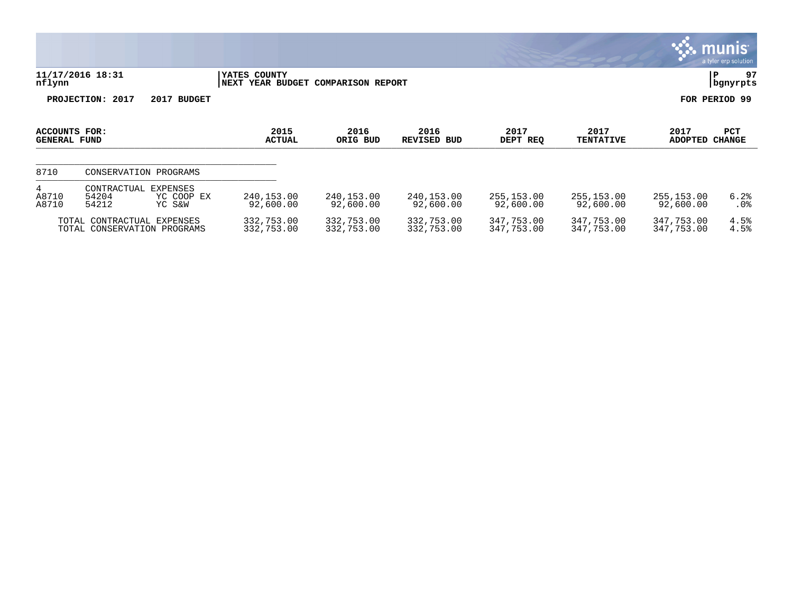|                                      |                                                           |                                  |                                                    |                          |                               |                          |                          |                          | a tyler erp solution    |
|--------------------------------------|-----------------------------------------------------------|----------------------------------|----------------------------------------------------|--------------------------|-------------------------------|--------------------------|--------------------------|--------------------------|-------------------------|
| nflynn                               | 11/17/2016 18:31                                          |                                  | YATES COUNTY<br>NEXT YEAR BUDGET COMPARISON REPORT |                          |                               |                          |                          |                          | 97<br> P<br>  bgnyrpts  |
|                                      | PROJECTION: 2017                                          | 2017 BUDGET                      |                                                    |                          |                               |                          |                          |                          | FOR PERIOD 99           |
| ACCOUNTS FOR:<br><b>GENERAL FUND</b> |                                                           |                                  | 2015<br><b>ACTUAL</b>                              | 2016<br>ORIG BUD         | 2016<br><b>REVISED</b><br>BUD | 2017<br>DEPT REQ         | 2017<br><b>TENTATIVE</b> | 2017<br><b>ADOPTED</b>   | PCT<br><b>CHANGE</b>    |
| 8710                                 | CONSERVATION PROGRAMS                                     |                                  |                                                    |                          |                               |                          |                          |                          |                         |
| 4<br>A8710<br>A8710                  | CONTRACTUAL<br>54204<br>54212                             | EXPENSES<br>YC COOP EX<br>YC S&W | 240,153.00<br>92,600.00                            | 240,153.00<br>92,600.00  | 240,153.00<br>92,600.00       | 255,153.00<br>92,600.00  | 255,153.00<br>92,600.00  | 255,153.00<br>92,600.00  | 6.2%<br>.0 <sub>8</sub> |
|                                      | TOTAL CONTRACTUAL EXPENSES<br>TOTAL CONSERVATION PROGRAMS |                                  | 332,753.00<br>332,753.00                           | 332,753.00<br>332,753.00 | 332,753.00<br>332,753.00      | 347,753.00<br>347,753.00 | 347,753.00<br>347,753.00 | 347,753.00<br>347,753.00 | 4.5%<br>4.5%            |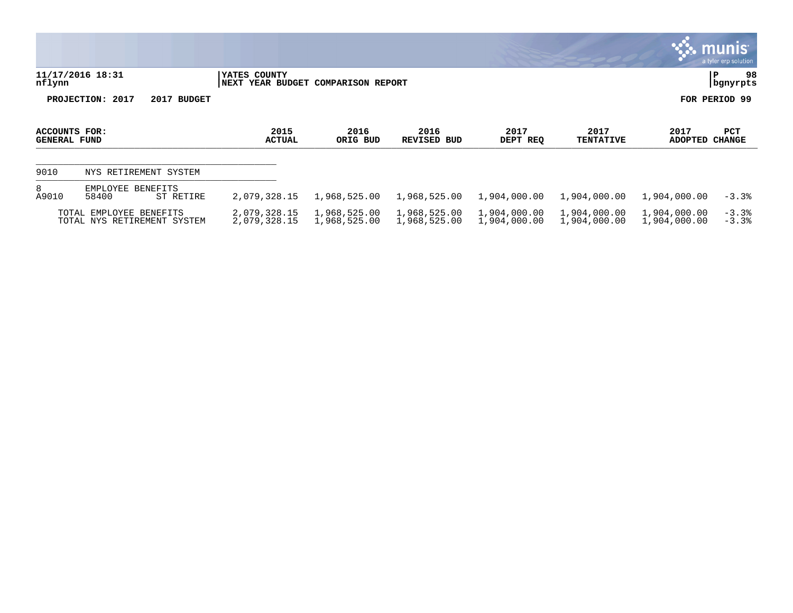|                                      |                                                  |                              |                                    |                              |                              |                              |                              | $\sim$ munis<br>a tyler erp solution |
|--------------------------------------|--------------------------------------------------|------------------------------|------------------------------------|------------------------------|------------------------------|------------------------------|------------------------------|--------------------------------------|
| nflynn                               | 11/17/2016 18:31                                 | YATES COUNTY                 | NEXT YEAR BUDGET COMPARISON REPORT |                              |                              |                              |                              | 98<br>P<br>bgnyrpts                  |
|                                      | PROJECTION: 2017<br>2017 BUDGET                  |                              |                                    |                              |                              |                              |                              | FOR PERIOD 99                        |
| ACCOUNTS FOR:<br><b>GENERAL FUND</b> |                                                  | 2015<br><b>ACTUAL</b>        | 2016<br>ORIG BUD                   | 2016<br>REVISED BUD          | 2017<br>DEPT REQ             | 2017<br><b>TENTATIVE</b>     | 2017<br>ADOPTED              | PCT<br><b>CHANGE</b>                 |
| 9010                                 | NYS RETIREMENT SYSTEM                            |                              |                                    |                              |                              |                              |                              |                                      |
| 8<br>A9010                           | EMPLOYEE BENEFITS<br>58400<br>ST RETIRE          | 2,079,328.15                 | 1,968,525.00                       | 1,968,525.00                 | 1,904,000.00                 | 1,904,000.00                 | 1,904,000.00                 | $-3.3%$                              |
| TOTAL                                | EMPLOYEE BENEFITS<br>TOTAL NYS RETIREMENT SYSTEM | 2,079,328.15<br>2,079,328.15 | 1,968,525.00<br>1,968,525.00       | 1,968,525.00<br>1,968,525.00 | 1,904,000.00<br>1,904,000.00 | 1,904,000.00<br>1,904,000.00 | 1,904,000.00<br>1,904,000.00 | $-3.3%$<br>$-3.3%$                   |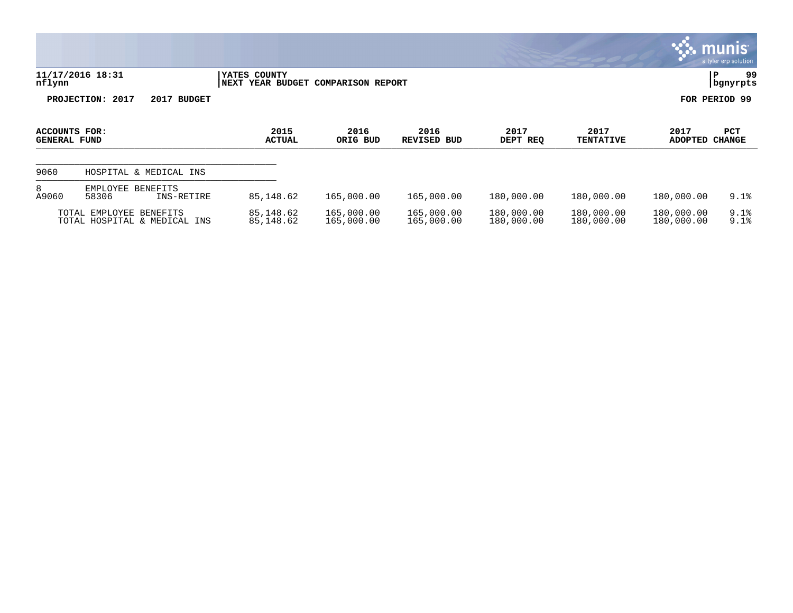|                                      |                                                         |                        |                               |                            |                          |                          |                          | <u>munis l</u><br>a tyler erp solution |
|--------------------------------------|---------------------------------------------------------|------------------------|-------------------------------|----------------------------|--------------------------|--------------------------|--------------------------|----------------------------------------|
| nflynn                               | 11/17/2016 18:31                                        | YATES COUNTY<br>  NEXT | YEAR BUDGET COMPARISON REPORT |                            |                          |                          |                          | 99<br>l P<br>  bgnyrpts                |
|                                      | PROJECTION: 2017<br>2017 BUDGET                         |                        |                               |                            |                          |                          |                          | FOR PERIOD 99                          |
| ACCOUNTS FOR:<br><b>GENERAL FUND</b> |                                                         | 2015<br><b>ACTUAL</b>  | 2016<br>ORIG BUD              | 2016<br><b>REVISED BUD</b> | 2017<br>DEPT REQ         | 2017<br><b>TENTATIVE</b> | 2017<br>ADOPTED          | PCT<br><b>CHANGE</b>                   |
| 9060                                 | HOSPITAL & MEDICAL INS                                  |                        |                               |                            |                          |                          |                          |                                        |
| 8<br>A9060                           | EMPLOYEE<br>BENEFITS<br>58306<br>INS-RETIRE             | 85,148.62              | 165,000.00                    | 165,000.00                 | 180,000.00               | 180,000.00               | 180,000.00               | 9.1%                                   |
|                                      | TOTAL EMPLOYEE BENEFITS<br>TOTAL HOSPITAL & MEDICAL INS | 85,148.62<br>85,148.62 | 165,000.00<br>165,000.00      | 165,000.00<br>165,000.00   | 180,000.00<br>180,000.00 | 180,000.00<br>180,000.00 | 180,000.00<br>180,000.00 | 9.1%<br>9.1%                           |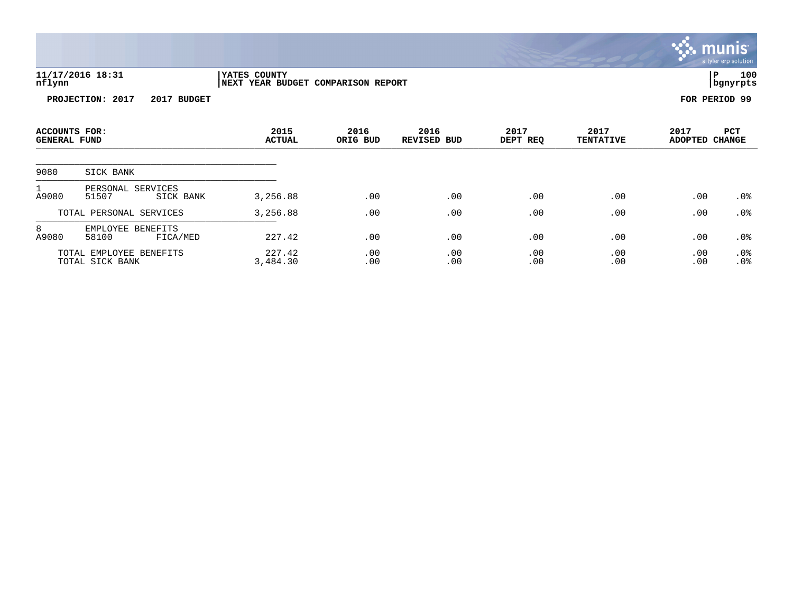|                                      |                                            |                                                    |                  |                            |                  |                          |                        | a tyler erp solution |
|--------------------------------------|--------------------------------------------|----------------------------------------------------|------------------|----------------------------|------------------|--------------------------|------------------------|----------------------|
| nflynn                               | 11/17/2016 18:31                           | YATES COUNTY<br>NEXT YEAR BUDGET COMPARISON REPORT |                  |                            |                  |                          | P                      | 100<br>bgnyrpts      |
|                                      | PROJECTION: 2017<br>2017 BUDGET            |                                                    |                  |                            |                  |                          | FOR PERIOD 99          |                      |
| ACCOUNTS FOR:<br><b>GENERAL FUND</b> |                                            | 2015<br><b>ACTUAL</b>                              | 2016<br>ORIG BUD | 2016<br><b>REVISED BUD</b> | 2017<br>DEPT REQ | 2017<br><b>TENTATIVE</b> | 2017<br>ADOPTED CHANGE | PCT                  |
| 9080                                 | SICK BANK                                  |                                                    |                  |                            |                  |                          |                        |                      |
| A9080                                | PERSONAL SERVICES<br>51507<br>SICK BANK    | 3,256.88                                           | .00              | .00                        | .00              | .00                      | .00                    | .0%                  |
|                                      | TOTAL PERSONAL SERVICES                    | 3,256.88                                           | .00              | .00                        | .00              | .00                      | .00                    | .0 <sub>8</sub>      |
| 8<br>A9080                           | EMPLOYEE BENEFITS<br>58100<br>FICA/MED     | 227.42                                             | .00              | .00                        | .00              | .00                      | .00                    | .0%                  |
|                                      | TOTAL EMPLOYEE BENEFITS<br>TOTAL SICK BANK | 227.42<br>3,484.30                                 | .00<br>.00       | .00<br>.00                 | .00<br>.00       | .00<br>.00               | .00<br>.00             | .0%<br>.0%           |

 $\ddot{\ddot{\mathbf{w}}}$  munis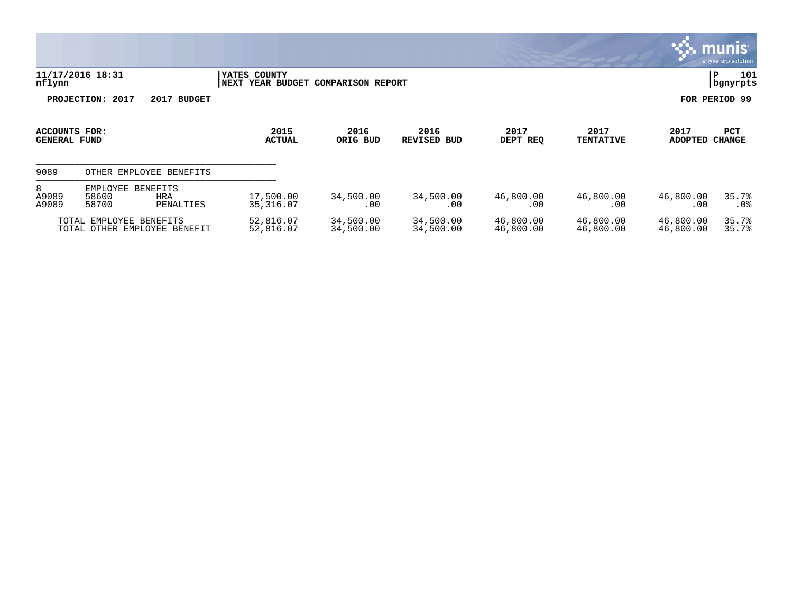|                                      |                                                                          |                         |                               |                               |                        |                          |                        | munis  <br>a tyler erp solution |
|--------------------------------------|--------------------------------------------------------------------------|-------------------------|-------------------------------|-------------------------------|------------------------|--------------------------|------------------------|---------------------------------|
| nflynn                               | 11/17/2016 18:31                                                         | YATES COUNTY<br>NEXT    | YEAR BUDGET COMPARISON REPORT |                               |                        |                          |                        | 101<br>P<br>bgnyrpts            |
|                                      | PROJECTION: 2017<br>2017 BUDGET                                          |                         |                               |                               |                        |                          |                        | FOR PERIOD 99                   |
| ACCOUNTS FOR:<br><b>GENERAL FUND</b> |                                                                          | 2015<br><b>ACTUAL</b>   | 2016<br>ORIG BUD              | 2016<br><b>REVISED</b><br>BUD | 2017<br>DEPT REQ       | 2017<br><b>TENTATIVE</b> | 2017<br><b>ADOPTED</b> | PCT<br><b>CHANGE</b>            |
| 9089                                 | OTHER EMPLOYEE BENEFITS                                                  |                         |                               |                               |                        |                          |                        |                                 |
| 8<br>A9089<br>A9089                  | EMPLOYEE<br><b>BENEFITS</b><br>58600<br><b>HRA</b><br>58700<br>PENALTIES | 17,500.00<br>35, 316.07 | 34,500.00<br>.00              | 34,500.00<br>.00              | 46,800.00<br>.00       | 46,800.00<br>.00         | 46,800.00<br>.00       | 35.7%<br>.0 <sub>8</sub>        |
| TOTAL<br>TOTAL                       | EMPLOYEE BENEFITS<br>OTHER EMPLOYEE BENEFIT                              | 52,816.07<br>52,816.07  | 34,500.00<br>34,500.00        | 34,500.00<br>34,500.00        | 46,800.00<br>46,800.00 | 46,800.00<br>46,800.00   | 46,800.00<br>46,800.00 | 35.7%<br>35.7%                  |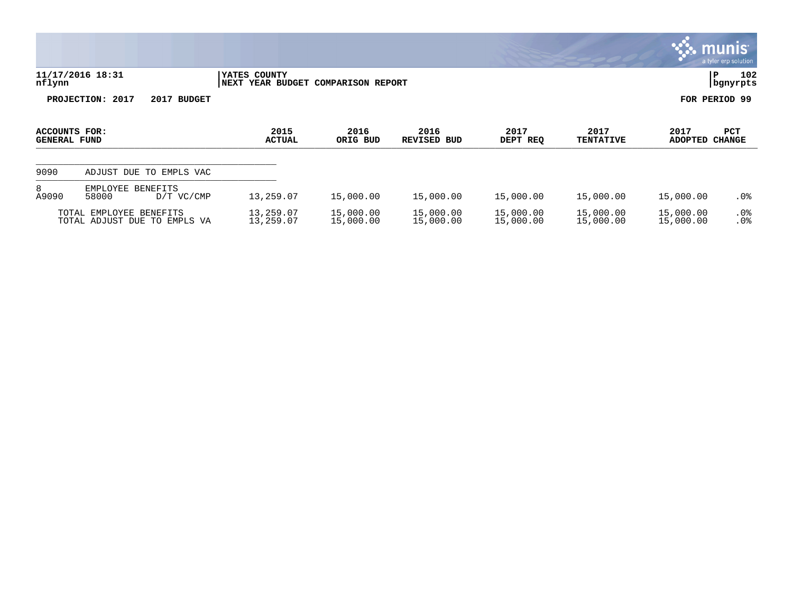|                                      |                                                         |                        |                               |                        |                        |                          |                        | munis<br>a tyler erp solution   |
|--------------------------------------|---------------------------------------------------------|------------------------|-------------------------------|------------------------|------------------------|--------------------------|------------------------|---------------------------------|
| nflynn                               | 11/17/2016 18:31                                        | YATES COUNTY<br>  NEXT | YEAR BUDGET COMPARISON REPORT |                        |                        |                          |                        | 102<br>$\, {\bf P}$<br>bgnyrpts |
|                                      | PROJECTION: 2017<br>2017 BUDGET                         |                        |                               |                        |                        |                          |                        | FOR PERIOD 99                   |
| <b>ACCOUNTS FOR:</b><br>GENERAL FUND |                                                         | 2015<br><b>ACTUAL</b>  | 2016<br>ORIG BUD              | 2016<br>REVISED BUD    | 2017<br>DEPT REQ       | 2017<br><b>TENTATIVE</b> | 2017<br><b>ADOPTED</b> | PCT<br><b>CHANGE</b>            |
| 9090                                 | ADJUST DUE TO EMPLS VAC                                 |                        |                               |                        |                        |                          |                        |                                 |
| 8<br>A9090                           | EMPLOYEE BENEFITS<br>58000<br>D/T VC/CMP                | 13,259.07              | 15,000.00                     | 15,000.00              | 15,000.00              | 15,000.00                | 15,000.00              | $.0\%$                          |
|                                      | TOTAL EMPLOYEE BENEFITS<br>TOTAL ADJUST DUE TO EMPLS VA | 13,259.07<br>13,259.07 | 15,000.00<br>15,000.00        | 15,000.00<br>15,000.00 | 15,000.00<br>15,000.00 | 15,000.00<br>15,000.00   | 15,000.00<br>15,000.00 | .0%<br>.0%                      |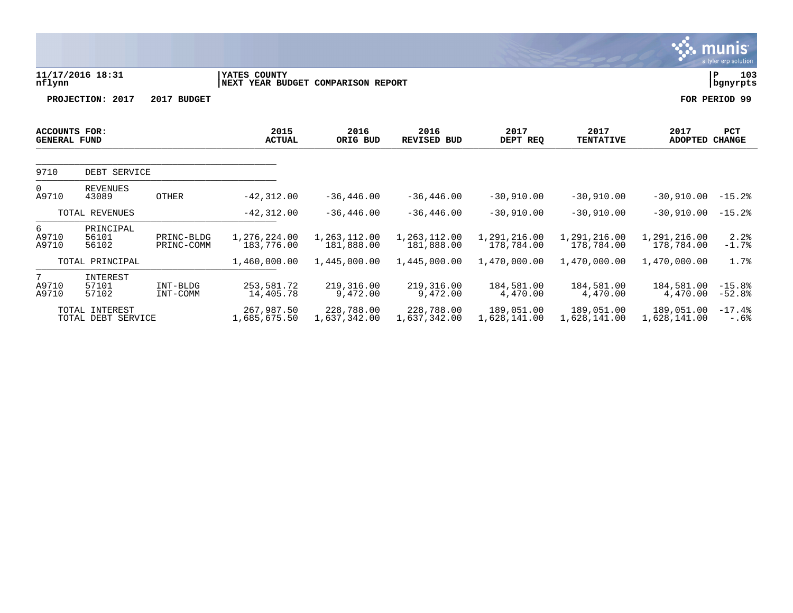|                                             |                                                |                          |                                                    |                                            |                                            |                                            |                                            |                                            | <b>munis</b><br>a tyler erp solution |
|---------------------------------------------|------------------------------------------------|--------------------------|----------------------------------------------------|--------------------------------------------|--------------------------------------------|--------------------------------------------|--------------------------------------------|--------------------------------------------|--------------------------------------|
| nflynn                                      | 11/17/2016 18:31                               |                          | YATES COUNTY<br>NEXT YEAR BUDGET COMPARISON REPORT |                                            |                                            |                                            |                                            |                                            | 103<br>P<br>bgnyrpts                 |
|                                             | PROJECTION: 2017                               | 2017 BUDGET              |                                                    |                                            |                                            |                                            |                                            |                                            | FOR PERIOD 99                        |
| <b>ACCOUNTS FOR:</b><br><b>GENERAL FUND</b> |                                                |                          | 2015<br><b>ACTUAL</b>                              | 2016<br>ORIG BUD                           | 2016<br><b>REVISED BUD</b>                 | 2017<br>DEPT REQ                           | 2017<br><b>TENTATIVE</b>                   | 2017<br><b>ADOPTED</b>                     | <b>PCT</b><br><b>CHANGE</b>          |
| 9710                                        | DEBT SERVICE                                   |                          |                                                    |                                            |                                            |                                            |                                            |                                            |                                      |
| $\mathbf 0$<br>A9710                        | <b>REVENUES</b><br>43089                       | <b>OTHER</b>             | $-42, 312, 00$                                     | $-36, 446, 00$                             | $-36, 446, 00$                             | $-30.910.00$                               | $-30,910,00$                               | $-30.910.00$                               | $-15.2%$                             |
|                                             | TOTAL REVENUES                                 |                          | $-42, 312.00$                                      | $-36, 446.00$                              | $-36, 446.00$                              | $-30,910.00$                               | $-30,910.00$                               | $-30,910.00$                               | $-15.2$ $% -15.2$                    |
| 6<br>A9710<br>A9710                         | PRINCIPAL<br>56101<br>56102<br>TOTAL PRINCIPAL | PRINC-BLDG<br>PRINC-COMM | 1,276,224.00<br>183,776.00<br>1,460,000.00         | 1,263,112.00<br>181,888.00<br>1,445,000.00 | 1,263,112.00<br>181,888.00<br>1,445,000.00 | 1,291,216.00<br>178,784.00<br>1,470,000.00 | 1,291,216.00<br>178,784.00<br>1,470,000.00 | 1,291,216.00<br>178,784.00<br>1,470,000.00 | 2.2%<br>$-1.7%$<br>1.7%              |
|                                             |                                                |                          |                                                    |                                            |                                            |                                            |                                            |                                            |                                      |
| 7<br>A9710<br>A9710                         | INTEREST<br>57101<br>57102                     | INT-BLDG<br>INT-COMM     | 253,581.72<br>14,405.78                            | 219,316.00<br>9,472.00                     | 219,316.00<br>9,472.00                     | 184,581.00<br>4,470.00                     | 184,581.00<br>4,470.00                     | 184,581.00<br>4,470.00                     | $-15.8%$<br>$-52.8%$                 |
|                                             | TOTAL INTEREST<br>TOTAL DEBT SERVICE           |                          | 267,987.50<br>1,685,675.50                         | 228,788.00<br>1,637,342.00                 | 228,788.00<br>1,637,342.00                 | 189,051,00<br>1,628,141.00                 | 189,051.00<br>1,628,141.00                 | 189,051.00<br>1,628,141.00                 | $-17.4%$<br>$-.6%$                   |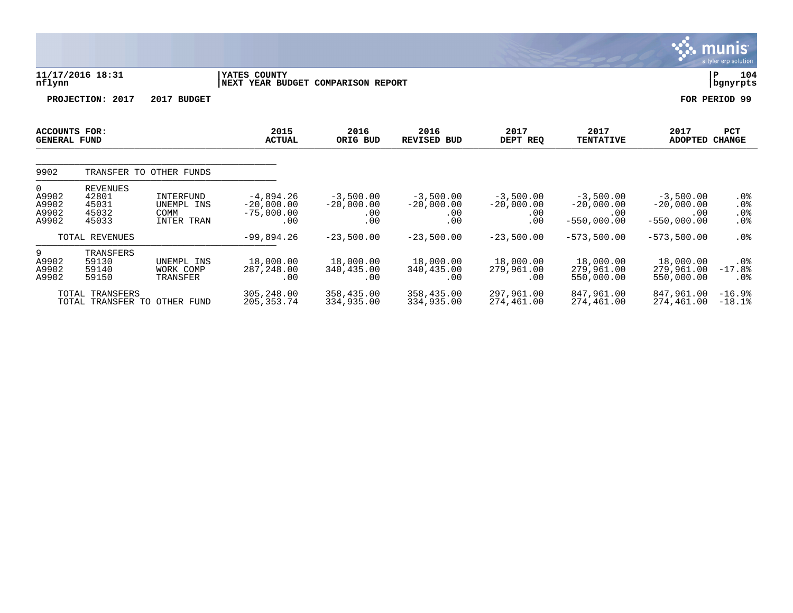|                                                  |                                                     |                                                      |                                                    |                                           |                                           |                                           |                                                     |                                                     | munis <sup>.</sup><br>a tyler erp solution |
|--------------------------------------------------|-----------------------------------------------------|------------------------------------------------------|----------------------------------------------------|-------------------------------------------|-------------------------------------------|-------------------------------------------|-----------------------------------------------------|-----------------------------------------------------|--------------------------------------------|
| nflynn                                           | 11/17/2016 18:31                                    |                                                      | YATES COUNTY<br>NEXT YEAR BUDGET COMPARISON REPORT |                                           |                                           |                                           |                                                     |                                                     | 104<br>l P<br>  bgnyrpts                   |
|                                                  | PROJECTION: 2017                                    | 2017 BUDGET                                          |                                                    |                                           |                                           |                                           |                                                     |                                                     | FOR PERIOD 99                              |
| <b>ACCOUNTS FOR:</b><br><b>GENERAL FUND</b>      |                                                     |                                                      | 2015<br><b>ACTUAL</b>                              | 2016<br>ORIG BUD                          | 2016<br><b>REVISED BUD</b>                | 2017<br>DEPT REQ                          | 2017<br><b>TENTATIVE</b>                            | 2017<br><b>ADOPTED</b>                              | <b>PCT</b><br><b>CHANGE</b>                |
| 9902                                             |                                                     | TRANSFER TO OTHER FUNDS                              |                                                    |                                           |                                           |                                           |                                                     |                                                     |                                            |
| $\mathbf{0}$<br>A9902<br>A9902<br>A9902<br>A9902 | <b>REVENUES</b><br>42801<br>45031<br>45032<br>45033 | INTERFUND<br>UNEMPL INS<br><b>COMM</b><br>INTER TRAN | $-4,894.26$<br>$-20,000.00$<br>$-75,000.00$<br>.00 | $-3,500.00$<br>$-20,000.00$<br>.00<br>.00 | $-3,500.00$<br>$-20,000.00$<br>.00<br>.00 | $-3,500.00$<br>$-20,000.00$<br>.00<br>.00 | $-3,500.00$<br>$-20,000.00$<br>.00<br>$-550,000.00$ | $-3,500.00$<br>$-20,000.00$<br>.00<br>$-550,000.00$ | $.0\%$<br>$.0\%$<br>.0%<br>.0 <sub>8</sub> |
|                                                  | TOTAL REVENUES                                      |                                                      | $-99,894.26$                                       | $-23,500.00$                              | $-23,500.00$                              | $-23,500.00$                              | $-573, 500.00$                                      | $-573,500.00$                                       | .0%                                        |
| 9<br>A9902<br>A9902<br>A9902                     | TRANSFERS<br>59130<br>59140<br>59150                | UNEMPL INS<br>WORK COMP<br>TRANSFER                  | 18,000.00<br>287, 248.00<br>.00                    | 18,000.00<br>340,435.00<br>.00            | 18,000.00<br>340,435.00<br>.00            | 18,000.00<br>279,961.00<br>.00            | 18,000.00<br>279,961.00<br>550,000.00               | 18,000.00<br>279,961.00<br>550,000.00               | $.0\%$<br>$-17.8%$<br>.0 <sub>8</sub>      |
|                                                  | TOTAL TRANSFERS<br>TOTAL TRANSFER TO OTHER FUND     |                                                      | 305,248.00<br>205, 353. 74                         | 358,435.00<br>334,935.00                  | 358,435.00<br>334,935.00                  | 297,961.00<br>274,461.00                  | 847,961.00<br>274,461.00                            | 847,961,00<br>274,461.00                            | $-16.9%$<br>$-18.1$ $% -18.1$              |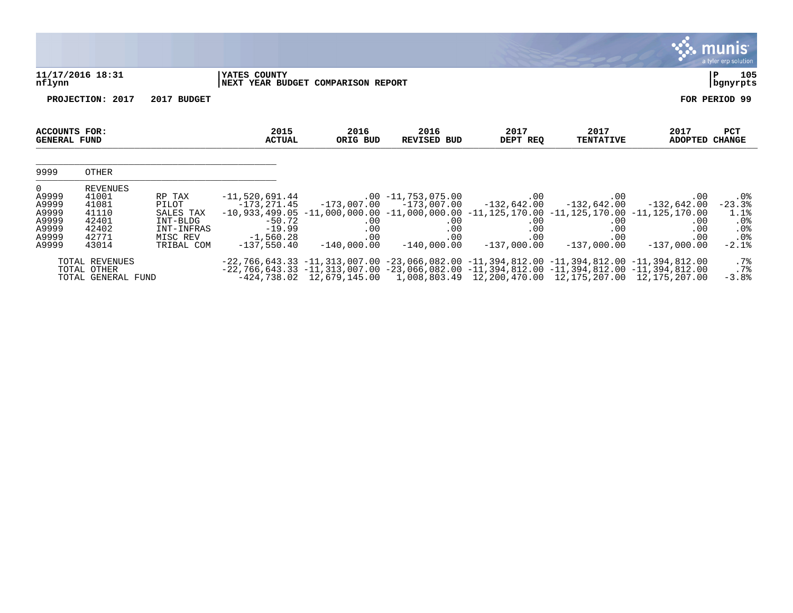|                                                                               |                                                                         |                                                                                  |                                                                                         |                                    |                                                                                                                                                                                                                                                                                                                            |                                                                 |                                                                              |                                                            | <u>munis </u><br>a tyler erp solution                         |
|-------------------------------------------------------------------------------|-------------------------------------------------------------------------|----------------------------------------------------------------------------------|-----------------------------------------------------------------------------------------|------------------------------------|----------------------------------------------------------------------------------------------------------------------------------------------------------------------------------------------------------------------------------------------------------------------------------------------------------------------------|-----------------------------------------------------------------|------------------------------------------------------------------------------|------------------------------------------------------------|---------------------------------------------------------------|
| nflynn                                                                        | 11/17/2016 18:31                                                        |                                                                                  | YATES COUNTY                                                                            | NEXT YEAR BUDGET COMPARISON REPORT |                                                                                                                                                                                                                                                                                                                            |                                                                 |                                                                              |                                                            | 105<br>P<br>bgnyrpts                                          |
|                                                                               | PROJECTION: 2017                                                        | 2017 BUDGET                                                                      |                                                                                         |                                    |                                                                                                                                                                                                                                                                                                                            |                                                                 |                                                                              |                                                            | FOR PERIOD 99                                                 |
| <b>ACCOUNTS FOR:</b><br><b>GENERAL FUND</b>                                   |                                                                         |                                                                                  | 2015<br><b>ACTUAL</b>                                                                   | 2016<br>ORIG BUD                   | 2016<br><b>REVISED BUD</b>                                                                                                                                                                                                                                                                                                 | 2017<br>DEPT REQ                                                | 2017<br><b>TENTATIVE</b>                                                     | 2017<br><b>ADOPTED</b>                                     | PCT<br><b>CHANGE</b>                                          |
| 9999                                                                          | OTHER                                                                   |                                                                                  |                                                                                         |                                    |                                                                                                                                                                                                                                                                                                                            |                                                                 |                                                                              |                                                            |                                                               |
| $\overline{0}$<br>A9999<br>A9999<br>A9999<br>A9999<br>A9999<br>A9999<br>A9999 | REVENUES<br>41001<br>41081<br>41110<br>42401<br>42402<br>42771<br>43014 | RP TAX<br>PILOT<br>SALES TAX<br>INT-BLDG<br>INT-INFRAS<br>MISC REV<br>TRIBAL COM | $-11,520,691.44$<br>-173,271.45<br>$-50.72$<br>$-19.99$<br>$-1,560.28$<br>$-137,550.40$ | .00<br>.00<br>.00<br>$-140,000.00$ | $.00 - 11,753,075.00$<br>$-173,007.00$ $-173,007.00$<br>$-10, 933, 499.05$ $-11, 000, 000.00$ $-11, 000, 000.00$ $-11, 125, 170.00$ $-11, 125, 170.00$ $-11, 125, 170.00$<br>.00<br>.00<br>.00<br>$-140,000.00$                                                                                                            | $.00 \,$<br>$-132,642.00$<br>.00<br>.00<br>.00<br>$-137,000.00$ | $.00 \,$<br>$-132,642.00$<br>$.00 \,$<br>$.00 \ \rm$<br>.00<br>$-137,000.00$ | .00<br>$-132,642.00$<br>.00<br>.00<br>.00<br>$-137,000.00$ | $.0\%$<br>$-23.3%$<br>1.1%<br>.0%<br>$.0\%$<br>.0%<br>$-2.1%$ |
|                                                                               | TOTAL REVENUES<br>TOTAL OTHER<br>TOTAL GENERAL FUND                     |                                                                                  |                                                                                         |                                    | $-22, 766, 643.33$ $-11, 313, 007.00$ $-23, 066, 082.00$ $-11, 394, 812.00$ $-11, 394, 812.00$ $-11, 394, 812.00$<br>$-22, 766, 643.33$ $-11, 313, 007.00$ $-23, 066, 082.00$ $-11, 394, 812.00$ $-11, 394, 812.00$ $-11, 394, 812.00$<br>-424,738.02 12,679,145.00 1,008,803.49 12,200,470.00 12,175,207.00 12,175,207.00 |                                                                 |                                                                              |                                                            | $.7\%$<br>.7%<br>$-3.8%$                                      |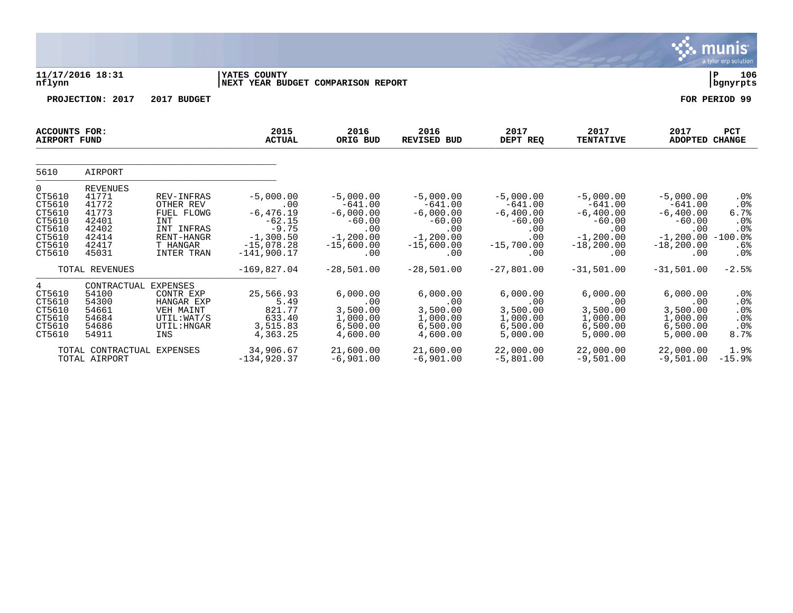|                                                                                   |                                                                                         |                                                                                                                  |                                                                                                           |                                                                                                   |                                                                                                   |                                                                                          |                                                                                                     |                                                                                                     | <u>munis </u><br>a tyler erp solution                              |
|-----------------------------------------------------------------------------------|-----------------------------------------------------------------------------------------|------------------------------------------------------------------------------------------------------------------|-----------------------------------------------------------------------------------------------------------|---------------------------------------------------------------------------------------------------|---------------------------------------------------------------------------------------------------|------------------------------------------------------------------------------------------|-----------------------------------------------------------------------------------------------------|-----------------------------------------------------------------------------------------------------|--------------------------------------------------------------------|
| nflynn                                                                            | 11/17/2016 18:31                                                                        |                                                                                                                  | <b>IYATES COUNTY</b><br>NEXT YEAR BUDGET COMPARISON REPORT                                                |                                                                                                   |                                                                                                   |                                                                                          |                                                                                                     |                                                                                                     | 106<br>P<br>  bgnyrpts                                             |
|                                                                                   | PROJECTION: 2017                                                                        | 2017 BUDGET                                                                                                      |                                                                                                           |                                                                                                   |                                                                                                   |                                                                                          |                                                                                                     |                                                                                                     | FOR PERIOD 99                                                      |
| ACCOUNTS FOR:<br><b>AIRPORT FUND</b>                                              |                                                                                         |                                                                                                                  | 2015<br><b>ACTUAL</b>                                                                                     | 2016<br>ORIG BUD                                                                                  | 2016<br>REVISED BUD                                                                               | 2017<br>DEPT REQ                                                                         | 2017<br><b>TENTATIVE</b>                                                                            | 2017<br><b>ADOPTED</b>                                                                              | <b>PCT</b><br><b>CHANGE</b>                                        |
| 5610                                                                              | AIRPORT                                                                                 |                                                                                                                  |                                                                                                           |                                                                                                   |                                                                                                   |                                                                                          |                                                                                                     |                                                                                                     |                                                                    |
| 0<br>CT5610<br>CT5610<br>CT5610<br>CT5610<br>CT5610<br>CT5610<br>CT5610<br>CT5610 | <b>REVENUES</b><br>41771<br>41772<br>41773<br>42401<br>42402<br>42414<br>42417<br>45031 | REV-INFRAS<br>OTHER REV<br>FUEL FLOWG<br><b>INT</b><br>INT INFRAS<br>RENT-HANGR<br>T HANGAR<br><b>INTER TRAN</b> | $-5,000.00$<br>.00<br>$-6, 476.19$<br>$-62.15$<br>$-9.75$<br>$-1,300.50$<br>$-15,078.28$<br>$-141,900.17$ | $-5,000.00$<br>$-641.00$<br>$-6,000.00$<br>$-60.00$<br>.00<br>$-1, 200.00$<br>$-15,600.00$<br>.00 | $-5,000.00$<br>$-641.00$<br>$-6,000.00$<br>$-60.00$<br>.00<br>$-1, 200.00$<br>$-15,600.00$<br>.00 | $-5,000.00$<br>$-641.00$<br>$-6,400.00$<br>$-60.00$<br>.00<br>.00<br>$-15,700.00$<br>.00 | $-5,000.00$<br>$-641.00$<br>$-6, 400.00$<br>$-60.00$<br>.00<br>$-1, 200.00$<br>$-18, 200.00$<br>.00 | $-5,000.00$<br>$-641.00$<br>$-6, 400.00$<br>$-60.00$<br>.00<br>$-1, 200.00$<br>$-18, 200.00$<br>.00 | $.0\%$<br>.0%<br>6.7%<br>.0%<br>$.0\%$<br>$-100.0$ %<br>.6%<br>.0% |
|                                                                                   | TOTAL REVENUES                                                                          |                                                                                                                  | $-169,827.04$                                                                                             | $-28,501.00$                                                                                      | $-28,501.00$                                                                                      | $-27,801.00$                                                                             | $-31,501.00$                                                                                        | $-31,501.00$                                                                                        | $-2.5%$                                                            |
| 4<br>CT5610<br>CT5610<br>CT5610<br>CT5610<br>CT5610<br>CT5610                     | CONTRACTUAL EXPENSES<br>54100<br>54300<br>54661<br>54684<br>54686<br>54911              | CONTR EXP<br>HANGAR EXP<br>VEH MAINT<br>UTIL:WAT/S<br>UTIL: HNGAR<br>INS                                         | 25,566.93<br>5.49<br>821.77<br>633.40<br>3,515.83<br>4,363.25                                             | 6.000.00<br>.00<br>3,500.00<br>1,000.00<br>6,500.00<br>4,600.00                                   | 6,000.00<br>.00<br>3,500.00<br>1,000.00<br>6,500.00<br>4,600.00                                   | 6.000.00<br>.00<br>3,500.00<br>1,000.00<br>6,500.00<br>5,000.00                          | 6.000.00<br>.00<br>3,500.00<br>1,000.00<br>6,500.00<br>5,000.00                                     | 6.000.00<br>.00<br>3,500.00<br>1,000.00<br>6,500.00<br>5,000.00                                     | .0 <sub>8</sub><br>.0%<br>.0%<br>.0%<br>.0%<br>8.7%                |
|                                                                                   | TOTAL CONTRACTUAL EXPENSES<br>TOTAL AIRPORT                                             |                                                                                                                  | 34,906.67<br>$-134,920.37$                                                                                | 21,600.00<br>$-6,901.00$                                                                          | 21,600.00<br>$-6,901.00$                                                                          | 22,000.00<br>$-5,801.00$                                                                 | 22,000.00<br>$-9,501.00$                                                                            | 22,000.00<br>$-9,501.00$                                                                            | 1.9%<br>$-15.9%$                                                   |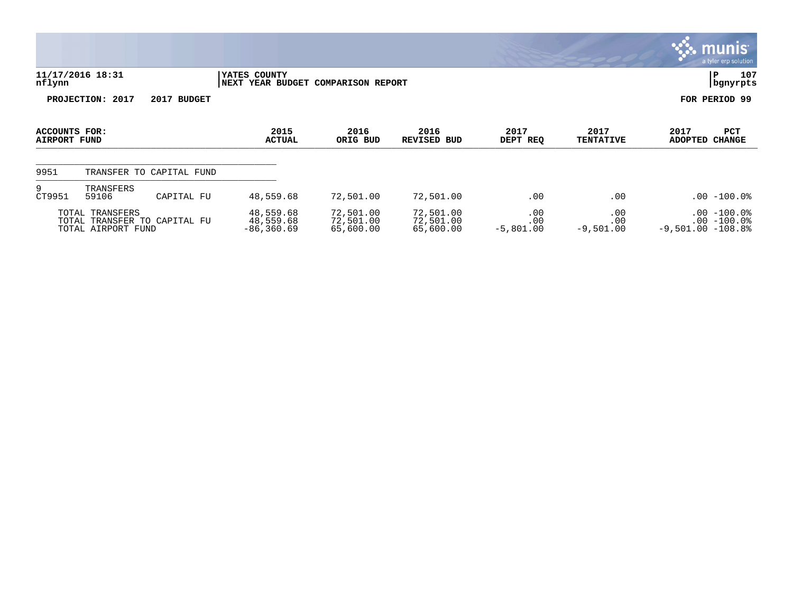|                               |                                       |                              |                                                    |                                     |                                     |                           |                           |                        | <u>munis l</u><br>a tyler erp solution |
|-------------------------------|---------------------------------------|------------------------------|----------------------------------------------------|-------------------------------------|-------------------------------------|---------------------------|---------------------------|------------------------|----------------------------------------|
| nflynn                        | 11/17/2016 18:31                      |                              | YATES COUNTY<br>NEXT YEAR BUDGET COMPARISON REPORT |                                     |                                     |                           |                           | PΡ                     | 107<br>bgnyrpts                        |
|                               | PROJECTION: 2017                      | 2017 BUDGET                  |                                                    |                                     |                                     |                           |                           | FOR PERIOD 99          |                                        |
| ACCOUNTS FOR:<br>AIRPORT FUND |                                       |                              | 2015<br><b>ACTUAL</b>                              | 2016<br>ORIG BUD                    | 2016<br><b>REVISED BUD</b>          | 2017<br>DEPT REQ          | 2017<br><b>TENTATIVE</b>  | 2017<br>ADOPTED CHANGE | <b>PCT</b>                             |
| 9951                          |                                       | TRANSFER TO CAPITAL FUND     |                                                    |                                     |                                     |                           |                           |                        |                                        |
| 9<br>CT9951                   | TRANSFERS<br>59106                    | CAPITAL FU                   | 48,559.68                                          | 72,501.00                           | 72,501.00                           | .00                       | $.00 \,$                  |                        | $.00 - 100.0$                          |
|                               | TOTAL TRANSFERS<br>TOTAL AIRPORT FUND | TOTAL TRANSFER TO CAPITAL FU | 48,559.68<br>48,559.68<br>$-86, 360.69$            | 72,501.00<br>72,501.00<br>65,600.00 | 72,501.00<br>72,501.00<br>65,600.00 | .00<br>.00<br>$-5,801.00$ | .00<br>.00<br>$-9,501.00$ | $-9,501.00 -108.8$     | $.00 - 100.0$<br>$.00 - 100.0$         |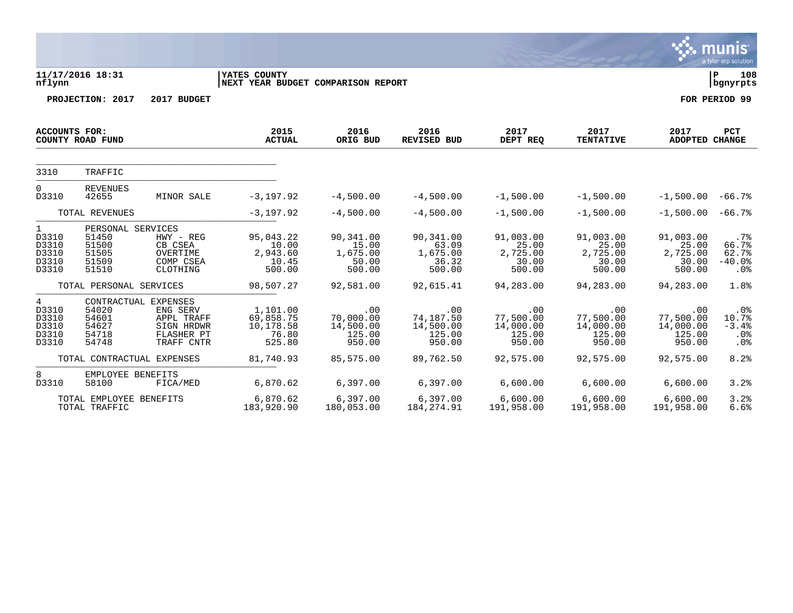|                                                              |                                                                |                                                                                          |                                                           |                                                   |                                                   |                                                   |                                                   |                                                   | munis<br>a tyler erp solution               |
|--------------------------------------------------------------|----------------------------------------------------------------|------------------------------------------------------------------------------------------|-----------------------------------------------------------|---------------------------------------------------|---------------------------------------------------|---------------------------------------------------|---------------------------------------------------|---------------------------------------------------|---------------------------------------------|
| nflynn                                                       | 11/17/2016 18:31                                               |                                                                                          | <b>YATES COUNTY</b><br>NEXT YEAR BUDGET COMPARISON REPORT |                                                   |                                                   |                                                   |                                                   |                                                   | 108<br>l P<br>  bgnyrpts                    |
|                                                              | PROJECTION: 2017                                               | 2017 BUDGET                                                                              |                                                           |                                                   |                                                   |                                                   |                                                   |                                                   | FOR PERIOD 99                               |
| <b>ACCOUNTS FOR:</b>                                         | COUNTY ROAD FUND                                               |                                                                                          | 2015<br><b>ACTUAL</b>                                     | 2016<br>ORIG BUD                                  | 2016<br>REVISED BUD                               | 2017<br>DEPT REQ                                  | 2017<br><b>TENTATIVE</b>                          | 2017<br><b>ADOPTED CHANGE</b>                     | <b>PCT</b>                                  |
| 3310                                                         | TRAFFIC                                                        |                                                                                          |                                                           |                                                   |                                                   |                                                   |                                                   |                                                   |                                             |
| $\Omega$<br>D3310                                            | <b>REVENUES</b><br>42655                                       | MINOR SALE                                                                               | $-3,197.92$                                               | $-4,500.00$                                       | $-4,500.00$                                       | $-1,500.00$                                       | $-1,500.00$                                       | $-1,500.00 - 66.7$                                |                                             |
|                                                              | TOTAL REVENUES                                                 |                                                                                          | $-3,197.92$                                               | $-4,500.00$                                       | $-4,500.00$                                       | $-1,500.00$                                       | $-1,500.00$                                       | $-1,500.00 - 66.7$                                |                                             |
| 1<br>D3310<br>D3310<br>D3310<br>D3310<br>D3310               | PERSONAL SERVICES<br>51450<br>51500<br>51505<br>51509<br>51510 | HWY - REG<br>CB CSEA<br>OVERTIME<br>COMP CSEA<br>CLOTHING                                | 95,043.22<br>10.00<br>2,943.60<br>10.45<br>500.00         | 90,341.00<br>15.00<br>1,675.00<br>50.00<br>500.00 | 90,341.00<br>63.09<br>1,675.00<br>36.32<br>500.00 | 91,003.00<br>25.00<br>2,725.00<br>30.00<br>500.00 | 91,003.00<br>25.00<br>2,725.00<br>30.00<br>500.00 | 91,003.00<br>25.00<br>2,725.00<br>30.00<br>500.00 | $.7\%$<br>66.7%<br>62.7%<br>$-40.0%$<br>.0% |
|                                                              | TOTAL PERSONAL SERVICES                                        |                                                                                          | 98,507.27                                                 | 92,581.00                                         | 92,615.41                                         | 94,283.00                                         | 94,283.00                                         | 94,283.00                                         | 1.8%                                        |
| $4\overline{ }$<br>D3310<br>D3310<br>D3310<br>D3310<br>D3310 | 54020<br>54601<br>54627<br>54718<br>54748                      | CONTRACTUAL EXPENSES<br>ENG SERV<br>APPL TRAFF<br>SIGN HRDWR<br>FLASHER PT<br>TRAFF CNTR | 1,101.00<br>69,858.75<br>10,178.58<br>76.80<br>525.80     | .00<br>70,000.00<br>14,500.00<br>125.00<br>950.00 | .00<br>74,187.50<br>14,500.00<br>125.00<br>950.00 | .00<br>77,500.00<br>14,000.00<br>125.00<br>950.00 | .00<br>77,500.00<br>14,000.00<br>125.00<br>950.00 | .00<br>77,500.00<br>14,000.00<br>125.00<br>950.00 | .0%<br>10.7%<br>$-3.4%$<br>$.0\%$<br>.0%    |
|                                                              | TOTAL CONTRACTUAL EXPENSES                                     |                                                                                          | 81,740.93                                                 | 85,575.00                                         | 89,762.50                                         | 92,575.00                                         | 92,575.00                                         | 92,575.00                                         | 8.2%                                        |
| 8<br>D3310                                                   | EMPLOYEE BENEFITS<br>58100                                     | FICA/MED                                                                                 | 6,870.62                                                  | 6,397.00                                          | 6.397.00                                          | 6,600.00                                          | 6,600.00                                          | 6,600.00                                          | 3.2%                                        |
|                                                              | TOTAL EMPLOYEE BENEFITS<br>TOTAL TRAFFIC                       |                                                                                          | 6,870.62<br>183,920.90                                    | 6,397.00<br>180,053.00                            | 6,397.00<br>184, 274.91                           | 6,600.00<br>191,958.00                            | 6,600.00<br>191,958.00                            | 6,600.00<br>191,958.00                            | 3.2%<br>6.6%                                |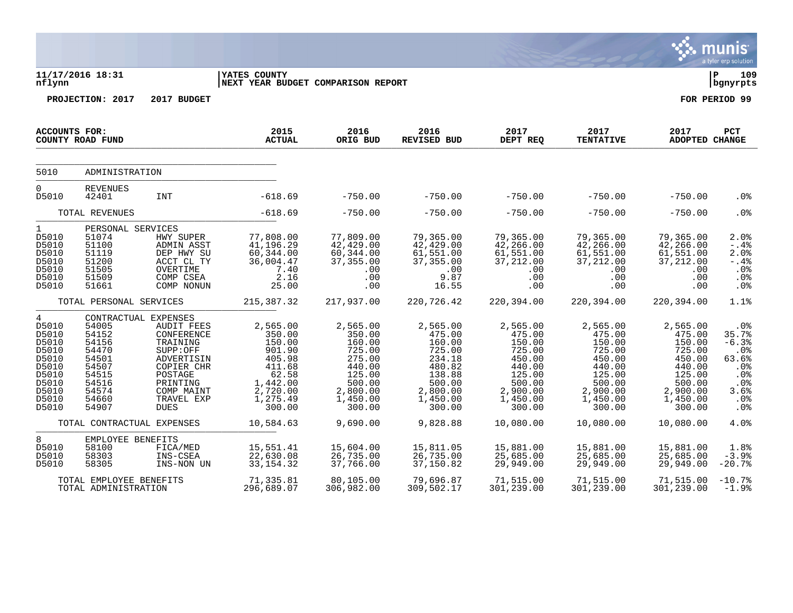|                                                                                                      |                                                                                                                         |                                                                                                                                                       |                                                                                                                   |                                                                                                                  |                                                                                                                  |                                                                                                                  |                                                                                                                  |                                                                                                                  | <b>munis</b><br>a tyler erp solution                                               |
|------------------------------------------------------------------------------------------------------|-------------------------------------------------------------------------------------------------------------------------|-------------------------------------------------------------------------------------------------------------------------------------------------------|-------------------------------------------------------------------------------------------------------------------|------------------------------------------------------------------------------------------------------------------|------------------------------------------------------------------------------------------------------------------|------------------------------------------------------------------------------------------------------------------|------------------------------------------------------------------------------------------------------------------|------------------------------------------------------------------------------------------------------------------|------------------------------------------------------------------------------------|
| nflynn                                                                                               | 11/17/2016 18:31                                                                                                        |                                                                                                                                                       | <b>IYATES COUNTY</b><br>NEXT YEAR BUDGET COMPARISON REPORT                                                        |                                                                                                                  |                                                                                                                  |                                                                                                                  |                                                                                                                  |                                                                                                                  | l P<br>109<br>bgnyrpts                                                             |
|                                                                                                      | PROJECTION: 2017                                                                                                        | 2017 BUDGET                                                                                                                                           |                                                                                                                   |                                                                                                                  |                                                                                                                  |                                                                                                                  |                                                                                                                  |                                                                                                                  | FOR PERIOD 99                                                                      |
| <b>ACCOUNTS FOR:</b>                                                                                 | COUNTY ROAD FUND                                                                                                        |                                                                                                                                                       | 2015<br><b>ACTUAL</b>                                                                                             | 2016<br>ORIG BUD                                                                                                 | 2016<br><b>REVISED BUD</b>                                                                                       | 2017<br>DEPT REQ                                                                                                 | 2017<br><b>TENTATIVE</b>                                                                                         | 2017<br><b>ADOPTED CHANGE</b>                                                                                    | PCT                                                                                |
| 5010                                                                                                 | ADMINISTRATION                                                                                                          |                                                                                                                                                       |                                                                                                                   |                                                                                                                  |                                                                                                                  |                                                                                                                  |                                                                                                                  |                                                                                                                  |                                                                                    |
| $\overline{0}$<br>D5010                                                                              | <b>REVENUES</b><br>42401                                                                                                | <b>INT</b>                                                                                                                                            | $-618.69$                                                                                                         | $-750.00$                                                                                                        | $-750.00$                                                                                                        | $-750.00$                                                                                                        | $-750.00$                                                                                                        | $-750.00$                                                                                                        | .0 <sub>8</sub>                                                                    |
|                                                                                                      | TOTAL REVENUES                                                                                                          |                                                                                                                                                       | $-618.69$                                                                                                         | $-750.00$                                                                                                        | $-750.00$                                                                                                        | $-750.00$                                                                                                        | $-750.00$                                                                                                        | $-750.00$                                                                                                        | .0%                                                                                |
| $\mathbf{1}$<br>D5010<br>D5010<br>D5010<br>D5010<br>D5010<br>D5010<br>D5010                          | PERSONAL SERVICES<br>51074<br>51100<br>51119<br>51200<br>51505<br>51509<br>51661                                        | HWY SUPER<br>ADMIN ASST<br>DEP HWY SU<br>ACCT CL TY<br>OVERTIME<br>COMP CSEA<br>COMP NONUN                                                            | 77,808.00<br>41,196.29<br>60, 344.00<br>36,004.47<br>7.40<br>2.16<br>25.00                                        | 77,809.00<br>42,429.00<br>60, 344.00<br>37, 355.00<br>.00<br>.00<br>.00                                          | 79,365.00<br>42, 429.00<br>61,551.00<br>37, 355.00<br>.00<br>9.87<br>16.55                                       | 79,365.00<br>42,266.00<br>61,551.00<br>37, 212.00<br>.00<br>.00<br>.00                                           | 79,365.00<br>42,266.00<br>61,551.00<br>37, 212.00<br>.00<br>.00<br>.00                                           | 79,365.00<br>42,266.00<br>61,551.00<br>37, 212.00<br>.00<br>.00<br>.00                                           | $2.0$ %<br>$-.4%$<br>2.0%<br>$- .4%$<br>.0%<br>.0%<br>.0 <sub>8</sub>              |
|                                                                                                      | TOTAL PERSONAL SERVICES                                                                                                 |                                                                                                                                                       | 215, 387.32                                                                                                       | 217,937.00                                                                                                       | 220,726.42                                                                                                       | 220,394.00                                                                                                       | 220,394.00                                                                                                       | 220,394.00                                                                                                       | 1.1%                                                                               |
| 4<br>D5010<br>D5010<br>D5010<br>D5010<br>D5010<br>D5010<br>D5010<br>D5010<br>D5010<br>D5010<br>D5010 | CONTRACTUAL EXPENSES<br>54005<br>54152<br>54156<br>54470<br>54501<br>54507<br>54515<br>54516<br>54574<br>54660<br>54907 | <b>AUDIT FEES</b><br>CONFERENCE<br>TRAINING<br>SUPP:OFF<br>ADVERTISIN<br>COPIER CHR<br>POSTAGE<br>PRINTING<br>COMP MAINT<br>TRAVEL EXP<br><b>DUES</b> | 2,565.00<br>350.00<br>150.00<br>901.90<br>405.98<br>411.68<br>62.58<br>1,442.00<br>2,720.00<br>1,275.49<br>300.00 | 2,565.00<br>350.00<br>160.00<br>725.00<br>275.00<br>440.00<br>125.00<br>500.00<br>2,800.00<br>1,450.00<br>300.00 | 2,565.00<br>475.00<br>160.00<br>725.00<br>234.18<br>480.82<br>138.88<br>500.00<br>2,800.00<br>1,450.00<br>300.00 | 2,565.00<br>475.00<br>150.00<br>725.00<br>450.00<br>440.00<br>125.00<br>500.00<br>2,900.00<br>1,450.00<br>300.00 | 2,565.00<br>475.00<br>150.00<br>725.00<br>450.00<br>440.00<br>125.00<br>500.00<br>2,900.00<br>1,450.00<br>300.00 | 2,565.00<br>475.00<br>150.00<br>725.00<br>450.00<br>440.00<br>125.00<br>500.00<br>2,900.00<br>1,450.00<br>300.00 | .0%<br>35.7%<br>$-6.3%$<br>.0%<br>63.6%<br>.0%<br>.0%<br>.0%<br>3.6%<br>.0%<br>.0% |
|                                                                                                      | TOTAL CONTRACTUAL EXPENSES                                                                                              |                                                                                                                                                       | 10,584.63                                                                                                         | 9,690.00                                                                                                         | 9,828.88                                                                                                         | 10,080.00                                                                                                        | 10,080.00                                                                                                        | 10,080.00                                                                                                        | 4.0%                                                                               |
| 8<br>D5010<br>D5010<br>D5010                                                                         | EMPLOYEE BENEFITS<br>58100<br>58303<br>58305                                                                            | FICA/MED<br>INS-CSEA<br>INS-NON UN                                                                                                                    | 15,551.41<br>22,630.08<br>33, 154. 32                                                                             | 15,604.00<br>26,735.00<br>37,766.00                                                                              | 15,811.05<br>26,735.00<br>37,150.82                                                                              | 15,881.00<br>25,685.00<br>29,949.00                                                                              | 15,881.00<br>25,685.00<br>29,949.00                                                                              | 15,881.00<br>25,685.00<br>29,949.00                                                                              | 1.8%<br>$-3.9%$<br>$-20.7%$                                                        |
|                                                                                                      | TOTAL EMPLOYEE BENEFITS<br>TOTAL ADMINISTRATION                                                                         |                                                                                                                                                       | 71,335.81<br>296,689.07                                                                                           | 80,105.00<br>306,982.00                                                                                          | 79,696.87<br>309,502.17                                                                                          | 71,515.00<br>301,239.00                                                                                          | 71,515.00<br>301,239.00                                                                                          | 71,515.00<br>301,239.00                                                                                          | $-10.7%$<br>$-1.9%$                                                                |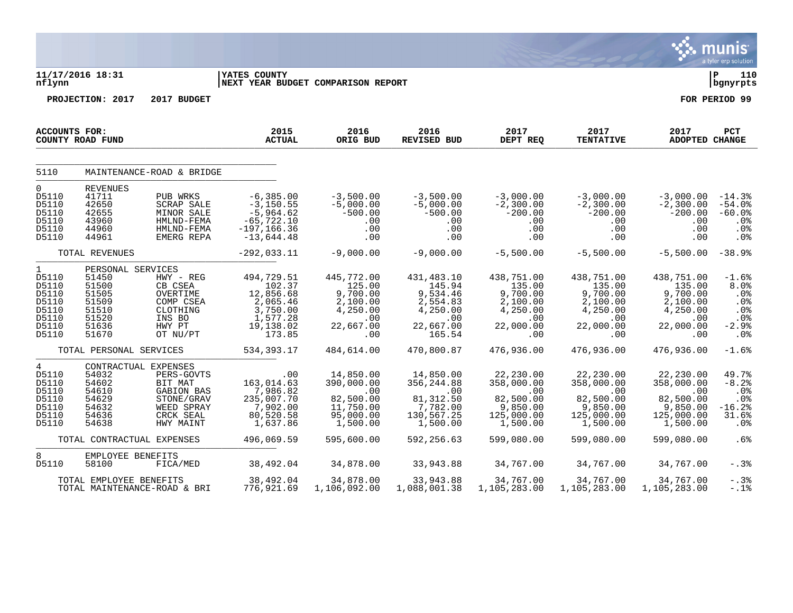|                                                                                      |                                                                                           |                                                                                                                   |                                                                                                |                                                                                     |                                                                                        |                                                                                     |                                                                                          |                                                                                     | nis<br>$\mathsf{m}\mathsf{u}$<br>a tyler erp solution                         |
|--------------------------------------------------------------------------------------|-------------------------------------------------------------------------------------------|-------------------------------------------------------------------------------------------------------------------|------------------------------------------------------------------------------------------------|-------------------------------------------------------------------------------------|----------------------------------------------------------------------------------------|-------------------------------------------------------------------------------------|------------------------------------------------------------------------------------------|-------------------------------------------------------------------------------------|-------------------------------------------------------------------------------|
| nflynn                                                                               | 11/17/2016 18:31                                                                          |                                                                                                                   | YATES COUNTY                                                                                   | NEXT YEAR BUDGET COMPARISON REPORT                                                  |                                                                                        |                                                                                     |                                                                                          |                                                                                     | ∣ P<br>110<br>bgnyrpts                                                        |
|                                                                                      | PROJECTION: 2017                                                                          | 2017 BUDGET                                                                                                       |                                                                                                |                                                                                     |                                                                                        |                                                                                     |                                                                                          |                                                                                     | FOR PERIOD 99                                                                 |
| <b>ACCOUNTS FOR:</b>                                                                 |                                                                                           |                                                                                                                   | 2015                                                                                           | 2016                                                                                | 2016                                                                                   | 2017                                                                                | 2017                                                                                     | 2017                                                                                | PCT                                                                           |
|                                                                                      | COUNTY ROAD FUND                                                                          |                                                                                                                   | <b>ACTUAL</b>                                                                                  | ORIG BUD                                                                            | <b>REVISED BUD</b>                                                                     | DEPT REQ                                                                            | <b>TENTATIVE</b>                                                                         | <b>ADOPTED CHANGE</b>                                                               |                                                                               |
|                                                                                      |                                                                                           |                                                                                                                   |                                                                                                |                                                                                     |                                                                                        |                                                                                     |                                                                                          |                                                                                     |                                                                               |
| 5110                                                                                 |                                                                                           | MAINTENANCE-ROAD & BRIDGE                                                                                         |                                                                                                |                                                                                     |                                                                                        |                                                                                     |                                                                                          |                                                                                     |                                                                               |
| $\mathbf 0$<br>D5110<br>D5110<br>D5110<br>D5110<br>D5110<br>D5110                    | <b>REVENUES</b><br>41711<br>42650<br>42655<br>43960<br>44960<br>44961                     | PUB WRKS<br><b>SCRAP SALE</b><br>MINOR SALE<br>HMLND-FEMA<br>HMLND-FEMA<br>EMERG REPA                             | $-6, 385.00$<br>$-3, 150.55$<br>$-5,964.62$<br>$-65, 722.10$<br>$-197, 166.36$<br>$-13,644.48$ | $-3,500.00$<br>$-5,000.00$<br>$-500.00$<br>.00<br>.00<br>.00                        | $-3,500.00$<br>$-5,000.00$<br>$-500.00$<br>.00<br>.00<br>.00                           | $-3,000.00$<br>$-2,300.00$<br>$-200.00$<br>.00<br>.00<br>.00                        | $-3,000.00$<br>$-2,300.00$<br>$-200.00$<br>$.00 \,$<br>$.00 \,$<br>$.00 \,$              | $-3,000.00$<br>$-2,300.00$<br>$-200.00$<br>.00<br>.00<br>.00                        | $-14.3%$<br>$-54.0%$<br>$-60.0%$<br>.0 <sub>8</sub><br>.0%<br>.0 <sub>8</sub> |
|                                                                                      | TOTAL REVENUES                                                                            |                                                                                                                   | $-292,033.11$                                                                                  | $-9,000.00$                                                                         | $-9,000.00$                                                                            | $-5,500.00$                                                                         | $-5,500.00$                                                                              | $-5,500.00$                                                                         | $-38.9%$                                                                      |
| $\mathbf{1}$<br>D5110<br>D5110<br>D5110<br>D5110<br>D5110<br>D5110<br>D5110<br>D5110 | PERSONAL SERVICES<br>51450<br>51500<br>51505<br>51509<br>51510<br>51520<br>51636<br>51670 | HWY - REG<br>CB CSEA<br>OVERTIME<br>COMP CSEA<br>CLOTHING<br>INS BO<br>HWY PT<br>OT NU/PT                         | 494,729.51<br>102.37<br>12,856.68<br>2,065.46<br>3,750.00<br>1,577.28<br>19,138.02<br>173.85   | 445,772.00<br>125.00<br>9,700.00<br>2,100.00<br>4,250.00<br>.00<br>22,667.00<br>.00 | 431,483.10<br>145.94<br>9,534.46<br>2,554.83<br>4,250.00<br>.00<br>22,667.00<br>165.54 | 438,751.00<br>135.00<br>9,700.00<br>2,100.00<br>4,250.00<br>.00<br>22,000.00<br>.00 | 438,751.00<br>135.00<br>9,700.00<br>2,100.00<br>4,250.00<br>$.00 \,$<br>22,000.00<br>.00 | 438,751.00<br>135.00<br>9,700.00<br>2,100.00<br>4,250.00<br>.00<br>22,000.00<br>.00 | $-1.6%$<br>8.0%<br>.0%<br>$.0\%$<br>.0 <sub>8</sub><br>.0%<br>$-2.9%$<br>.0%  |
|                                                                                      | TOTAL PERSONAL SERVICES                                                                   |                                                                                                                   | 534, 393. 17                                                                                   | 484,614.00                                                                          | 470,800.87                                                                             | 476,936.00                                                                          | 476,936.00                                                                               | 476,936.00                                                                          | $-1.6%$                                                                       |
| 4<br>D5110<br>D5110<br>D5110<br>D5110<br>D5110<br>D5110<br>D5110                     | 54032<br>54602<br>54610<br>54629<br>54632<br>54636<br>54638                               | CONTRACTUAL EXPENSES<br>PERS-GOVTS<br>BIT MAT<br>GABION BAS<br>STONE/GRAV<br>WEED SPRAY<br>CRCK SEAL<br>HWY MAINT | .00<br>163,014.63<br>7,986.82<br>235,007.70<br>7,902.00<br>80,520.58<br>1,637.86               | 14,850.00<br>390,000.00<br>.00<br>82,500.00<br>11,750.00<br>95,000.00<br>1,500.00   | 14,850.00<br>356,244.88<br>.00<br>81, 312.50<br>7,782.00<br>130,567.25<br>1,500.00     | 22,230.00<br>358,000.00<br>.00<br>82,500.00<br>9,850.00<br>125,000.00<br>1,500.00   | 22,230.00<br>358,000.00<br>$.00 \,$<br>82,500.00<br>9,850.00<br>125,000.00<br>1,500.00   | 22,230.00<br>358,000.00<br>.00<br>82,500.00<br>9,850.00<br>125,000.00<br>1,500.00   | 49.7%<br>$-8.2%$<br>.0%<br>.0%<br>$-16.2%$<br>31.6%<br>.0 <sub>8</sub>        |
|                                                                                      | TOTAL CONTRACTUAL EXPENSES                                                                |                                                                                                                   | 496,069.59                                                                                     | 595,600.00                                                                          | 592,256.63                                                                             | 599,080.00                                                                          | 599,080.00                                                                               | 599,080.00                                                                          | .6%                                                                           |
| 8<br>D5110                                                                           | EMPLOYEE BENEFITS<br>58100                                                                | FICA/MED                                                                                                          | 38,492.04                                                                                      | 34,878.00                                                                           | 33,943.88                                                                              | 34,767.00                                                                           | 34,767.00                                                                                | 34,767.00                                                                           | -.3%                                                                          |
|                                                                                      | TOTAL EMPLOYEE BENEFITS                                                                   | TOTAL MAINTENANCE-ROAD & BRI                                                                                      | 38,492.04<br>776,921.69                                                                        | 34,878.00<br>1,106,092.00                                                           | 33,943.88<br>1,088,001.38                                                              | 34,767.00<br>1,105,283.00                                                           | 34,767.00<br>1,105,283.00                                                                | 34,767.00<br>1,105,283.00                                                           | $-.3%$<br>$-.1$ %                                                             |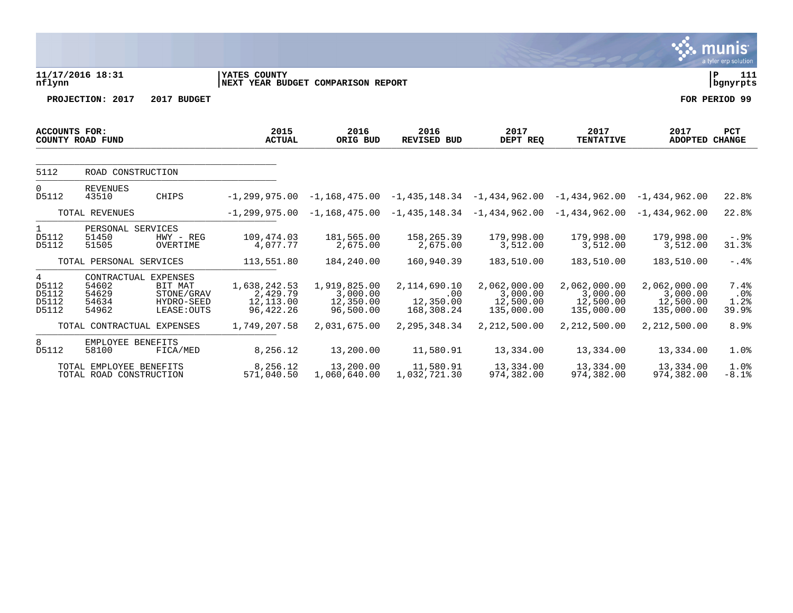|                                       |                                                          |                                                    |                                                      |                                                    |                                                                   |                                                     |                                                     |                                                     | munıs <sup>.</sup><br>a tyler erp solution |
|---------------------------------------|----------------------------------------------------------|----------------------------------------------------|------------------------------------------------------|----------------------------------------------------|-------------------------------------------------------------------|-----------------------------------------------------|-----------------------------------------------------|-----------------------------------------------------|--------------------------------------------|
| nflynn                                | 11/17/2016 18:31                                         |                                                    | YATES COUNTY<br>NEXT YEAR BUDGET COMPARISON REPORT   |                                                    |                                                                   |                                                     |                                                     |                                                     | lР<br>111<br>  bgnyrpts                    |
|                                       | PROJECTION: 2017                                         | 2017 BUDGET                                        |                                                      |                                                    |                                                                   |                                                     |                                                     |                                                     | FOR PERIOD 99                              |
| <b>ACCOUNTS FOR:</b>                  | COUNTY ROAD FUND                                         |                                                    | 2015<br><b>ACTUAL</b>                                | 2016<br>ORIG BUD                                   | 2016<br><b>REVISED BUD</b>                                        | 2017<br>DEPT REQ                                    | 2017<br><b>TENTATIVE</b>                            | 2017<br><b>ADOPTED CHANGE</b>                       | PCT                                        |
| 5112                                  | ROAD CONSTRUCTION                                        |                                                    |                                                      |                                                    |                                                                   |                                                     |                                                     |                                                     |                                            |
| $\Omega$<br>D5112                     | <b>REVENUES</b><br>43510                                 | <b>CHIPS</b>                                       | $-1.299.975.00$                                      |                                                    | $-1,168,475.00$ $-1,435,148.34$ $-1,434,962.00$                   |                                                     | $-1,434,962.00 -1,434,962.00$                       |                                                     | 22.8%                                      |
|                                       | TOTAL REVENUES                                           |                                                    |                                                      |                                                    | $-1, 299, 975.00 -1, 168, 475.00 -1, 435, 148.34 -1, 434, 962.00$ |                                                     | $-1,434,962.00 -1,434,962.00$                       |                                                     | 22.8%                                      |
| $\mathbf{1}$<br>D5112<br>D5112        | PERSONAL SERVICES<br>51450<br>51505                      | HWY - REG<br>OVERTIME                              | 109,474.03<br>4,077.77                               | 181,565.00<br>2,675.00                             | 158,265.39<br>2,675.00                                            | 179,998.00<br>3,512.00                              | 179,998.00<br>3,512.00                              | 179,998.00<br>3,512.00                              | $-.9$ $%$<br>31.3%                         |
|                                       | TOTAL PERSONAL SERVICES                                  |                                                    | 113,551.80                                           | 184,240.00                                         | 160,940.39                                                        | 183,510.00                                          | 183,510.00                                          | 183,510.00                                          | $-0.4%$                                    |
| 4<br>D5112<br>D5112<br>D5112<br>D5112 | CONTRACTUAL EXPENSES<br>54602<br>54629<br>54634<br>54962 | BIT MAT<br>STONE/GRAV<br>HYDRO-SEED<br>LEASE: OUTS | 1,638,242.53<br>2,429.79<br>12,113.00<br>96, 422. 26 | 1,919,825.00<br>3,000.00<br>12,350.00<br>96,500.00 | 2,114,690.10<br>.00<br>12,350.00<br>168,308.24                    | 2,062,000.00<br>3,000.00<br>12,500.00<br>135,000.00 | 2,062,000.00<br>3,000.00<br>12,500.00<br>135,000.00 | 2,062,000.00<br>3,000.00<br>12,500.00<br>135,000.00 | 7.4%<br>.0%<br>1.2%<br>39.9%               |
|                                       | TOTAL CONTRACTUAL EXPENSES                               |                                                    | 1,749,207.58                                         | 2,031,675.00                                       | 2, 295, 348.34                                                    | 2,212,500.00                                        | 2,212,500.00                                        | 2,212,500.00                                        | 8.9%                                       |
| 8<br>D5112                            | EMPLOYEE BENEFITS<br>58100                               | FICA/MED                                           | 8,256.12                                             | 13,200.00                                          | 11,580.91                                                         | 13,334.00                                           | 13,334.00                                           | 13,334.00                                           | 1.0%                                       |
|                                       | TOTAL EMPLOYEE BENEFITS<br>TOTAL ROAD CONSTRUCTION       |                                                    | 8,256.12<br>571,040.50                               | 13,200.00<br>1,060,640.00                          | 11,580.91<br>1,032,721.30                                         | 13,334.00<br>974,382.00                             | 13,334.00<br>974,382.00                             | 13,334.00<br>974,382.00                             | 1.0%<br>$-8.1%$                            |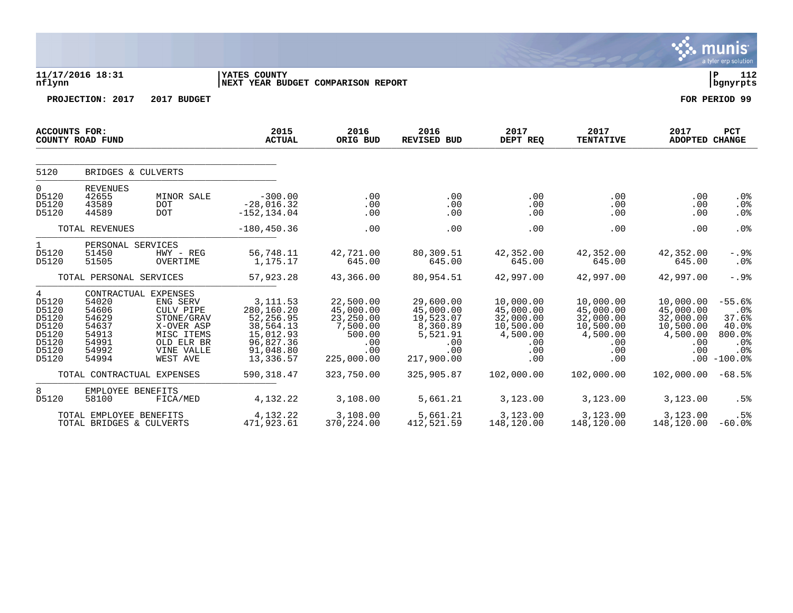|                                                                           |                                                                      |                                                                                                                                 |                                                                                                       |                                                                                       |                                                                                         |                                                                                   |                                                                                   |                                                                                   | munis<br>a tyler erp solution                                          |
|---------------------------------------------------------------------------|----------------------------------------------------------------------|---------------------------------------------------------------------------------------------------------------------------------|-------------------------------------------------------------------------------------------------------|---------------------------------------------------------------------------------------|-----------------------------------------------------------------------------------------|-----------------------------------------------------------------------------------|-----------------------------------------------------------------------------------|-----------------------------------------------------------------------------------|------------------------------------------------------------------------|
| nflynn                                                                    | 11/17/2016 18:31                                                     |                                                                                                                                 | YATES COUNTY<br>NEXT YEAR BUDGET COMPARISON REPORT                                                    |                                                                                       |                                                                                         |                                                                                   |                                                                                   |                                                                                   | 112<br>l P<br>  bgnyrpts                                               |
|                                                                           | PROJECTION: 2017                                                     | 2017 BUDGET                                                                                                                     |                                                                                                       |                                                                                       |                                                                                         |                                                                                   |                                                                                   |                                                                                   | FOR PERIOD 99                                                          |
|                                                                           | <b>ACCOUNTS FOR:</b><br>COUNTY ROAD FUND                             |                                                                                                                                 | 2015<br><b>ACTUAL</b>                                                                                 | 2016<br>ORIG BUD                                                                      | 2016<br><b>REVISED BUD</b>                                                              | 2017<br>DEPT REQ                                                                  | 2017<br><b>TENTATIVE</b>                                                          | 2017<br><b>ADOPTED CHANGE</b>                                                     | <b>PCT</b>                                                             |
| 5120                                                                      | BRIDGES & CULVERTS                                                   |                                                                                                                                 |                                                                                                       |                                                                                       |                                                                                         |                                                                                   |                                                                                   |                                                                                   |                                                                        |
| 0<br>D5120<br>D5120<br>D5120                                              | <b>REVENUES</b><br>42655<br>43589<br>44589                           | <b>MINOR SALE</b><br><b>DOT</b><br><b>DOT</b>                                                                                   | $-300.00$<br>$-28,016.32$<br>$-152, 134.04$                                                           | .00<br>.00<br>.00                                                                     | .00<br>.00<br>.00                                                                       | .00<br>.00<br>.00                                                                 | .00<br>.00<br>.00                                                                 | .00<br>.00<br>.00                                                                 | .0 <sub>8</sub><br>.0%<br>.0%                                          |
|                                                                           | TOTAL REVENUES                                                       |                                                                                                                                 | $-180, 450.36$                                                                                        | .00                                                                                   | .00                                                                                     | .00                                                                               | .00                                                                               | .00                                                                               | .0%                                                                    |
| $\mathbf{1}$<br>D5120<br>D5120                                            | PERSONAL SERVICES<br>51450<br>51505                                  | HWY - REG<br>OVERTIME                                                                                                           | 56,748.11<br>1,175.17                                                                                 | 42,721.00<br>645.00                                                                   | 80,309.51<br>645.00                                                                     | 42,352.00<br>645.00                                                               | 42,352.00<br>645.00                                                               | 42,352.00<br>645.00                                                               | -.9%<br>.0%                                                            |
|                                                                           | TOTAL PERSONAL SERVICES                                              |                                                                                                                                 | 57,923.28                                                                                             | 43,366.00                                                                             | 80,954.51                                                                               | 42,997.00                                                                         | 42,997.00                                                                         | 42,997.00                                                                         | $-.9%$                                                                 |
| 4<br>D5120<br>D5120<br>D5120<br>D5120<br>D5120<br>D5120<br>D5120<br>D5120 | 54020<br>54606<br>54629<br>54637<br>54913<br>54991<br>54992<br>54994 | CONTRACTUAL EXPENSES<br>ENG SERV<br>CULV PIPE<br>STONE/GRAV<br>X-OVER ASP<br>MISC ITEMS<br>OLD ELR BR<br>VINE VALLE<br>WEST AVE | 3, 111.53<br>280,160.20<br>52,256.95<br>38,564.13<br>15,012.93<br>96,827.36<br>91,048.80<br>13,336.57 | 22,500.00<br>45,000.00<br>23,250.00<br>7,500.00<br>500.00<br>.00<br>.00<br>225,000.00 | 29,600.00<br>45,000.00<br>19,523.07<br>8,360.89<br>5,521.91<br>.00<br>.00<br>217,900.00 | 10,000.00<br>45,000.00<br>32,000.00<br>10,500.00<br>4,500.00<br>.00<br>.00<br>.00 | 10,000.00<br>45,000.00<br>32,000.00<br>10,500.00<br>4,500.00<br>.00<br>.00<br>.00 | 10,000.00<br>45,000.00<br>32,000.00<br>10,500.00<br>4,500.00<br>.00<br>.00<br>.00 | $-55.6%$<br>.0%<br>37.6%<br>40.0%<br>800.0%<br>.0%<br>.0%<br>$-100.0%$ |
|                                                                           | TOTAL CONTRACTUAL EXPENSES                                           |                                                                                                                                 | 590, 318.47                                                                                           | 323,750.00                                                                            | 325,905.87                                                                              | 102,000.00                                                                        | 102,000.00                                                                        | 102,000.00                                                                        | $-68.5%$                                                               |
| 8<br>D5120                                                                | EMPLOYEE BENEFITS<br>58100                                           | FICA/MED                                                                                                                        | 4,132.22                                                                                              | 3,108.00                                                                              | 5,661.21                                                                                | 3,123.00                                                                          | 3,123.00                                                                          | 3,123.00                                                                          | .5%                                                                    |
|                                                                           | TOTAL EMPLOYEE BENEFITS<br>TOTAL BRIDGES & CULVERTS                  |                                                                                                                                 | 4,132.22<br>471,923.61                                                                                | 3,108.00<br>370,224.00                                                                | 5,661.21<br>412,521.59                                                                  | 3,123.00<br>148,120.00                                                            | 3,123.00<br>148,120.00                                                            | 3,123.00<br>148,120.00                                                            | .5%<br>$-60.0$ °                                                       |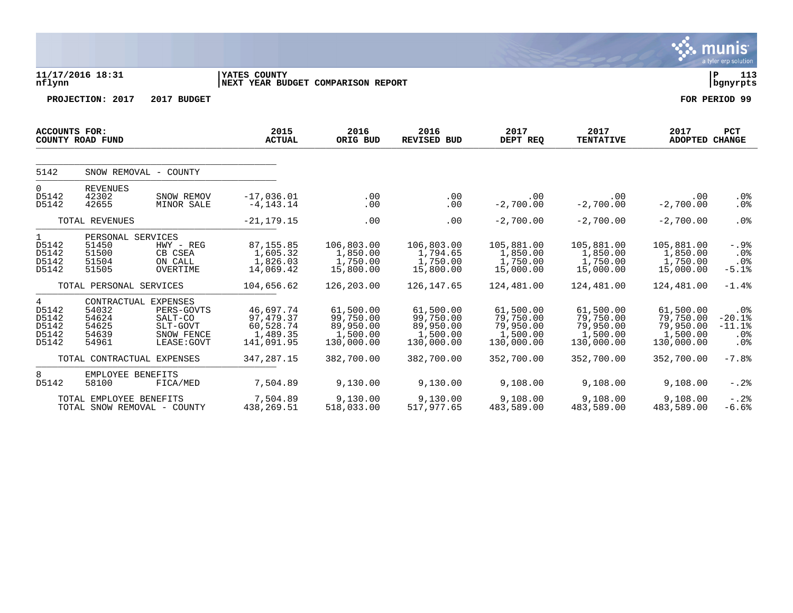|                                                  |                                                       |                                                                                        |                                                                |                                                               |                                                               |                                                               |                                                               |                                                               | a tyler erp solution                             |
|--------------------------------------------------|-------------------------------------------------------|----------------------------------------------------------------------------------------|----------------------------------------------------------------|---------------------------------------------------------------|---------------------------------------------------------------|---------------------------------------------------------------|---------------------------------------------------------------|---------------------------------------------------------------|--------------------------------------------------|
| nflynn                                           | 11/17/2016 18:31                                      |                                                                                        | YATES COUNTY<br>NEXT YEAR BUDGET COMPARISON REPORT             |                                                               |                                                               |                                                               |                                                               |                                                               | l P<br>113<br>  bgnyrpts                         |
|                                                  | PROJECTION: 2017                                      | 2017 BUDGET                                                                            |                                                                |                                                               |                                                               |                                                               |                                                               |                                                               | FOR PERIOD 99                                    |
| <b>ACCOUNTS FOR:</b>                             | COUNTY ROAD FUND                                      |                                                                                        | 2015<br><b>ACTUAL</b>                                          | 2016<br>ORIG BUD                                              | 2016<br><b>REVISED BUD</b>                                    | 2017<br>DEPT REQ                                              | 2017<br><b>TENTATIVE</b>                                      | 2017<br>ADOPTED CHANGE                                        | <b>PCT</b>                                       |
| 5142                                             |                                                       | SNOW REMOVAL - COUNTY                                                                  |                                                                |                                                               |                                                               |                                                               |                                                               |                                                               |                                                  |
| $\Omega$<br>D5142<br>D5142                       | <b>REVENUES</b><br>42302<br>42655                     | SNOW REMOV<br>MINOR SALE                                                               | $-17,036.01$<br>$-4, 143.14$                                   | .00<br>.00                                                    | .00<br>.00                                                    | .00<br>$-2,700.00$                                            | .00<br>$-2,700.00$                                            | .00<br>$-2,700.00$                                            | .0%<br>.0%                                       |
|                                                  | TOTAL REVENUES                                        |                                                                                        | $-21, 179.15$                                                  | .00                                                           | .00                                                           | $-2,700.00$                                                   | $-2,700.00$                                                   | $-2,700.00$                                                   | $.0\%$                                           |
| $\mathbf{1}$<br>D5142<br>D5142<br>D5142<br>D5142 | PERSONAL SERVICES<br>51450<br>51500<br>51504<br>51505 | HWY - REG<br>CB CSEA<br>ON CALL<br>OVERTIME                                            | 87, 155.85<br>1,605.32<br>1,826.03<br>14,069.42                | 106,803.00<br>1,850.00<br>1,750.00<br>15,800.00               | 106,803.00<br>1,794.65<br>1,750.00<br>15,800.00               | 105,881.00<br>1,850.00<br>1,750.00<br>15,000.00               | 105,881.00<br>1,850.00<br>1,750.00<br>15,000.00               | 105,881.00<br>1,850.00<br>1,750.00<br>15,000.00               | $-.9%$<br>$.0\%$<br>$.0\%$<br>$-5.1%$            |
|                                                  | TOTAL PERSONAL SERVICES                               |                                                                                        | 104,656.62                                                     | 126,203.00                                                    | 126, 147.65                                                   | 124,481.00                                                    | 124,481.00                                                    | 124,481.00                                                    | $-1.4%$                                          |
| 4<br>D5142<br>D5142<br>D5142<br>D5142<br>D5142   | 54032<br>54624<br>54625<br>54639<br>54961             | CONTRACTUAL EXPENSES<br>PERS-GOVTS<br>SALT-CO<br>SLT-GOVT<br>SNOW FENCE<br>LEASE: GOVT | 46,697.74<br>97, 479.37<br>60,528.74<br>1,489.35<br>141,091.95 | 61,500.00<br>99,750.00<br>89,950.00<br>1,500.00<br>130,000.00 | 61,500.00<br>99,750.00<br>89,950.00<br>1,500.00<br>130,000.00 | 61,500.00<br>79,750.00<br>79,950.00<br>1,500.00<br>130,000.00 | 61,500.00<br>79,750.00<br>79,950.00<br>1,500.00<br>130,000.00 | 61,500.00<br>79,750.00<br>79,950.00<br>1,500.00<br>130,000.00 | $.0\%$<br>$-20.1%$<br>$-11.1$ %<br>$.0\%$<br>.0% |
|                                                  | TOTAL CONTRACTUAL EXPENSES                            |                                                                                        | 347,287.15                                                     | 382,700.00                                                    | 382,700.00                                                    | 352,700.00                                                    | 352,700.00                                                    | 352,700.00                                                    | $-7.8%$                                          |
| 8<br>D5142                                       | EMPLOYEE BENEFITS<br>58100                            | FICA/MED                                                                               | 7,504.89                                                       | 9,130.00                                                      | 9,130.00                                                      | 9,108.00                                                      | 9,108.00                                                      | 9,108.00                                                      | $-.2$ .                                          |
|                                                  | TOTAL EMPLOYEE BENEFITS                               | TOTAL SNOW REMOVAL - COUNTY                                                            | 7,504.89<br>438, 269.51                                        | 9,130.00<br>518,033.00                                        | 9,130.00<br>517,977.65                                        | 9,108.00<br>483,589.00                                        | 9,108.00<br>483,589.00                                        | 9,108.00<br>483,589.00                                        | $-.2$ .<br>$-6.6%$                               |

 $\ddot{\mathbf{w}}$  munis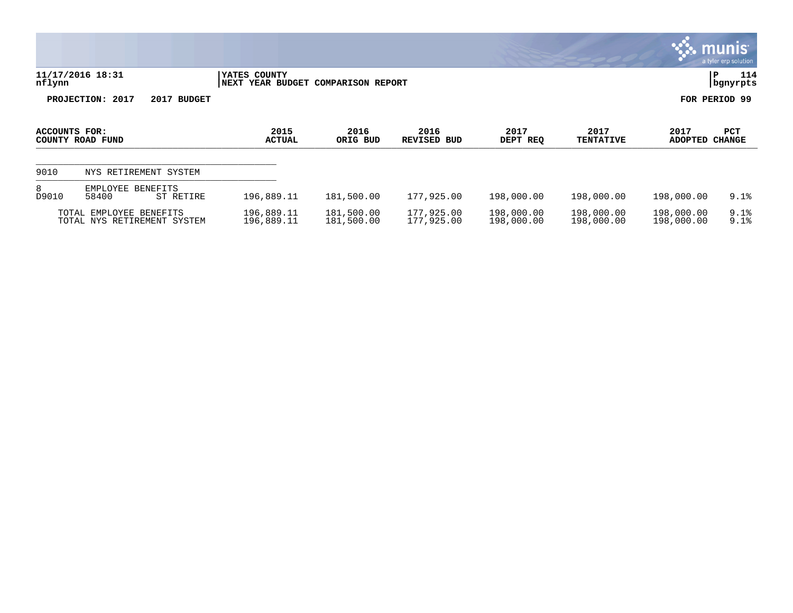|               |                                                        |                          |                               |                          |                          |                          |                          | munis l<br>a tyler erp solution |
|---------------|--------------------------------------------------------|--------------------------|-------------------------------|--------------------------|--------------------------|--------------------------|--------------------------|---------------------------------|
| nflynn        | 11/17/2016 18:31                                       | YATES COUNTY<br>NEXT     | YEAR BUDGET COMPARISON REPORT |                          |                          |                          |                          | 114<br>l P<br>  bgnyrpts        |
|               | PROJECTION: 2017<br>2017<br><b>BUDGET</b>              |                          |                               |                          |                          |                          |                          | FOR PERIOD 99                   |
| ACCOUNTS FOR: | COUNTY ROAD FUND                                       | 2015<br><b>ACTUAL</b>    | 2016<br>ORIG BUD              | 2016<br>REVISED BUD      | 2017<br>DEPT REQ         | 2017<br><b>TENTATIVE</b> | 2017<br><b>ADOPTED</b>   | <b>PCT</b><br><b>CHANGE</b>     |
| 9010          | NYS RETIREMENT SYSTEM                                  |                          |                               |                          |                          |                          |                          |                                 |
| 8<br>D9010    | EMPLOYEE<br>BENEFITS<br>58400<br>ST RETIRE             | 196,889.11               | 181,500.00                    | 177,925.00               | 198,000.00               | 198,000.00               | 198,000.00               | 9.1%                            |
|               | TOTAL EMPLOYEE BENEFITS<br>TOTAL NYS RETIREMENT SYSTEM | 196,889.11<br>196,889.11 | 181,500.00<br>181,500.00      | 177,925.00<br>177,925.00 | 198,000.00<br>198,000.00 | 198,000.00<br>198,000.00 | 198,000.00<br>198,000.00 | 9.1%<br>9.1%                    |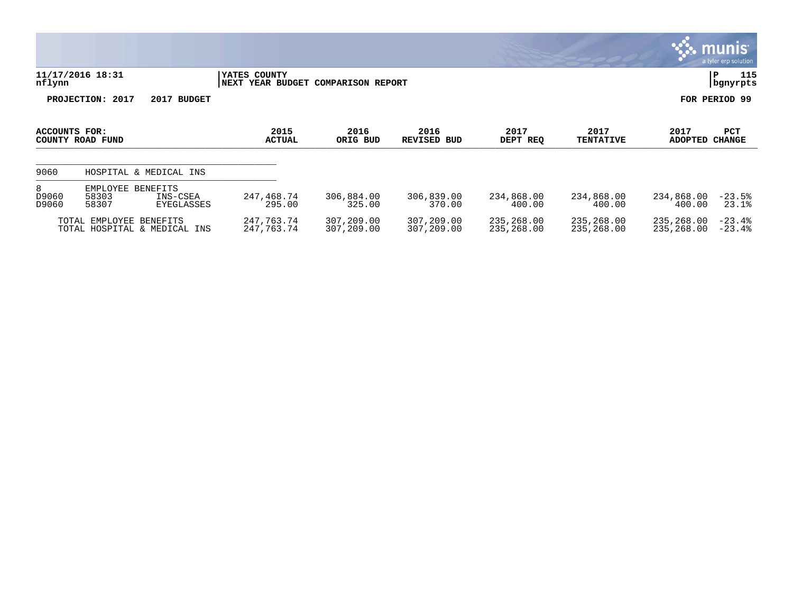|                     |                            |                                    |                                                    |                          |                            |                          |                          |                          | a tyler erp solution  |
|---------------------|----------------------------|------------------------------------|----------------------------------------------------|--------------------------|----------------------------|--------------------------|--------------------------|--------------------------|-----------------------|
| nflynn              | 11/17/2016 18:31           |                                    | YATES COUNTY<br>NEXT YEAR BUDGET COMPARISON REPORT |                          |                            |                          |                          |                          | 115<br>IΡ<br>bgnyrpts |
|                     | PROJECTION: 2017           | 2017 BUDGET                        |                                                    |                          |                            |                          |                          |                          | FOR PERIOD 99         |
| ACCOUNTS FOR:       | COUNTY ROAD FUND           |                                    | 2015<br><b>ACTUAL</b>                              | 2016<br>ORIG BUD         | 2016<br><b>REVISED BUD</b> | 2017<br>DEPT REQ         | 2017<br><b>TENTATIVE</b> | 2017<br>ADOPTED CHANGE   | <b>PCT</b>            |
| 9060                |                            | HOSPITAL & MEDICAL INS             |                                                    |                          |                            |                          |                          |                          |                       |
| 8<br>D9060<br>D9060 | EMPLOYEE<br>58303<br>58307 | BENEFITS<br>INS-CSEA<br>EYEGLASSES | 247,468.74<br>295.00                               | 306,884.00<br>325.00     | 306,839.00<br>370.00       | 234,868.00<br>400.00     | 234,868.00<br>400.00     | 234,868.00<br>400.00     | $-23.5%$<br>23.1%     |
|                     | TOTAL EMPLOYEE BENEFITS    | TOTAL HOSPITAL & MEDICAL INS       | 247,763.74<br>247,763.74                           | 307,209.00<br>307,209.00 | 307,209.00<br>307,209.00   | 235,268.00<br>235,268.00 | 235,268.00<br>235,268.00 | 235,268.00<br>235,268.00 | $-23.4%$<br>$-23.4%$  |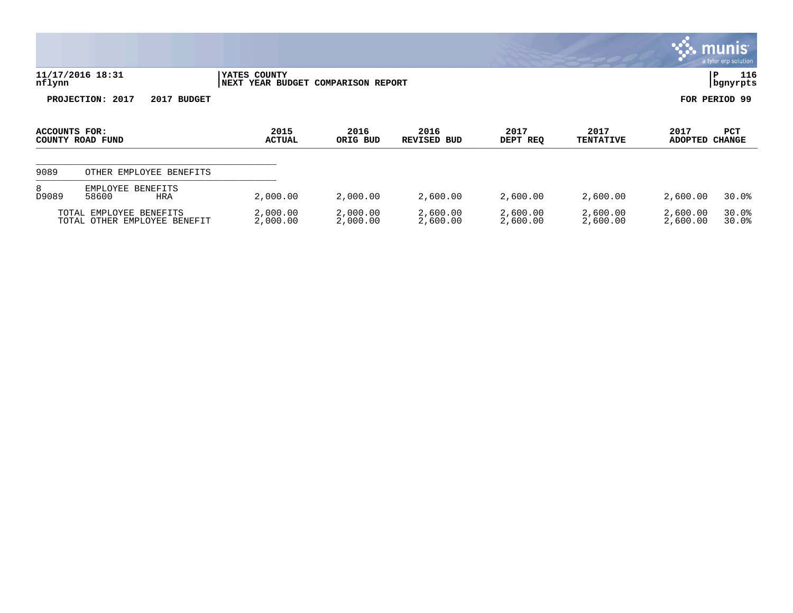|                                   |                                                         |                                                              |                      |                               |                      |                          |                        | $ \mathsf{munis} $<br>a tyler erp solution |
|-----------------------------------|---------------------------------------------------------|--------------------------------------------------------------|----------------------|-------------------------------|----------------------|--------------------------|------------------------|--------------------------------------------|
| nflynn                            | 11/17/2016 18:31                                        | YATES COUNTY<br><b>NEXT</b><br>YEAR BUDGET COMPARISON REPORT |                      |                               |                      |                          |                        | 116<br>Р<br>bgnyrpts                       |
|                                   | PROJECTION: 2017<br>2017 BUDGET                         |                                                              |                      |                               |                      |                          |                        | FOR PERIOD 99                              |
| ACCOUNTS FOR:<br>COUNTY ROAD FUND |                                                         | 2015<br><b>ACTUAL</b>                                        | 2016<br>ORIG BUD     | 2016<br><b>REVISED</b><br>BUD | 2017<br>DEPT REQ     | 2017<br><b>TENTATIVE</b> | 2017<br><b>ADOPTED</b> | PCT<br><b>CHANGE</b>                       |
| 9089                              | OTHER EMPLOYEE BENEFITS                                 |                                                              |                      |                               |                      |                          |                        |                                            |
| 8<br>D9089                        | EMPLOYEE<br><b>BENEFITS</b><br>58600<br><b>HRA</b>      | 2,000.00                                                     | 2,000.00             | 2,600.00                      | 2,600.00             | 2,600.00                 | 2,600.00               | 30.0%                                      |
|                                   | TOTAL EMPLOYEE BENEFITS<br>TOTAL OTHER EMPLOYEE BENEFIT | 2,000.00<br>2,000.00                                         | 2,000.00<br>2,000.00 | 2,600.00<br>2,600.00          | 2,600.00<br>2,600.00 | 2,600.00<br>2,600.00     | 2,600.00<br>2,600.00   | 30.0%<br>30.0%                             |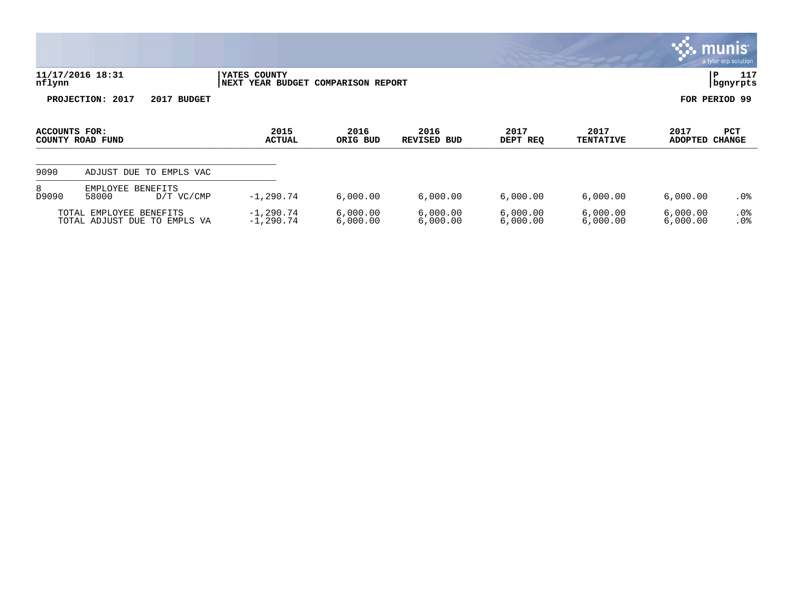|                                   |                                                         |                                                   |                          |                            |                      |                          |                        | munis<br>a tyler erp solution |
|-----------------------------------|---------------------------------------------------------|---------------------------------------------------|--------------------------|----------------------------|----------------------|--------------------------|------------------------|-------------------------------|
| nflynn                            | 11/17/2016 18:31                                        | YATES COUNTY<br><b>YEAR BUDGET</b><br><b>NEXT</b> | <b>COMPARISON REPORT</b> |                            |                      |                          | P                      | 117<br>bgnyrpts               |
|                                   | PROJECTION: 2017<br>2017<br><b>BUDGET</b>               |                                                   |                          |                            |                      |                          | FOR PERIOD 99          |                               |
| ACCOUNTS FOR:<br>COUNTY ROAD FUND |                                                         | 2015<br><b>ACTUAL</b>                             | 2016<br>ORIG BUD         | 2016<br><b>REVISED BUD</b> | 2017<br>DEPT REQ     | 2017<br><b>TENTATIVE</b> | 2017<br><b>ADOPTED</b> | PCT<br><b>CHANGE</b>          |
| 9090                              | ADJUST DUE TO<br>EMPLS VAC                              |                                                   |                          |                            |                      |                          |                        |                               |
| 8<br>D9090                        | EMPLOYEE<br><b>BENEFITS</b><br>58000<br>$D/T$ VC/CMP    | $-1, 290.74$                                      | 6,000.00                 | 6,000.00                   | 6,000.00             | 6,000.00                 | 6,000.00               | $.0\%$                        |
|                                   | TOTAL EMPLOYEE BENEFITS<br>TOTAL ADJUST DUE TO EMPLS VA | $-1, 290.74$<br>$-1, 290.74$                      | 6,000.00<br>6,000.00     | 6,000.00<br>6,000.00       | 6,000.00<br>6,000.00 | 6,000.00<br>6,000.00     | 6,000.00<br>6,000.00   | .0%<br>.0%                    |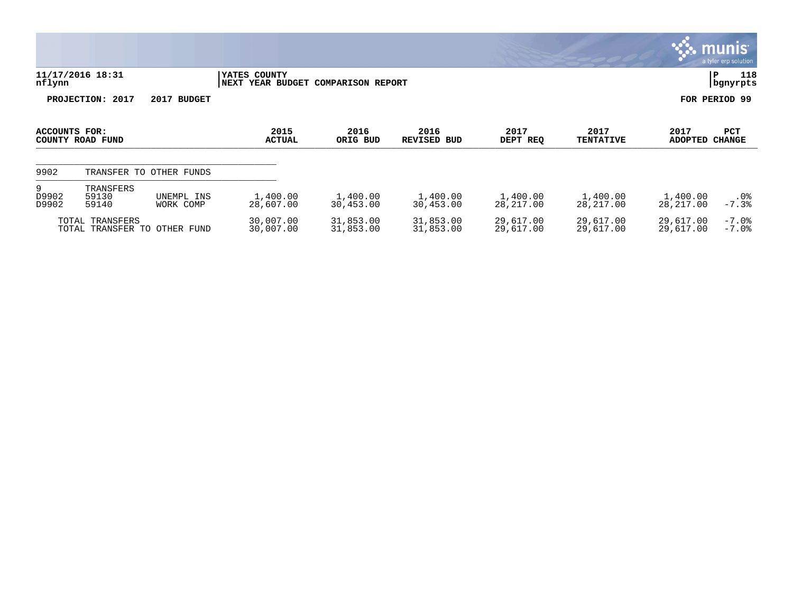|                                                 |                             |                         |                        |                                    |                        |                          |                        |                        | munis <sup>.</sup><br>a tyler erp solution |
|-------------------------------------------------|-----------------------------|-------------------------|------------------------|------------------------------------|------------------------|--------------------------|------------------------|------------------------|--------------------------------------------|
| 11/17/2016 18:31<br>nflynn                      |                             |                         | YATES COUNTY           | NEXT YEAR BUDGET COMPARISON REPORT |                        |                          |                        |                        |                                            |
| PROJECTION: 2017<br>2017 BUDGET                 |                             |                         |                        |                                    |                        |                          |                        |                        | FOR PERIOD 99                              |
| ACCOUNTS FOR:<br>COUNTY ROAD FUND               |                             | 2015<br><b>ACTUAL</b>   | 2016<br>ORIG BUD       | 2016<br><b>REVISED BUD</b>         | 2017<br>DEPT REQ       | 2017<br><b>TENTATIVE</b> | 2017<br>ADOPTED CHANGE | PCT                    |                                            |
| 9902                                            |                             | TRANSFER TO OTHER FUNDS |                        |                                    |                        |                          |                        |                        |                                            |
| 9<br>D9902<br>D9902                             | TRANSFERS<br>59130<br>59140 | UNEMPL INS<br>WORK COMP | 1,400.00<br>28,607.00  | 1,400.00<br>30,453.00              | 1,400.00<br>30,453.00  | 1,400.00<br>28, 217.00   | 1,400.00<br>28,217.00  | 1,400.00<br>28,217.00  | $.0\%$<br>$-7.3%$                          |
| TOTAL TRANSFERS<br>TOTAL TRANSFER TO OTHER FUND |                             |                         | 30,007.00<br>30,007.00 | 31,853.00<br>31,853.00             | 31,853.00<br>31,853.00 | 29,617.00<br>29,617.00   | 29,617.00<br>29,617.00 | 29,617.00<br>29,617.00 | $-7.0$ $8$<br>$-7.0$ $8$                   |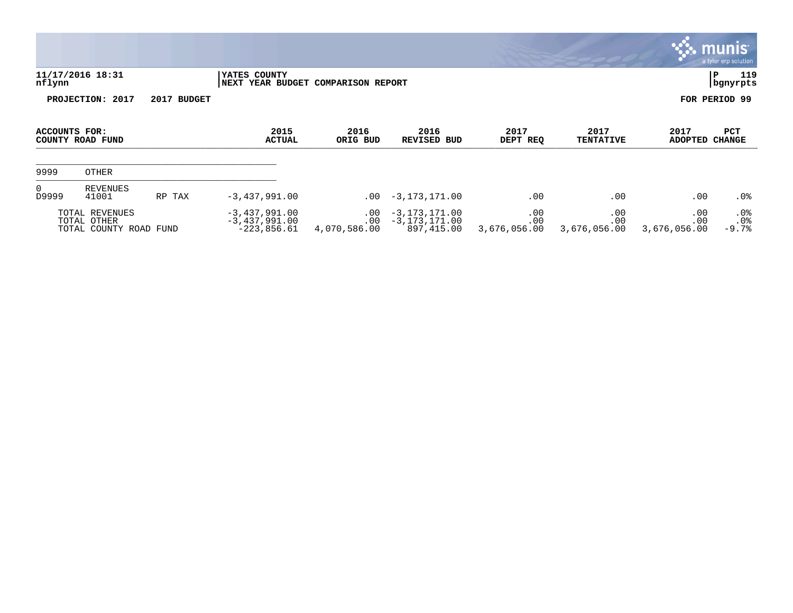|                                 |                                                         |        |                                                     |                                      |                                                      |                            |                            |                            | $\mathbf{33.}$ munis<br>a tyler erp solution |
|---------------------------------|---------------------------------------------------------|--------|-----------------------------------------------------|--------------------------------------|------------------------------------------------------|----------------------------|----------------------------|----------------------------|----------------------------------------------|
| nflynn                          | 11/17/2016 18:31                                        |        | YATES COUNTY<br>NEXT YEAR BUDGET COMPARISON REPORT  |                                      |                                                      |                            |                            |                            | 119<br>P<br>bgnyrpts                         |
| PROJECTION: 2017<br>2017 BUDGET |                                                         |        |                                                     |                                      |                                                      |                            |                            |                            | FOR PERIOD 99                                |
| <b>ACCOUNTS FOR:</b>            | COUNTY ROAD FUND                                        |        | 2015<br><b>ACTUAL</b>                               | 2016<br>ORIG BUD                     | 2016<br><b>REVISED BUD</b>                           | 2017<br>DEPT REQ           | 2017<br><b>TENTATIVE</b>   | 2017<br>ADOPTED            | PCT<br>CHANGE                                |
| 9999                            | <b>OTHER</b>                                            |        |                                                     |                                      |                                                      |                            |                            |                            |                                              |
| $\Omega$<br>D9999               | <b>REVENUES</b><br>41001                                | RP TAX | $-3,437,991.00$                                     |                                      | $.00 - 3,173,171.00$                                 | .00                        | .00                        | .00                        | $.0\%$                                       |
|                                 | TOTAL REVENUES<br>TOTAL OTHER<br>TOTAL COUNTY ROAD FUND |        | $-3,437,991.00$<br>$-3,437,991.00$<br>$-223,856.61$ | $.00 \,$<br>$.00 \,$<br>4,070,586.00 | $-3, 173, 171.00$<br>$-3, 173, 171.00$<br>897,415.00 | .00<br>.00<br>3,676,056.00 | .00<br>.00<br>3,676,056.00 | .00<br>.00<br>3,676,056.00 | $.0\%$<br>.0%<br>$-9.7%$                     |

 $\sim$   $\sim$   $\sim$   $\sim$   $\sim$   $\sim$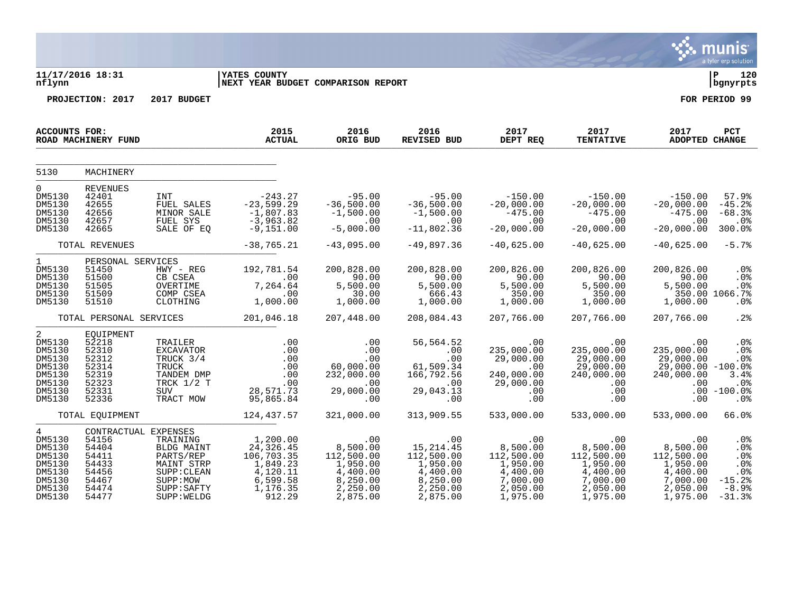|                                                                                                 |                                                                                              |                                                                                                                   |                                                                                                |                                                                                           |                                                                                             |                                                                                           |                                                                                           |                                                                                           | munis<br>a tyler erp solution                                                     |
|-------------------------------------------------------------------------------------------------|----------------------------------------------------------------------------------------------|-------------------------------------------------------------------------------------------------------------------|------------------------------------------------------------------------------------------------|-------------------------------------------------------------------------------------------|---------------------------------------------------------------------------------------------|-------------------------------------------------------------------------------------------|-------------------------------------------------------------------------------------------|-------------------------------------------------------------------------------------------|-----------------------------------------------------------------------------------|
| nflynn                                                                                          | 11/17/2016 18:31                                                                             |                                                                                                                   | <b>YATES COUNTY</b><br>NEXT YEAR BUDGET COMPARISON REPORT                                      |                                                                                           |                                                                                             |                                                                                           |                                                                                           |                                                                                           | ∣ P<br>120<br>bgnyrpts                                                            |
|                                                                                                 | PROJECTION: 2017                                                                             | 2017 BUDGET                                                                                                       |                                                                                                |                                                                                           |                                                                                             |                                                                                           |                                                                                           |                                                                                           | FOR PERIOD 99                                                                     |
| ACCOUNTS FOR:                                                                                   | ROAD MACHINERY FUND                                                                          |                                                                                                                   | 2015<br><b>ACTUAL</b>                                                                          | 2016<br>ORIG BUD                                                                          | 2016<br><b>REVISED BUD</b>                                                                  | 2017<br>DEPT REQ                                                                          | 2017<br><b>TENTATIVE</b>                                                                  | 2017<br><b>ADOPTED CHANGE</b>                                                             | PCT                                                                               |
| 5130                                                                                            | MACHINERY                                                                                    |                                                                                                                   |                                                                                                |                                                                                           |                                                                                             |                                                                                           |                                                                                           |                                                                                           |                                                                                   |
| 0<br>DM5130<br>DM5130<br>DM5130<br>DM5130<br>DM5130                                             | <b>REVENUES</b><br>42401<br>42655<br>42656<br>42657<br>42665                                 | INT<br>FUEL SALES<br>MINOR SALE<br>FUEL SYS<br>SALE OF EQ                                                         | $-243.27$<br>$-23,599.29$<br>$-1,807.83$<br>$-3,963.82$<br>$-9,151.00$                         | $-95.00$<br>$-36,500.00$<br>$-1,500.00$<br>.00<br>$-5,000.00$                             | $-95.00$<br>$-36,500.00$<br>$-1,500.00$<br>.00<br>$-11,802.36$                              | $-150.00$<br>$-20,000.00$<br>$-475.00$<br>.00<br>$-20,000.00$                             | $-150.00$<br>$-20,000.00$<br>$-475.00$<br>.00<br>$-20,000.00$                             | $-150.00$<br>$-20,000.00$<br>$-475.00$<br>.00<br>$-20,000.00$                             | 57.9%<br>$-45.2%$<br>$-68.3%$<br>$.0\%$<br>300.0%                                 |
|                                                                                                 | TOTAL REVENUES                                                                               |                                                                                                                   | $-38,765.21$                                                                                   | $-43,095.00$                                                                              | $-49,897.36$                                                                                | $-40,625.00$                                                                              | $-40,625.00$                                                                              | $-40,625.00$                                                                              | $-5.7%$                                                                           |
| $\mathbf 1$<br>DM5130<br>DM5130<br>DM5130<br>DM5130<br>DM5130                                   | PERSONAL SERVICES<br>51450<br>51500<br>51505<br>51509<br>51510                               | HWY - REG<br>CB CSEA<br>OVERTIME<br>COMP CSEA<br>CLOTHING                                                         | 192,781.54<br>.00<br>7,264.64<br>$\sim$ 00<br>1,000.00                                         | 200,828.00<br>90.00<br>5,500.00<br>30.00<br>1,000.00                                      | 200,828.00<br>90.00<br>5,500.00<br>666.43<br>1,000.00                                       | 200,826.00<br>90.00<br>5,500.00<br>350.00<br>1,000.00                                     | 200,826.00<br>90.00<br>5,500.00<br>350.00<br>1,000.00                                     | 200,826.00<br>90.00<br>5,500.00<br>1,000.00                                               | .0 <sub>8</sub><br>.0%<br>.0%<br>350.00 1066.7%<br>.0%                            |
|                                                                                                 | TOTAL PERSONAL SERVICES                                                                      |                                                                                                                   | 201,046.18                                                                                     | 207,448.00                                                                                | 208,084.43                                                                                  | 207,766.00                                                                                | 207,766.00                                                                                | 207,766.00                                                                                | .2%                                                                               |
| 2<br>DM5130<br>DM5130<br>DM5130<br>DM5130<br>DM5130<br>DM5130<br>DM5130<br>DM5130               | EQUIPMENT<br>52218<br>52310<br>52312<br>52314<br>52319<br>52323<br>52331<br>52336            | TRAILER<br><b>EXCAVATOR</b><br>TRUCK 3/4<br><b>TRUCK</b><br>TANDEM DMP<br>TRCK $1/2$ T<br><b>SUV</b><br>TRACT MOW | .00<br>.00<br>.00<br>.00<br>.00<br>.00<br>28,571.73<br>95,865.84                               | .00<br>.00<br>.00<br>60,000.00<br>232,000.00<br>.00<br>29,000.00<br>.00                   | 56,564.52<br>.00<br>.00<br>61,509.34<br>166,792.56<br>$\sim$ 00<br>29,043.13<br>.00         | .00<br>235,000.00<br>29,000.00<br>.00<br>240,000.00<br>29,000.00<br>.00<br>.00            | .00<br>235,000.00<br>29,000.00<br>29,000.00<br>240,000.00<br>$.00 \,$<br>$.00 \,$<br>.00  | .00<br>235,000.00<br>29,000.00<br>$29,000.00 - 100.08$<br>240,000.00<br>.00<br>.00        | .0 <sub>8</sub><br>.0%<br>.0%<br>3.4%<br>.0 <sub>8</sub><br>$.00 - 100.0%$<br>.0% |
|                                                                                                 | TOTAL EQUIPMENT                                                                              |                                                                                                                   | 124,437.57                                                                                     | 321,000.00                                                                                | 313,909.55                                                                                  | 533,000.00                                                                                | 533,000.00                                                                                | 533,000.00                                                                                | 66.0%                                                                             |
| $4\overline{ }$<br>DM5130<br>DM5130<br>DM5130<br>DM5130<br>DM5130<br>DM5130<br>DM5130<br>DM5130 | CONTRACTUAL EXPENSES<br>54156<br>54404<br>54411<br>54433<br>54456<br>54467<br>54474<br>54477 | TRAINING<br>BLDG MAINT<br>PARTS/REP<br>MAINT STRP<br>SUPP : CLEAN<br>SUPP:MOW<br>SUPP: SAFTY<br>SUPP: WELDG       | 1,200.00<br>24,326.45<br>106, 703.35<br>1,849.23<br>4,120.11<br>6,599.58<br>1,176.35<br>912.29 | .00<br>8,500.00<br>112,500.00<br>1,950.00<br>4,400.00<br>8,250.00<br>2,250.00<br>2,875.00 | .00<br>15, 214.45<br>112,500.00<br>1,950.00<br>4,400.00<br>8,250.00<br>2,250.00<br>2,875.00 | .00<br>8,500.00<br>112,500.00<br>1,950.00<br>4,400.00<br>7,000.00<br>2,050.00<br>1,975.00 | .00<br>8,500.00<br>112,500.00<br>1,950.00<br>4,400.00<br>7,000.00<br>2,050.00<br>1,975.00 | .00<br>8,500.00<br>112,500.00<br>1,950.00<br>4,400.00<br>7,000.00<br>2,050.00<br>1,975.00 | .0%<br>.0%<br>.0%<br>.0%<br>$.0\%$<br>$-15.2%$<br>$-8.9%$<br>$-31.3%$             |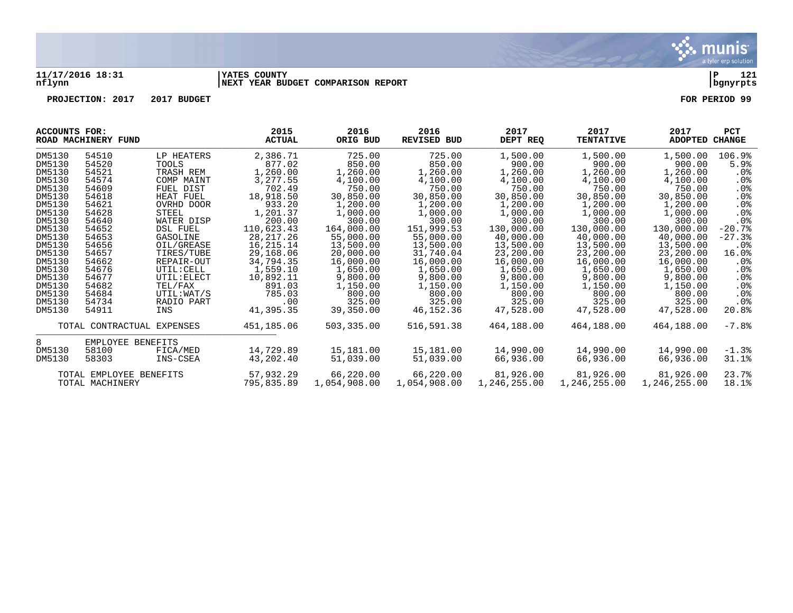

## **11/17/2016 18:31 |YATES COUNTY |P 121 nflynn |NEXT YEAR BUDGET COMPARISON REPORT |bgnyrpts**

**PROJECTION: 2017 2017 BUDGET FOR PERIOD 99**

| ACCOUNTS FOR: | ROAD MACHINERY FUND        |                 | 2015<br><b>ACTUAL</b> | 2016<br>ORIG BUD | 2016<br>REVISED BUD | 2017<br>DEPT REQ | 2017<br><b>TENTATIVE</b> | 2017<br>ADOPTED | <b>PCT</b><br>CHANGE |
|---------------|----------------------------|-----------------|-----------------------|------------------|---------------------|------------------|--------------------------|-----------------|----------------------|
| DM5130        | 54510                      | LP HEATERS      | 2,386.71              | 725.00           | 725.00              | 1,500.00         | 1,500.00                 | 1,500.00        | 106.9%               |
| DM5130        | 54520                      | <b>TOOLS</b>    | 877.02                | 850.00           | 850.00              | 900.00           | 900.00                   | 900.00          | 5.9%                 |
| DM5130        | 54521                      | TRASH REM       | 1,260.00              | 1,260.00         | 1,260.00            | 1,260.00         | 1,260.00                 | 1,260.00        | $.0\%$               |
| DM5130        | 54574                      | COMP MAINT      | 3, 277.55             | 4,100.00         | 4,100.00            | 4,100.00         | 4,100.00                 | 4,100.00        | $.0\%$               |
| DM5130        | 54609                      | FUEL DIST       | 702.49                | 750.00           | 750.00              | 750.00           | 750.00                   | 750.00          | $.0\%$               |
| DM5130        | 54618                      | HEAT FUEL       | 18,918.50             | 30,850.00        | 30,850.00           | 30,850.00        | 30,850.00                | 30,850.00       | $.0\%$               |
| DM5130        | 54621                      | OVRHD DOOR      | 933.20                | 1,200.00         | 1,200.00            | 1,200.00         | 1,200.00                 | 1,200.00        | $.0\%$               |
| DM5130        | 54628                      | STEEL           | 1,201.37              | 1,000.00         | 1,000.00            | 1,000.00         | 1,000.00                 | 1,000.00        | $.0\%$               |
| DM5130        | 54640                      | WATER DISP      | 200.00                | 300.00           | 300.00              | 300.00           | 300.00                   | 300.00          | .0 <sub>8</sub>      |
| DM5130        | 54652                      | <b>DSL FUEL</b> | 110,623.43            | 164,000.00       | 151,999.53          | 130,000.00       | 130,000.00               | 130,000.00      | $-20.7%$             |
| DM5130        | 54653                      | GASOLINE        | 28, 217. 26           | 55,000.00        | 55,000.00           | 40,000.00        | 40,000.00                | 40,000.00       | $-27.3%$             |
| DM5130        | 54656                      | OIL/GREASE      | 16,215.14             | 13,500.00        | 13,500.00           | 13,500.00        | 13,500.00                | 13,500.00       | .0%                  |
| DM5130        | 54657                      | TIRES/TUBE      | 29,168.06             | 20,000.00        | 31,740.04           | 23,200.00        | 23,200.00                | 23,200.00       | 16.0%                |
| DM5130        | 54662                      | REPAIR-OUT      | 34,794.35             | 16,000.00        | 16,000.00           | 16,000.00        | 16,000.00                | 16,000.00       | $.0\%$               |
| DM5130        | 54676                      | UTIL: CELL      | 1,559.10              | 1,650.00         | 1,650.00            | 1,650.00         | 1,650.00                 | 1,650.00        | $.0\%$               |
| DM5130        | 54677                      | UTIL: ELECT     | 10,892.11             | 9,800.00         | 9,800.00            | 9,800.00         | 9,800.00                 | 9,800.00        | $.0\%$               |
| DM5130        | 54682                      | TEL/FAX         | 891.03                | 1,150.00         | 1,150.00            | 1,150.00         | 1,150.00                 | 1,150.00        | $.0\%$               |
| DM5130        | 54684                      | UTIL: WAT/S     | 785.03                | 800.00           | 800.00              | 800.00           | 800.00                   | 800.00          | $.0\%$               |
| DM5130        | 54734                      | RADIO PART      | $.00 \,$              | 325.00           | 325.00              | 325.00           | 325.00                   | 325.00          | . 0%                 |
| DM5130        | 54911                      | INS             | 41,395.35             | 39,350.00        | 46,152.36           | 47,528.00        | 47,528.00                | 47,528.00       | 20.8%                |
|               | TOTAL CONTRACTUAL EXPENSES |                 | 451,185.06            | 503,335.00       | 516,591.38          | 464,188.00       | 464,188.00               | 464,188.00      | $-7.8%$              |
| 8             | EMPLOYEE BENEFITS          |                 |                       |                  |                     |                  |                          |                 |                      |
| DM5130        | 58100                      | FICA/MED        | 14,729.89             | 15,181.00        | 15,181.00           | 14,990.00        | 14,990.00                | 14,990.00       | $-1.3%$              |
| DM5130        | 58303                      | INS-CSEA        | 43,202.40             | 51,039.00        | 51,039.00           | 66,936.00        | 66,936.00                | 66,936.00       | 31.1%                |
|               | TOTAL EMPLOYEE BENEFITS    |                 | 57,932.29             | 66,220.00        | 66,220.00           | 81,926.00        | 81,926.00                | 81,926.00       | 23.7%                |
|               | TOTAL MACHINERY            |                 | 795,835.89            | 1,054,908.00     | 1,054,908.00        | 1,246,255.00     | 1,246,255.00             | 1,246,255.00    | 18.1%                |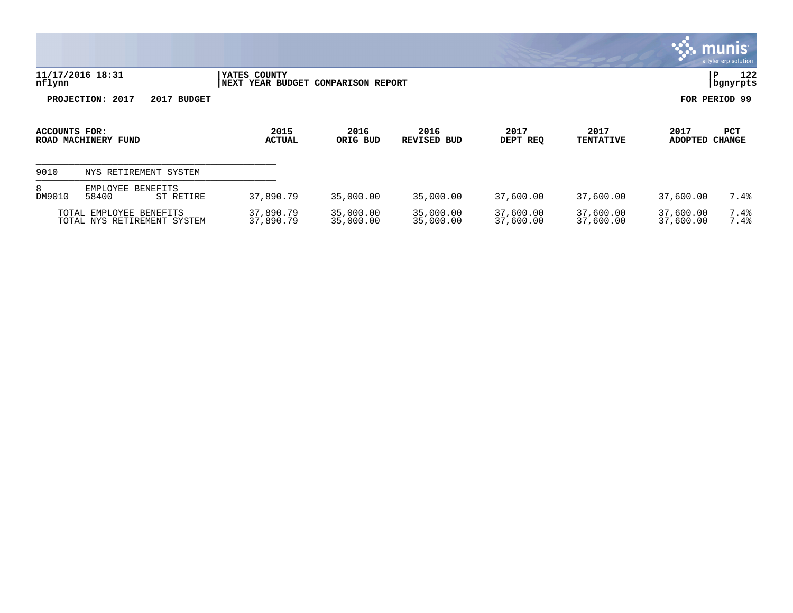|               |                                                        |                        |                               |                        |                        |                          |                        | munis <sup>®</sup><br>a tyler erp solution |
|---------------|--------------------------------------------------------|------------------------|-------------------------------|------------------------|------------------------|--------------------------|------------------------|--------------------------------------------|
| nflynn        | 11/17/2016 18:31                                       | YATES COUNTY<br>NEXT   | YEAR BUDGET COMPARISON REPORT |                        |                        |                          |                        |                                            |
|               | PROJECTION: 2017<br>2017 BUDGET                        |                        |                               |                        |                        |                          |                        | FOR PERIOD 99                              |
| ACCOUNTS FOR: | ROAD MACHINERY FUND                                    | 2015<br><b>ACTUAL</b>  | 2016<br>ORIG BUD              | 2016<br>REVISED BUD    | 2017<br>DEPT REQ       | 2017<br><b>TENTATIVE</b> | 2017<br><b>ADOPTED</b> | PCT<br><b>CHANGE</b>                       |
| 9010          | NYS RETIREMENT SYSTEM                                  |                        |                               |                        |                        |                          |                        |                                            |
| 8<br>DM9010   | EMPLOYEE<br><b>BENEFITS</b><br>58400<br>ST RETIRE      | 37,890.79              | 35,000.00                     | 35,000.00              | 37,600.00              | 37,600.00                | 37,600.00              | 7.4%                                       |
|               | TOTAL EMPLOYEE BENEFITS<br>TOTAL NYS RETIREMENT SYSTEM | 37,890.79<br>37,890.79 | 35,000.00<br>35,000.00        | 35,000.00<br>35,000.00 | 37,600.00<br>37,600.00 | 37,600.00<br>37,600.00   | 37,600.00<br>37,600.00 | 7.4%<br>7.4%                               |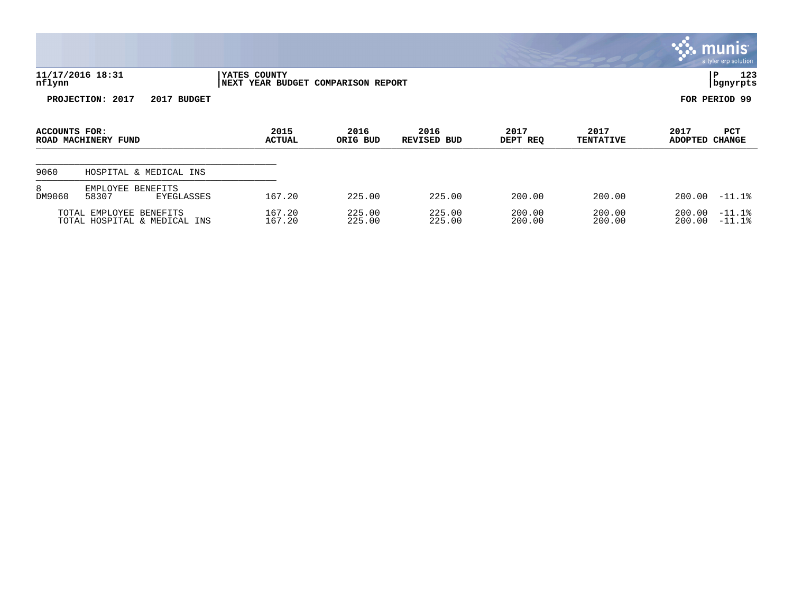|               |                                                         |                                                    |                  |                     |                  |                          |                        | munis <sup>®</sup><br>a tyler erp solution |
|---------------|---------------------------------------------------------|----------------------------------------------------|------------------|---------------------|------------------|--------------------------|------------------------|--------------------------------------------|
| nflynn        | 11/17/2016 18:31                                        | YATES COUNTY<br>NEXT YEAR BUDGET COMPARISON REPORT |                  |                     |                  |                          | ∣P                     | 123<br>bgnyrpts                            |
|               | PROJECTION: 2017<br>2017 BUDGET                         |                                                    |                  |                     |                  |                          | FOR PERIOD 99          |                                            |
| ACCOUNTS FOR: | ROAD MACHINERY FUND                                     | 2015<br><b>ACTUAL</b>                              | 2016<br>ORIG BUD | 2016<br>REVISED BUD | 2017<br>DEPT REQ | 2017<br><b>TENTATIVE</b> | 2017<br>ADOPTED CHANGE | <b>PCT</b>                                 |
| 9060          | HOSPITAL & MEDICAL INS                                  |                                                    |                  |                     |                  |                          |                        |                                            |
| 8<br>DM9060   | EMPLOYEE<br>BENEFITS<br>58307<br><b>EYEGLASSES</b>      | 167.20                                             | 225.00           | 225.00              | 200.00           | 200.00                   | 200.00                 | $-11.1$ $8$                                |
|               | TOTAL EMPLOYEE BENEFITS<br>TOTAL HOSPITAL & MEDICAL INS | 167.20<br>167.20                                   | 225.00<br>225.00 | 225.00<br>225.00    | 200.00<br>200.00 | 200.00<br>200.00         | 200.00<br>200.00       | $-11.1%$<br>$-11.1$ $8$                    |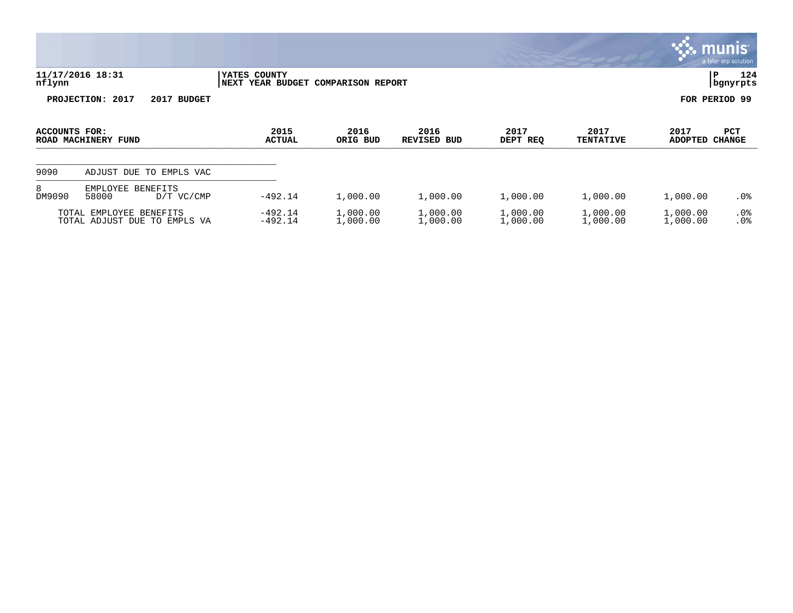|               |                                                         |                        |                               |                      |                      |                          |                        | <b>munis</b><br>a tyler erp solution |
|---------------|---------------------------------------------------------|------------------------|-------------------------------|----------------------|----------------------|--------------------------|------------------------|--------------------------------------|
| nflynn        | 11/17/2016 18:31                                        | YATES COUNTY<br>NEXT   | YEAR BUDGET COMPARISON REPORT |                      |                      |                          |                        |                                      |
|               | PROJECTION: 2017<br>2017 BUDGET                         |                        |                               |                      |                      |                          |                        | FOR PERIOD 99                        |
| ACCOUNTS FOR: | ROAD MACHINERY FUND                                     | 2015<br><b>ACTUAL</b>  | 2016<br>ORIG BUD              | 2016<br>REVISED BUD  | 2017<br>DEPT REQ     | 2017<br><b>TENTATIVE</b> | 2017<br><b>ADOPTED</b> | PCT<br><b>CHANGE</b>                 |
| 9090          | ADJUST DUE TO EMPLS VAC                                 |                        |                               |                      |                      |                          |                        |                                      |
| 8<br>DM9090   | EMPLOYEE<br><b>BENEFITS</b><br>58000<br>$D/T$ VC/CMP    | $-492.14$              | 1,000.00                      | 1,000.00             | 1,000.00             | 1,000.00                 | 1,000.00               | . 0%                                 |
|               | TOTAL EMPLOYEE BENEFITS<br>TOTAL ADJUST DUE TO EMPLS VA | $-492.14$<br>$-492.14$ | 1,000.00<br>1,000.00          | 1,000.00<br>1,000.00 | 1,000.00<br>1,000.00 | 1,000.00<br>1,000.00     | 1,000.00<br>1,000.00   | $.0\%$<br>.0%                        |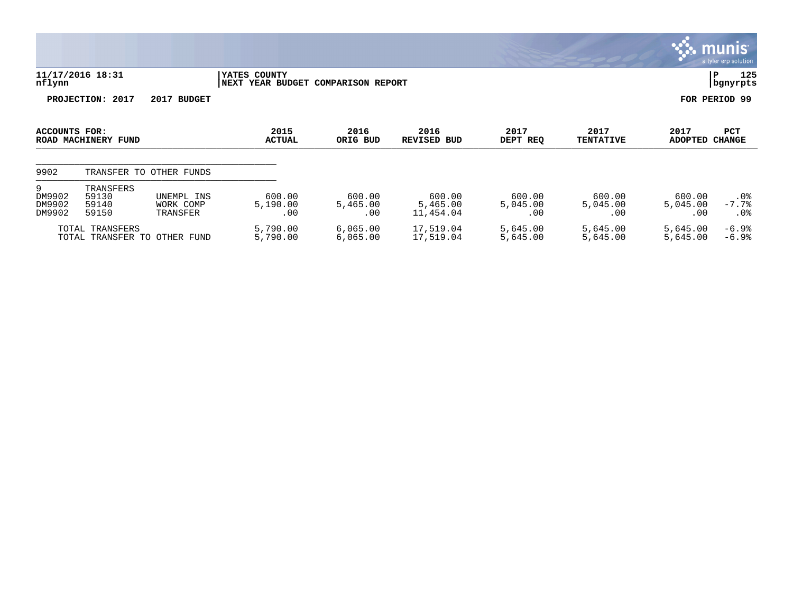|                                                 |                                      |                                     |                                                    |                           |                                 |                           |                           |                           | munis'<br>a tyler erp solution |  |  |
|-------------------------------------------------|--------------------------------------|-------------------------------------|----------------------------------------------------|---------------------------|---------------------------------|---------------------------|---------------------------|---------------------------|--------------------------------|--|--|
| nflynn                                          | 11/17/2016 18:31                     |                                     | YATES COUNTY<br>NEXT YEAR BUDGET COMPARISON REPORT |                           |                                 |                           |                           |                           | 125<br>P<br>bgnyrpts           |  |  |
| PROJECTION: 2017<br>2017 BUDGET                 |                                      |                                     |                                                    |                           |                                 |                           |                           |                           | FOR PERIOD 99                  |  |  |
| ACCOUNTS FOR:<br>ROAD MACHINERY FUND            |                                      |                                     | 2015<br><b>ACTUAL</b>                              | 2016<br>ORIG BUD          | 2016<br><b>REVISED BUD</b>      | 2017<br>DEPT REQ          | 2017<br><b>TENTATIVE</b>  | 2017<br>ADOPTED CHANGE    | <b>PCT</b>                     |  |  |
| 9902                                            |                                      | TRANSFER TO OTHER FUNDS             |                                                    |                           |                                 |                           |                           |                           |                                |  |  |
| 9<br>DM9902<br>DM9902<br>DM9902                 | TRANSFERS<br>59130<br>59140<br>59150 | UNEMPL INS<br>WORK COMP<br>TRANSFER | 600.00<br>5,190.00<br>.00                          | 600.00<br>5,465.00<br>.00 | 600.00<br>5,465.00<br>11,454.04 | 600.00<br>5,045.00<br>.00 | 600.00<br>5,045.00<br>.00 | 600.00<br>5,045.00<br>.00 | $.0\%$<br>$-7.7%$<br>.0%       |  |  |
| TOTAL TRANSFERS<br>TOTAL TRANSFER TO OTHER FUND |                                      |                                     | 5,790.00<br>5,790.00                               | 6,065.00<br>6,065.00      | 17,519.04<br>17,519.04          | 5,645.00<br>5,645.00      | 5,645.00<br>5,645.00      | 5,645.00<br>5,645.00      | $-6.9%$<br>$-6.9%$             |  |  |